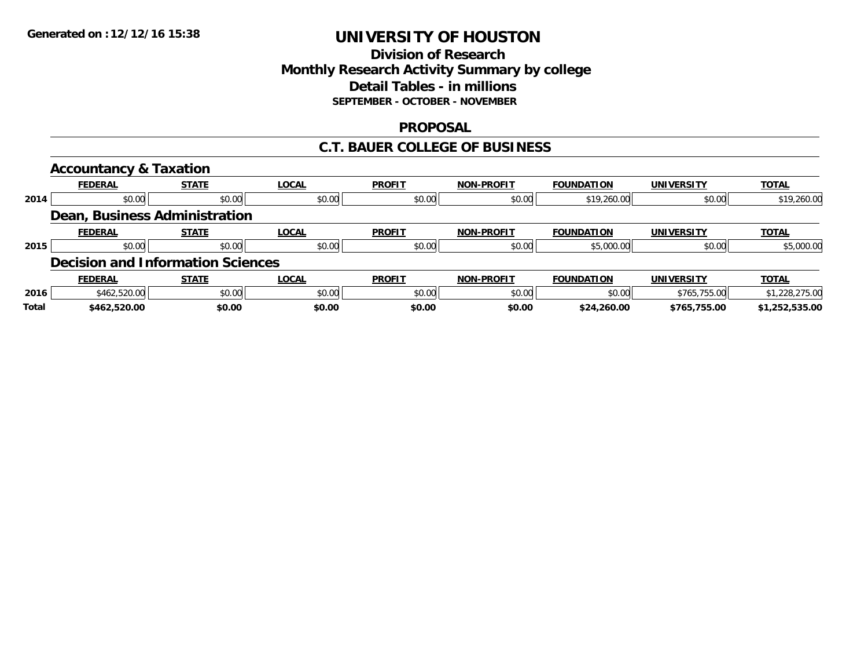## **Division of Research Monthly Research Activity Summary by college Detail Tables - in millions SEPTEMBER - OCTOBER - NOVEMBER**

### **PROPOSAL**

### **C.T. BAUER COLLEGE OF BUSINESS**

|       | <b>Accountancy &amp; Taxation</b>        |              |              |               |                   |                   |                   |                |
|-------|------------------------------------------|--------------|--------------|---------------|-------------------|-------------------|-------------------|----------------|
|       | <b>FEDERAL</b>                           | <b>STATE</b> | <b>LOCAL</b> | <b>PROFIT</b> | <b>NON-PROFIT</b> | <b>FOUNDATION</b> | <b>UNIVERSITY</b> | <b>TOTAL</b>   |
| 2014  | \$0.00                                   | \$0.00       | \$0.00       | \$0.00        | \$0.00            | \$19,260.00       | \$0.00            | \$19,260.00    |
|       | Dean, Business Administration            |              |              |               |                   |                   |                   |                |
|       | <b>FEDERAL</b>                           | <b>STATE</b> | <b>LOCAL</b> | <b>PROFIT</b> | <b>NON-PROFIT</b> | <b>FOUNDATION</b> | <b>UNIVERSITY</b> | <b>TOTAL</b>   |
| 2015  | \$0.00                                   | \$0.00       | \$0.00       | \$0.00        | \$0.00            | \$5,000.00        | \$0.00            | \$5,000.00     |
|       | <b>Decision and Information Sciences</b> |              |              |               |                   |                   |                   |                |
|       | <b>FEDERAL</b>                           | <b>STATE</b> | <b>LOCAL</b> | <b>PROFIT</b> | <b>NON-PROFIT</b> | <b>FOUNDATION</b> | <b>UNIVERSITY</b> | <b>TOTAL</b>   |
| 2016  | \$462,520.00                             | \$0.00       | \$0.00       | \$0.00        | \$0.00            | \$0.00            | \$765,755.00      | \$1,228,275.00 |
| Total | \$462,520.00                             | \$0.00       | \$0.00       | \$0.00        | \$0.00            | \$24,260.00       | \$765,755.00      | \$1,252,535.00 |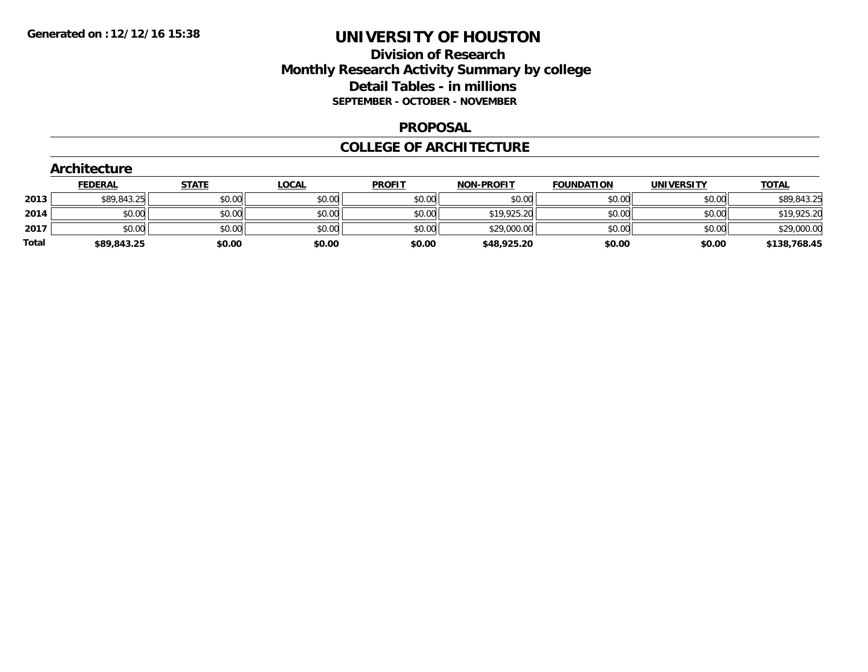## **Division of Research Monthly Research Activity Summary by college Detail Tables - in millions SEPTEMBER - OCTOBER - NOVEMBER**

#### **PROPOSAL**

#### **COLLEGE OF ARCHITECTURE**

|       | Architecture   |              |              |               |                   |                   |                   |              |  |  |  |  |
|-------|----------------|--------------|--------------|---------------|-------------------|-------------------|-------------------|--------------|--|--|--|--|
|       | <b>FEDERAL</b> | <b>STATE</b> | <b>LOCAL</b> | <b>PROFIT</b> | <b>NON-PROFIT</b> | <b>FOUNDATION</b> | <b>UNIVERSITY</b> | <b>TOTAL</b> |  |  |  |  |
| 2013  | \$89,843.25    | \$0.00       | \$0.00       | \$0.00        | \$0.00            | \$0.00            | \$0.00            | \$89,843.25  |  |  |  |  |
| 2014  | \$0.00         | \$0.00       | \$0.00       | \$0.00        | \$19,925.20       | \$0.00            | \$0.00            | \$19,925.20  |  |  |  |  |
| 2017  | \$0.00         | \$0.00       | \$0.00       | \$0.00        | \$29,000.00       | \$0.00            | \$0.00            | \$29,000.00  |  |  |  |  |
| Total | \$89,843.25    | \$0.00       | \$0.00       | \$0.00        | \$48,925.20       | \$0.00            | \$0.00            | \$138,768.45 |  |  |  |  |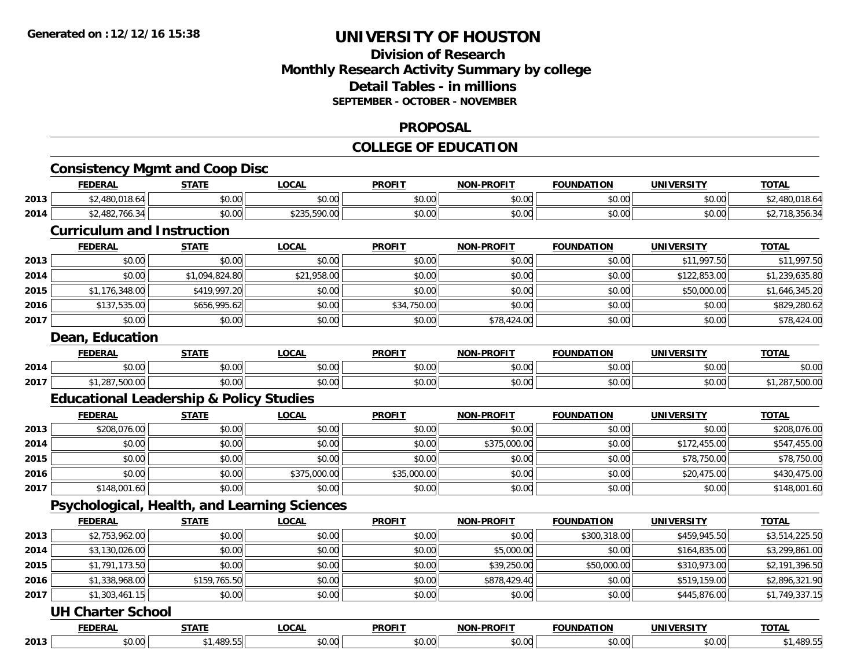### **Division of Research Monthly Research Activity Summary by college Detail Tables - in millions SEPTEMBER - OCTOBER - NOVEMBER**

#### **PROPOSAL**

## **COLLEGE OF EDUCATION**

|      | <b>Consistency Mgmt and Coop Disc</b>              |                |              |               |                   |                   |                   |                |
|------|----------------------------------------------------|----------------|--------------|---------------|-------------------|-------------------|-------------------|----------------|
|      | <b>FEDERAL</b>                                     | <b>STATE</b>   | <b>LOCAL</b> | <b>PROFIT</b> | NON-PROFIT        | <b>FOUNDATION</b> | <b>UNIVERSITY</b> | <b>TOTAL</b>   |
| 2013 | \$2,480,018.64                                     | \$0.00         | \$0.00       | \$0.00        | \$0.00            | \$0.00            | \$0.00            | \$2,480,018.64 |
| 2014 | \$2,482,766.34                                     | \$0.00         | \$235,590.00 | \$0.00        | \$0.00            | \$0.00            | \$0.00            | \$2,718,356.34 |
|      | <b>Curriculum and Instruction</b>                  |                |              |               |                   |                   |                   |                |
|      | <b>FEDERAL</b>                                     | <b>STATE</b>   | <b>LOCAL</b> | <b>PROFIT</b> | <b>NON-PROFIT</b> | <b>FOUNDATION</b> | <b>UNIVERSITY</b> | <b>TOTAL</b>   |
| 2013 | \$0.00                                             | \$0.00         | \$0.00       | \$0.00        | \$0.00            | \$0.00            | \$11,997.50       | \$11,997.50    |
| 2014 | \$0.00                                             | \$1,094,824.80 | \$21,958.00  | \$0.00        | \$0.00            | \$0.00            | \$122,853.00      | \$1,239,635.80 |
| 2015 | \$1,176,348.00                                     | \$419,997.20   | \$0.00       | \$0.00        | \$0.00            | \$0.00            | \$50,000.00       | \$1,646,345.20 |
| 2016 | \$137,535.00                                       | \$656,995.62   | \$0.00       | \$34,750.00   | \$0.00            | \$0.00            | \$0.00            | \$829,280.62   |
| 2017 | \$0.00                                             | \$0.00         | \$0.00       | \$0.00        | \$78,424.00       | \$0.00            | \$0.00            | \$78,424.00    |
|      | Dean, Education                                    |                |              |               |                   |                   |                   |                |
|      | <b>FEDERAL</b>                                     | <b>STATE</b>   | <b>LOCAL</b> | <b>PROFIT</b> | NON-PROFIT        | <b>FOUNDATION</b> | <b>UNIVERSITY</b> | <b>TOTAL</b>   |
| 2014 | \$0.00                                             | \$0.00         | \$0.00       | \$0.00        | \$0.00            | \$0.00            | \$0.00            | \$0.00         |
| 2017 | \$1,287,500.00                                     | \$0.00         | \$0.00       | \$0.00        | \$0.00            | \$0.00            | \$0.00            | \$1,287,500.00 |
|      | <b>Educational Leadership &amp; Policy Studies</b> |                |              |               |                   |                   |                   |                |
|      | <b>FEDERAL</b>                                     | <b>STATE</b>   | <b>LOCAL</b> | <b>PROFIT</b> | <b>NON-PROFIT</b> | <b>FOUNDATION</b> | <b>UNIVERSITY</b> | <b>TOTAL</b>   |
| 2013 | \$208,076.00                                       | \$0.00         | \$0.00       | \$0.00        | \$0.00            | \$0.00            | \$0.00            | \$208,076.00   |
| 2014 | \$0.00                                             | \$0.00         | \$0.00       | \$0.00        | \$375,000.00      | \$0.00            | \$172,455.00      | \$547,455.00   |
| 2015 | \$0.00                                             | \$0.00         | \$0.00       | \$0.00        | \$0.00            | \$0.00            | \$78,750.00       | \$78,750.00    |
| 2016 | \$0.00                                             | \$0.00         | \$375,000.00 | \$35,000.00   | \$0.00            | \$0.00            | \$20,475.00       | \$430,475.00   |
| 2017 | \$148,001.60                                       | \$0.00         | \$0.00       | \$0.00        | \$0.00            | \$0.00            | \$0.00            | \$148,001.60   |
|      | Psychological, Health, and Learning Sciences       |                |              |               |                   |                   |                   |                |
|      | <b>FEDERAL</b>                                     | <b>STATE</b>   | <b>LOCAL</b> | <b>PROFIT</b> | <b>NON-PROELI</b> | <b>FOUNDATION</b> | <b>UNIVERSITY</b> | <b>TOTAL</b>   |
| 2013 | \$2,753,962.00                                     | \$0.00         | \$0.00       | \$0.00        | \$0.00            | \$300,318.00      | \$459,945.50      | \$3,514,225.50 |
| 2014 | \$3,130,026.00                                     | \$0.00         | \$0.00       | \$0.00        | \$5,000.00        | \$0.00            | \$164,835.00      | \$3,299,861.00 |
| 2015 | \$1,791,173.50                                     | \$0.00         | \$0.00       | \$0.00        | \$39,250.00       | \$50,000.00       | \$310,973.00      | \$2,191,396.50 |
| 2016 | \$1,338,968.00                                     | \$159,765.50   | \$0.00       | \$0.00        | \$878,429.40      | \$0.00            | \$519,159.00      | \$2,896,321.90 |
| 2017 | \$1,303,461.15                                     | \$0.00         | \$0.00       | \$0.00        | \$0.00            | \$0.00            | \$445,876.00      | \$1,749,337.15 |
|      | <b>UH Charter School</b>                           |                |              |               |                   |                   |                   |                |
|      | <b>FEDERAL</b>                                     | <b>STATE</b>   | <b>LOCAL</b> | <b>PROFIT</b> | <b>NON-PROFIT</b> | <b>FOUNDATION</b> | <b>UNIVERSITY</b> | <b>TOTAL</b>   |
|      | \$0.00                                             | \$1,489.55     | \$0.00       | \$0.00        | \$0.00            | \$0.00            | \$0.00            | \$1,489.55     |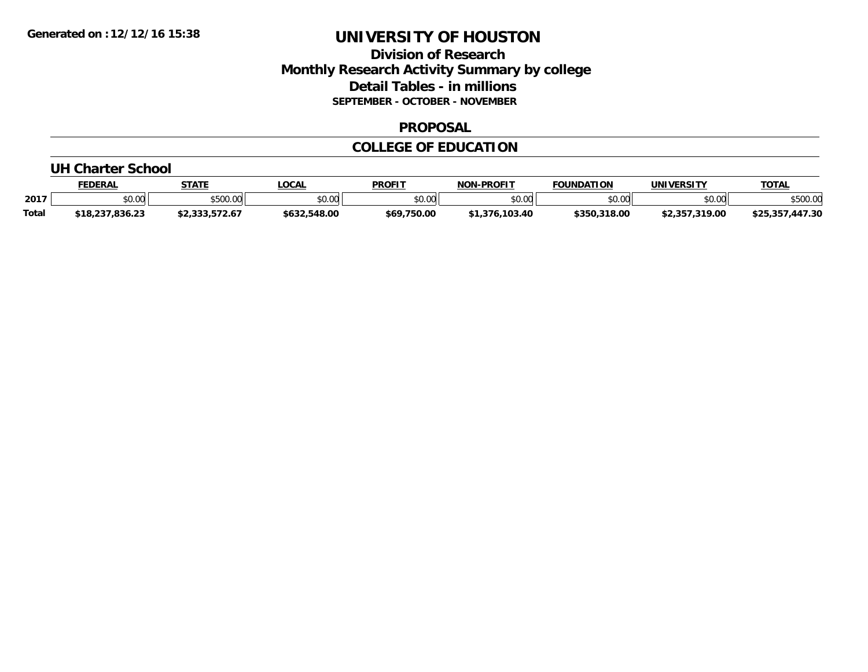### **Division of Research Monthly Research Activity Summary by college Detail Tables - in millions SEPTEMBER - OCTOBER - NOVEMBER**

#### **PROPOSAL**

#### **COLLEGE OF EDUCATION**

#### **UH Charter School**

|              | FEDERAL         | <b>STATE</b>   | <b>_OCAL</b> | <b>PROFIT</b> | <b>NON-PROFIT</b>    | <b>FOUNDATION</b> | UNIVERSITY     | <b>TOTAL</b>    |
|--------------|-----------------|----------------|--------------|---------------|----------------------|-------------------|----------------|-----------------|
| 2017         | 0.00<br>JU.UU   | \$500.00       | \$0.00       | \$0.00        | \$0.00               | \$0.00            | \$0.00         | \$500.00        |
| <b>Total</b> | \$18,237,836.23 | \$2,333,572.67 | \$632,548.00 | \$69,750.00   | .103.40<br>$*1.376.$ | \$350,318.00      | \$2,357,319.00 | \$25,357,447.30 |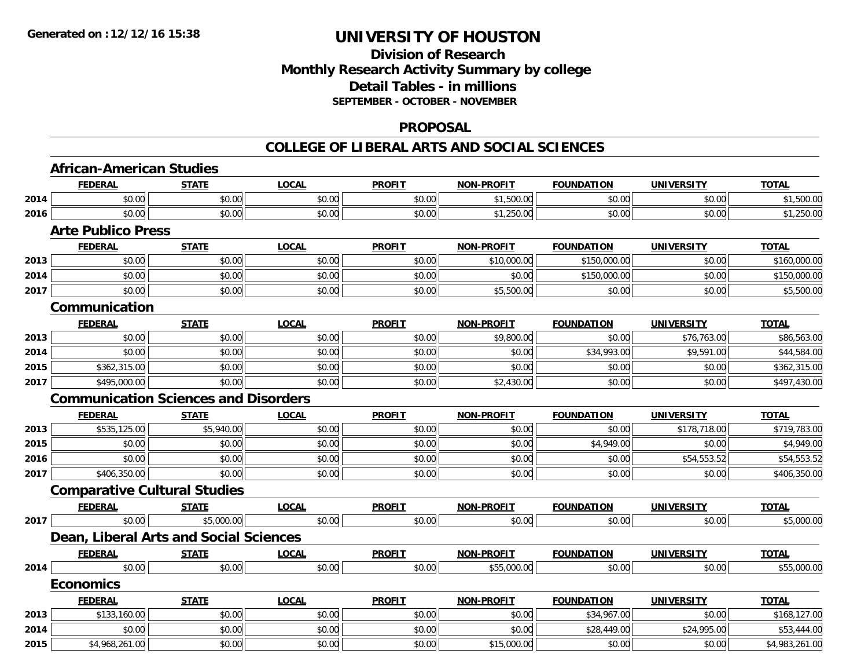## **Division of Research Monthly Research Activity Summary by college Detail Tables - in millions SEPTEMBER - OCTOBER - NOVEMBER**

#### **PROPOSAL**

|      | <b>African-American Studies</b>     |                                             |              |               |                   |                   |                   |                |
|------|-------------------------------------|---------------------------------------------|--------------|---------------|-------------------|-------------------|-------------------|----------------|
|      | <b>FEDERAL</b>                      | <b>STATE</b>                                | <b>LOCAL</b> | <b>PROFIT</b> | <b>NON-PROFIT</b> | <b>FOUNDATION</b> | <b>UNIVERSITY</b> | <b>TOTAL</b>   |
| 2014 | \$0.00                              | \$0.00                                      | \$0.00       | \$0.00        | \$1,500.00        | \$0.00            | \$0.00            | \$1,500.00     |
| 2016 | \$0.00                              | \$0.00                                      | \$0.00       | \$0.00        | \$1,250.00        | \$0.00            | \$0.00            | \$1,250.00     |
|      | <b>Arte Publico Press</b>           |                                             |              |               |                   |                   |                   |                |
|      | <b>FEDERAL</b>                      | <b>STATE</b>                                | <b>LOCAL</b> | <b>PROFIT</b> | <b>NON-PROFIT</b> | <b>FOUNDATION</b> | <b>UNIVERSITY</b> | <b>TOTAL</b>   |
| 2013 | \$0.00                              | \$0.00                                      | \$0.00       | \$0.00        | \$10,000.00       | \$150,000.00      | \$0.00            | \$160,000.00   |
| 2014 | \$0.00                              | \$0.00                                      | \$0.00       | \$0.00        | \$0.00            | \$150,000.00      | \$0.00            | \$150,000.00   |
| 2017 | \$0.00                              | \$0.00                                      | \$0.00       | \$0.00        | \$5,500.00        | \$0.00            | \$0.00            | \$5,500.00     |
|      | Communication                       |                                             |              |               |                   |                   |                   |                |
|      | <b>FEDERAL</b>                      | <b>STATE</b>                                | <b>LOCAL</b> | <b>PROFIT</b> | <b>NON-PROFIT</b> | <b>FOUNDATION</b> | <b>UNIVERSITY</b> | <b>TOTAL</b>   |
| 2013 | \$0.00                              | \$0.00                                      | \$0.00       | \$0.00        | \$9,800.00        | \$0.00            | \$76,763.00       | \$86,563.00    |
| 2014 | \$0.00                              | \$0.00                                      | \$0.00       | \$0.00        | \$0.00            | \$34,993.00       | \$9,591.00        | \$44,584.00    |
| 2015 | \$362,315.00                        | \$0.00                                      | \$0.00       | \$0.00        | \$0.00            | \$0.00            | \$0.00            | \$362,315.00   |
| 2017 | \$495,000.00                        | \$0.00                                      | \$0.00       | \$0.00        | \$2,430.00        | \$0.00            | \$0.00            | \$497,430.00   |
|      |                                     | <b>Communication Sciences and Disorders</b> |              |               |                   |                   |                   |                |
|      | <b>FEDERAL</b>                      | <b>STATE</b>                                | <b>LOCAL</b> | <b>PROFIT</b> | <b>NON-PROFIT</b> | <b>FOUNDATION</b> | <b>UNIVERSITY</b> | <b>TOTAL</b>   |
| 2013 | \$535,125.00                        | \$5,940.00                                  | \$0.00       | \$0.00        | \$0.00            | \$0.00            | \$178,718.00      | \$719,783.00   |
| 2015 | \$0.00                              | \$0.00                                      | \$0.00       | \$0.00        | \$0.00            | \$4,949.00        | \$0.00            | \$4,949.00     |
| 2016 | \$0.00                              | \$0.00                                      | \$0.00       | \$0.00        | \$0.00            | \$0.00            | \$54,553.52       | \$54,553.52    |
| 2017 | \$406,350.00                        | \$0.00                                      | \$0.00       | \$0.00        | \$0.00            | \$0.00            | \$0.00            | \$406,350.00   |
|      | <b>Comparative Cultural Studies</b> |                                             |              |               |                   |                   |                   |                |
|      | <b>FEDERAL</b>                      | <b>STATE</b>                                | <b>LOCAL</b> | <b>PROFIT</b> | <b>NON-PROFIT</b> | <b>FOUNDATION</b> | <b>UNIVERSITY</b> | <b>TOTAL</b>   |
| 2017 | \$0.00                              | \$5,000.00                                  | \$0.00       | \$0.00        | \$0.00            | \$0.00            | \$0.00            | \$5,000.00     |
|      |                                     | Dean, Liberal Arts and Social Sciences      |              |               |                   |                   |                   |                |
|      | <b>FEDERAL</b>                      | <b>STATE</b>                                | <b>LOCAL</b> | <b>PROFIT</b> | <b>NON-PROFIT</b> | <b>FOUNDATION</b> | <b>UNIVERSITY</b> | <b>TOTAL</b>   |
| 2014 | \$0.00                              | \$0.00                                      | \$0.00       | \$0.00        | \$55,000.00       | \$0.00            | \$0.00            | \$55,000.00    |
|      | <b>Economics</b>                    |                                             |              |               |                   |                   |                   |                |
|      | <b>FEDERAL</b>                      | <b>STATE</b>                                | <b>LOCAL</b> | <b>PROFIT</b> | NON-PROFIT        | <b>FOUNDATION</b> | <b>UNIVERSITY</b> | <b>TOTAL</b>   |
| 2013 | \$133,160.00                        | \$0.00                                      | \$0.00       | \$0.00        | \$0.00            | \$34,967.00       | \$0.00            | \$168,127.00   |
| 2014 | \$0.00                              | \$0.00                                      | \$0.00       | \$0.00        | \$0.00            | \$28,449.00       | \$24,995.00       | \$53,444.00    |
| 2015 | \$4,968,261.00                      | \$0.00                                      | \$0.00       | \$0.00        | \$15,000.00       | \$0.00            | \$0.00            | \$4,983,261.00 |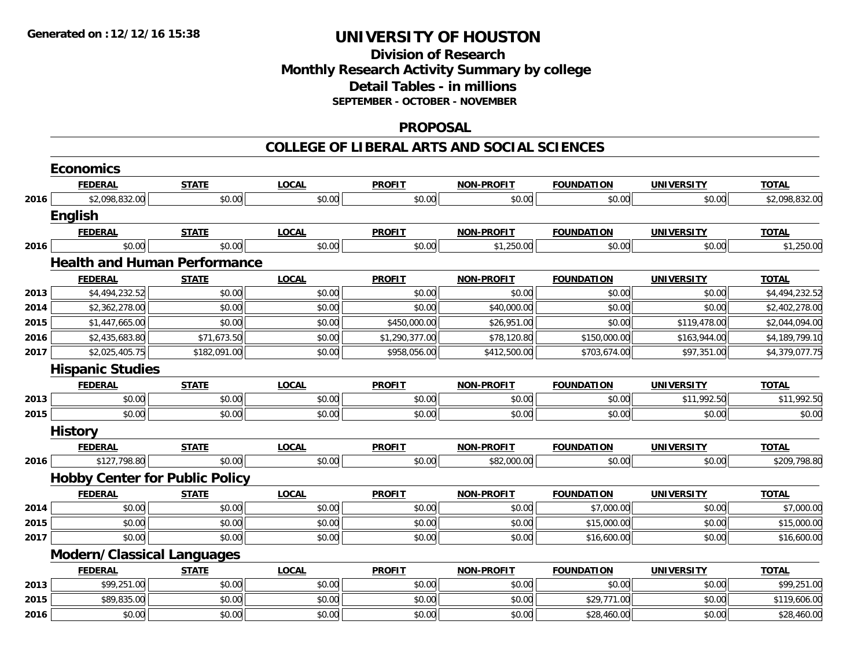## **Division of ResearchMonthly Research Activity Summary by college Detail Tables - in millions SEPTEMBER - OCTOBER - NOVEMBER**

#### **PROPOSAL**

|      | <b>Economics</b>                      |              |              |                |                   |                   |                   |                |
|------|---------------------------------------|--------------|--------------|----------------|-------------------|-------------------|-------------------|----------------|
|      | <b>FEDERAL</b>                        | <b>STATE</b> | <b>LOCAL</b> | <b>PROFIT</b>  | <b>NON-PROFIT</b> | <b>FOUNDATION</b> | <b>UNIVERSITY</b> | <b>TOTAL</b>   |
| 2016 | \$2,098,832.00                        | \$0.00       | \$0.00       | \$0.00         | \$0.00            | \$0.00            | \$0.00            | \$2,098,832.00 |
|      | <b>English</b>                        |              |              |                |                   |                   |                   |                |
|      | <b>FEDERAL</b>                        | <b>STATE</b> | <b>LOCAL</b> | <b>PROFIT</b>  | <b>NON-PROFIT</b> | <b>FOUNDATION</b> | <b>UNIVERSITY</b> | <b>TOTAL</b>   |
| 2016 | \$0.00                                | \$0.00       | \$0.00       | \$0.00         | \$1,250.00        | \$0.00            | \$0.00            | \$1,250.00     |
|      | <b>Health and Human Performance</b>   |              |              |                |                   |                   |                   |                |
|      | <b>FEDERAL</b>                        | <b>STATE</b> | <b>LOCAL</b> | <b>PROFIT</b>  | <b>NON-PROFIT</b> | <b>FOUNDATION</b> | <b>UNIVERSITY</b> | <b>TOTAL</b>   |
| 2013 | \$4,494,232.52                        | \$0.00       | \$0.00       | \$0.00         | \$0.00            | \$0.00            | \$0.00            | \$4,494,232.52 |
| 2014 | \$2,362,278.00                        | \$0.00       | \$0.00       | \$0.00         | \$40,000.00       | \$0.00            | \$0.00            | \$2,402,278.00 |
| 2015 | \$1,447,665.00                        | \$0.00       | \$0.00       | \$450,000.00   | \$26,951.00       | \$0.00            | \$119,478.00      | \$2,044,094.00 |
| 2016 | \$2,435,683.80                        | \$71,673.50  | \$0.00       | \$1,290,377.00 | \$78,120.80       | \$150,000.00      | \$163,944.00      | \$4,189,799.10 |
| 2017 | \$2,025,405.75                        | \$182,091.00 | \$0.00       | \$958,056.00   | \$412,500.00      | \$703,674.00      | \$97,351.00       | \$4,379,077.75 |
|      | <b>Hispanic Studies</b>               |              |              |                |                   |                   |                   |                |
|      | <b>FEDERAL</b>                        | <b>STATE</b> | <b>LOCAL</b> | <b>PROFIT</b>  | <b>NON-PROFIT</b> | <b>FOUNDATION</b> | <b>UNIVERSITY</b> | <b>TOTAL</b>   |
| 2013 | \$0.00                                | \$0.00       | \$0.00       | \$0.00         | \$0.00            | \$0.00            | \$11,992.50       | \$11,992.50    |
| 2015 | \$0.00                                | \$0.00       | \$0.00       | \$0.00         | \$0.00            | \$0.00            | \$0.00            | \$0.00         |
|      | <b>History</b>                        |              |              |                |                   |                   |                   |                |
|      | <b>FEDERAL</b>                        | <b>STATE</b> | <b>LOCAL</b> | <b>PROFIT</b>  | <b>NON-PROFIT</b> | <b>FOUNDATION</b> | <b>UNIVERSITY</b> | <b>TOTAL</b>   |
| 2016 | \$127,798.80                          | \$0.00       | \$0.00       | \$0.00         | \$82,000.00       | \$0.00            | \$0.00            | \$209,798.80   |
|      | <b>Hobby Center for Public Policy</b> |              |              |                |                   |                   |                   |                |
|      | <b>FEDERAL</b>                        | <b>STATE</b> | <b>LOCAL</b> | <b>PROFIT</b>  | <b>NON-PROFIT</b> | <b>FOUNDATION</b> | <b>UNIVERSITY</b> | <b>TOTAL</b>   |
| 2014 | \$0.00                                | \$0.00       | \$0.00       | \$0.00         | \$0.00            | \$7,000.00        | \$0.00            | \$7,000.00     |
| 2015 | \$0.00                                | \$0.00       | \$0.00       | \$0.00         | \$0.00            | \$15,000.00       | \$0.00            | \$15,000.00    |
| 2017 | \$0.00                                | \$0.00       | \$0.00       | \$0.00         | \$0.00            | \$16,600.00       | \$0.00            | \$16,600.00    |
|      | <b>Modern/Classical Languages</b>     |              |              |                |                   |                   |                   |                |
|      | <b>FEDERAL</b>                        | <b>STATE</b> | <b>LOCAL</b> | <b>PROFIT</b>  | <b>NON-PROFIT</b> | <b>FOUNDATION</b> | <b>UNIVERSITY</b> | <b>TOTAL</b>   |
| 2013 | \$99,251.00                           | \$0.00       | \$0.00       | \$0.00         | \$0.00            | \$0.00            | \$0.00            | \$99,251.00    |
| 2015 | \$89,835.00                           | \$0.00       | \$0.00       | \$0.00         | \$0.00            | \$29,771.00       | \$0.00            | \$119,606.00   |
| 2016 | \$0.00                                | \$0.00       | \$0.00       | \$0.00         | \$0.00            | \$28,460.00       | \$0.00            | \$28,460.00    |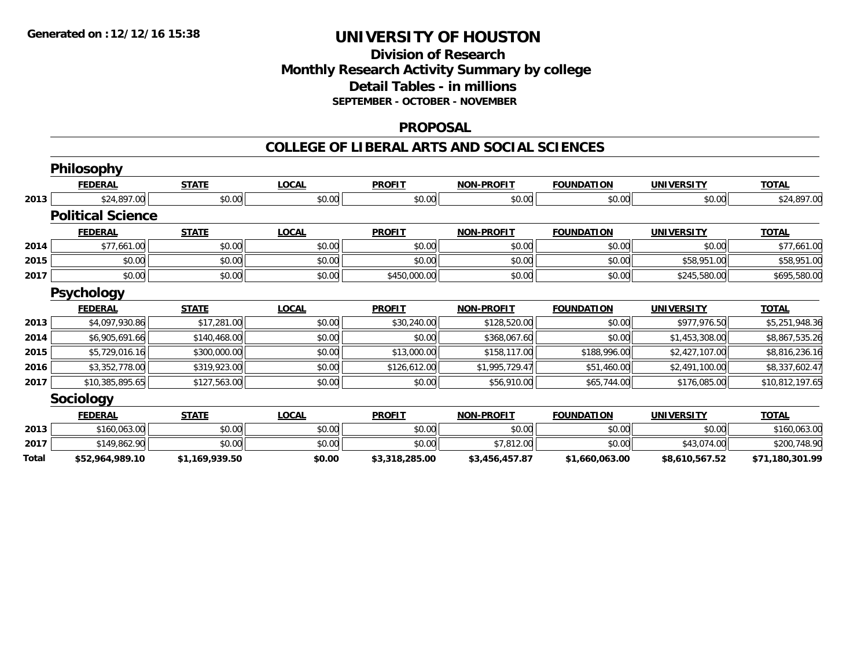### **Division of Research Monthly Research Activity Summary by college Detail Tables - in millions SEPTEMBER - OCTOBER - NOVEMBER**

#### **PROPOSAL**

|       | Philosophy               |                |              |                |                   |                   |                   |                 |
|-------|--------------------------|----------------|--------------|----------------|-------------------|-------------------|-------------------|-----------------|
|       | <b>FEDERAL</b>           | <b>STATE</b>   | <b>LOCAL</b> | <b>PROFIT</b>  | <b>NON-PROFIT</b> | <b>FOUNDATION</b> | <b>UNIVERSITY</b> | <b>TOTAL</b>    |
| 2013  | \$24,897.00              | \$0.00         | \$0.00       | \$0.00         | \$0.00            | \$0.00            | \$0.00            | \$24,897.00     |
|       | <b>Political Science</b> |                |              |                |                   |                   |                   |                 |
|       | <b>FEDERAL</b>           | <b>STATE</b>   | <b>LOCAL</b> | <b>PROFIT</b>  | <b>NON-PROFIT</b> | <b>FOUNDATION</b> | <b>UNIVERSITY</b> | <b>TOTAL</b>    |
| 2014  | \$77,661.00              | \$0.00         | \$0.00       | \$0.00         | \$0.00            | \$0.00            | \$0.00            | \$77,661.00     |
| 2015  | \$0.00                   | \$0.00         | \$0.00       | \$0.00         | \$0.00            | \$0.00            | \$58,951.00       | \$58,951.00     |
| 2017  | \$0.00                   | \$0.00         | \$0.00       | \$450,000.00   | \$0.00            | \$0.00            | \$245,580.00      | \$695,580.00    |
|       | <b>Psychology</b>        |                |              |                |                   |                   |                   |                 |
|       | <b>FEDERAL</b>           | <b>STATE</b>   | <b>LOCAL</b> | <b>PROFIT</b>  | <b>NON-PROFIT</b> | <b>FOUNDATION</b> | <b>UNIVERSITY</b> | <b>TOTAL</b>    |
| 2013  | \$4,097,930.86           | \$17,281.00    | \$0.00       | \$30,240.00    | \$128,520.00      | \$0.00            | \$977,976.50      | \$5,251,948.36  |
| 2014  | \$6,905,691.66           | \$140,468.00   | \$0.00       | \$0.00         | \$368,067.60      | \$0.00            | \$1,453,308.00    | \$8,867,535.26  |
| 2015  | \$5,729,016.16           | \$300,000.00   | \$0.00       | \$13,000.00    | \$158,117.00      | \$188,996.00      | \$2,427,107.00    | \$8,816,236.16  |
| 2016  | \$3,352,778.00           | \$319,923.00   | \$0.00       | \$126,612.00   | \$1,995,729.47    | \$51,460.00       | \$2,491,100.00    | \$8,337,602.47  |
| 2017  | \$10,385,895.65          | \$127,563.00   | \$0.00       | \$0.00         | \$56,910.00       | \$65,744.00       | \$176,085.00      | \$10,812,197.65 |
|       | <b>Sociology</b>         |                |              |                |                   |                   |                   |                 |
|       | <b>FEDERAL</b>           | <b>STATE</b>   | <b>LOCAL</b> | <b>PROFIT</b>  | <b>NON-PROFIT</b> | <b>FOUNDATION</b> | <b>UNIVERSITY</b> | <b>TOTAL</b>    |
| 2013  | \$160,063.00             | \$0.00         | \$0.00       | \$0.00         | \$0.00            | \$0.00            | \$0.00            | \$160,063.00    |
| 2017  | \$149,862.90             | \$0.00         | \$0.00       | \$0.00         | \$7,812.00        | \$0.00            | \$43,074.00       | \$200,748.90    |
| Total | \$52,964,989.10          | \$1,169,939.50 | \$0.00       | \$3,318,285.00 | \$3,456,457.87    | \$1,660,063.00    | \$8,610,567.52    | \$71,180,301.99 |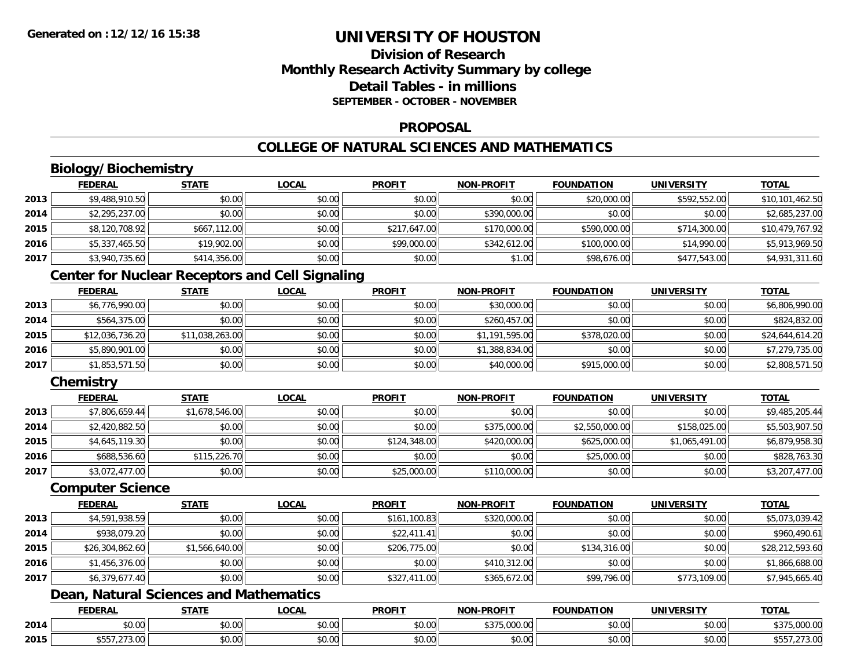## **Division of ResearchMonthly Research Activity Summary by college Detail Tables - in millionsSEPTEMBER - OCTOBER - NOVEMBER**

#### **PROPOSAL**

## **COLLEGE OF NATURAL SCIENCES AND MATHEMATICS**

## **Biology/Biochemistry**

|      | <b>FEDERAL</b> | <b>STATE</b> | <u>LOCAL</u> | <b>PROFIT</b> | <b>NON-PROFIT</b> | <b>FOUNDATION</b> | <b>UNIVERSITY</b> | <u>TOTAL</u>    |
|------|----------------|--------------|--------------|---------------|-------------------|-------------------|-------------------|-----------------|
| 2013 | \$9,488,910.50 | \$0.00       | \$0.00       | \$0.00        | \$0.00            | \$20,000.00       | \$592,552.00      | \$10,101,462.50 |
| 2014 | \$2,295,237.00 | \$0.00       | \$0.00       | \$0.00        | \$390,000.00      | \$0.00            | \$0.00            | \$2,685,237.00  |
| 2015 | \$8,120,708.92 | \$667,112.00 | \$0.00       | \$217,647.00  | \$170,000.00      | \$590,000.00      | \$714,300.00      | \$10,479,767.92 |
| 2016 | \$5,337,465.50 | \$19,902.00  | \$0.00       | \$99,000.00   | \$342,612.00      | \$100,000.00      | \$14,990.00       | \$5,913,969.50  |
| 2017 | \$3,940,735.60 | \$414,356.00 | \$0.00       | \$0.00        | \$1.00            | \$98,676.00       | \$477,543.00      | \$4,931,311.60  |

## **Center for Nuclear Receptors and Cell Signaling**

|      | <b>FEDERAL</b>  | <u>STATE</u>    | <b>LOCAL</b> | <b>PROFIT</b> | <b>NON-PROFIT</b> | <b>FOUNDATION</b> | <b>UNIVERSITY</b> | <b>TOTAL</b>    |
|------|-----------------|-----------------|--------------|---------------|-------------------|-------------------|-------------------|-----------------|
| 2013 | \$6,776,990.00  | \$0.00          | \$0.00       | \$0.00        | \$30,000.00       | \$0.00            | \$0.00            | \$6,806,990.00  |
| 2014 | \$564,375.00    | \$0.00          | \$0.00       | \$0.00        | \$260,457.00      | \$0.00            | \$0.00            | \$824,832.00    |
| 2015 | \$12,036,736.20 | \$11,038,263.00 | \$0.00       | \$0.00        | \$1,191,595.00    | \$378,020.00      | \$0.00            | \$24,644,614.20 |
| 2016 | \$5,890,901.00  | \$0.00          | \$0.00       | \$0.00        | \$1,388,834.00    | \$0.00            | \$0.00            | \$7,279,735.00  |
| 2017 | \$1,853,571.50  | \$0.00          | \$0.00       | \$0.00        | \$40,000.00       | \$915,000.00      | \$0.00            | \$2,808,571.50  |

## **Chemistry**

|      | <b>FEDERAL</b> | <b>STATE</b>   | <u>LOCAL</u> | <b>PROFIT</b> | <b>NON-PROFIT</b> | <b>FOUNDATION</b> | <b>UNIVERSITY</b> | <b>TOTAL</b>   |
|------|----------------|----------------|--------------|---------------|-------------------|-------------------|-------------------|----------------|
| 2013 | \$7,806,659.44 | \$1,678,546.00 | \$0.00       | \$0.00        | \$0.00            | \$0.00            | \$0.00            | \$9,485,205.44 |
| 2014 | \$2,420,882.50 | \$0.00         | \$0.00       | \$0.00        | \$375,000.00      | \$2,550,000.00    | \$158,025.00      | \$5,503,907.50 |
| 2015 | \$4,645,119.30 | \$0.00         | \$0.00       | \$124,348,00  | \$420,000.00      | \$625,000.00      | \$1,065,491.00    | \$6,879,958.30 |
| 2016 | \$688,536.60   | \$115,226.70   | \$0.00       | \$0.00        | \$0.00            | \$25,000.00       | \$0.00            | \$828,763.30   |
| 2017 | \$3,072,477.00 | \$0.00         | \$0.00       | \$25,000.00   | \$110,000.00      | \$0.00            | \$0.00            | \$3,207,477.00 |

#### **Computer Science**

|      | <b>FEDERAL</b>  | <b>STATE</b>   | <b>LOCAL</b> | <b>PROFIT</b> | <b>NON-PROFIT</b> | <b>FOUNDATION</b> | <b>UNIVERSITY</b> | <b>TOTAL</b>    |
|------|-----------------|----------------|--------------|---------------|-------------------|-------------------|-------------------|-----------------|
| 2013 | \$4,591,938.59  | \$0.00         | \$0.00       | \$161,100.83  | \$320,000.00      | \$0.00            | \$0.00            | \$5,073,039.42  |
| 2014 | \$938,079.20    | \$0.00         | \$0.00       | \$22,411.41   | \$0.00            | \$0.00            | \$0.00            | \$960,490.61    |
| 2015 | \$26,304,862.60 | \$1,566,640.00 | \$0.00       | \$206,775.00  | \$0.00            | \$134,316.00      | \$0.00            | \$28,212,593.60 |
| 2016 | \$1,456,376.00  | \$0.00         | \$0.00       | \$0.00        | \$410,312.00      | \$0.00            | \$0.00            | \$1,866,688.00  |
| 2017 | \$6,379,677.40  | \$0.00         | \$0.00       | \$327,411.00  | \$365,672.00      | \$99,796.00       | \$773,109.00      | \$7,945,665.40  |

## **Dean, Natural Sciences and Mathematics**

|      | <b>FEDERAL</b>                     | <b>STATE</b><br>10 U      | LOCAI                     | <b>PROFIT</b> | <b>LPROFIT</b><br><b>NIONI</b>             | <b>FOUNDATION</b> | UNIVERSITY | <b>TOTAL</b>                            |
|------|------------------------------------|---------------------------|---------------------------|---------------|--------------------------------------------|-------------------|------------|-----------------------------------------|
| 2014 | \$0.00                             | ÷0.<br>JU.UU              | $\sim$ 00<br><b>DU.UU</b> | 0000<br>JU.UU | *375,000.0u                                | 0000<br>JU.UU     | \$0.00     | $\uparrow$ $\uparrow$<br>0.00<br>$\sim$ |
| 2015 | 272.00<br>$\cdots$ $\cdots$<br>ט ט | $\sim$<br>$\sim$<br>PU.UU | nn nn<br>DU.UU            | 0.00<br>JU.UU | $\theta$ $\theta$ $\theta$<br><b>JU.UU</b> | 0000<br>JU.UU     | \$0.00     | 1.9.06<br>.                             |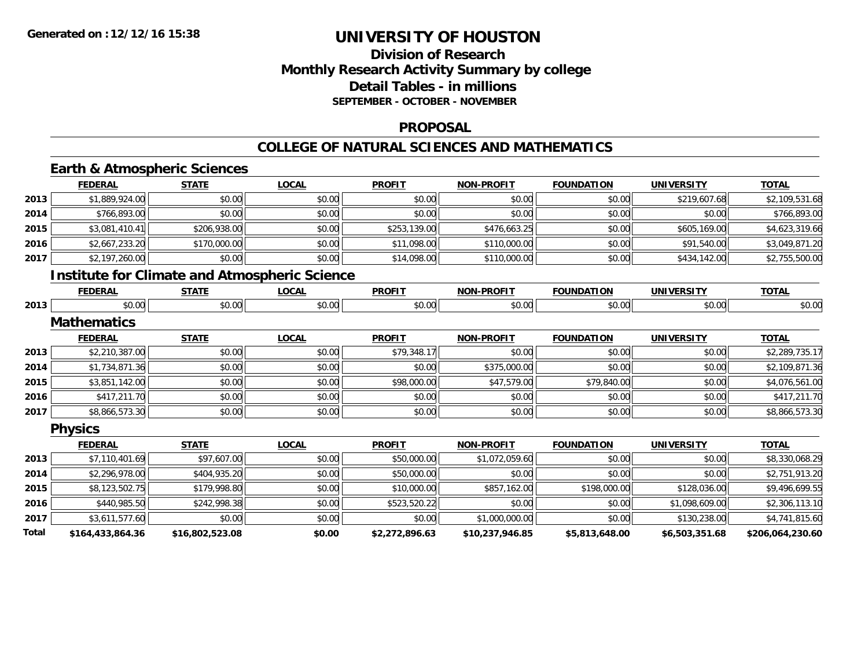## **Division of Research Monthly Research Activity Summary by college Detail Tables - in millions SEPTEMBER - OCTOBER - NOVEMBER**

### **PROPOSAL**

#### **COLLEGE OF NATURAL SCIENCES AND MATHEMATICS**

## **Earth & Atmospheric Sciences**

|       | <b>FEDERAL</b>                                       | <b>STATE</b>    | <b>LOCAL</b> | <b>PROFIT</b>  | <b>NON-PROFIT</b> | <b>FOUNDATION</b> | <b>UNIVERSITY</b> | <b>TOTAL</b>     |
|-------|------------------------------------------------------|-----------------|--------------|----------------|-------------------|-------------------|-------------------|------------------|
| 2013  | \$1,889,924.00                                       | \$0.00          | \$0.00       | \$0.00         | \$0.00            | \$0.00            | \$219,607.68      | \$2,109,531.68   |
| 2014  | \$766,893.00                                         | \$0.00          | \$0.00       | \$0.00         | \$0.00            | \$0.00            | \$0.00            | \$766,893.00     |
| 2015  | \$3,081,410.41                                       | \$206,938.00    | \$0.00       | \$253,139.00   | \$476,663.25      | \$0.00            | \$605,169.00      | \$4,623,319.66   |
| 2016  | \$2,667,233.20                                       | \$170,000.00    | \$0.00       | \$11,098.00    | \$110,000.00      | \$0.00            | \$91,540.00       | \$3,049,871.20   |
| 2017  | \$2,197,260.00                                       | \$0.00          | \$0.00       | \$14,098.00    | \$110,000.00      | \$0.00            | \$434,142.00      | \$2,755,500.00   |
|       | <b>Institute for Climate and Atmospheric Science</b> |                 |              |                |                   |                   |                   |                  |
|       | <b>FEDERAL</b>                                       | <b>STATE</b>    | <b>LOCAL</b> | <b>PROFIT</b>  | <b>NON-PROFIT</b> | <b>FOUNDATION</b> | <b>UNIVERSITY</b> | <b>TOTAL</b>     |
| 2013  | \$0.00                                               | \$0.00          | \$0.00       | \$0.00         | \$0.00            | \$0.00            | \$0.00            | \$0.00           |
|       | <b>Mathematics</b>                                   |                 |              |                |                   |                   |                   |                  |
|       | <b>FEDERAL</b>                                       | <b>STATE</b>    | <b>LOCAL</b> | <b>PROFIT</b>  | <b>NON-PROFIT</b> | <b>FOUNDATION</b> | <b>UNIVERSITY</b> | <b>TOTAL</b>     |
| 2013  | \$2,210,387.00                                       | \$0.00          | \$0.00       | \$79,348.17    | \$0.00            | \$0.00            | \$0.00            | \$2,289,735.17   |
| 2014  | \$1,734,871.36                                       | \$0.00          | \$0.00       | \$0.00         | \$375,000.00      | \$0.00            | \$0.00            | \$2,109,871.36   |
| 2015  | \$3,851,142.00                                       | \$0.00          | \$0.00       | \$98,000.00    | \$47,579.00       | \$79,840.00       | \$0.00            | \$4,076,561.00   |
| 2016  | \$417,211.70                                         | \$0.00          | \$0.00       | \$0.00         | \$0.00            | \$0.00            | \$0.00            | \$417,211.70     |
| 2017  | \$8,866,573.30                                       | \$0.00          | \$0.00       | \$0.00         | \$0.00            | \$0.00            | \$0.00            | \$8,866,573.30   |
|       | <b>Physics</b>                                       |                 |              |                |                   |                   |                   |                  |
|       | <b>FEDERAL</b>                                       | <b>STATE</b>    | <b>LOCAL</b> | <b>PROFIT</b>  | <b>NON-PROFIT</b> | <b>FOUNDATION</b> | <b>UNIVERSITY</b> | <b>TOTAL</b>     |
| 2013  | \$7,110,401.69                                       | \$97,607.00     | \$0.00       | \$50,000.00    | \$1,072,059.60    | \$0.00            | \$0.00            | \$8,330,068.29   |
| 2014  | \$2,296,978.00                                       | \$404,935.20    | \$0.00       | \$50,000.00    | \$0.00            | \$0.00            | \$0.00            | \$2,751,913.20   |
| 2015  | \$8,123,502.75                                       | \$179,998.80    | \$0.00       | \$10,000.00    | \$857,162.00      | \$198,000.00      | \$128,036.00      | \$9,496,699.55   |
| 2016  | \$440,985.50                                         | \$242,998.38    | \$0.00       | \$523,520.22   | \$0.00            | \$0.00            | \$1,098,609.00    | \$2,306,113.10   |
| 2017  | \$3,611,577.60                                       | \$0.00          | \$0.00       | \$0.00         | \$1,000,000.00    | \$0.00            | \$130,238.00      | \$4,741,815.60   |
| Total | \$164,433,864.36                                     | \$16,802,523.08 | \$0.00       | \$2,272,896.63 | \$10,237,946.85   | \$5,813,648.00    | \$6,503,351.68    | \$206,064,230.60 |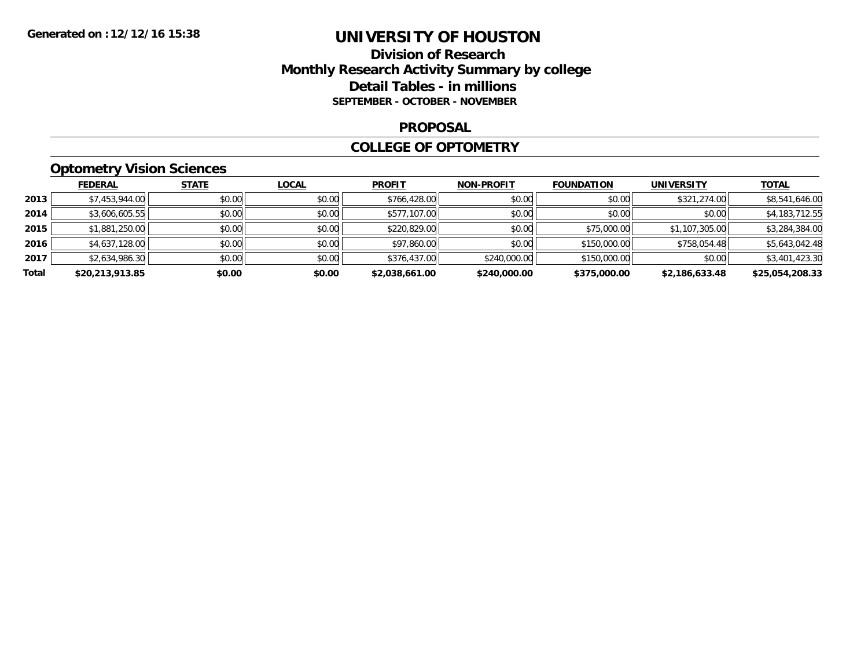### **Division of Research Monthly Research Activity Summary by college Detail Tables - in millions SEPTEMBER - OCTOBER - NOVEMBER**

#### **PROPOSAL**

#### **COLLEGE OF OPTOMETRY**

## **Optometry Vision Sciences**

|       | <b>FEDERAL</b>  | <b>STATE</b> | <b>LOCAL</b> | <b>PROFIT</b>  | <b>NON-PROFIT</b> | <b>FOUNDATION</b> | <b>UNIVERSITY</b> | <b>TOTAL</b>    |
|-------|-----------------|--------------|--------------|----------------|-------------------|-------------------|-------------------|-----------------|
| 2013  | \$7,453,944.00  | \$0.00       | \$0.00       | \$766,428.00   | \$0.00            | \$0.00            | \$321,274.00      | \$8,541,646.00  |
| 2014  | \$3,606,605.55  | \$0.00       | \$0.00       | \$577,107.00   | \$0.00            | \$0.00            | \$0.00            | \$4,183,712.55  |
| 2015  | \$1,881,250.00  | \$0.00       | \$0.00       | \$220,829.00   | \$0.00            | \$75,000.00       | \$1,107,305.00    | \$3,284,384.00  |
| 2016  | \$4,637,128.00  | \$0.00       | \$0.00       | \$97,860.00    | \$0.00            | \$150,000.00      | \$758,054.48      | \$5,643,042.48  |
| 2017  | \$2,634,986.30  | \$0.00       | \$0.00       | \$376,437.00   | \$240,000.00      | \$150,000.00      | \$0.00            | \$3,401,423.30  |
| Total | \$20,213,913.85 | \$0.00       | \$0.00       | \$2,038,661.00 | \$240,000.00      | \$375,000.00      | \$2,186,633.48    | \$25,054,208.33 |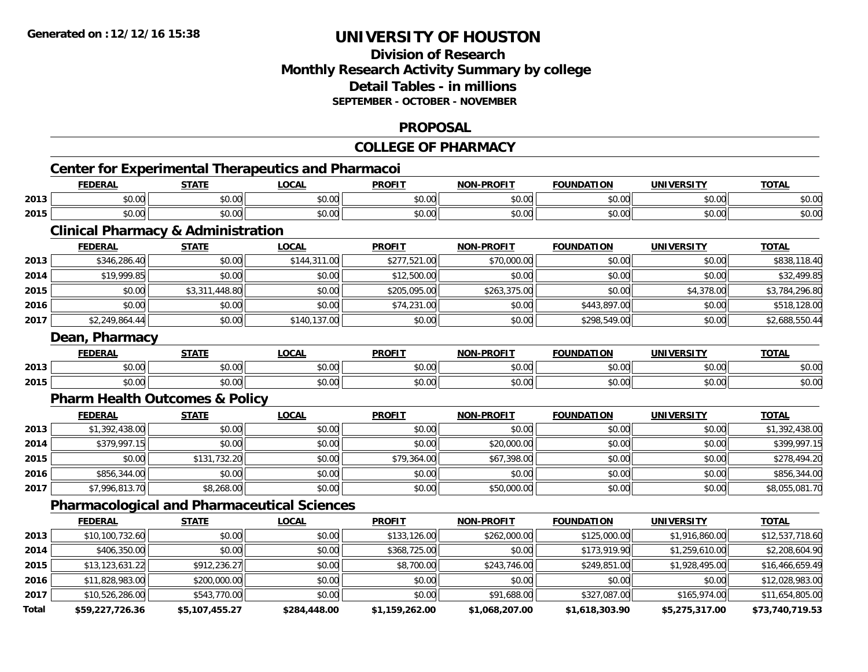## **Division of ResearchMonthly Research Activity Summary by college Detail Tables - in millionsSEPTEMBER - OCTOBER - NOVEMBER**

#### **PROPOSAL**

### **COLLEGE OF PHARMACY**

**TOTAL** 

#### **Center for Experimental Therapeutics and Pharmacoi FEDERAL STATE LOCAL PROFIT NON-PROFIT FOUNDATION UNIVERSITY TOTAL2013** $\textbf{3} \mid \textbf{3} \mid \textbf{5} \mid \textbf{5} \mid \textbf{6} \mid \textbf{7} \mid \textbf{8} \mid \textbf{1} \mid \textbf{1} \mid \textbf{1} \mid \textbf{1} \mid \textbf{1} \mid \textbf{1} \mid \textbf{1} \mid \textbf{1} \mid \textbf{1} \mid \textbf{1} \mid \textbf{1} \mid \textbf{1} \mid \textbf{1} \mid \textbf{1} \mid \textbf{1} \mid \textbf{1} \mid \textbf{1} \mid \textbf{1} \mid \textbf{1} \mid \textbf{1} \mid \textbf{$ **2015**\$0.00 \$0.00 \$0.00 \$0.00 \$0.00 \$0.00 \$0.00 \$0.00

## **Clinical Pharmacy & Administration**

|      | <b>FEDERAL</b> | <b>STATE</b>   | <u>LOCAL</u> | <b>PROFIT</b> | <b>NON-PROFIT</b> | <b>FOUNDATION</b> | <b>UNIVERSITY</b> | <b>TOTAL</b>   |
|------|----------------|----------------|--------------|---------------|-------------------|-------------------|-------------------|----------------|
| 2013 | \$346,286.40   | \$0.00         | \$144,311.00 | \$277,521.00  | \$70,000.00       | \$0.00            | \$0.00            | \$838,118.40   |
| 2014 | \$19,999.85    | \$0.00         | \$0.00       | \$12,500.00   | \$0.00            | \$0.00            | \$0.00            | \$32,499.85    |
| 2015 | \$0.00         | \$3,311,448.80 | \$0.00       | \$205,095.00  | \$263,375.00      | \$0.00            | \$4,378.00        | \$3,784,296.80 |
| 2016 | \$0.00         | \$0.00         | \$0.00       | \$74,231.00   | \$0.00            | \$443,897.00      | \$0.00            | \$518,128.00   |
| 2017 | \$2,249,864.44 | \$0.00         | \$140,137.00 | \$0.00        | \$0.00            | \$298,549.00      | \$0.00            | \$2,688,550.44 |

#### **Dean, Pharmacy**

|      | <b>FEDERAL</b>                 | <b>CTATE</b><br>9 I A I | <b>OCAL</b> | <b>PROFIT</b> | -PROFIT<br><b>NON</b> | <b>FOUNDATION</b> | UNIVERSITY | <b>TOTAL</b> |
|------|--------------------------------|-------------------------|-------------|---------------|-----------------------|-------------------|------------|--------------|
| 2013 | $\sim$ 00<br>טט.טע             | 0.00<br>vu.vu           | \$0.00      | ≮∩ ∩r<br>JU.U | 0000<br>vu.ou         | \$0.00            | \$0.00     | \$0.00       |
| 2015 | $\triangle$<br>$\sim$<br>JU.UU | 0000<br>JU.UU           | \$0.00      | \$0.00        | 0000<br>JU.UU         | \$0.00            | \$0.00     | \$0.00       |

### **Pharm Health Outcomes & Policy**

|      | <b>FEDERAL</b> | <b>STATE</b> | <u>LOCAL</u> | <b>PROFIT</b> | <b>NON-PROFIT</b> | <b>FOUNDATION</b> | <b>UNIVERSITY</b> | <b>TOTAL</b>   |
|------|----------------|--------------|--------------|---------------|-------------------|-------------------|-------------------|----------------|
| 2013 | \$1,392,438.00 | \$0.00       | \$0.00       | \$0.00        | \$0.00            | \$0.00            | \$0.00            | \$1,392,438.00 |
| 2014 | \$379,997.15   | \$0.00       | \$0.00       | \$0.00        | \$20,000.00       | \$0.00            | \$0.00            | \$399,997.15   |
| 2015 | \$0.00         | \$131,732.20 | \$0.00       | \$79,364.00   | \$67,398.00       | \$0.00            | \$0.00            | \$278,494.20   |
| 2016 | \$856,344.00   | \$0.00       | \$0.00       | \$0.00        | \$0.00            | \$0.00            | \$0.00            | \$856,344.00   |
| 2017 | \$7,996,813.70 | \$8,268.00   | \$0.00       | \$0.00        | \$50,000.00       | \$0.00            | \$0.00            | \$8,055,081.70 |

### **Pharmacological and Pharmaceutical Sciences**

|       | <b>FEDERAL</b>    | <b>STATE</b>   | <b>LOCAL</b> | <b>PROFIT</b>  | <b>NON-PROFIT</b> | <b>FOUNDATION</b> | <b>UNIVERSITY</b> | <b>TOTAL</b>    |
|-------|-------------------|----------------|--------------|----------------|-------------------|-------------------|-------------------|-----------------|
| 2013  | \$10,100,732.60   | \$0.00         | \$0.00       | \$133,126.00   | \$262,000.00      | \$125,000.00      | \$1,916,860.00    | \$12,537,718.60 |
| 2014  | \$406,350.00      | \$0.00         | \$0.00       | \$368,725.00   | \$0.00            | \$173,919.90      | \$1,259,610.00    | \$2,208,604.90  |
| 2015  | \$13, 123, 631.22 | \$912,236.27   | \$0.00       | \$8,700.00     | \$243,746.00      | \$249,851.00      | \$1,928,495.00    | \$16,466,659.49 |
| 2016  | \$11,828,983.00   | \$200,000.00   | \$0.00       | \$0.00         | \$0.00            | \$0.00            | \$0.00            | \$12,028,983.00 |
| 2017  | \$10,526,286.00   | \$543,770.00   | \$0.00       | \$0.00         | \$91,688.00       | \$327,087.00      | \$165,974.00      | \$11,654,805.00 |
| Total | \$59,227,726.36   | \$5,107,455.27 | \$284,448.00 | \$1,159,262.00 | \$1,068,207.00    | \$1,618,303.90    | \$5,275,317.00    | \$73,740,719.53 |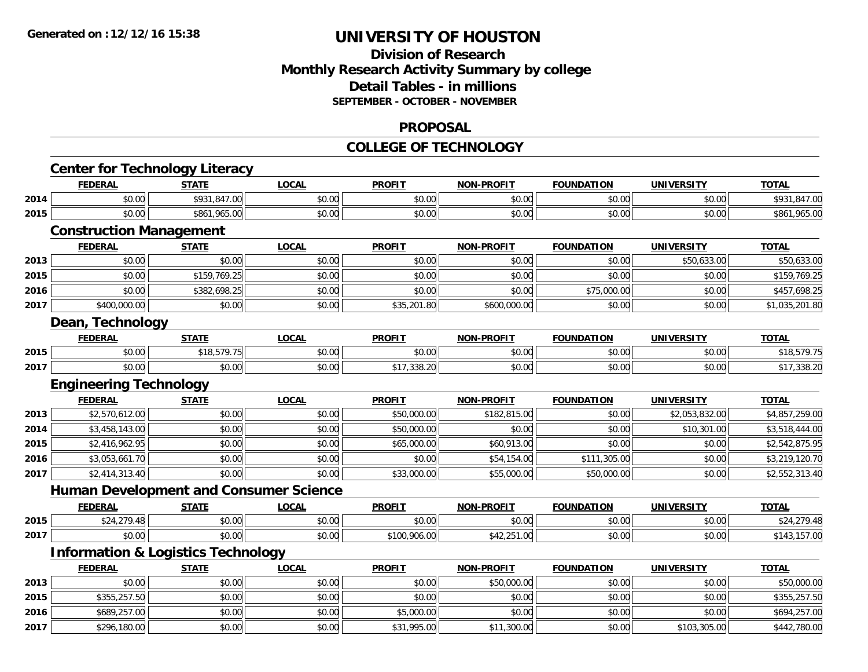### **Division of Research Monthly Research Activity Summary by college Detail Tables - in millions SEPTEMBER - OCTOBER - NOVEMBER**

#### **PROPOSAL**

#### **COLLEGE OF TECHNOLOGY**

|      | <b>Center for Technology Literacy</b>         |              |              |               |                   |                   |                   |                |
|------|-----------------------------------------------|--------------|--------------|---------------|-------------------|-------------------|-------------------|----------------|
|      | <b>FEDERAL</b>                                | <b>STATE</b> | <b>LOCAL</b> | <b>PROFIT</b> | <b>NON-PROFIT</b> | <b>FOUNDATION</b> | <b>UNIVERSITY</b> | <b>TOTAL</b>   |
| 2014 | \$0.00                                        | \$931,847.00 | \$0.00       | \$0.00        | \$0.00            | \$0.00            | \$0.00            | \$931,847.00   |
| 2015 | \$0.00                                        | \$861,965.00 | \$0.00       | \$0.00        | \$0.00            | \$0.00            | \$0.00            | \$861,965.00   |
|      | <b>Construction Management</b>                |              |              |               |                   |                   |                   |                |
|      | <b>FEDERAL</b>                                | <b>STATE</b> | <b>LOCAL</b> | <b>PROFIT</b> | <b>NON-PROFIT</b> | <b>FOUNDATION</b> | <b>UNIVERSITY</b> | <b>TOTAL</b>   |
| 2013 | \$0.00                                        | \$0.00       | \$0.00       | \$0.00        | \$0.00            | \$0.00            | \$50,633.00       | \$50,633.00    |
| 2015 | \$0.00                                        | \$159,769.25 | \$0.00       | \$0.00        | \$0.00            | \$0.00            | \$0.00            | \$159,769.25   |
| 2016 | \$0.00                                        | \$382,698.25 | \$0.00       | \$0.00        | \$0.00            | \$75,000.00       | \$0.00            | \$457,698.25   |
| 2017 | \$400,000.00                                  | \$0.00       | \$0.00       | \$35,201.80   | \$600,000.00      | \$0.00            | \$0.00            | \$1,035,201.80 |
|      | Dean, Technology                              |              |              |               |                   |                   |                   |                |
|      | <b>FEDERAL</b>                                | <b>STATE</b> | <b>LOCAL</b> | <b>PROFIT</b> | <b>NON-PROFIT</b> | <b>FOUNDATION</b> | <b>UNIVERSITY</b> | <b>TOTAL</b>   |
| 2015 | \$0.00                                        | \$18,579.75  | \$0.00       | \$0.00        | \$0.00            | \$0.00            | \$0.00            | \$18,579.75    |
| 2017 | \$0.00                                        | \$0.00       | \$0.00       | \$17,338.20   | \$0.00            | \$0.00            | \$0.00            | \$17,338.20    |
|      | <b>Engineering Technology</b>                 |              |              |               |                   |                   |                   |                |
|      | <b>FEDERAL</b>                                | <b>STATE</b> | <b>LOCAL</b> | <b>PROFIT</b> | <b>NON-PROFIT</b> | <b>FOUNDATION</b> | <b>UNIVERSITY</b> | <b>TOTAL</b>   |
| 2013 | \$2,570,612.00                                | \$0.00       | \$0.00       | \$50,000.00   | \$182,815.00      | \$0.00            | \$2,053,832.00    | \$4,857,259.00 |
| 2014 | \$3,458,143.00                                | \$0.00       | \$0.00       | \$50,000.00   | \$0.00            | \$0.00            | \$10,301.00       | \$3,518,444.00 |
| 2015 | \$2,416,962.95                                | \$0.00       | \$0.00       | \$65,000.00   | \$60,913.00       | \$0.00            | \$0.00            | \$2,542,875.95 |
| 2016 | \$3,053,661.70                                | \$0.00       | \$0.00       | \$0.00        | \$54,154.00       | \$111,305.00      | \$0.00            | \$3,219,120.70 |
| 2017 | \$2,414,313.40                                | \$0.00       | \$0.00       | \$33,000.00   | \$55,000.00       | \$50,000.00       | \$0.00            | \$2,552,313.40 |
|      | <b>Human Development and Consumer Science</b> |              |              |               |                   |                   |                   |                |
|      | <b>FEDERAL</b>                                | <b>STATE</b> | <b>LOCAL</b> | <b>PROFIT</b> | <b>NON-PROFIT</b> | <b>FOUNDATION</b> | <b>UNIVERSITY</b> | <b>TOTAL</b>   |
| 2015 | \$24,279.48                                   | \$0.00       | \$0.00       | \$0.00        | \$0.00            | \$0.00            | \$0.00            | \$24,279.48    |
| 2017 | \$0.00                                        | \$0.00       | \$0.00       | \$100,906.00  | \$42,251.00       | \$0.00            | \$0.00            | \$143,157.00   |
|      | <b>Information &amp; Logistics Technology</b> |              |              |               |                   |                   |                   |                |
|      | <b>FEDERAL</b>                                | <b>STATE</b> | <b>LOCAL</b> | <b>PROFIT</b> | <b>NON-PROFIT</b> | <b>FOUNDATION</b> | <b>UNIVERSITY</b> | <b>TOTAL</b>   |
| 2013 | \$0.00                                        | \$0.00       | \$0.00       | \$0.00        | \$50,000.00       | \$0.00            | \$0.00            | \$50,000.00    |
| 2015 | \$355,257.50                                  | \$0.00       | \$0.00       | \$0.00        | \$0.00            | \$0.00            | \$0.00            | \$355,257.50   |
| 2016 | \$689,257.00                                  | \$0.00       | \$0.00       | \$5,000.00    | \$0.00            | \$0.00            | \$0.00            | \$694,257.00   |
| 2017 | \$296,180.00                                  | \$0.00       | \$0.00       | \$31,995.00   | \$11,300.00       | \$0.00            | \$103,305.00      | \$442,780.00   |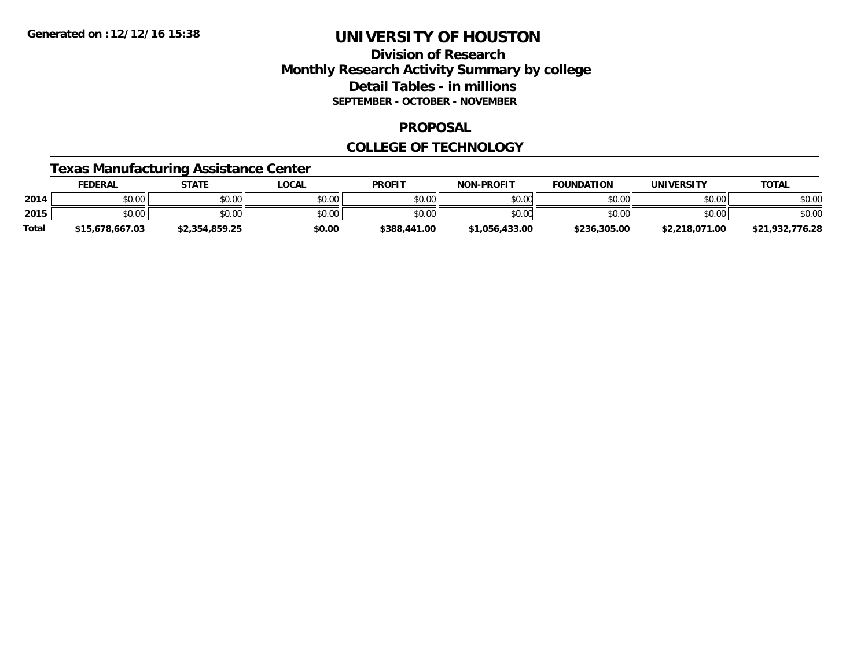## **Division of Research Monthly Research Activity Summary by college Detail Tables - in millions SEPTEMBER - OCTOBER - NOVEMBER**

### **PROPOSAL**

### **COLLEGE OF TECHNOLOGY**

### **Texas Manufacturing Assistance Center**

|              | <u>FEDERAL</u>  | <b>STATE</b>   | <u>LOCAL</u> | <b>PROFIT</b> | <b>NON-PROFIT</b> | <b>FOUNDATION</b> | UNIVERSITY     | <b>TOTAL</b>    |
|--------------|-----------------|----------------|--------------|---------------|-------------------|-------------------|----------------|-----------------|
| 2014         | \$0.00          | \$0.00         | \$0.00       | \$0.00        | \$0.00            | \$0.00            | \$0.00         | \$0.00          |
| 2015         | \$0.00          | \$0.00         | \$0.00       | \$0.00        | \$0.00            | \$0.00            | \$0.00         | \$0.00          |
| <b>Total</b> | \$15,678,667.03 | \$2,354,859.25 | \$0.00       | \$388,441.00  | \$1.056.433.00    | \$236,305.00      | \$2,218,071.00 | \$21,932,776.28 |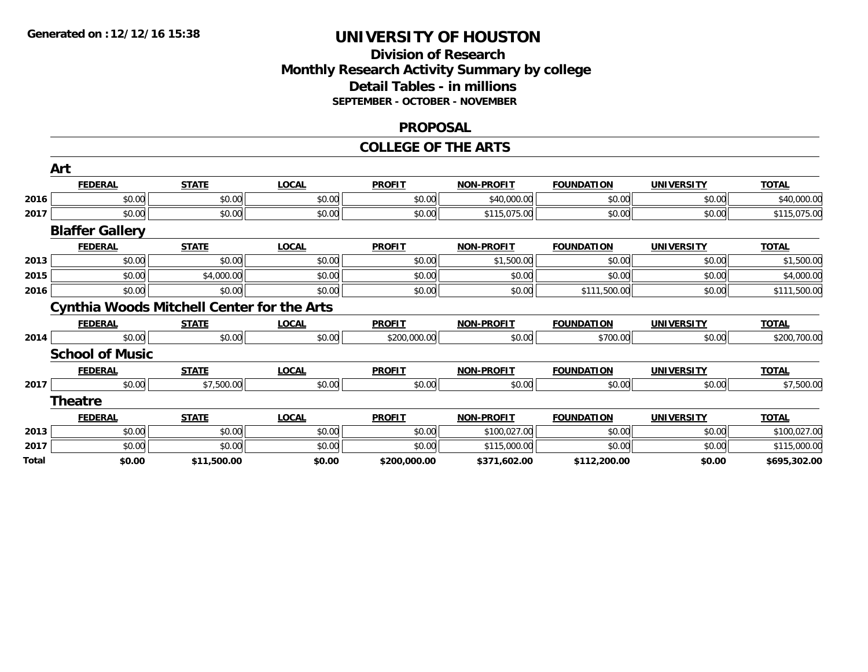### **Division of Research Monthly Research Activity Summary by college Detail Tables - in millions SEPTEMBER - OCTOBER - NOVEMBER**

#### **PROPOSAL**

#### **COLLEGE OF THE ARTS**

|      | Art                                               |              |              |               |                   |                   |                   |              |
|------|---------------------------------------------------|--------------|--------------|---------------|-------------------|-------------------|-------------------|--------------|
|      | <b>FEDERAL</b>                                    | <b>STATE</b> | <b>LOCAL</b> | <b>PROFIT</b> | <b>NON-PROFIT</b> | <b>FOUNDATION</b> | <b>UNIVERSITY</b> | <b>TOTAL</b> |
| 2016 | \$0.00                                            | \$0.00       | \$0.00       | \$0.00        | \$40,000.00       | \$0.00            | \$0.00            | \$40,000.00  |
| 2017 | \$0.00                                            | \$0.00       | \$0.00       | \$0.00        | \$115,075.00      | \$0.00            | \$0.00            | \$115,075.00 |
|      | <b>Blaffer Gallery</b>                            |              |              |               |                   |                   |                   |              |
|      | <b>FEDERAL</b>                                    | <b>STATE</b> | <b>LOCAL</b> | <b>PROFIT</b> | <b>NON-PROFIT</b> | <b>FOUNDATION</b> | <b>UNIVERSITY</b> | <b>TOTAL</b> |
| 2013 | \$0.00                                            | \$0.00       | \$0.00       | \$0.00        | \$1,500.00        | \$0.00            | \$0.00            | \$1,500.00   |
| 2015 | \$0.00                                            | \$4,000.00   | \$0.00       | \$0.00        | \$0.00            | \$0.00            | \$0.00            | \$4,000.00   |
| 2016 | \$0.00                                            | \$0.00       | \$0.00       | \$0.00        | \$0.00            | \$111,500.00      | \$0.00            | \$111,500.00 |
|      | <b>Cynthia Woods Mitchell Center for the Arts</b> |              |              |               |                   |                   |                   |              |
|      | <b>FEDERAL</b>                                    | <b>STATE</b> | <b>LOCAL</b> | <b>PROFIT</b> | <b>NON-PROFIT</b> | <b>FOUNDATION</b> | <b>UNIVERSITY</b> | <b>TOTAL</b> |
| 2014 | \$0.00                                            | \$0.00       | \$0.00       | \$200,000.00  | \$0.00            | \$700.00          | \$0.00            | \$200,700.00 |
|      | <b>School of Music</b>                            |              |              |               |                   |                   |                   |              |
|      | <b>FEDERAL</b>                                    | <b>STATE</b> | <b>LOCAL</b> | <b>PROFIT</b> | <b>NON-PROFIT</b> | <b>FOUNDATION</b> | <b>UNIVERSITY</b> | <b>TOTAL</b> |
| 2017 | \$0.00                                            | \$7,500.00   | \$0.00       | \$0.00        | \$0.00            | \$0.00            | \$0.00            | \$7,500.00   |
|      | <b>Theatre</b>                                    |              |              |               |                   |                   |                   |              |
|      | <b>FEDERAL</b>                                    | <b>STATE</b> | <b>LOCAL</b> | <b>PROFIT</b> | <b>NON-PROFIT</b> | <b>FOUNDATION</b> | <b>UNIVERSITY</b> | <b>TOTAL</b> |
| 2013 | \$0.00                                            | \$0.00       | \$0.00       | \$0.00        | \$100,027.00      | \$0.00            | \$0.00            | \$100,027.00 |
| 2017 | \$0.00                                            | \$0.00       | \$0.00       | \$0.00        | \$115,000.00      | \$0.00            | \$0.00            | \$115,000.00 |
|      |                                                   |              |              |               |                   |                   |                   |              |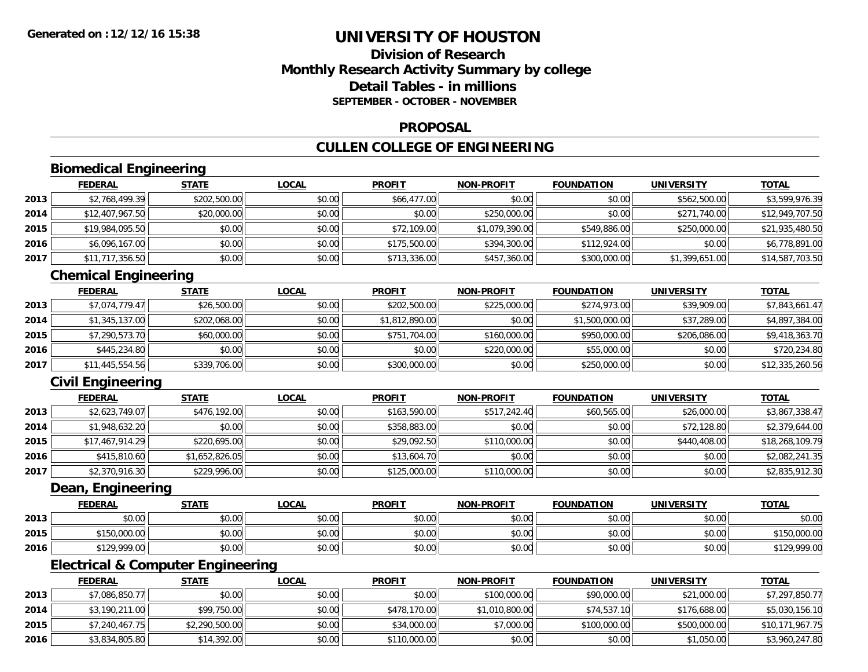## **Division of ResearchMonthly Research Activity Summary by college Detail Tables - in millionsSEPTEMBER - OCTOBER - NOVEMBER**

#### **PROPOSAL**

## **CULLEN COLLEGE OF ENGINEERING**

## **Biomedical Engineering**

|      | <b>FEDERAL</b>  | <b>STATE</b> | <u>LOCAL</u> | <b>PROFIT</b> | <b>NON-PROFIT</b> | <b>FOUNDATION</b> | <b>UNIVERSITY</b> | <b>TOTAL</b>    |
|------|-----------------|--------------|--------------|---------------|-------------------|-------------------|-------------------|-----------------|
| 2013 | \$2,768,499.39  | \$202,500.00 | \$0.00       | \$66,477.00   | \$0.00            | \$0.00            | \$562,500.00      | \$3,599,976.39  |
| 2014 | \$12,407,967.50 | \$20,000.00  | \$0.00       | \$0.00        | \$250,000.00      | \$0.00            | \$271,740.00      | \$12,949,707.50 |
| 2015 | \$19,984,095.50 | \$0.00       | \$0.00       | \$72,109.00   | \$1,079,390.00    | \$549,886.00      | \$250,000.00      | \$21,935,480.50 |
| 2016 | \$6,096,167.00  | \$0.00       | \$0.00       | \$175,500.00  | \$394,300.00      | \$112,924.00      | \$0.00            | \$6,778,891.00  |
| 2017 | \$11,717,356.50 | \$0.00       | \$0.00       | \$713,336.00  | \$457,360.00      | \$300,000.00      | \$1,399,651.00    | \$14,587,703.50 |

## **Chemical Engineering**

|      | <b>FEDERAL</b>  | <b>STATE</b> | <u>LOCAL</u> | <b>PROFIT</b>  | <b>NON-PROFIT</b> | <b>FOUNDATION</b> | <b>UNIVERSITY</b> | <b>TOTAL</b>    |
|------|-----------------|--------------|--------------|----------------|-------------------|-------------------|-------------------|-----------------|
| 2013 | \$7,074,779.47  | \$26,500.00  | \$0.00       | \$202,500.00   | \$225,000.00      | \$274,973,00      | \$39,909.00       | \$7,843,661.47  |
| 2014 | \$1,345,137.00  | \$202,068.00 | \$0.00       | \$1,812,890.00 | \$0.00            | \$1,500,000.00    | \$37,289.00       | \$4,897,384.00  |
| 2015 | \$7,290,573.70  | \$60,000.00  | \$0.00       | \$751,704.00   | \$160,000.00      | \$950,000.00      | \$206,086.00      | \$9,418,363.70  |
| 2016 | \$445,234.80    | \$0.00       | \$0.00       | \$0.00         | \$220,000.00      | \$55,000.00       | \$0.00            | \$720,234.80    |
| 2017 | \$11,445,554.56 | \$339,706.00 | \$0.00       | \$300,000.00   | \$0.00            | \$250,000.00      | \$0.00            | \$12,335,260.56 |

## **Civil Engineering**

|      | <b>FEDERAL</b>  | <b>STATE</b>   | <u>LOCAL</u> | <b>PROFIT</b> | <b>NON-PROFIT</b> | <b>FOUNDATION</b> | <b>UNIVERSITY</b> | <b>TOTAL</b>    |
|------|-----------------|----------------|--------------|---------------|-------------------|-------------------|-------------------|-----------------|
| 2013 | \$2,623,749.07  | \$476,192.00   | \$0.00       | \$163,590.00  | \$517,242.40      | \$60,565.00       | \$26,000.00       | \$3,867,338.47  |
| 2014 | \$1,948,632.20  | \$0.00         | \$0.00       | \$358,883.00  | \$0.00            | \$0.00            | \$72,128.80       | \$2,379,644.00  |
| 2015 | \$17,467,914.29 | \$220,695.00   | \$0.00       | \$29,092.50   | \$110,000.00      | \$0.00            | \$440,408.00      | \$18,268,109.79 |
| 2016 | \$415,810.60    | \$1,652,826.05 | \$0.00       | \$13,604.70   | \$0.00            | \$0.00            | \$0.00            | \$2,082,241.35  |
| 2017 | \$2,370,916.30  | \$229,996.00   | \$0.00       | \$125,000.00  | \$110,000.00      | \$0.00            | \$0.00            | \$2,835,912.30  |

### **Dean, Engineering**

|      | <b>FEDERAL</b> | <u>STATE</u> | <u>LOCAL</u> | <b>PROFIT</b> | <b>NON-PROFIT</b> | <b>FOUNDATION</b> | <b>UNIVERSITY</b> | <u>TOTAL</u> |
|------|----------------|--------------|--------------|---------------|-------------------|-------------------|-------------------|--------------|
| 2013 | \$0.00         | \$0.00       | \$0.00       | \$0.00        | \$0.00            | \$0.00            | \$0.00            | \$0.00       |
| 2015 | \$150,000.00   | \$0.00       | \$0.00       | \$0.00        | \$0.00            | \$0.00            | \$0.00            | \$150,000.00 |
| 2016 | \$129,999.00   | \$0.00       | \$0.00       | \$0.00        | \$0.00            | \$0.00            | \$0.00            | \$129,999.00 |

## **Electrical & Computer Engineering**

|      | <b>FEDERAL</b> | <b>STATE</b>   | <u>LOCAL</u> | <b>PROFIT</b> | <b>NON-PROFIT</b> | <b>FOUNDATION</b> | UNIVERSITY   | <b>TOTAL</b>    |
|------|----------------|----------------|--------------|---------------|-------------------|-------------------|--------------|-----------------|
| 2013 | \$7,086,850.77 | \$0.00         | \$0.00       | \$0.00        | \$100,000.00      | \$90,000.00       | \$21,000.00  | \$7,297,850.77  |
| 2014 | \$3,190,211.00 | \$99,750.00    | \$0.00       | \$478,170.00  | \$1,010,800.00    | \$74,537.10       | \$176,688.00 | \$5,030,156.10  |
| 2015 | \$7,240,467.75 | \$2,290,500.00 | \$0.00       | \$34,000.00   | \$7,000.00        | \$100,000.00      | \$500,000.00 | \$10,171,967.75 |
| 2016 | \$3,834,805.80 | \$14,392.00    | \$0.00       | \$110,000.00  | \$0.00            | \$0.00            | \$1,050.00   | \$3,960,247.80  |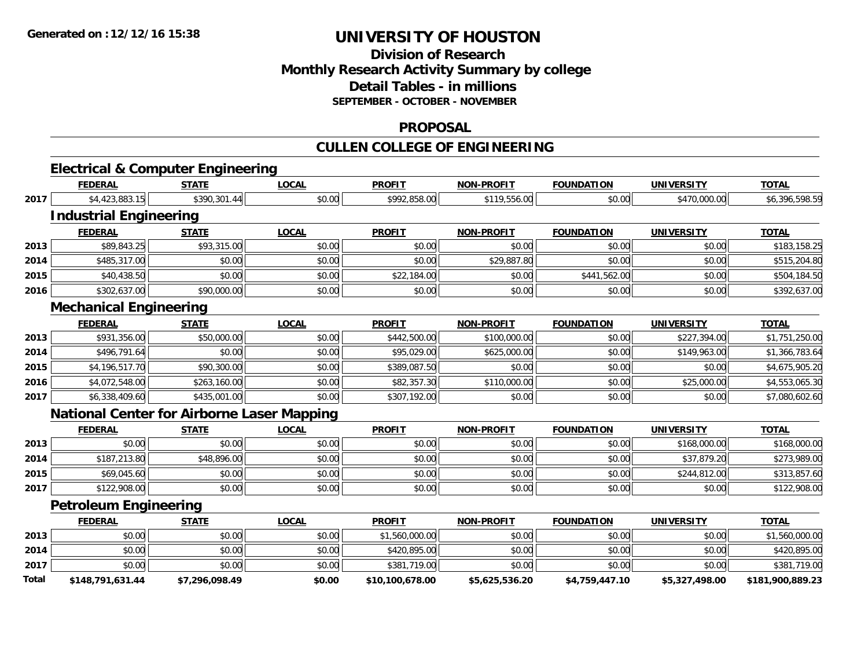### **Division of Research Monthly Research Activity Summary by college Detail Tables - in millions SEPTEMBER - OCTOBER - NOVEMBER**

#### **PROPOSAL**

## **CULLEN COLLEGE OF ENGINEERING**

# **Electrical & Computer Engineering**

|       | <b>FEDERAL</b>                                    | <b>STATE</b>   | <b>LOCAL</b> | <b>PROFIT</b>   | <b>NON-PROFIT</b> | <b>FOUNDATION</b> | <b>UNIVERSITY</b> | <b>TOTAL</b>     |
|-------|---------------------------------------------------|----------------|--------------|-----------------|-------------------|-------------------|-------------------|------------------|
| 2017  | \$4,423,883.15                                    | \$390,301.44   | \$0.00       | \$992,858.00    | \$119,556.00      | \$0.00            | \$470,000.00      | \$6,396,598.59   |
|       | <b>Industrial Engineering</b>                     |                |              |                 |                   |                   |                   |                  |
|       | <b>FEDERAL</b>                                    | <b>STATE</b>   | <b>LOCAL</b> | <b>PROFIT</b>   | <b>NON-PROFIT</b> | <b>FOUNDATION</b> | <b>UNIVERSITY</b> | <b>TOTAL</b>     |
| 2013  | \$89,843.25                                       | \$93,315.00    | \$0.00       | \$0.00          | \$0.00            | \$0.00            | \$0.00            | \$183,158.25     |
| 2014  | \$485,317.00                                      | \$0.00         | \$0.00       | \$0.00          | \$29,887.80       | \$0.00            | \$0.00            | \$515,204.80     |
| 2015  | \$40,438.50                                       | \$0.00         | \$0.00       | \$22,184.00     | \$0.00            | \$441,562.00      | \$0.00            | \$504,184.50     |
| 2016  | \$302,637.00                                      | \$90,000.00    | \$0.00       | \$0.00          | \$0.00            | \$0.00            | \$0.00            | \$392,637.00     |
|       | <b>Mechanical Engineering</b>                     |                |              |                 |                   |                   |                   |                  |
|       | <b>FEDERAL</b>                                    | <b>STATE</b>   | <b>LOCAL</b> | <b>PROFIT</b>   | <b>NON-PROFIT</b> | <b>FOUNDATION</b> | <b>UNIVERSITY</b> | <b>TOTAL</b>     |
| 2013  | \$931,356.00                                      | \$50,000.00    | \$0.00       | \$442,500.00    | \$100,000.00      | \$0.00            | \$227,394.00      | \$1,751,250.00   |
| 2014  | \$496,791.64                                      | \$0.00         | \$0.00       | \$95,029.00     | \$625,000.00      | \$0.00            | \$149,963.00      | \$1,366,783.64   |
| 2015  | \$4,196,517.70                                    | \$90,300.00    | \$0.00       | \$389,087.50    | \$0.00            | \$0.00            | \$0.00            | \$4,675,905.20   |
| 2016  | \$4,072,548.00                                    | \$263,160.00   | \$0.00       | \$82,357.30     | \$110,000.00      | \$0.00            | \$25,000.00       | \$4,553,065.30   |
| 2017  | \$6,338,409.60                                    | \$435,001.00   | \$0.00       | \$307,192.00    | \$0.00            | \$0.00            | \$0.00            | \$7,080,602.60   |
|       | <b>National Center for Airborne Laser Mapping</b> |                |              |                 |                   |                   |                   |                  |
|       | <b>FEDERAL</b>                                    | <b>STATE</b>   | <b>LOCAL</b> | <b>PROFIT</b>   | <b>NON-PROFIT</b> | <b>FOUNDATION</b> | <b>UNIVERSITY</b> | <b>TOTAL</b>     |
| 2013  | \$0.00                                            | \$0.00         | \$0.00       | \$0.00          | \$0.00            | \$0.00            | \$168,000.00      | \$168,000.00     |
| 2014  | \$187,213.80                                      | \$48,896.00    | \$0.00       | \$0.00          | \$0.00            | \$0.00            | \$37,879.20       | \$273,989.00     |
| 2015  | \$69,045.60                                       | \$0.00         | \$0.00       | \$0.00          | \$0.00            | \$0.00            | \$244,812.00      | \$313,857.60     |
| 2017  | \$122,908.00                                      | \$0.00         | \$0.00       | \$0.00          | \$0.00            | \$0.00            | \$0.00            | \$122,908.00     |
|       | <b>Petroleum Engineering</b>                      |                |              |                 |                   |                   |                   |                  |
|       | <b>FEDERAL</b>                                    | <b>STATE</b>   | <b>LOCAL</b> | <b>PROFIT</b>   | <b>NON-PROFIT</b> | <b>FOUNDATION</b> | <b>UNIVERSITY</b> | <b>TOTAL</b>     |
| 2013  | \$0.00                                            | \$0.00         | \$0.00       | \$1,560,000.00  | \$0.00            | \$0.00            | \$0.00            | \$1,560,000.00   |
| 2014  | \$0.00                                            | \$0.00         | \$0.00       | \$420,895.00    | \$0.00            | \$0.00            | \$0.00            | \$420,895.00     |
| 2017  | \$0.00                                            | \$0.00         | \$0.00       | \$381,719.00    | \$0.00            | \$0.00            | \$0.00            | \$381,719.00     |
| Total | \$148,791,631.44                                  | \$7.296.098.49 | \$0.00       | \$10,100,678.00 | \$5,625,536.20    | \$4,759,447.10    | \$5,327,498.00    | \$181,900,889.23 |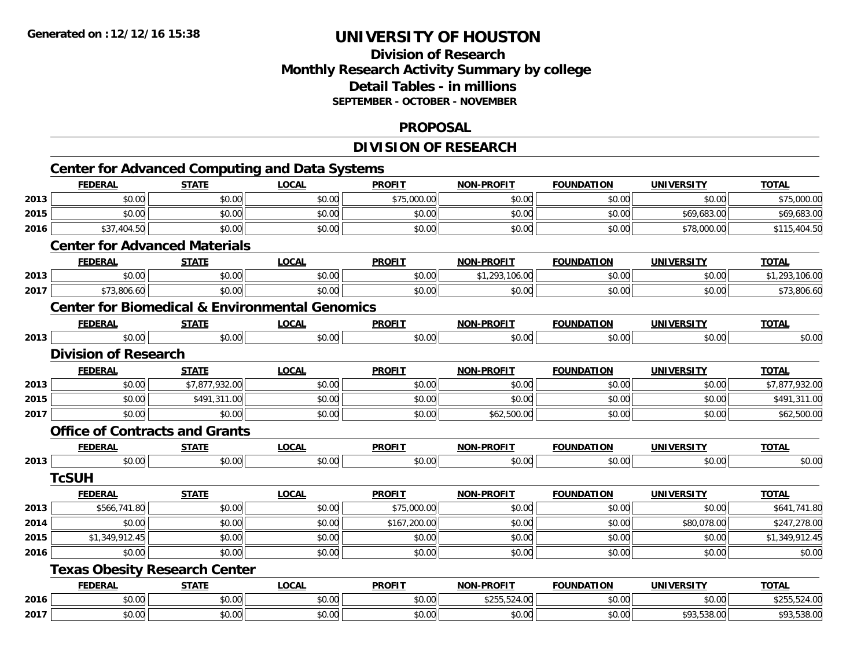## **Division of ResearchMonthly Research Activity Summary by college Detail Tables - in millions SEPTEMBER - OCTOBER - NOVEMBER**

#### **PROPOSAL**

## **DIVISION OF RESEARCH**

|      |                                       |                | <b>Center for Advanced Computing and Data Systems</b>     |               |                   |                   |                   |                |
|------|---------------------------------------|----------------|-----------------------------------------------------------|---------------|-------------------|-------------------|-------------------|----------------|
|      | <b>FEDERAL</b>                        | <b>STATE</b>   | <b>LOCAL</b>                                              | <b>PROFIT</b> | NON-PROFIT        | <b>FOUNDATION</b> | <b>UNIVERSITY</b> | <b>TOTAL</b>   |
| 2013 | \$0.00                                | \$0.00         | \$0.00                                                    | \$75,000.00   | \$0.00            | \$0.00            | \$0.00            | \$75,000.00    |
| 2015 | \$0.00                                | \$0.00         | \$0.00                                                    | \$0.00        | \$0.00            | \$0.00            | \$69,683.00       | \$69,683.00    |
| 2016 | \$37,404.50                           | \$0.00         | \$0.00                                                    | \$0.00        | \$0.00            | \$0.00            | \$78,000.00       | \$115,404.50   |
|      | <b>Center for Advanced Materials</b>  |                |                                                           |               |                   |                   |                   |                |
|      | <b>FEDERAL</b>                        | <b>STATE</b>   | <b>LOCAL</b>                                              | <b>PROFIT</b> | NON-PROFIT        | <b>FOUNDATION</b> | <b>UNIVERSITY</b> | <b>TOTAL</b>   |
| 2013 | \$0.00                                | \$0.00         | \$0.00                                                    | \$0.00        | \$1,293,106.00    | \$0.00            | \$0.00            | \$1,293,106.00 |
| 2017 | \$73,806.60                           | \$0.00         | \$0.00                                                    | \$0.00        | \$0.00            | \$0.00            | \$0.00            | \$73,806.60    |
|      |                                       |                | <b>Center for Biomedical &amp; Environmental Genomics</b> |               |                   |                   |                   |                |
|      | <b>FEDERAL</b>                        | <b>STATE</b>   | <b>LOCAL</b>                                              | <b>PROFIT</b> | <b>NON-PROFIT</b> | <b>FOUNDATION</b> | <b>UNIVERSITY</b> | <b>TOTAL</b>   |
| 2013 | \$0.00                                | \$0.00         | \$0.00                                                    | \$0.00        | \$0.00            | \$0.00            | \$0.00            | \$0.00         |
|      | <b>Division of Research</b>           |                |                                                           |               |                   |                   |                   |                |
|      | <b>FEDERAL</b>                        | <b>STATE</b>   | <b>LOCAL</b>                                              | <b>PROFIT</b> | <b>NON-PROFIT</b> | <b>FOUNDATION</b> | <b>UNIVERSITY</b> | <b>TOTAL</b>   |
| 2013 | \$0.00                                | \$7,877,932.00 | \$0.00                                                    | \$0.00        | \$0.00            | \$0.00            | \$0.00            | \$7,877,932.00 |
| 2015 | \$0.00                                | \$491,311.00   | \$0.00                                                    | \$0.00        | \$0.00            | \$0.00            | \$0.00            | \$491,311.00   |
| 2017 | \$0.00                                | \$0.00         | \$0.00                                                    | \$0.00        | \$62,500.00       | \$0.00            | \$0.00            | \$62,500.00    |
|      | <b>Office of Contracts and Grants</b> |                |                                                           |               |                   |                   |                   |                |
|      | <b>FEDERAL</b>                        | <b>STATE</b>   | <b>LOCAL</b>                                              | <b>PROFIT</b> | <b>NON-PROFIT</b> | <b>FOUNDATION</b> | <b>UNIVERSITY</b> | <b>TOTAL</b>   |
| 2013 | \$0.00                                | \$0.00         | \$0.00                                                    | \$0.00        | \$0.00            | \$0.00            | \$0.00            | \$0.00         |
|      | <b>TcSUH</b>                          |                |                                                           |               |                   |                   |                   |                |
|      | <b>FEDERAL</b>                        | <b>STATE</b>   | <b>LOCAL</b>                                              | <b>PROFIT</b> | <b>NON-PROFIT</b> | <b>FOUNDATION</b> | <b>UNIVERSITY</b> | <b>TOTAL</b>   |
| 2013 | \$566,741.80                          | \$0.00         | \$0.00                                                    | \$75,000.00   | \$0.00            | \$0.00            | \$0.00            | \$641,741.80   |
| 2014 | \$0.00                                | \$0.00         | \$0.00                                                    | \$167,200.00  | \$0.00            | \$0.00            | \$80,078.00       | \$247,278.00   |
| 2015 | \$1,349,912.45                        | \$0.00         | \$0.00                                                    | \$0.00        | \$0.00            | \$0.00            | \$0.00            | \$1,349,912.45 |
| 2016 | \$0.00                                | \$0.00         | \$0.00                                                    | \$0.00        | \$0.00            | \$0.00            | \$0.00            | \$0.00         |
|      | <b>Texas Obesity Research Center</b>  |                |                                                           |               |                   |                   |                   |                |
|      | <b>FEDERAL</b>                        | <b>STATE</b>   | <b>LOCAL</b>                                              | <b>PROFIT</b> | <b>NON-PROFIT</b> | <b>FOUNDATION</b> | <b>UNIVERSITY</b> | <b>TOTAL</b>   |
| 2016 | \$0.00                                | \$0.00         | \$0.00                                                    | \$0.00        | \$255,524.00      | \$0.00            | \$0.00            | \$255,524.00   |
| 2017 | \$0.00                                | \$0.00         | \$0.00                                                    | \$0.00        | \$0.00            | \$0.00            | \$93,538.00       | \$93,538.00    |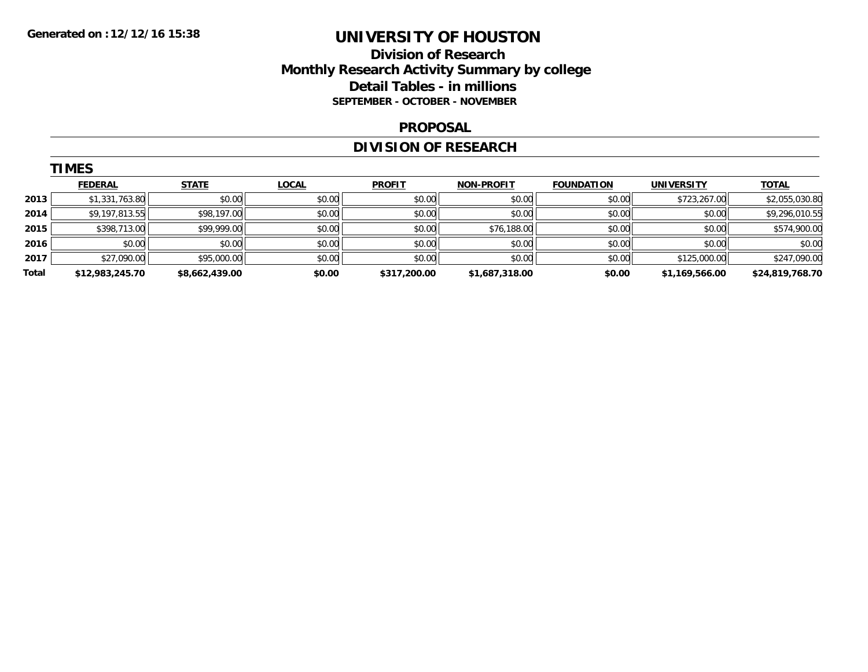### **Division of Research Monthly Research Activity Summary by college Detail Tables - in millions SEPTEMBER - OCTOBER - NOVEMBER**

#### **PROPOSAL**

## **DIVISION OF RESEARCH**

|       | <b>TIMES</b>    |                |              |               |                   |                   |                   |                 |
|-------|-----------------|----------------|--------------|---------------|-------------------|-------------------|-------------------|-----------------|
|       | <b>FEDERAL</b>  | <b>STATE</b>   | <b>LOCAL</b> | <b>PROFIT</b> | <b>NON-PROFIT</b> | <b>FOUNDATION</b> | <b>UNIVERSITY</b> | <b>TOTAL</b>    |
| 2013  | \$1,331,763.80  | \$0.00         | \$0.00       | \$0.00        | \$0.00            | \$0.00            | \$723,267.00      | \$2,055,030.80  |
| 2014  | \$9,197,813.55  | \$98,197.00    | \$0.00       | \$0.00        | \$0.00            | \$0.00            | \$0.00            | \$9,296,010.55  |
| 2015  | \$398,713.00    | \$99,999.00    | \$0.00       | \$0.00        | \$76,188.00       | \$0.00            | \$0.00            | \$574,900.00    |
| 2016  | \$0.00          | \$0.00         | \$0.00       | \$0.00        | \$0.00            | \$0.00            | \$0.00            | \$0.00          |
| 2017  | \$27,090.00     | \$95,000.00    | \$0.00       | \$0.00        | \$0.00            | \$0.00            | \$125,000.00      | \$247,090.00    |
| Total | \$12,983,245.70 | \$8,662,439.00 | \$0.00       | \$317,200.00  | \$1,687,318.00    | \$0.00            | \$1,169,566.00    | \$24,819,768.70 |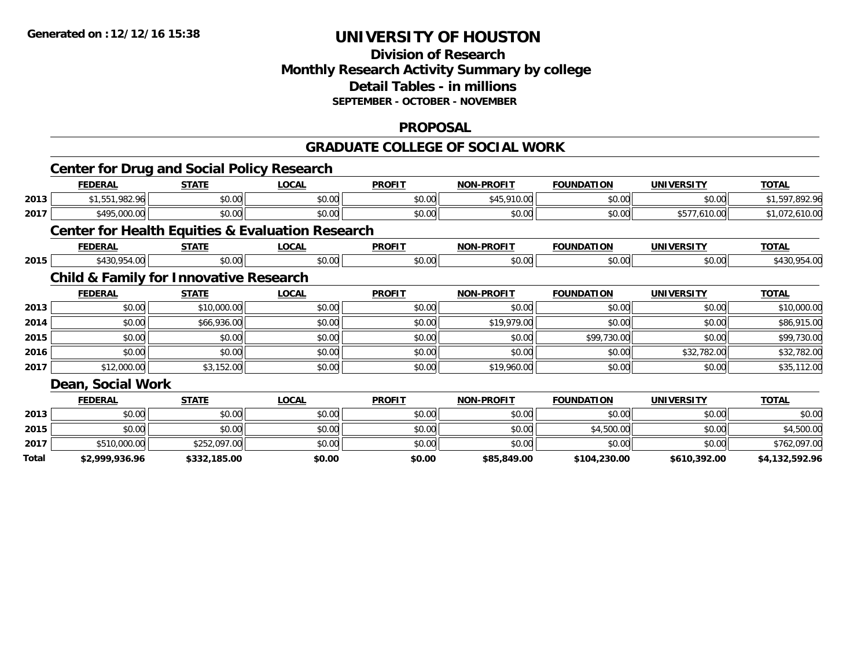### **Division of Research Monthly Research Activity Summary by college Detail Tables - in millions SEPTEMBER - OCTOBER - NOVEMBER**

### **PROPOSAL**

#### **GRADUATE COLLEGE OF SOCIAL WORK**

|       | <b>Center for Drug and Social Policy Research</b>           |              |              |               |                   |                   |                   |                |
|-------|-------------------------------------------------------------|--------------|--------------|---------------|-------------------|-------------------|-------------------|----------------|
|       | <b>FEDERAL</b>                                              | <b>STATE</b> | <b>LOCAL</b> | <b>PROFIT</b> | <b>NON-PROFIT</b> | <b>FOUNDATION</b> | <b>UNIVERSITY</b> | <b>TOTAL</b>   |
| 2013  | \$1,551,982.96                                              | \$0.00       | \$0.00       | \$0.00        | \$45,910.00       | \$0.00            | \$0.00            | \$1,597,892.96 |
| 2017  | \$495,000.00                                                | \$0.00       | \$0.00       | \$0.00        | \$0.00            | \$0.00            | \$577,610.00      | \$1,072,610.00 |
|       | <b>Center for Health Equities &amp; Evaluation Research</b> |              |              |               |                   |                   |                   |                |
|       | <b>FEDERAL</b>                                              | <b>STATE</b> | <b>LOCAL</b> | <b>PROFIT</b> | <b>NON-PROFIT</b> | <b>FOUNDATION</b> | <b>UNIVERSITY</b> | <b>TOTAL</b>   |
| 2015  | \$430,954.00                                                | \$0.00       | \$0.00       | \$0.00        | \$0.00            | \$0.00            | \$0.00            | \$430,954.00   |
|       | <b>Child &amp; Family for Innovative Research</b>           |              |              |               |                   |                   |                   |                |
|       | <b>FEDERAL</b>                                              | <b>STATE</b> | <b>LOCAL</b> | <b>PROFIT</b> | <b>NON-PROFIT</b> | <b>FOUNDATION</b> | <b>UNIVERSITY</b> | <b>TOTAL</b>   |
| 2013  | \$0.00                                                      | \$10,000.00  | \$0.00       | \$0.00        | \$0.00            | \$0.00            | \$0.00            | \$10,000.00    |
| 2014  | \$0.00                                                      | \$66,936.00  | \$0.00       | \$0.00        | \$19,979.00       | \$0.00            | \$0.00            | \$86,915.00    |
| 2015  | \$0.00                                                      | \$0.00       | \$0.00       | \$0.00        | \$0.00            | \$99,730.00       | \$0.00            | \$99,730.00    |
| 2016  | \$0.00                                                      | \$0.00       | \$0.00       | \$0.00        | \$0.00            | \$0.00            | \$32,782.00       | \$32,782.00    |
| 2017  | \$12,000.00                                                 | \$3,152.00   | \$0.00       | \$0.00        | \$19,960.00       | \$0.00            | \$0.00            | \$35,112.00    |
|       | Dean, Social Work                                           |              |              |               |                   |                   |                   |                |
|       | <b>FEDERAL</b>                                              | <b>STATE</b> | <b>LOCAL</b> | <b>PROFIT</b> | NON-PROFIT        | <b>FOUNDATION</b> | <b>UNIVERSITY</b> | <b>TOTAL</b>   |
| 2013  | \$0.00                                                      | \$0.00       | \$0.00       | \$0.00        | \$0.00            | \$0.00            | \$0.00            | \$0.00         |
| 2015  | \$0.00                                                      | \$0.00       | \$0.00       | \$0.00        | \$0.00            | \$4,500.00        | \$0.00            | \$4,500.00     |
| 2017  | \$510,000.00                                                | \$252,097.00 | \$0.00       | \$0.00        | \$0.00            | \$0.00            | \$0.00            | \$762,097.00   |
| Total | \$2,999,936.96                                              | \$332,185.00 | \$0.00       | \$0.00        | \$85,849.00       | \$104,230.00      | \$610,392.00      | \$4,132,592.96 |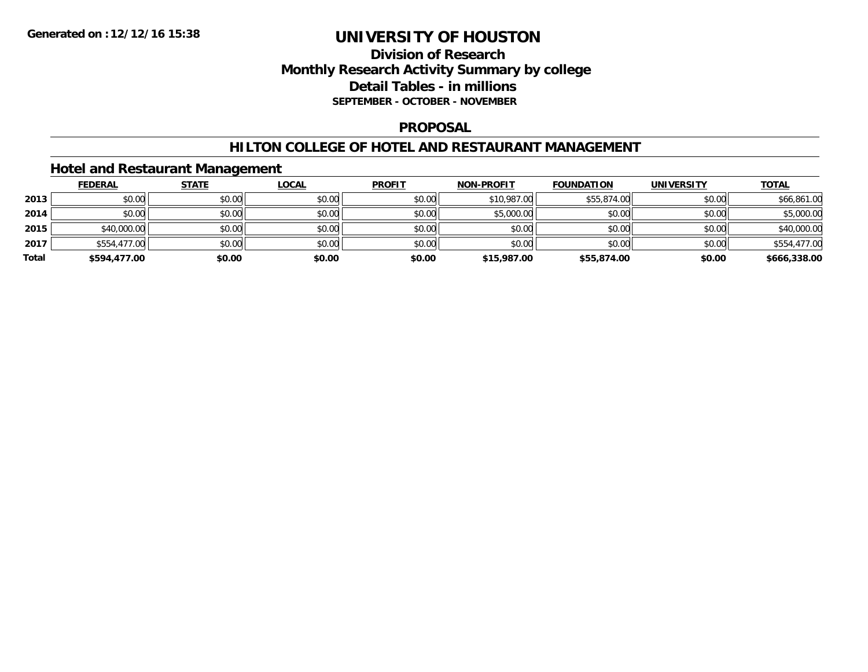## **Division of Research Monthly Research Activity Summary by college Detail Tables - in millions SEPTEMBER - OCTOBER - NOVEMBER**

#### **PROPOSAL**

### **HILTON COLLEGE OF HOTEL AND RESTAURANT MANAGEMENT**

### **Hotel and Restaurant Management**

|       | <b>FEDERAL</b> | <b>STATE</b> | <u>LOCAL</u> | <b>PROFIT</b> | <b>NON-PROFIT</b> | <b>FOUNDATION</b> | <b>UNIVERSITY</b> | <b>TOTAL</b> |
|-------|----------------|--------------|--------------|---------------|-------------------|-------------------|-------------------|--------------|
| 2013  | \$0.00         | \$0.00       | \$0.00       | \$0.00        | \$10,987.00       | \$55,874.00       | \$0.00            | \$66,861.00  |
| 2014  | \$0.00         | \$0.00       | \$0.00       | \$0.00        | \$5,000.00        | \$0.00            | \$0.00            | \$5,000.00   |
| 2015  | \$40,000.00    | \$0.00       | \$0.00       | \$0.00        | \$0.00            | \$0.00            | \$0.00            | \$40,000.00  |
| 2017  | \$554,477.00   | \$0.00       | \$0.00       | \$0.00        | \$0.00            | \$0.00            | \$0.00            | \$554,477.00 |
| Total | \$594,477.00   | \$0.00       | \$0.00       | \$0.00        | \$15,987.00       | \$55,874.00       | \$0.00            | \$666,338.00 |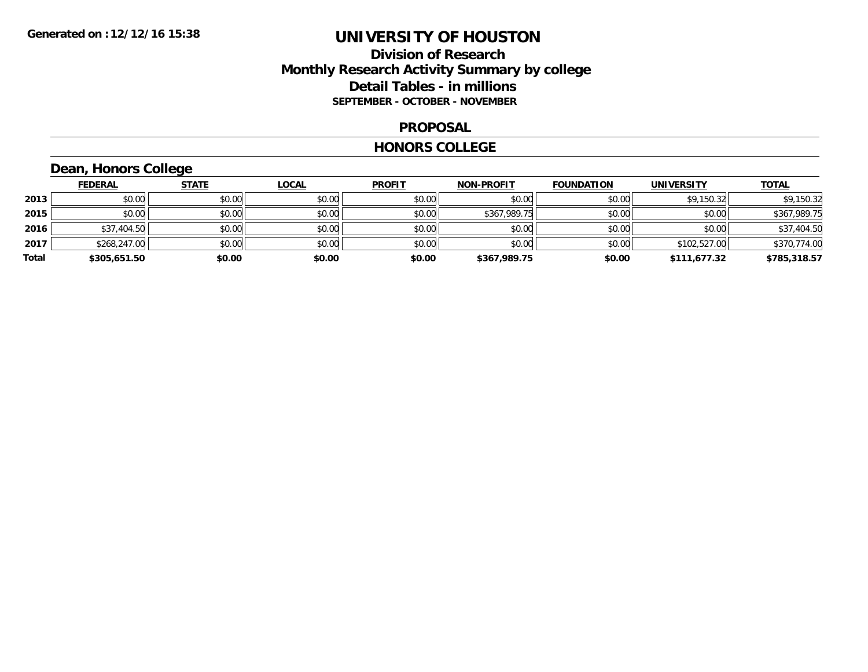### **Division of Research Monthly Research Activity Summary by college Detail Tables - in millions SEPTEMBER - OCTOBER - NOVEMBER**

#### **PROPOSAL**

#### **HONORS COLLEGE**

## **Dean, Honors College**

|       | <b>FEDERAL</b> | <b>STATE</b> | <u>LOCAL</u> | <b>PROFIT</b> | <b>NON-PROFIT</b> | <b>FOUNDATION</b> | <b>UNIVERSITY</b> | <b>TOTAL</b> |
|-------|----------------|--------------|--------------|---------------|-------------------|-------------------|-------------------|--------------|
| 2013  | \$0.00         | \$0.00       | \$0.00       | \$0.00        | \$0.00            | \$0.00            | \$9,150.32        | \$9,150.32   |
| 2015  | \$0.00         | \$0.00       | \$0.00       | \$0.00        | \$367,989.75      | \$0.00            | \$0.00            | \$367,989.75 |
| 2016  | \$37,404.50    | \$0.00       | \$0.00       | \$0.00        | \$0.00            | \$0.00            | \$0.00            | \$37,404.50  |
| 2017  | \$268,247.00   | \$0.00       | \$0.00       | \$0.00        | \$0.00            | \$0.00            | \$102,527.00      | \$370,774.00 |
| Total | \$305,651.50   | \$0.00       | \$0.00       | \$0.00        | \$367,989.75      | \$0.00            | \$111,677.32      | \$785,318.57 |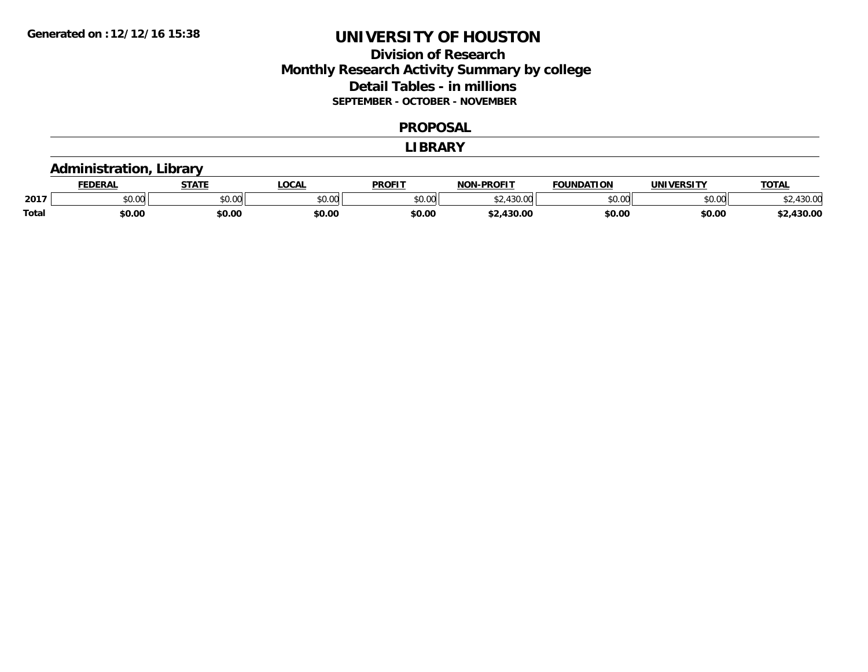## **Division of Research Monthly Research Activity Summary by college Detail Tables - in millions SEPTEMBER - OCTOBER - NOVEMBER**

#### **PROPOSAL**

#### **LIBRARY**

### **Administration, Library**

|              | <b>EDERAL</b> | <b>STATE</b>         | <b>OCAL</b> | <b>PROFIT</b> | -PROFIT<br><b>MONE</b>          | <b>FOUNDATION</b> | <b>UNIVERSITY</b> | <b>TOTAL</b>    |
|--------------|---------------|----------------------|-------------|---------------|---------------------------------|-------------------|-------------------|-----------------|
| 2017         | 0.00<br>JU.UU | 0000<br><b>JU.UU</b> | \$0.00      | \$0.00        | 120.00<br>$\sim$ $\sim$<br>. vv | \$0.00            | \$0.00            | 12000<br>.JU.UU |
| <b>Total</b> | \$0.00        | \$0.00               | \$0.00      | \$0.00        | \$2.430.00                      | \$0.00            | \$0.00            | 2,430.00        |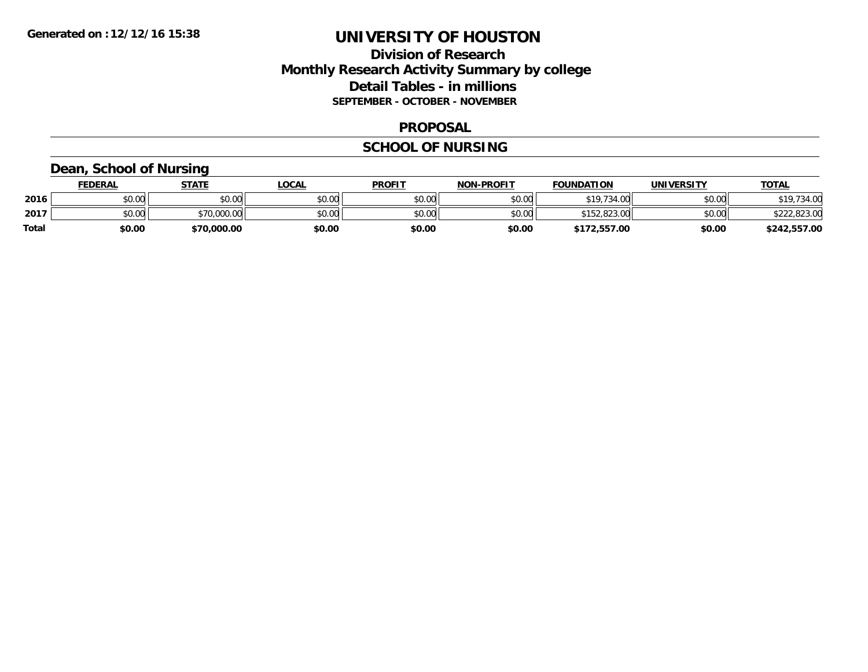## **Division of Research Monthly Research Activity Summary by college Detail Tables - in millions SEPTEMBER - OCTOBER - NOVEMBER**

#### **PROPOSAL**

### **SCHOOL OF NURSING**

### **Dean, School of Nursing**

|              | <b>FEDERAL</b> | STATE       | LOCAL  | <b>PROFIT</b> | <b>NON-PROFIT</b> | <b>FOUNDATION</b> | <b>UNIVERSITY</b> | <b>TOTAL</b> |
|--------------|----------------|-------------|--------|---------------|-------------------|-------------------|-------------------|--------------|
| 2016         | \$0.00         | \$0.00      | \$0.00 | \$0.00        | \$0.00            | \$19,734.00       | \$0.00            | \$19,734.00  |
| 2017         | \$0.00         | \$70,000.00 | \$0.00 | \$0.00        | \$0.00            | \$152,823.00      | \$0.00            | \$222,823.00 |
| <b>Total</b> | \$0.00         | \$70,000.00 | \$0.00 | \$0.00        | \$0.00            | \$172,557.00      | \$0.00            | \$242,557.00 |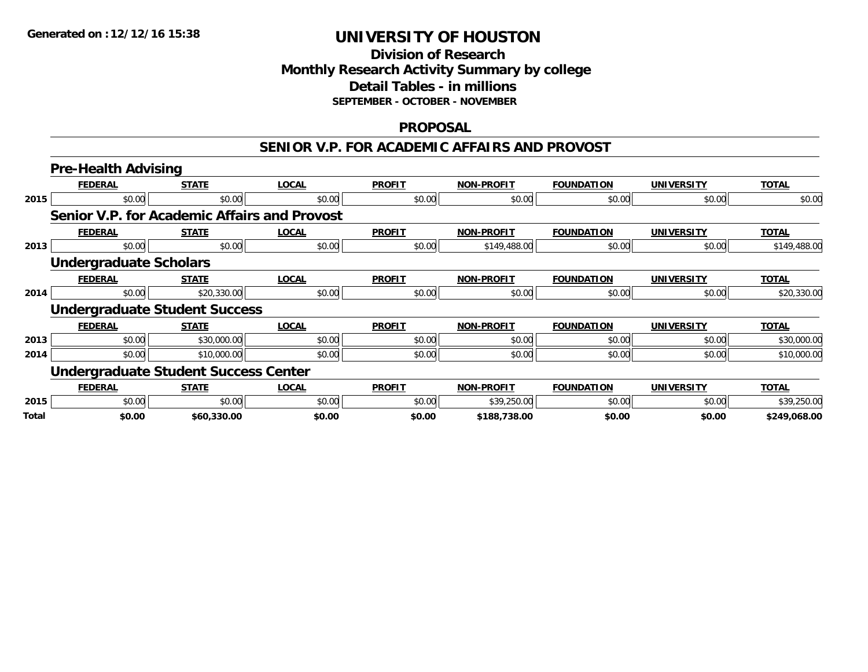### **Division of Research Monthly Research Activity Summary by college Detail Tables - in millions SEPTEMBER - OCTOBER - NOVEMBER**

#### **PROPOSAL**

#### **SENIOR V.P. FOR ACADEMIC AFFAIRS AND PROVOST**

|              | <b>Pre-Health Advising</b>                   |              |              |               |                   |                   |                   |              |  |  |
|--------------|----------------------------------------------|--------------|--------------|---------------|-------------------|-------------------|-------------------|--------------|--|--|
|              | <b>FEDERAL</b>                               | <b>STATE</b> | <b>LOCAL</b> | <b>PROFIT</b> | <b>NON-PROFIT</b> | <b>FOUNDATION</b> | <b>UNIVERSITY</b> | <b>TOTAL</b> |  |  |
| 2015         | \$0.00                                       | \$0.00       | \$0.00       | \$0.00        | \$0.00            | \$0.00            | \$0.00            | \$0.00       |  |  |
|              | Senior V.P. for Academic Affairs and Provost |              |              |               |                   |                   |                   |              |  |  |
|              | <b>FEDERAL</b>                               | <b>STATE</b> | <b>LOCAL</b> | <b>PROFIT</b> | <b>NON-PROFIT</b> | <b>FOUNDATION</b> | <b>UNIVERSITY</b> | <b>TOTAL</b> |  |  |
| 2013         | \$0.00                                       | \$0.00       | \$0.00       | \$0.00        | \$149,488.00      | \$0.00            | \$0.00            | \$149,488.00 |  |  |
|              | <b>Undergraduate Scholars</b>                |              |              |               |                   |                   |                   |              |  |  |
|              | <b>FEDERAL</b>                               | <b>STATE</b> | <b>LOCAL</b> | <b>PROFIT</b> | <b>NON-PROFIT</b> | <b>FOUNDATION</b> | <b>UNIVERSITY</b> | <b>TOTAL</b> |  |  |
| 2014         | \$0.00                                       | \$20,330.00  | \$0.00       | \$0.00        | \$0.00            | \$0.00            | \$0.00            | \$20,330.00  |  |  |
|              | <b>Undergraduate Student Success</b>         |              |              |               |                   |                   |                   |              |  |  |
|              | <b>FEDERAL</b>                               | <b>STATE</b> | <b>LOCAL</b> | <b>PROFIT</b> | <b>NON-PROFIT</b> | <b>FOUNDATION</b> | <b>UNIVERSITY</b> | <b>TOTAL</b> |  |  |
| 2013         | \$0.00                                       | \$30,000.00  | \$0.00       | \$0.00        | \$0.00            | \$0.00            | \$0.00            | \$30,000.00  |  |  |
| 2014         | \$0.00                                       | \$10,000.00  | \$0.00       | \$0.00        | \$0.00            | \$0.00            | \$0.00            | \$10,000.00  |  |  |
|              | <b>Undergraduate Student Success Center</b>  |              |              |               |                   |                   |                   |              |  |  |
|              | <b>FEDERAL</b>                               | <b>STATE</b> | <b>LOCAL</b> | <b>PROFIT</b> | <b>NON-PROFIT</b> | <b>FOUNDATION</b> | <b>UNIVERSITY</b> | <b>TOTAL</b> |  |  |
| 2015         | \$0.00                                       | \$0.00       | \$0.00       | \$0.00        | \$39,250.00       | \$0.00            | \$0.00            | \$39,250.00  |  |  |
| <b>Total</b> | \$0.00                                       | \$60,330.00  | \$0.00       | \$0.00        | \$188,738.00      | \$0.00            | \$0.00            | \$249,068.00 |  |  |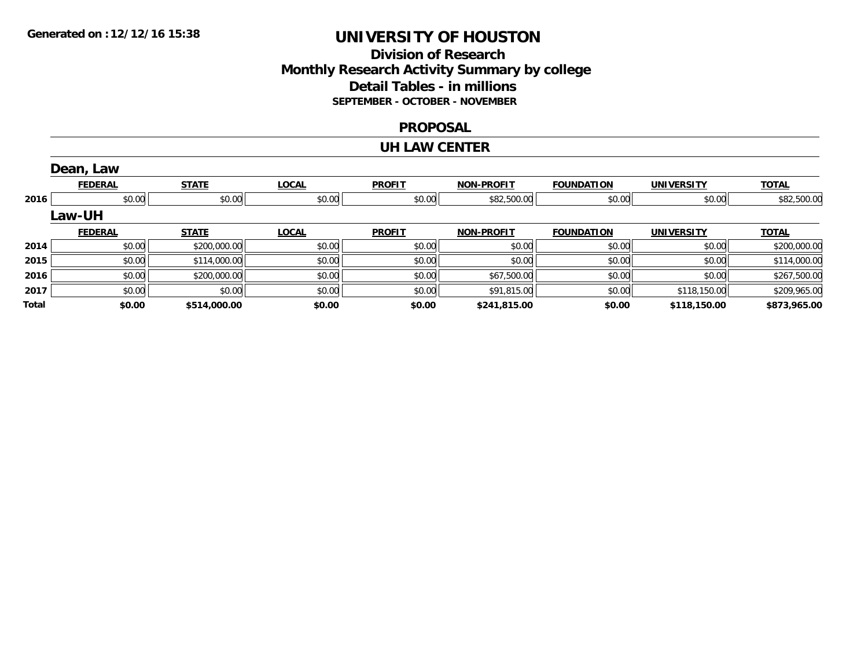### **Division of Research Monthly Research Activity Summary by college Detail Tables - in millions SEPTEMBER - OCTOBER - NOVEMBER**

#### **PROPOSAL**

#### **UH LAW CENTER**

|       | Dean, Law      |              |              |               |                   |                   |                   |              |
|-------|----------------|--------------|--------------|---------------|-------------------|-------------------|-------------------|--------------|
|       | <b>FEDERAL</b> | <b>STATE</b> | <b>LOCAL</b> | <b>PROFIT</b> | <b>NON-PROFIT</b> | <b>FOUNDATION</b> | <b>UNIVERSITY</b> | <b>TOTAL</b> |
| 2016  | \$0.00         | \$0.00       | \$0.00       | \$0.00        | \$82,500.00       | \$0.00            | \$0.00            | \$82,500.00  |
|       | <b>Law-UH</b>  |              |              |               |                   |                   |                   |              |
|       | <b>FEDERAL</b> | <b>STATE</b> | <b>LOCAL</b> | <b>PROFIT</b> | <b>NON-PROFIT</b> | <b>FOUNDATION</b> | <b>UNIVERSITY</b> | <b>TOTAL</b> |
| 2014  | \$0.00         | \$200,000.00 | \$0.00       | \$0.00        | \$0.00            | \$0.00            | \$0.00            | \$200,000.00 |
| 2015  | \$0.00         | \$114,000.00 | \$0.00       | \$0.00        | \$0.00            | \$0.00            | \$0.00            | \$114,000.00 |
| 2016  | \$0.00         | \$200,000.00 | \$0.00       | \$0.00        | \$67,500.00       | \$0.00            | \$0.00            | \$267,500.00 |
| 2017  | \$0.00         | \$0.00       | \$0.00       | \$0.00        | \$91,815.00       | \$0.00            | \$118,150.00      | \$209,965.00 |
| Total | \$0.00         | \$514,000.00 | \$0.00       | \$0.00        | \$241,815.00      | \$0.00            | \$118,150.00      | \$873,965.00 |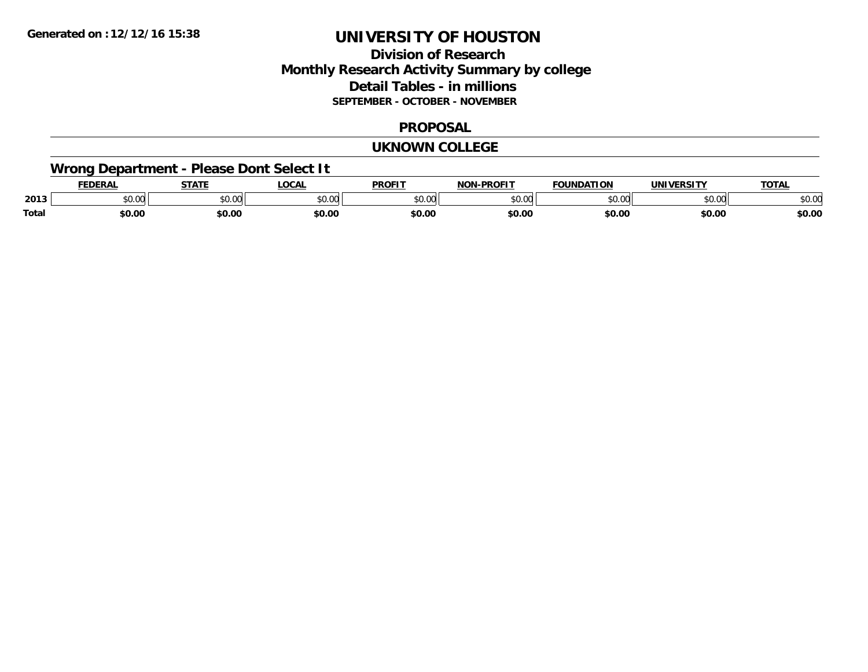## **Division of Research Monthly Research Activity Summary by college Detail Tables - in millions SEPTEMBER - OCTOBER - NOVEMBER**

#### **PROPOSAL**

#### **UKNOWN COLLEGE**

## **Wrong Department - Please Dont Select It**

|       | <b>FDERA</b> | 27.77          | .OCA          | <b>PROFIT</b> | <b>DDAEIT</b><br>. | <b>EQUINDATION</b> | $\blacksquare$     | <b>TATA</b> |
|-------|--------------|----------------|---------------|---------------|--------------------|--------------------|--------------------|-------------|
| 2013  | \$0.00       | ტი იი<br>JU.UU | 0.00<br>וטטוע | 0000<br>ט.טע  | $\sim$ 00<br>שט.טע | JU.UU              | $\sim$ 00<br>JU.UU | งบ.บบ       |
| Total | \$0.00       | \$0.00         | \$0.00        | \$0.00        | \$0.00             | \$0.00             | \$0.00             | \$0.00      |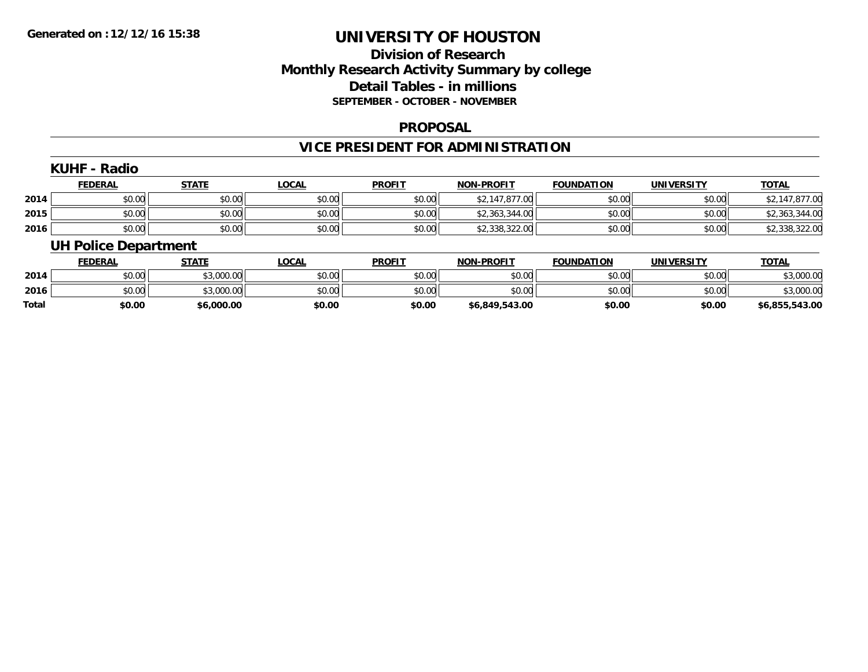### **Division of Research Monthly Research Activity Summary by college Detail Tables - in millions SEPTEMBER - OCTOBER - NOVEMBER**

#### **PROPOSAL**

### **VICE PRESIDENT FOR ADMINISTRATION**

|      | <b>KUHF - Radio</b><br><b>FEDERAL</b> | <b>STATE</b> | <b>LOCAL</b> | <b>PROFIT</b> | <b>NON-PROFIT</b> | <b>FOUNDATION</b> | <b>UNIVERSITY</b> | <b>TOTAL</b>   |
|------|---------------------------------------|--------------|--------------|---------------|-------------------|-------------------|-------------------|----------------|
| 2014 | \$0.00                                | \$0.00       | \$0.00       | \$0.00        | \$2,147,877.00    | \$0.00            | \$0.00            | \$2,147,877.00 |
| 2015 | \$0.00                                | \$0.00       | \$0.00       | \$0.00        | \$2,363,344.00    | \$0.00            | \$0.00            | \$2,363,344.00 |
| 2016 | \$0.00                                | \$0.00       | \$0.00       | \$0.00        | \$2,338,322.00    | \$0.00            | \$0.00            | \$2,338,322.00 |
|      | <b>UH Police Department</b>           |              |              |               |                   |                   |                   |                |

|              | <b>FEDERAL</b> | <b>STATE</b> | LOCAL  | <b>PROFIT</b> | <b>NON-PROFIT</b> | <b>FOUNDATION</b> | UNIVERSITY | <b>TOTAL</b>   |
|--------------|----------------|--------------|--------|---------------|-------------------|-------------------|------------|----------------|
| 2014         | \$0.00         | \$3,000.00   | \$0.00 | \$0.00        | \$0.00            | \$0.00            | \$0.00     | \$3,000.00     |
| 2016         | \$0.00         | \$3,000.00   | \$0.00 | \$0.00        | \$0.00            | \$0.00            | \$0.00     | \$3,000.00     |
| <b>Total</b> | \$0.00         | \$6,000.00   | \$0.00 | \$0.00        | \$6,849,543.00    | \$0.00            | \$0.00     | \$6,855,543.00 |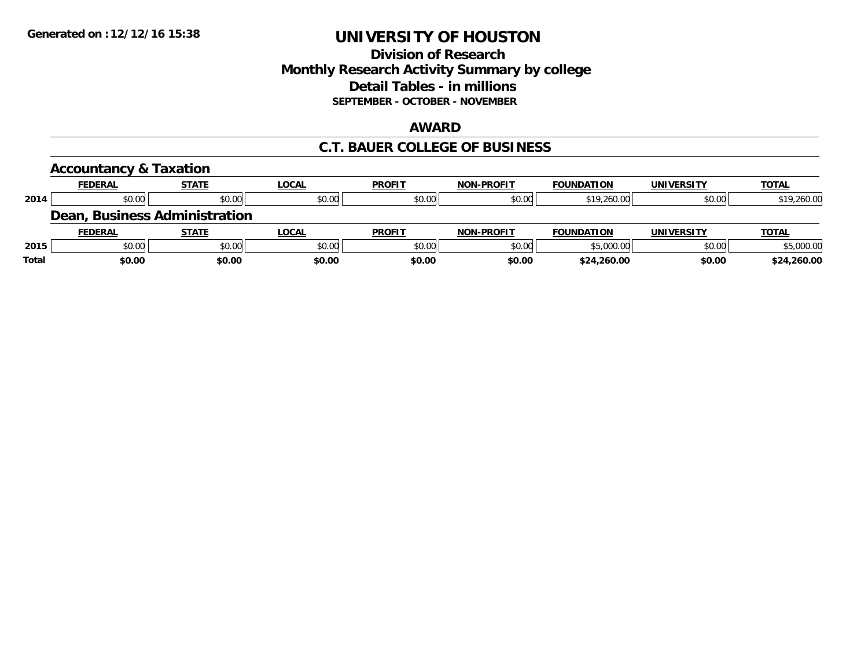### **Division of Research Monthly Research Activity Summary by college Detail Tables - in millions SEPTEMBER - OCTOBER - NOVEMBER**

#### **AWARD**

### **C.T. BAUER COLLEGE OF BUSINESS**

|       | <b>Accountancy &amp; Taxation</b> |                               |              |               |                   |                   |                   |              |
|-------|-----------------------------------|-------------------------------|--------------|---------------|-------------------|-------------------|-------------------|--------------|
|       | <b>FEDERAL</b>                    | <b>STATE</b>                  | <b>LOCAL</b> | <b>PROFIT</b> | <b>NON-PROFIT</b> | <b>FOUNDATION</b> | <b>UNIVERSITY</b> | <b>TOTAL</b> |
| 2014  | \$0.00                            | \$0.00                        | \$0.00       | \$0.00        | \$0.00            | \$19,260.00       | \$0.00            | \$19,260.00  |
|       |                                   | Dean, Business Administration |              |               |                   |                   |                   |              |
|       | <b>FEDERAL</b>                    | <b>STATE</b>                  | <b>LOCAL</b> | <b>PROFIT</b> | <b>NON-PROFIT</b> | <b>FOUNDATION</b> | <b>UNIVERSITY</b> | <b>TOTAL</b> |
| 2015  | \$0.00                            | \$0.00                        | \$0.00       | \$0.00        | \$0.00            | \$5,000.00        | \$0.00            | \$5,000.00   |
| Total | \$0.00                            | \$0.00                        | \$0.00       | \$0.00        | \$0.00            | \$24,260.00       | \$0.00            | \$24,260.00  |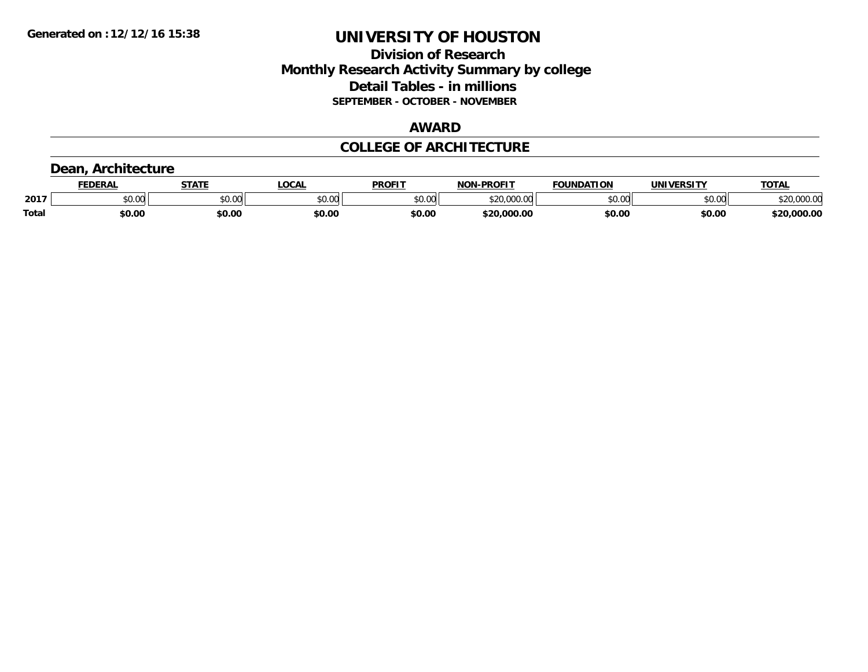### **Division of Research Monthly Research Activity Summary by college Detail Tables - in millions SEPTEMBER - OCTOBER - NOVEMBER**

### **AWARD**

### **COLLEGE OF ARCHITECTURE**

### **Dean, Architecture**

|              | <b>FEDERAL</b> | <b>STATE</b> | <b>LOCAL</b>             | <b>PROFIT</b> | <b>N-PROFIT</b><br><b>NON</b> | <b>FOUNDATION</b> | UNIVERSITY | <b>TOTAL</b>                      |
|--------------|----------------|--------------|--------------------------|---------------|-------------------------------|-------------------|------------|-----------------------------------|
| 2017         | vv.vv          | \$0.00       | $n \cap \Omega$<br>PU.UU | 4000<br>DU.UU | 0.000<br>$\sim$               | \$0.00            | \$0.00     | 00000<br><b>ሰገበ</b><br>DZU.UUU.UU |
| <b>Total</b> | \$0.00         | \$0.00       | \$0.00                   | \$0.00        | \$20,000.00                   | \$0.00            | \$0.00     | \$20,000.00                       |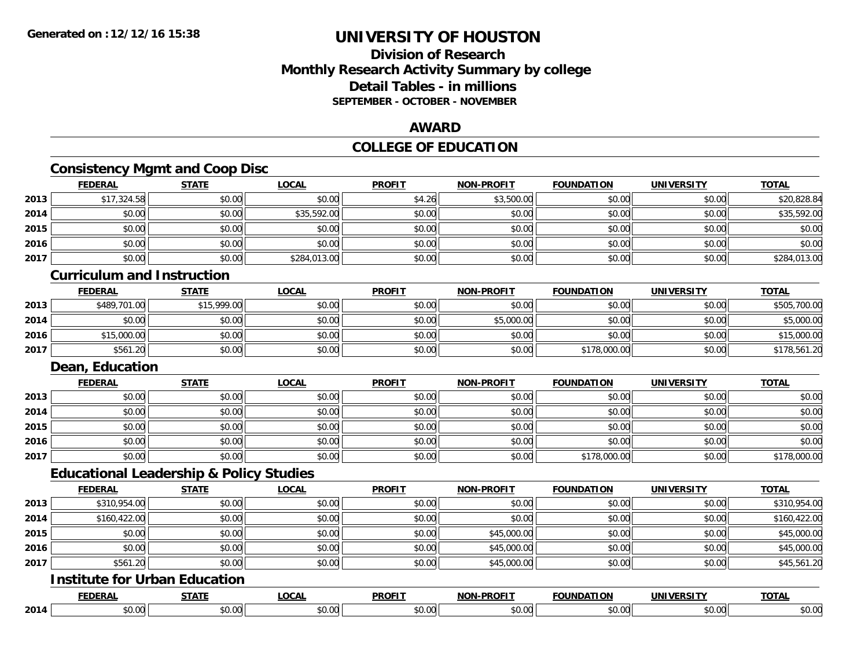## **Division of ResearchMonthly Research Activity Summary by college Detail Tables - in millions SEPTEMBER - OCTOBER - NOVEMBER**

### **AWARD**

## **COLLEGE OF EDUCATION**

## **Consistency Mgmt and Coop Disc**

|      | <b>FEDERAL</b>                                     | <b>STATE</b> | <b>LOCAL</b> | <b>PROFIT</b> | <b>NON-PROFIT</b> | <b>FOUNDATION</b> | <b>UNIVERSITY</b> | <b>TOTAL</b> |
|------|----------------------------------------------------|--------------|--------------|---------------|-------------------|-------------------|-------------------|--------------|
| 2013 | \$17,324.58                                        | \$0.00       | \$0.00       | \$4.26        | \$3,500.00        | \$0.00            | \$0.00            | \$20,828.84  |
| 2014 | \$0.00                                             | \$0.00       | \$35,592.00  | \$0.00        | \$0.00            | \$0.00            | \$0.00            | \$35,592.00  |
| 2015 | \$0.00                                             | \$0.00       | \$0.00       | \$0.00        | \$0.00            | \$0.00            | \$0.00            | \$0.00       |
| 2016 | \$0.00                                             | \$0.00       | \$0.00       | \$0.00        | \$0.00            | \$0.00            | \$0.00            | \$0.00       |
| 2017 | \$0.00                                             | \$0.00       | \$284,013.00 | \$0.00        | \$0.00            | \$0.00            | \$0.00            | \$284,013.00 |
|      | <b>Curriculum and Instruction</b>                  |              |              |               |                   |                   |                   |              |
|      | <b>FEDERAL</b>                                     | <b>STATE</b> | <b>LOCAL</b> | <b>PROFIT</b> | <b>NON-PROFIT</b> | <b>FOUNDATION</b> | <b>UNIVERSITY</b> | <b>TOTAL</b> |
| 2013 | \$489,701.00                                       | \$15,999.00  | \$0.00       | \$0.00        | \$0.00            | \$0.00            | \$0.00            | \$505,700.00 |
| 2014 | \$0.00                                             | \$0.00       | \$0.00       | \$0.00        | \$5,000.00        | \$0.00            | \$0.00            | \$5,000.00   |
| 2016 | \$15,000.00                                        | \$0.00       | \$0.00       | \$0.00        | \$0.00            | \$0.00            | \$0.00            | \$15,000.00  |
| 2017 | \$561.20                                           | \$0.00       | \$0.00       | \$0.00        | \$0.00            | \$178,000.00      | \$0.00            | \$178,561.20 |
|      | Dean, Education                                    |              |              |               |                   |                   |                   |              |
|      | <b>FEDERAL</b>                                     | <b>STATE</b> | <b>LOCAL</b> | <b>PROFIT</b> | <b>NON-PROFIT</b> | <b>FOUNDATION</b> | <b>UNIVERSITY</b> | <b>TOTAL</b> |
| 2013 | \$0.00                                             | \$0.00       | \$0.00       | \$0.00        | \$0.00            | \$0.00            | \$0.00            | \$0.00       |
| 2014 | \$0.00                                             | \$0.00       | \$0.00       | \$0.00        | \$0.00            | \$0.00            | \$0.00            | \$0.00       |
| 2015 | \$0.00                                             | \$0.00       | \$0.00       | \$0.00        | \$0.00            | \$0.00            | \$0.00            | \$0.00       |
| 2016 | \$0.00                                             | \$0.00       | \$0.00       | \$0.00        | \$0.00            | \$0.00            | \$0.00            | \$0.00       |
| 2017 | \$0.00                                             | \$0.00       | \$0.00       | \$0.00        | \$0.00            | \$178,000.00      | \$0.00            | \$178,000.00 |
|      | <b>Educational Leadership &amp; Policy Studies</b> |              |              |               |                   |                   |                   |              |
|      | <b>FEDERAL</b>                                     | <b>STATE</b> | <b>LOCAL</b> | <b>PROFIT</b> | <b>NON-PROFIT</b> | <b>FOUNDATION</b> | <b>UNIVERSITY</b> | <b>TOTAL</b> |
| 2013 | \$310,954.00                                       | \$0.00       | \$0.00       | \$0.00        | \$0.00            | \$0.00            | \$0.00            | \$310,954.00 |
| 2014 | \$160,422.00                                       | \$0.00       | \$0.00       | \$0.00        | \$0.00            | \$0.00            | \$0.00            | \$160,422.00 |
| 2015 | \$0.00                                             | \$0.00       | \$0.00       | \$0.00        | \$45,000.00       | \$0.00            | \$0.00            | \$45,000.00  |
| 2016 | \$0.00                                             | \$0.00       | \$0.00       | \$0.00        | \$45,000.00       | \$0.00            | \$0.00            | \$45,000.00  |
| 2017 | \$561.20                                           | \$0.00       | \$0.00       | \$0.00        | \$45,000.00       | \$0.00            | \$0.00            | \$45,561.20  |
|      | <b>Institute for Urban Education</b>               |              |              |               |                   |                   |                   |              |
|      | <b>FEDERAL</b>                                     | <b>STATE</b> | <b>LOCAL</b> | <b>PROFIT</b> | <b>NON-PROFIT</b> | <b>FOUNDATION</b> | <b>UNIVERSITY</b> | <b>TOTAL</b> |
| 2014 | \$0.00                                             | \$0.00       | \$0.00       | \$0.00        | \$0.00            | \$0.00            | \$0.00            | \$0.00       |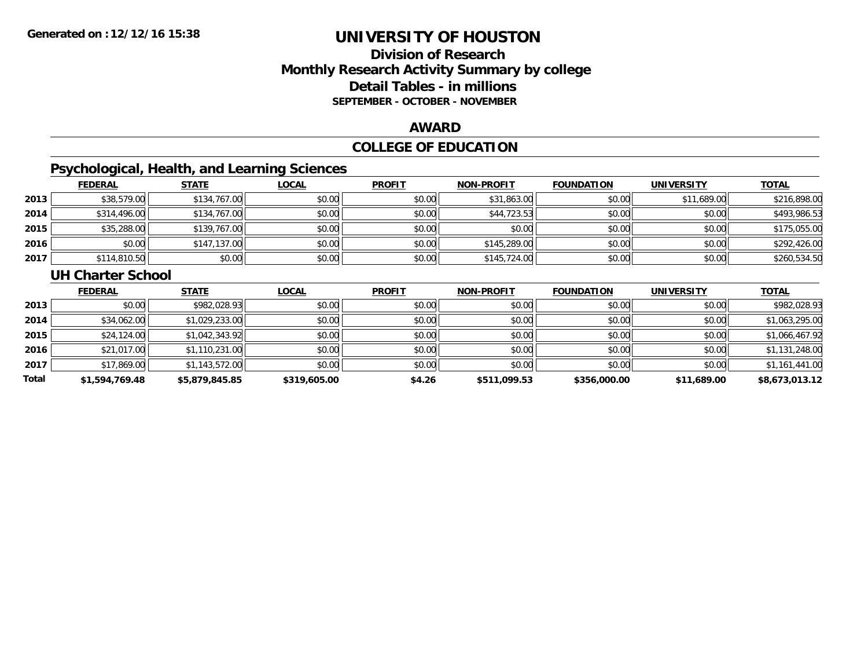## **Division of ResearchMonthly Research Activity Summary by college Detail Tables - in millions SEPTEMBER - OCTOBER - NOVEMBER**

#### **AWARD**

## **COLLEGE OF EDUCATION**

## **Psychological, Health, and Learning Sciences**

|      | <b>FEDERAL</b> | <b>STATE</b> | <b>LOCAL</b> | <b>PROFIT</b> | <b>NON-PROFIT</b> | <b>FOUNDATION</b> | <b>UNIVERSITY</b> | <b>TOTAL</b> |
|------|----------------|--------------|--------------|---------------|-------------------|-------------------|-------------------|--------------|
| 2013 | \$38,579.00    | \$134,767.00 | \$0.00       | \$0.00        | \$31,863.00       | \$0.00            | \$11,689.00       | \$216,898.00 |
| 2014 | \$314,496.00   | \$134,767.00 | \$0.00       | \$0.00        | \$44,723.53       | \$0.00            | \$0.00            | \$493,986.53 |
| 2015 | \$35,288.00    | \$139,767.00 | \$0.00       | \$0.00        | \$0.00            | \$0.00            | \$0.00            | \$175,055.00 |
| 2016 | \$0.00         | \$147,137.00 | \$0.00       | \$0.00        | \$145,289.00      | \$0.00            | \$0.00            | \$292,426.00 |
| 2017 | \$114,810.50   | \$0.00       | \$0.00       | \$0.00        | \$145,724.00      | \$0.00            | \$0.00            | \$260,534.50 |

#### **UH Charter School**

|       | <b>FEDERAL</b> | <b>STATE</b>   | <b>LOCAL</b> | <b>PROFIT</b> | <b>NON-PROFIT</b> | <b>FOUNDATION</b> | <b>UNIVERSITY</b> | <b>TOTAL</b>   |
|-------|----------------|----------------|--------------|---------------|-------------------|-------------------|-------------------|----------------|
| 2013  | \$0.00         | \$982,028.93   | \$0.00       | \$0.00        | \$0.00            | \$0.00            | \$0.00            | \$982,028.93   |
| 2014  | \$34,062.00    | \$1,029,233.00 | \$0.00       | \$0.00        | \$0.00            | \$0.00            | \$0.00            | \$1,063,295.00 |
| 2015  | \$24,124.00    | \$1,042,343.92 | \$0.00       | \$0.00        | \$0.00            | \$0.00            | \$0.00            | \$1,066,467.92 |
| 2016  | \$21,017.00    | \$1,110,231.00 | \$0.00       | \$0.00        | \$0.00            | \$0.00            | \$0.00            | \$1,131,248.00 |
| 2017  | \$17,869.00    | \$1,143,572.00 | \$0.00       | \$0.00        | \$0.00            | \$0.00            | \$0.00            | \$1,161,441.00 |
| Total | \$1,594,769.48 | \$5,879,845.85 | \$319,605.00 | \$4.26        | \$511,099.53      | \$356,000.00      | \$11,689.00       | \$8,673,013.12 |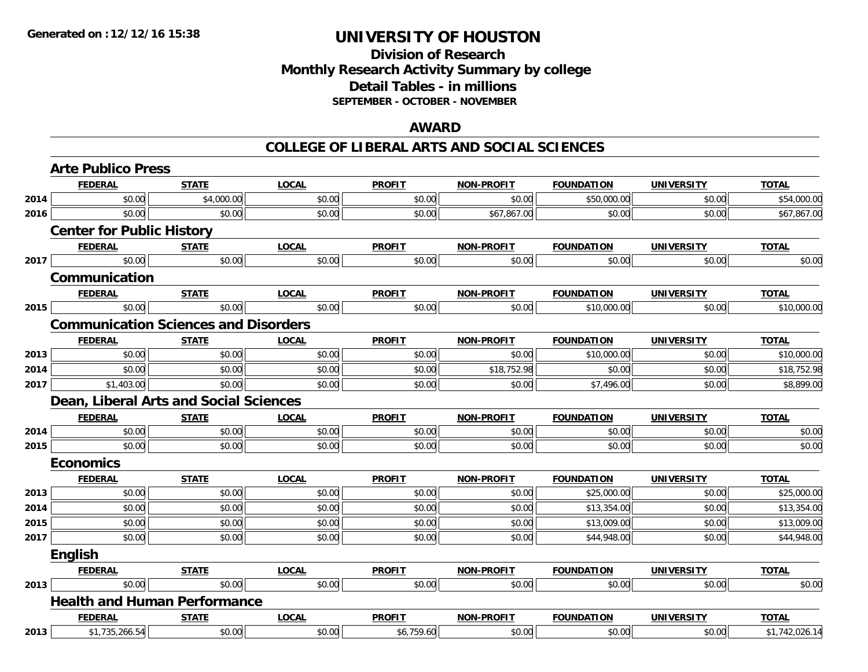## **Division of ResearchMonthly Research Activity Summary by college Detail Tables - in millions SEPTEMBER - OCTOBER - NOVEMBER**

### **AWARD**

|      | <b>Arte Publico Press</b>                   |              |              |               |                   |                   |                   |                |
|------|---------------------------------------------|--------------|--------------|---------------|-------------------|-------------------|-------------------|----------------|
|      | <b>FEDERAL</b>                              | <b>STATE</b> | <b>LOCAL</b> | <b>PROFIT</b> | <b>NON-PROFIT</b> | <b>FOUNDATION</b> | <b>UNIVERSITY</b> | <b>TOTAL</b>   |
| 2014 | \$0.00                                      | \$4,000.00   | \$0.00       | \$0.00        | \$0.00            | \$50,000.00       | \$0.00            | \$54,000.00    |
| 2016 | \$0.00                                      | \$0.00       | \$0.00       | \$0.00        | \$67,867.00       | \$0.00            | \$0.00            | \$67,867.00    |
|      | <b>Center for Public History</b>            |              |              |               |                   |                   |                   |                |
|      | <b>FEDERAL</b>                              | <b>STATE</b> | <b>LOCAL</b> | <b>PROFIT</b> | NON-PROFIT        | <b>FOUNDATION</b> | <b>UNIVERSITY</b> | <b>TOTAL</b>   |
| 2017 | \$0.00                                      | \$0.00       | \$0.00       | \$0.00        | \$0.00            | \$0.00            | \$0.00            | \$0.00         |
|      | Communication                               |              |              |               |                   |                   |                   |                |
|      | <b>FEDERAL</b>                              | <b>STATE</b> | <b>LOCAL</b> | <b>PROFIT</b> | <b>NON-PROFIT</b> | <b>FOUNDATION</b> | <b>UNIVERSITY</b> | <b>TOTAL</b>   |
| 2015 | \$0.00                                      | \$0.00       | \$0.00       | \$0.00        | \$0.00            | \$10,000.00       | \$0.00            | \$10,000.00    |
|      | <b>Communication Sciences and Disorders</b> |              |              |               |                   |                   |                   |                |
|      | <b>FEDERAL</b>                              | <b>STATE</b> | <b>LOCAL</b> | <b>PROFIT</b> | <b>NON-PROFIT</b> | <b>FOUNDATION</b> | <b>UNIVERSITY</b> | <b>TOTAL</b>   |
| 2013 | \$0.00                                      | \$0.00       | \$0.00       | \$0.00        | \$0.00            | \$10,000.00       | \$0.00            | \$10,000.00    |
| 2014 | \$0.00                                      | \$0.00       | \$0.00       | \$0.00        | \$18,752.98       | \$0.00            | \$0.00            | \$18,752.98    |
| 2017 | \$1,403.00                                  | \$0.00       | \$0.00       | \$0.00        | \$0.00            | \$7,496.00        | \$0.00            | \$8,899.00     |
|      | Dean, Liberal Arts and Social Sciences      |              |              |               |                   |                   |                   |                |
|      | <b>FEDERAL</b>                              | <b>STATE</b> | <b>LOCAL</b> | <b>PROFIT</b> | <b>NON-PROFIT</b> | <b>FOUNDATION</b> | <b>UNIVERSITY</b> | <b>TOTAL</b>   |
| 2014 | \$0.00                                      | \$0.00       | \$0.00       | \$0.00        | \$0.00            | \$0.00            | \$0.00            | \$0.00         |
| 2015 | \$0.00                                      | \$0.00       | \$0.00       | \$0.00        | \$0.00            | \$0.00            | \$0.00            | \$0.00         |
|      | <b>Economics</b>                            |              |              |               |                   |                   |                   |                |
|      | <b>FEDERAL</b>                              | <b>STATE</b> | <b>LOCAL</b> | <b>PROFIT</b> | <b>NON-PROFIT</b> | <b>FOUNDATION</b> | <b>UNIVERSITY</b> | <b>TOTAL</b>   |
| 2013 | \$0.00                                      | \$0.00       | \$0.00       | \$0.00        | \$0.00            | \$25,000.00       | \$0.00            | \$25,000.00    |
| 2014 | \$0.00                                      | \$0.00       | \$0.00       | \$0.00        | \$0.00            | \$13,354.00       | \$0.00            | \$13,354.00    |
| 2015 | \$0.00                                      | \$0.00       | \$0.00       | \$0.00        | \$0.00            | \$13,009.00       | \$0.00            | \$13,009.00    |
| 2017 | \$0.00                                      | \$0.00       | \$0.00       | \$0.00        | \$0.00            | \$44,948.00       | \$0.00            | \$44,948.00    |
|      | <b>English</b>                              |              |              |               |                   |                   |                   |                |
|      | <b>FEDERAL</b>                              | <b>STATE</b> | <b>LOCAL</b> | <b>PROFIT</b> | <b>NON-PROFIT</b> | <b>FOUNDATION</b> | <b>UNIVERSITY</b> | <b>TOTAL</b>   |
| 2013 | \$0.00                                      | \$0.00       | \$0.00       | \$0.00        | \$0.00            | \$0.00            | \$0.00            | \$0.00         |
|      | <b>Health and Human Performance</b>         |              |              |               |                   |                   |                   |                |
|      | <b>FEDERAL</b>                              | <b>STATE</b> | <b>LOCAL</b> | <b>PROFIT</b> | <b>NON-PROFIT</b> | <b>FOUNDATION</b> | <b>UNIVERSITY</b> | <b>TOTAL</b>   |
| 2013 | \$1,735,266.54                              | \$0.00       | \$0.00       | \$6,759.60    | \$0.00            | \$0.00            | \$0.00            | \$1,742,026.14 |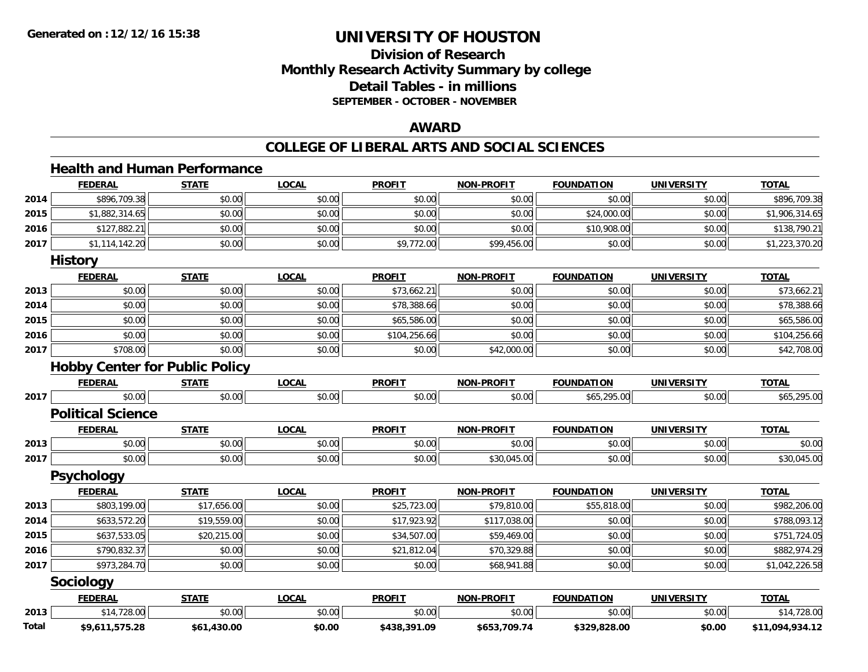## **Division of ResearchMonthly Research Activity Summary by college Detail Tables - in millions SEPTEMBER - OCTOBER - NOVEMBER**

### **AWARD**

#### **COLLEGE OF LIBERAL ARTS AND SOCIAL SCIENCES**

#### **Health and Human Performance**

|       | <b>FEDERAL</b>           | <b>STATE</b>                          | <b>LOCAL</b> | <b>PROFIT</b> | <b>NON-PROFIT</b> | <b>FOUNDATION</b> | <b>UNIVERSITY</b> | <b>TOTAL</b>    |
|-------|--------------------------|---------------------------------------|--------------|---------------|-------------------|-------------------|-------------------|-----------------|
| 2014  | \$896,709.38             | \$0.00                                | \$0.00       | \$0.00        | \$0.00            | \$0.00            | \$0.00            | \$896,709.38    |
| 2015  | \$1,882,314.65           | \$0.00                                | \$0.00       | \$0.00        | \$0.00            | \$24,000.00       | \$0.00            | \$1,906,314.65  |
| 2016  | \$127,882.21             | \$0.00                                | \$0.00       | \$0.00        | \$0.00            | \$10,908.00       | \$0.00            | \$138,790.21    |
| 2017  | \$1,114,142.20           | \$0.00                                | \$0.00       | \$9,772.00    | \$99,456.00       | \$0.00            | \$0.00            | \$1,223,370.20  |
|       | <b>History</b>           |                                       |              |               |                   |                   |                   |                 |
|       | <b>FEDERAL</b>           | <b>STATE</b>                          | <b>LOCAL</b> | <b>PROFIT</b> | <b>NON-PROFIT</b> | <b>FOUNDATION</b> | <b>UNIVERSITY</b> | <b>TOTAL</b>    |
| 2013  | \$0.00                   | \$0.00                                | \$0.00       | \$73,662.21   | \$0.00            | \$0.00            | \$0.00            | \$73,662.21     |
| 2014  | \$0.00                   | \$0.00                                | \$0.00       | \$78,388.66   | \$0.00            | \$0.00            | \$0.00            | \$78,388.66     |
| 2015  | \$0.00                   | \$0.00                                | \$0.00       | \$65,586.00   | \$0.00            | \$0.00            | \$0.00            | \$65,586.00     |
| 2016  | \$0.00                   | \$0.00                                | \$0.00       | \$104,256.66  | \$0.00            | \$0.00            | \$0.00            | \$104,256.66    |
| 2017  | \$708.00                 | \$0.00                                | \$0.00       | \$0.00        | \$42,000.00       | \$0.00            | \$0.00            | \$42,708.00     |
|       |                          | <b>Hobby Center for Public Policy</b> |              |               |                   |                   |                   |                 |
|       | <b>FEDERAL</b>           | <b>STATE</b>                          | <b>LOCAL</b> | <b>PROFIT</b> | <b>NON-PROFIT</b> | <b>FOUNDATION</b> | <b>UNIVERSITY</b> | <b>TOTAL</b>    |
| 2017  | \$0.00                   | \$0.00                                | \$0.00       | \$0.00        | \$0.00            | \$65,295.00       | \$0.00            | \$65,295.00     |
|       | <b>Political Science</b> |                                       |              |               |                   |                   |                   |                 |
|       | <b>FEDERAL</b>           | <b>STATE</b>                          | <b>LOCAL</b> | <b>PROFIT</b> | <b>NON-PROFIT</b> | <b>FOUNDATION</b> | <b>UNIVERSITY</b> | <b>TOTAL</b>    |
| 2013  | \$0.00                   | \$0.00                                | \$0.00       | \$0.00        | \$0.00            | \$0.00            | \$0.00            | \$0.00          |
| 2017  | \$0.00                   | \$0.00                                | \$0.00       | \$0.00        | \$30,045.00       | \$0.00            | \$0.00            | \$30,045.00     |
|       | <b>Psychology</b>        |                                       |              |               |                   |                   |                   |                 |
|       | <b>FEDERAL</b>           | <b>STATE</b>                          | <b>LOCAL</b> | <b>PROFIT</b> | <b>NON-PROFIT</b> | <b>FOUNDATION</b> | <b>UNIVERSITY</b> | <b>TOTAL</b>    |
| 2013  | \$803,199.00             | \$17,656.00                           | \$0.00       | \$25,723.00   | \$79,810.00       | \$55,818.00       | \$0.00            | \$982,206.00    |
| 2014  | \$633,572.20             | \$19,559.00                           | \$0.00       | \$17,923.92   | \$117,038.00      | \$0.00            | \$0.00            | \$788,093.12    |
| 2015  | \$637,533.05             | \$20,215.00                           | \$0.00       | \$34,507.00   | \$59,469.00       | \$0.00            | \$0.00            | \$751,724.05    |
| 2016  | \$790,832.37             | \$0.00                                | \$0.00       | \$21,812.04   | \$70,329.88       | \$0.00            | \$0.00            | \$882,974.29    |
| 2017  | \$973,284.70             | \$0.00                                | \$0.00       | \$0.00        | \$68,941.88       | \$0.00            | \$0.00            | \$1,042,226.58  |
|       | Sociology                |                                       |              |               |                   |                   |                   |                 |
|       | <b>FEDERAL</b>           | <b>STATE</b>                          | <b>LOCAL</b> | <b>PROFIT</b> | <b>NON-PROFIT</b> | <b>FOUNDATION</b> | <b>UNIVERSITY</b> | <b>TOTAL</b>    |
| 2013  | \$14,728.00              | \$0.00                                | \$0.00       | \$0.00        | \$0.00            | \$0.00            | \$0.00            | \$14,728.00     |
| Total | \$9,611,575.28           | \$61,430.00                           | \$0.00       | \$438,391.09  | \$653,709.74      | \$329,828.00      | \$0.00            | \$11,094,934.12 |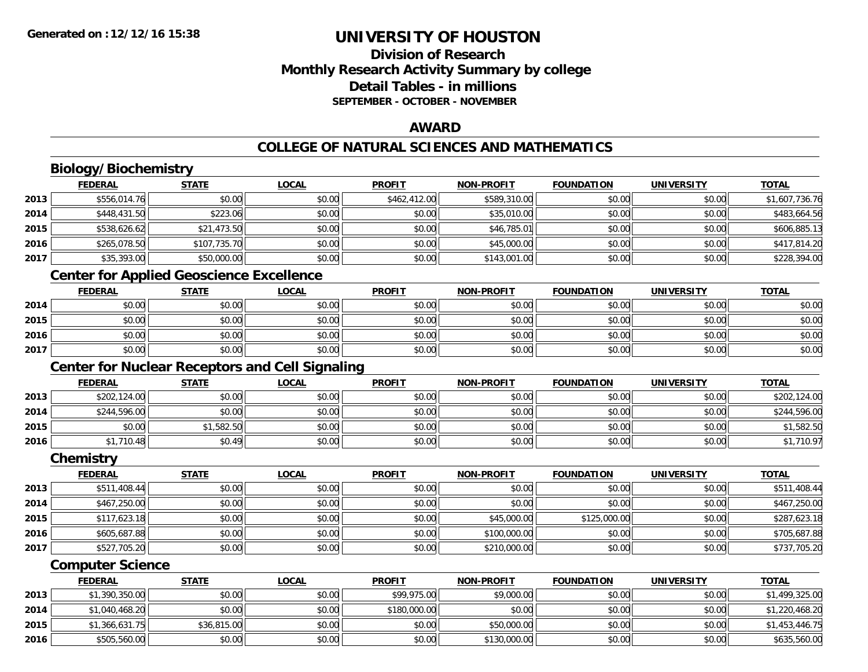## **Division of ResearchMonthly Research Activity Summary by college Detail Tables - in millionsSEPTEMBER - OCTOBER - NOVEMBER**

### **AWARD**

## **COLLEGE OF NATURAL SCIENCES AND MATHEMATICS**

## **Biology/Biochemistry**

|      | <b>FEDERAL</b>                               | <b>STATE</b> | <u>LOCAL</u> | <b>PROFIT</b> | <b>NON-PROFIT</b> | <b>FOUNDATION</b> | <b>UNIVERSITY</b> | <b>TOTAL</b>   |
|------|----------------------------------------------|--------------|--------------|---------------|-------------------|-------------------|-------------------|----------------|
| 2013 | \$556,014.76                                 | \$0.00       | \$0.00       | \$462,412.00  | \$589,310.00      | \$0.00            | \$0.00            | \$1,607,736.76 |
| 2014 | \$448,431.50                                 | \$223.06     | \$0.00       | \$0.00        | \$35,010.00       | \$0.00            | \$0.00            | \$483,664.56   |
| 2015 | \$538,626.62                                 | \$21,473.50  | \$0.00       | \$0.00        | \$46,785.01       | \$0.00            | \$0.00            | \$606,885.13   |
| 2016 | \$265,078.50                                 | \$107,735,70 | \$0.00       | \$0.00        | \$45,000.00       | \$0.00            | \$0.00            | \$417,814.20   |
| 2017 | \$35,393.00                                  | \$50,000.00  | \$0.00       | \$0.00        | \$143,001.00      | \$0.00            | \$0.00            | \$228,394.00   |
|      | $\sim$ $\sim$ $\sim$<br>$\sim$ $\sim$ $\sim$ | .            | .            |               |                   |                   |                   |                |

#### **Center for Applied Geoscience Excellence**

|      | <b>FEDERAL</b> | STATE  | <b>LOCAL</b> | <b>PROFIT</b> | <b>NON-PROFIT</b> | <b>FOUNDATION</b> | UNIVERSITY | <b>TOTAL</b> |
|------|----------------|--------|--------------|---------------|-------------------|-------------------|------------|--------------|
| 2014 | \$0.00         | \$0.00 | \$0.00       | \$0.00        | \$0.00            | \$0.00            | \$0.00     | \$0.00       |
| 2015 | \$0.00         | \$0.00 | \$0.00       | \$0.00        | \$0.00            | \$0.00            | \$0.00     | \$0.00       |
| 2016 | \$0.00         | \$0.00 | \$0.00       | \$0.00        | \$0.00            | \$0.00            | \$0.00     | \$0.00       |
| 2017 | \$0.00         | \$0.00 | \$0.00       | \$0.00        | \$0.00            | \$0.00            | \$0.00     | \$0.00       |

## **Center for Nuclear Receptors and Cell Signaling**

|      | <u>FEDERAL</u> | <b>STATE</b> | <u>LOCAL</u> | <b>PROFIT</b> | <b>NON-PROFIT</b> | <b>FOUNDATION</b> | <b>UNIVERSITY</b> | <b>TOTAL</b> |
|------|----------------|--------------|--------------|---------------|-------------------|-------------------|-------------------|--------------|
| 2013 | \$202,124.00   | \$0.00       | \$0.00       | \$0.00        | \$0.00            | \$0.00            | \$0.00            | \$202,124.00 |
| 2014 | \$244,596.00   | \$0.00       | \$0.00       | \$0.00        | \$0.00            | \$0.00            | \$0.00            | \$244,596.00 |
| 2015 | \$0.00         | \$1,582.50   | \$0.00       | \$0.00        | \$0.00            | \$0.00            | \$0.00            | \$1,582.50   |
| 2016 | \$1,710.48     | \$0.49       | \$0.00       | \$0.00        | \$0.00            | \$0.00            | \$0.00            | \$1,710.97   |

#### **Chemistry**

|      | <b>FEDERAL</b> | <b>STATE</b> | <u>LOCAL</u> | <b>PROFIT</b> | <b>NON-PROFIT</b> | <b>FOUNDATION</b> | <b>UNIVERSITY</b> | <b>TOTAL</b> |
|------|----------------|--------------|--------------|---------------|-------------------|-------------------|-------------------|--------------|
| 2013 | \$511,408.44   | \$0.00       | \$0.00       | \$0.00        | \$0.00            | \$0.00            | \$0.00            | \$511,408.44 |
| 2014 | \$467,250.00   | \$0.00       | \$0.00       | \$0.00        | \$0.00            | \$0.00            | \$0.00            | \$467,250.00 |
| 2015 | \$117,623.18   | \$0.00       | \$0.00       | \$0.00        | \$45,000.00       | \$125,000.00      | \$0.00            | \$287,623.18 |
| 2016 | \$605,687.88   | \$0.00       | \$0.00       | \$0.00        | \$100,000.00      | \$0.00            | \$0.00            | \$705,687.88 |
| 2017 | \$527,705.20   | \$0.00       | \$0.00       | \$0.00        | \$210,000.00      | \$0.00            | \$0.00            | \$737,705.20 |

### **Computer Science**

|      | <b>FEDERAL</b> | <b>STATE</b> | <u>LOCAL</u> | <b>PROFIT</b> | <b>NON-PROFIT</b> | <b>FOUNDATION</b> | UNIVERSITY | <b>TOTAL</b>   |
|------|----------------|--------------|--------------|---------------|-------------------|-------------------|------------|----------------|
| 2013 | \$1,390,350.00 | \$0.00       | \$0.00       | \$99,975.00   | \$9,000.00        | \$0.00            | \$0.00     | \$1,499,325.00 |
| 2014 | \$1,040,468.20 | \$0.00       | \$0.00       | \$180,000.00  | \$0.00            | \$0.00            | \$0.00     | \$1,220,468.20 |
| 2015 | \$1,366,631.75 | \$36,815.00  | \$0.00       | \$0.00        | \$50,000.00       | \$0.00            | \$0.00     | \$1,453,446.75 |
| 2016 | \$505,560.00   | \$0.00       | \$0.00       | \$0.00        | \$130,000.00      | \$0.00            | \$0.00     | \$635,560.00   |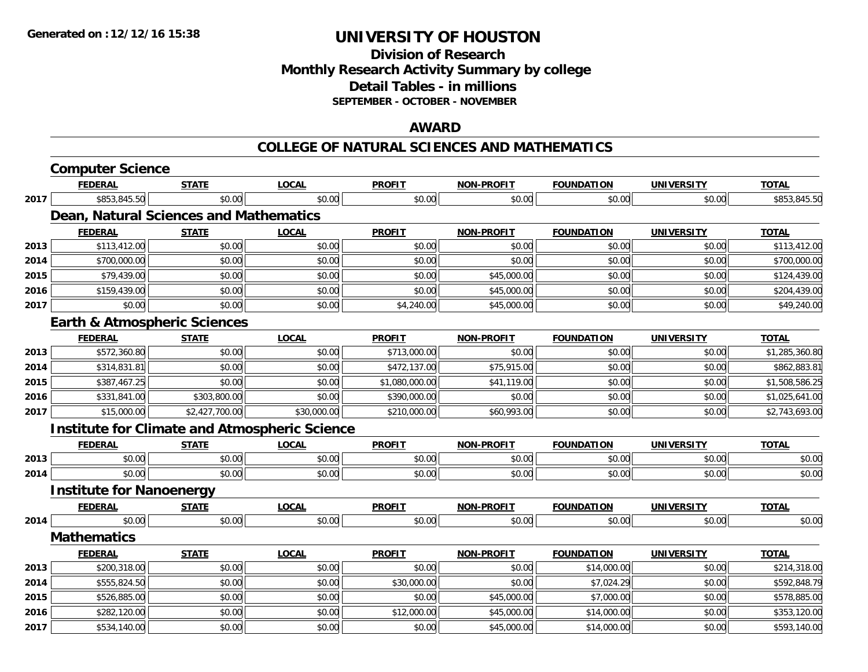## **Division of ResearchMonthly Research Activity Summary by college Detail Tables - in millions SEPTEMBER - OCTOBER - NOVEMBER**

### **AWARD**

#### **COLLEGE OF NATURAL SCIENCES AND MATHEMATICS**

|      | <b>Computer Science</b>                              |                |              |                |                   |                   |                   |                |
|------|------------------------------------------------------|----------------|--------------|----------------|-------------------|-------------------|-------------------|----------------|
|      | <b>FEDERAL</b>                                       | <b>STATE</b>   | <b>LOCAL</b> | <b>PROFIT</b>  | <b>NON-PROFIT</b> | <b>FOUNDATION</b> | <b>UNIVERSITY</b> | <b>TOTAL</b>   |
| 2017 | \$853,845.50                                         | \$0.00         | \$0.00       | \$0.00         | \$0.00            | \$0.00            | \$0.00            | \$853,845.50   |
|      | Dean, Natural Sciences and Mathematics               |                |              |                |                   |                   |                   |                |
|      | <b>FEDERAL</b>                                       | <b>STATE</b>   | <b>LOCAL</b> | <b>PROFIT</b>  | <b>NON-PROFIT</b> | <b>FOUNDATION</b> | <b>UNIVERSITY</b> | <b>TOTAL</b>   |
| 2013 | \$113,412.00                                         | \$0.00         | \$0.00       | \$0.00         | \$0.00            | \$0.00            | \$0.00            | \$113,412.00   |
| 2014 | \$700,000.00                                         | \$0.00         | \$0.00       | \$0.00         | \$0.00            | \$0.00            | \$0.00            | \$700,000.00   |
| 2015 | \$79,439.00                                          | \$0.00         | \$0.00       | \$0.00         | \$45,000.00       | \$0.00            | \$0.00            | \$124,439.00   |
| 2016 | \$159,439.00                                         | \$0.00         | \$0.00       | \$0.00         | \$45,000.00       | \$0.00            | \$0.00            | \$204,439.00   |
| 2017 | \$0.00                                               | \$0.00         | \$0.00       | \$4,240.00     | \$45,000.00       | \$0.00            | \$0.00            | \$49,240.00    |
|      | <b>Earth &amp; Atmospheric Sciences</b>              |                |              |                |                   |                   |                   |                |
|      | <b>FEDERAL</b>                                       | <b>STATE</b>   | <b>LOCAL</b> | <b>PROFIT</b>  | <b>NON-PROFIT</b> | <b>FOUNDATION</b> | <b>UNIVERSITY</b> | <b>TOTAL</b>   |
| 2013 | \$572,360.80                                         | \$0.00         | \$0.00       | \$713,000.00   | \$0.00            | \$0.00            | \$0.00            | \$1,285,360.80 |
| 2014 | \$314,831.81                                         | \$0.00         | \$0.00       | \$472,137.00   | \$75,915.00       | \$0.00            | \$0.00            | \$862,883.81   |
| 2015 | \$387,467.25                                         | \$0.00         | \$0.00       | \$1,080,000.00 | \$41,119.00       | \$0.00            | \$0.00            | \$1,508,586.25 |
| 2016 | \$331,841.00                                         | \$303,800.00   | \$0.00       | \$390,000.00   | \$0.00            | \$0.00            | \$0.00            | \$1,025,641.00 |
| 2017 | \$15,000.00                                          | \$2,427,700.00 | \$30,000.00  | \$210,000.00   | \$60,993.00       | \$0.00            | \$0.00            | \$2,743,693.00 |
|      | <b>Institute for Climate and Atmospheric Science</b> |                |              |                |                   |                   |                   |                |
|      | <b>FEDERAL</b>                                       | <b>STATE</b>   | <b>LOCAL</b> | <b>PROFIT</b>  | <b>NON-PROFIT</b> | <b>FOUNDATION</b> | <b>UNIVERSITY</b> | <b>TOTAL</b>   |
| 2013 | \$0.00                                               | \$0.00         | \$0.00       | \$0.00         | \$0.00            | \$0.00            | \$0.00            | \$0.00         |
| 2014 | \$0.00                                               | \$0.00         | \$0.00       | \$0.00         | \$0.00            | \$0.00            | \$0.00            | \$0.00         |
|      | <b>Institute for Nanoenergy</b>                      |                |              |                |                   |                   |                   |                |
|      | <b>FEDERAL</b>                                       | <b>STATE</b>   | <b>LOCAL</b> | <b>PROFIT</b>  | <b>NON-PROFIT</b> | <b>FOUNDATION</b> | <b>UNIVERSITY</b> | <b>TOTAL</b>   |
| 2014 | \$0.00                                               | \$0.00         | \$0.00       | \$0.00         | \$0.00            | \$0.00            | \$0.00            | \$0.00         |
|      | <b>Mathematics</b>                                   |                |              |                |                   |                   |                   |                |
|      | <b>FEDERAL</b>                                       | <b>STATE</b>   | <b>LOCAL</b> | <b>PROFIT</b>  | <b>NON-PROFIT</b> | <b>FOUNDATION</b> | <b>UNIVERSITY</b> | <b>TOTAL</b>   |
| 2013 | \$200,318.00                                         | \$0.00         | \$0.00       | \$0.00         | \$0.00            | \$14,000.00       | \$0.00            | \$214,318.00   |
| 2014 | \$555,824.50                                         | \$0.00         | \$0.00       | \$30,000.00    | \$0.00            | \$7,024.29        | \$0.00            | \$592,848.79   |
| 2015 | \$526,885.00                                         | \$0.00         | \$0.00       | \$0.00         | \$45,000.00       | \$7,000.00        | \$0.00            | \$578,885.00   |
| 2016 | \$282,120.00                                         | \$0.00         | \$0.00       | \$12,000.00    | \$45,000.00       | \$14,000.00       | \$0.00            | \$353,120.00   |
| 2017 | \$534,140.00                                         | \$0.00         | \$0.00       | \$0.00         | \$45,000.00       | \$14,000.00       | \$0.00            | \$593,140.00   |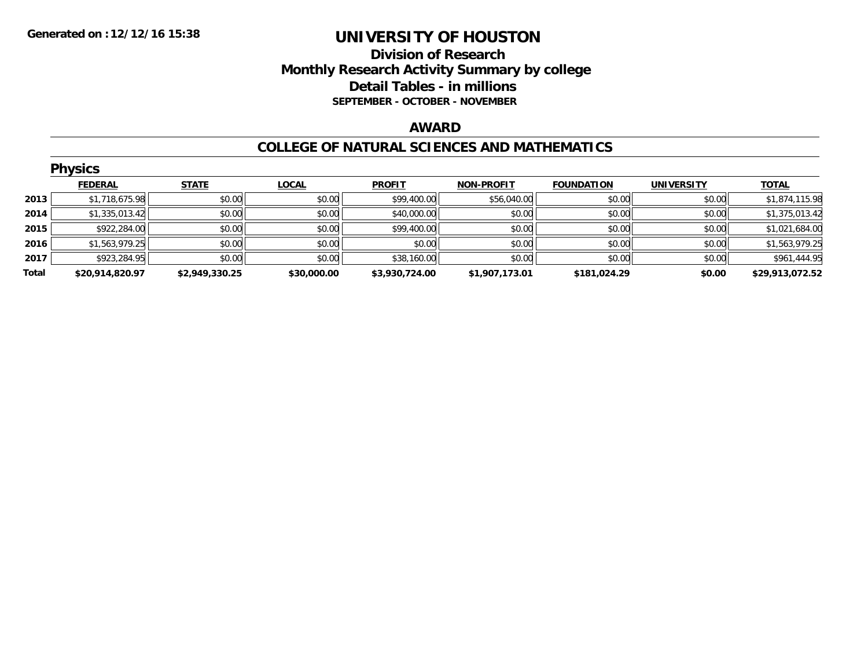## **Division of Research Monthly Research Activity Summary by college Detail Tables - in millions SEPTEMBER - OCTOBER - NOVEMBER**

#### **AWARD**

#### **COLLEGE OF NATURAL SCIENCES AND MATHEMATICS**

| <b>Physics</b> |                 |                |              |                |                   |                   |                   |                 |  |  |
|----------------|-----------------|----------------|--------------|----------------|-------------------|-------------------|-------------------|-----------------|--|--|
|                | <b>FEDERAL</b>  | <b>STATE</b>   | <b>LOCAL</b> | <b>PROFIT</b>  | <b>NON-PROFIT</b> | <b>FOUNDATION</b> | <b>UNIVERSITY</b> | <b>TOTAL</b>    |  |  |
| 2013           | \$1,718,675.98  | \$0.00         | \$0.00       | \$99,400.00    | \$56,040.00       | \$0.00            | \$0.00            | \$1,874,115.98  |  |  |
| 2014           | \$1,335,013.42  | \$0.00         | \$0.00       | \$40,000.00    | \$0.00            | \$0.00            | \$0.00            | \$1,375,013.42  |  |  |
| 2015           | \$922,284.00    | \$0.00         | \$0.00       | \$99,400.00    | \$0.00            | \$0.00            | \$0.00            | \$1,021,684.00  |  |  |
| 2016           | \$1,563,979.25  | \$0.00         | \$0.00       | \$0.00         | \$0.00            | \$0.00            | \$0.00            | \$1,563,979.25  |  |  |
| 2017           | \$923,284.95    | \$0.00         | \$0.00       | \$38,160.00    | \$0.00            | \$0.00            | \$0.00            | \$961,444.95    |  |  |
| Total          | \$20,914,820.97 | \$2,949,330.25 | \$30,000.00  | \$3,930,724.00 | \$1,907,173.01    | \$181,024.29      | \$0.00            | \$29,913,072.52 |  |  |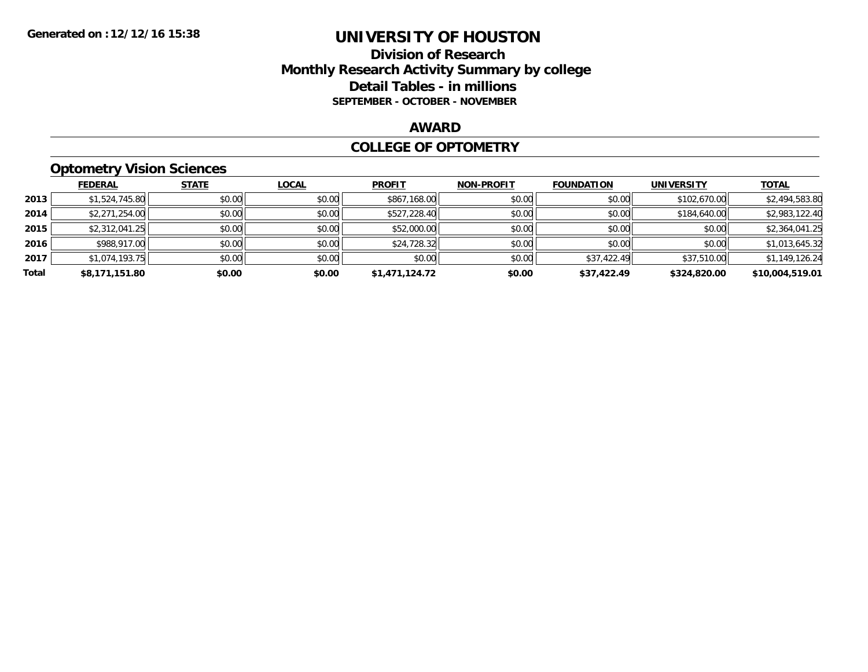### **Division of Research Monthly Research Activity Summary by college Detail Tables - in millions SEPTEMBER - OCTOBER - NOVEMBER**

#### **AWARD**

#### **COLLEGE OF OPTOMETRY**

## **Optometry Vision Sciences**

|       | <b>FEDERAL</b> | <b>STATE</b> | <b>LOCAL</b> | <b>PROFIT</b>  | <b>NON-PROFIT</b> | <b>FOUNDATION</b> | <b>UNIVERSITY</b> | <u>TOTAL</u>    |
|-------|----------------|--------------|--------------|----------------|-------------------|-------------------|-------------------|-----------------|
| 2013  | \$1,524,745.80 | \$0.00       | \$0.00       | \$867,168.00   | \$0.00            | \$0.00            | \$102,670.00      | \$2,494,583.80  |
| 2014  | \$2,271,254.00 | \$0.00       | \$0.00       | \$527,228.40   | \$0.00            | \$0.00            | \$184,640.00      | \$2,983,122.40  |
| 2015  | \$2,312,041.25 | \$0.00       | \$0.00       | \$52,000.00    | \$0.00            | \$0.00            | \$0.00            | \$2,364,041.25  |
| 2016  | \$988,917.00   | \$0.00       | \$0.00       | \$24,728.32    | \$0.00            | \$0.00            | \$0.00            | \$1,013,645.32  |
| 2017  | \$1.074.193.75 | \$0.00       | \$0.00       | \$0.00         | \$0.00            | \$37,422.49       | \$37,510.00       | \$1,149,126.24  |
| Total | \$8,171,151.80 | \$0.00       | \$0.00       | \$1,471,124.72 | \$0.00            | \$37,422.49       | \$324,820.00      | \$10,004,519.01 |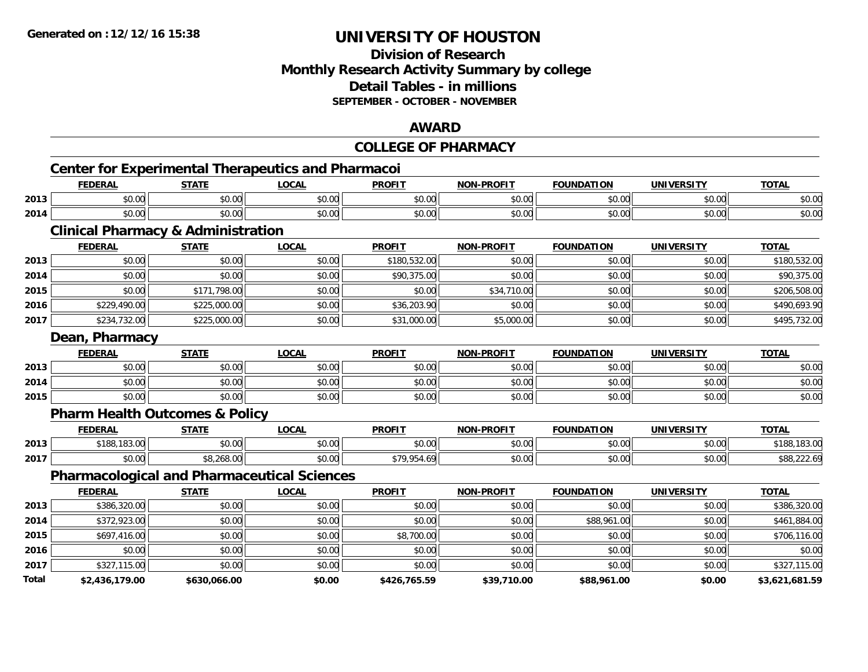### **Division of Research Monthly Research Activity Summary by college Detail Tables - in millions SEPTEMBER - OCTOBER - NOVEMBER**

### **AWARD**

|       |                                               |              |                                                           | <b>COLLEGE OF PHARMACY</b> |                   |                   |                   |                |
|-------|-----------------------------------------------|--------------|-----------------------------------------------------------|----------------------------|-------------------|-------------------|-------------------|----------------|
|       |                                               |              | <b>Center for Experimental Therapeutics and Pharmacoi</b> |                            |                   |                   |                   |                |
|       | <b>FEDERAL</b>                                | <b>STATE</b> | <b>LOCAL</b>                                              | <b>PROFIT</b>              | <b>NON-PROFIT</b> | <b>FOUNDATION</b> | <b>UNIVERSITY</b> | <b>TOTAL</b>   |
| 2013  | \$0.00                                        | \$0.00       | \$0.00                                                    | \$0.00                     | \$0.00            | \$0.00            | \$0.00            | \$0.00         |
| 2014  | \$0.00                                        | \$0.00       | \$0.00                                                    | \$0.00                     | \$0.00            | \$0.00            | \$0.00            | \$0.00         |
|       | <b>Clinical Pharmacy &amp; Administration</b> |              |                                                           |                            |                   |                   |                   |                |
|       | <b>FEDERAL</b>                                | <b>STATE</b> | <b>LOCAL</b>                                              | <b>PROFIT</b>              | <b>NON-PROFIT</b> | <b>FOUNDATION</b> | <b>UNIVERSITY</b> | <b>TOTAL</b>   |
| 2013  | \$0.00                                        | \$0.00       | \$0.00                                                    | \$180,532.00               | \$0.00            | \$0.00            | \$0.00            | \$180,532.00   |
| 2014  | \$0.00                                        | \$0.00       | \$0.00                                                    | \$90,375.00                | \$0.00            | \$0.00            | \$0.00            | \$90,375.00    |
| 2015  | \$0.00                                        | \$171,798.00 | \$0.00                                                    | \$0.00                     | \$34,710.00       | \$0.00            | \$0.00            | \$206,508.00   |
| 2016  | \$229,490.00                                  | \$225,000.00 | \$0.00                                                    | \$36,203.90                | \$0.00            | \$0.00            | \$0.00            | \$490,693.90   |
| 2017  | \$234,732.00                                  | \$225,000.00 | \$0.00                                                    | \$31,000.00                | \$5,000.00        | \$0.00            | \$0.00            | \$495,732.00   |
|       | Dean, Pharmacy                                |              |                                                           |                            |                   |                   |                   |                |
|       | <b>FEDERAL</b>                                | <b>STATE</b> | <b>LOCAL</b>                                              | <b>PROFIT</b>              | <b>NON-PROFIT</b> | <b>FOUNDATION</b> | <b>UNIVERSITY</b> | <b>TOTAL</b>   |
| 2013  | \$0.00                                        | \$0.00       | \$0.00                                                    | \$0.00                     | \$0.00            | \$0.00            | \$0.00            | \$0.00         |
| 2014  | \$0.00                                        | \$0.00       | \$0.00                                                    | \$0.00                     | \$0.00            | \$0.00            | \$0.00            | \$0.00         |
| 2015  | \$0.00                                        | \$0.00       | \$0.00                                                    | \$0.00                     | \$0.00            | \$0.00            | \$0.00            | \$0.00         |
|       | <b>Pharm Health Outcomes &amp; Policy</b>     |              |                                                           |                            |                   |                   |                   |                |
|       | <b>FEDERAL</b>                                | <b>STATE</b> | <b>LOCAL</b>                                              | <b>PROFIT</b>              | <b>NON-PROFIT</b> | <b>FOUNDATION</b> | <b>UNIVERSITY</b> | <b>TOTAL</b>   |
| 2013  | \$188,183.00                                  | \$0.00       | \$0.00                                                    | \$0.00                     | \$0.00            | \$0.00            | \$0.00            | \$188,183.00   |
| 2017  | \$0.00                                        | \$8,268.00   | \$0.00                                                    | \$79,954.69                | \$0.00            | \$0.00            | \$0.00            | \$88,222.69    |
|       |                                               |              | <b>Pharmacological and Pharmaceutical Sciences</b>        |                            |                   |                   |                   |                |
|       | <b>FEDERAL</b>                                | <b>STATE</b> | <b>LOCAL</b>                                              | <b>PROFIT</b>              | <b>NON-PROFIT</b> | <b>FOUNDATION</b> | <b>UNIVERSITY</b> | <b>TOTAL</b>   |
| 2013  | \$386,320.00                                  | \$0.00       | \$0.00                                                    | \$0.00                     | \$0.00            | \$0.00            | \$0.00            | \$386,320.00   |
| 2014  | \$372,923.00                                  | \$0.00       | \$0.00                                                    | \$0.00                     | \$0.00            | \$88,961.00       | \$0.00            | \$461,884.00   |
| 2015  | \$697,416.00                                  | \$0.00       | \$0.00                                                    | \$8,700.00                 | \$0.00            | \$0.00            | \$0.00            | \$706,116.00   |
| 2016  | \$0.00                                        | \$0.00       | \$0.00                                                    | \$0.00                     | \$0.00            | \$0.00            | \$0.00            | \$0.00         |
| 2017  | \$327,115.00                                  | \$0.00       | \$0.00                                                    | \$0.00                     | \$0.00            | \$0.00            | \$0.00            | \$327,115.00   |
| Total | \$2.436.179.00                                | \$630.066.00 | \$0.00                                                    | \$426.765.59               | \$39.710.00       | \$88.961.00       | \$0.00            | \$3.621.681.59 |

**\$2,436,179.00 \$630,066.00 \$0.00 \$426,765.59 \$39,710.00 \$88,961.00 \$0.00 \$3,621,681.59**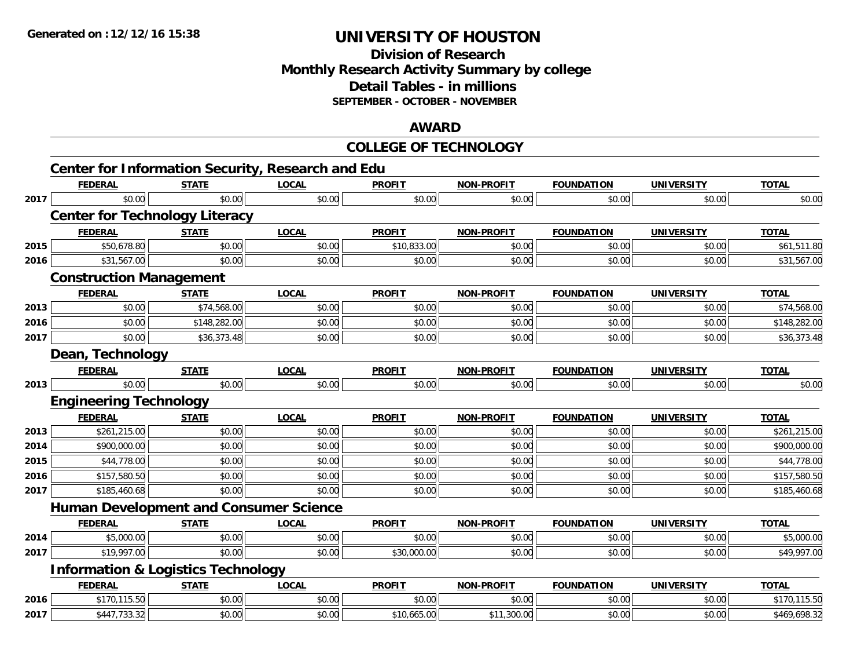**2017**

# **UNIVERSITY OF HOUSTON**

## **Division of ResearchMonthly Research Activity Summary by college Detail Tables - in millions SEPTEMBER - OCTOBER - NOVEMBER**

### **AWARD**

|      |                                                          |              |              | <b>COLLEGE OF TECHNOLOGY</b> |                   |                   |                   |              |
|------|----------------------------------------------------------|--------------|--------------|------------------------------|-------------------|-------------------|-------------------|--------------|
|      | <b>Center for Information Security, Research and Edu</b> |              |              |                              |                   |                   |                   |              |
|      | <b>FEDERAL</b>                                           | <b>STATE</b> | <b>LOCAL</b> | <b>PROFIT</b>                | <b>NON-PROFIT</b> | <b>FOUNDATION</b> | <b>UNIVERSITY</b> | <b>TOTAL</b> |
| 2017 | \$0.00                                                   | \$0.00       | \$0.00       | \$0.00                       | \$0.00            | \$0.00            | \$0.00            | \$0.00       |
|      | <b>Center for Technology Literacy</b>                    |              |              |                              |                   |                   |                   |              |
|      | <b>FEDERAL</b>                                           | <b>STATE</b> | <b>LOCAL</b> | <b>PROFIT</b>                | <b>NON-PROFIT</b> | <b>FOUNDATION</b> | <b>UNIVERSITY</b> | <b>TOTAL</b> |
| 2015 | \$50,678.80                                              | \$0.00       | \$0.00       | \$10,833.00                  | \$0.00            | \$0.00            | \$0.00            | \$61,511.80  |
| 2016 | \$31,567.00                                              | \$0.00       | \$0.00       | \$0.00                       | \$0.00            | \$0.00            | \$0.00            | \$31,567.00  |
|      | <b>Construction Management</b>                           |              |              |                              |                   |                   |                   |              |
|      | <b>FEDERAL</b>                                           | <b>STATE</b> | <b>LOCAL</b> | <b>PROFIT</b>                | <b>NON-PROFIT</b> | <b>FOUNDATION</b> | <b>UNIVERSITY</b> | <b>TOTAL</b> |
| 2013 | \$0.00                                                   | \$74,568.00  | \$0.00       | \$0.00                       | \$0.00            | \$0.00            | \$0.00            | \$74,568.00  |
| 2016 | \$0.00                                                   | \$148,282.00 | \$0.00       | \$0.00                       | \$0.00            | \$0.00            | \$0.00            | \$148,282.00 |
| 2017 | \$0.00                                                   | \$36,373.48  | \$0.00       | \$0.00                       | \$0.00            | \$0.00            | \$0.00            | \$36,373.48  |
|      | Dean, Technology                                         |              |              |                              |                   |                   |                   |              |
|      | <b>FEDERAL</b>                                           | <b>STATE</b> | <b>LOCAL</b> | <b>PROFIT</b>                | <b>NON-PROFIT</b> | <b>FOUNDATION</b> | <b>UNIVERSITY</b> | <b>TOTAL</b> |
| 2013 | \$0.00                                                   | \$0.00       | \$0.00       | \$0.00                       | \$0.00            | \$0.00            | \$0.00            | \$0.00       |
|      | <b>Engineering Technology</b>                            |              |              |                              |                   |                   |                   |              |
|      | <b>FEDERAL</b>                                           | <b>STATE</b> | <b>LOCAL</b> | <b>PROFIT</b>                | <b>NON-PROFIT</b> | <b>FOUNDATION</b> | <b>UNIVERSITY</b> | <b>TOTAL</b> |
| 2013 | \$261,215.00                                             | \$0.00       | \$0.00       | \$0.00                       | \$0.00            | \$0.00            | \$0.00            | \$261,215.00 |
| 2014 | \$900,000.00                                             | \$0.00       | \$0.00       | \$0.00                       | \$0.00            | \$0.00            | \$0.00            | \$900,000.00 |
| 2015 | \$44,778.00                                              | \$0.00       | \$0.00       | \$0.00                       | \$0.00            | \$0.00            | \$0.00            | \$44,778.00  |
| 2016 | \$157,580.50                                             | \$0.00       | \$0.00       | \$0.00                       | \$0.00            | \$0.00            | \$0.00            | \$157,580.50 |
| 2017 | \$185,460.68                                             | \$0.00       | \$0.00       | \$0.00                       | \$0.00            | \$0.00            | \$0.00            | \$185,460.68 |
|      | <b>Human Development and Consumer Science</b>            |              |              |                              |                   |                   |                   |              |
|      | <b>FEDERAL</b>                                           | <b>STATE</b> | <b>LOCAL</b> | <b>PROFIT</b>                | <b>NON-PROFIT</b> | <b>FOUNDATION</b> | <b>UNIVERSITY</b> | <b>TOTAL</b> |
| 2014 | \$5,000.00                                               | \$0.00       | \$0.00       | \$0.00                       | \$0.00            | \$0.00            | \$0.00            | \$5,000.00   |
| 2017 | \$19,997.00                                              | \$0.00       | \$0.00       | \$30,000.00                  | \$0.00            | \$0.00            | \$0.00            | \$49,997.00  |
|      | <b>Information &amp; Logistics Technology</b>            |              |              |                              |                   |                   |                   |              |
|      | <b>FEDERAL</b>                                           | <b>STATE</b> | <b>LOCAL</b> | <b>PROFIT</b>                | <b>NON-PROFIT</b> | <b>FOUNDATION</b> | <b>UNIVERSITY</b> | <b>TOTAL</b> |
| 2016 | \$170,115.50                                             | \$0.00       | \$0.00       | \$0.00                       | \$0.00            | \$0.00            | \$0.00            | \$170,115.50 |

\$447,733.32 \$0.00 \$0.00 \$10,665.00 \$11,300.00 \$0.00 \$0.00 \$469,698.32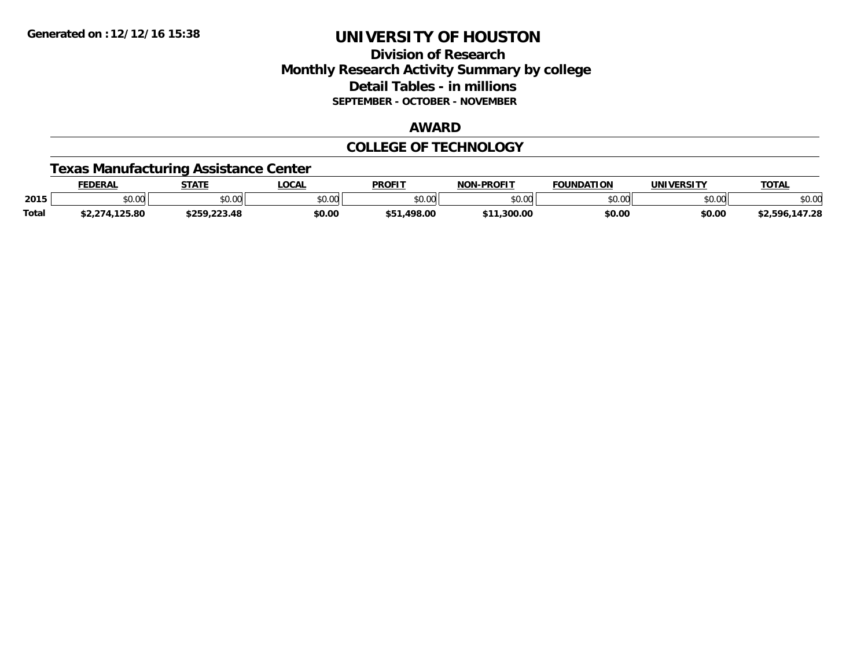### **Division of Research Monthly Research Activity Summary by college Detail Tables - in millions SEPTEMBER - OCTOBER - NOVEMBER**

#### **AWARD**

#### **COLLEGE OF TECHNOLOGY**

### **Texas Manufacturing Assistance Center**

|              | <b>EDERAL</b>        | <b>STATE</b>                   | <b>LOCAL</b>  | <b>PROFIT</b>   | -PROFIT<br><b>NON</b> | <b>FOUNDATION</b> | <b>UNIVERSITY</b> | <b>TOTAL</b>        |
|--------------|----------------------|--------------------------------|---------------|-----------------|-----------------------|-------------------|-------------------|---------------------|
| 2015         | \$0.00               | \$0.00                         | 0000<br>JU.UU | 0000<br>DU.UU   | \$0.00                | ስ ለሰ<br>טט.טע     | 0.00<br>DU.UG     | \$0.00              |
| <b>Total</b> | .125.80<br>.271<br>. | $*$ 250 222 48<br>\$259,223.48 | \$0.00        | \$51<br>.498.00 | .300.00               | \$0.00            | \$0.00            | .147.28<br>\$2,596, |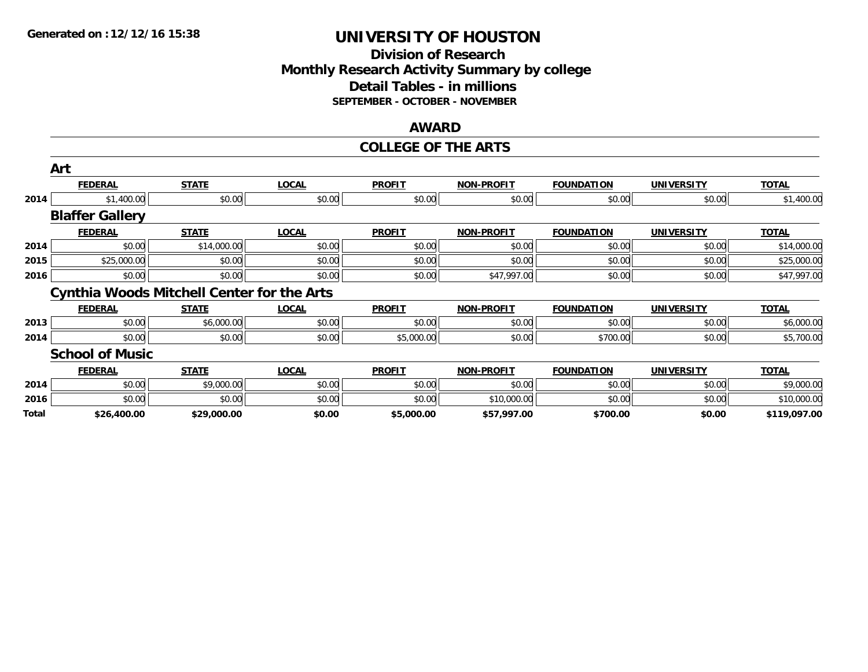### **Division of Research Monthly Research Activity Summary by college Detail Tables - in millions SEPTEMBER - OCTOBER - NOVEMBER**

#### **AWARD**

#### **COLLEGE OF THE ARTS**

|       | Art                    |                                                   |              |               |                   |                   |                   |              |
|-------|------------------------|---------------------------------------------------|--------------|---------------|-------------------|-------------------|-------------------|--------------|
|       | <b>FEDERAL</b>         | <b>STATE</b>                                      | <b>LOCAL</b> | <b>PROFIT</b> | <b>NON-PROFIT</b> | <b>FOUNDATION</b> | <b>UNIVERSITY</b> | <b>TOTAL</b> |
| 2014  | \$1,400.00             | \$0.00                                            | \$0.00       | \$0.00        | \$0.00            | \$0.00            | \$0.00            | \$1,400.00   |
|       | <b>Blaffer Gallery</b> |                                                   |              |               |                   |                   |                   |              |
|       | <b>FEDERAL</b>         | <b>STATE</b>                                      | <b>LOCAL</b> | <b>PROFIT</b> | <b>NON-PROFIT</b> | <b>FOUNDATION</b> | <b>UNIVERSITY</b> | <b>TOTAL</b> |
| 2014  | \$0.00                 | \$14,000.00                                       | \$0.00       | \$0.00        | \$0.00            | \$0.00            | \$0.00            | \$14,000.00  |
| 2015  | \$25,000.00            | \$0.00                                            | \$0.00       | \$0.00        | \$0.00            | \$0.00            | \$0.00            | \$25,000.00  |
| 2016  | \$0.00                 | \$0.00                                            | \$0.00       | \$0.00        | \$47,997.00       | \$0.00            | \$0.00            | \$47,997.00  |
|       |                        | <b>Cynthia Woods Mitchell Center for the Arts</b> |              |               |                   |                   |                   |              |
|       | <b>FEDERAL</b>         | <b>STATE</b>                                      | <b>LOCAL</b> | <b>PROFIT</b> | <b>NON-PROFIT</b> | <b>FOUNDATION</b> | <b>UNIVERSITY</b> | <b>TOTAL</b> |
| 2013  | \$0.00                 | \$6,000.00                                        | \$0.00       | \$0.00        | \$0.00            | \$0.00            | \$0.00            | \$6,000.00   |
| 2014  | \$0.00                 | \$0.00                                            | \$0.00       | \$5,000.00    | \$0.00            | \$700.00          | \$0.00            | \$5,700.00   |
|       | <b>School of Music</b> |                                                   |              |               |                   |                   |                   |              |
|       | <b>FEDERAL</b>         | <b>STATE</b>                                      | <b>LOCAL</b> | <b>PROFIT</b> | <b>NON-PROFIT</b> | <b>FOUNDATION</b> | <b>UNIVERSITY</b> | <b>TOTAL</b> |
| 2014  | \$0.00                 | \$9,000.00                                        | \$0.00       | \$0.00        | \$0.00            | \$0.00            | \$0.00            | \$9,000.00   |
| 2016  | \$0.00                 | \$0.00                                            | \$0.00       | \$0.00        | \$10,000.00       | \$0.00            | \$0.00            | \$10,000.00  |
| Total | \$26,400.00            | \$29,000.00                                       | \$0.00       | \$5,000.00    | \$57,997.00       | \$700.00          | \$0.00            | \$119,097.00 |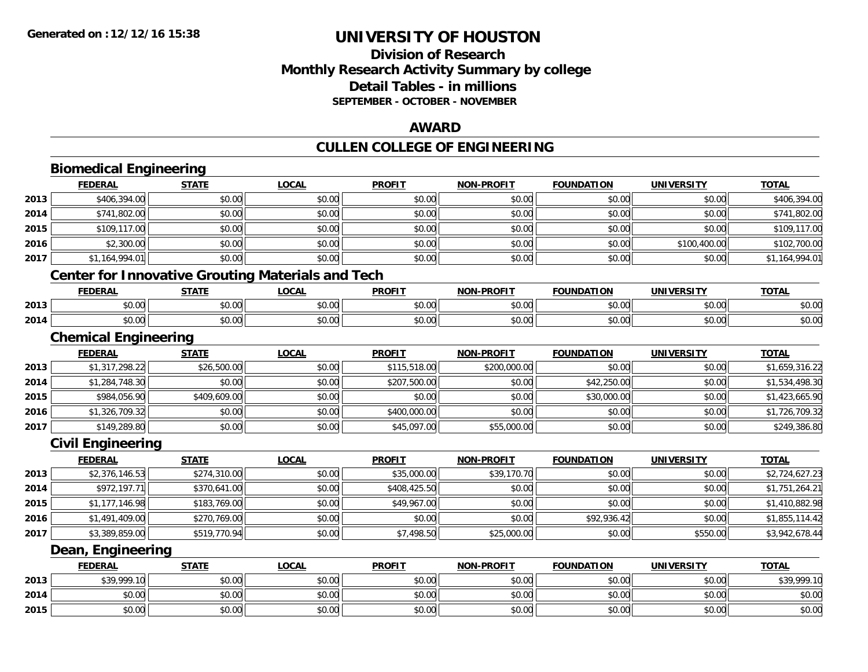## **Division of ResearchMonthly Research Activity Summary by college Detail Tables - in millions SEPTEMBER - OCTOBER - NOVEMBER**

#### **AWARD**

# **CULLEN COLLEGE OF ENGINEERING**

|      | <b>Biomedical Engineering</b>                            |              |              |               |                   |                   |                   |                |
|------|----------------------------------------------------------|--------------|--------------|---------------|-------------------|-------------------|-------------------|----------------|
|      | <b>FEDERAL</b>                                           | <b>STATE</b> | <b>LOCAL</b> | <b>PROFIT</b> | <b>NON-PROFIT</b> | <b>FOUNDATION</b> | <b>UNIVERSITY</b> | <b>TOTAL</b>   |
| 2013 | \$406,394.00                                             | \$0.00       | \$0.00       | \$0.00        | \$0.00            | \$0.00            | \$0.00            | \$406,394.00   |
| 2014 | \$741,802.00                                             | \$0.00       | \$0.00       | \$0.00        | \$0.00            | \$0.00            | \$0.00            | \$741,802.00   |
| 2015 | \$109,117.00                                             | \$0.00       | \$0.00       | \$0.00        | \$0.00            | \$0.00            | \$0.00            | \$109,117.00   |
| 2016 | \$2,300.00                                               | \$0.00       | \$0.00       | \$0.00        | \$0.00            | \$0.00            | \$100,400.00      | \$102,700.00   |
| 2017 | \$1,164,994.01                                           | \$0.00       | \$0.00       | \$0.00        | \$0.00            | \$0.00            | \$0.00            | \$1,164,994.01 |
|      | <b>Center for Innovative Grouting Materials and Tech</b> |              |              |               |                   |                   |                   |                |
|      | <b>FEDERAL</b>                                           | <b>STATE</b> | <b>LOCAL</b> | <b>PROFIT</b> | <b>NON-PROFIT</b> | <b>FOUNDATION</b> | <b>UNIVERSITY</b> | <b>TOTAL</b>   |
| 2013 | \$0.00                                                   | \$0.00       | \$0.00       | \$0.00        | \$0.00            | \$0.00            | \$0.00            | \$0.00         |
| 2014 | \$0.00                                                   | \$0.00       | \$0.00       | \$0.00        | \$0.00            | \$0.00            | \$0.00            | \$0.00         |
|      | <b>Chemical Engineering</b>                              |              |              |               |                   |                   |                   |                |
|      | <b>FEDERAL</b>                                           | <b>STATE</b> | <b>LOCAL</b> | <b>PROFIT</b> | <b>NON-PROFIT</b> | <b>FOUNDATION</b> | <b>UNIVERSITY</b> | <b>TOTAL</b>   |
| 2013 | \$1,317,298.22                                           | \$26,500.00  | \$0.00       | \$115,518.00  | \$200,000.00      | \$0.00            | \$0.00            | \$1,659,316.22 |
| 2014 | \$1,284,748.30                                           | \$0.00       | \$0.00       | \$207,500.00  | \$0.00            | \$42,250.00       | \$0.00            | \$1,534,498.30 |
| 2015 | \$984,056.90                                             | \$409,609.00 | \$0.00       | \$0.00        | \$0.00            | \$30,000.00       | \$0.00            | \$1,423,665.90 |
| 2016 | \$1,326,709.32                                           | \$0.00       | \$0.00       | \$400,000.00  | \$0.00            | \$0.00            | \$0.00            | \$1,726,709.32 |
| 2017 | \$149,289.80                                             | \$0.00       | \$0.00       | \$45,097.00   | \$55,000.00       | \$0.00            | \$0.00            | \$249,386.80   |
|      | <b>Civil Engineering</b>                                 |              |              |               |                   |                   |                   |                |
|      | <b>FEDERAL</b>                                           | <b>STATE</b> | <b>LOCAL</b> | <b>PROFIT</b> | <b>NON-PROFIT</b> | <b>FOUNDATION</b> | <b>UNIVERSITY</b> | <b>TOTAL</b>   |
| 2013 | \$2,376,146.53                                           | \$274,310.00 | \$0.00       | \$35,000.00   | \$39,170.70       | \$0.00            | \$0.00            | \$2,724,627.23 |
| 2014 | \$972,197.71                                             | \$370,641.00 | \$0.00       | \$408,425.50  | \$0.00            | \$0.00            | \$0.00            | \$1,751,264.21 |
| 2015 | \$1,177,146.98                                           | \$183,769.00 | \$0.00       | \$49,967.00   | \$0.00            | \$0.00            | \$0.00            | \$1,410,882.98 |
| 2016 | \$1,491,409.00                                           | \$270,769.00 | \$0.00       | \$0.00        | \$0.00            | \$92,936.42       | \$0.00            | \$1,855,114.42 |
| 2017 | \$3,389,859.00                                           | \$519,770.94 | \$0.00       | \$7,498.50    | \$25,000.00       | \$0.00            | \$550.00          | \$3,942,678.44 |
|      | Dean, Engineering                                        |              |              |               |                   |                   |                   |                |
|      | <b>FEDERAL</b>                                           | <b>STATE</b> | <b>LOCAL</b> | <b>PROFIT</b> | <b>NON-PROFIT</b> | <b>FOUNDATION</b> | <b>UNIVERSITY</b> | <b>TOTAL</b>   |
| 2013 | \$39,999.10                                              | \$0.00       | \$0.00       | \$0.00        | \$0.00            | \$0.00            | \$0.00            | \$39,999.10    |
| 2014 | \$0.00                                                   | \$0.00       | \$0.00       | \$0.00        | \$0.00            | \$0.00            | \$0.00            | \$0.00         |
| 2015 | \$0.00                                                   | \$0.00       | \$0.00       | \$0.00        | \$0.00            | \$0.00            | \$0.00            | \$0.00         |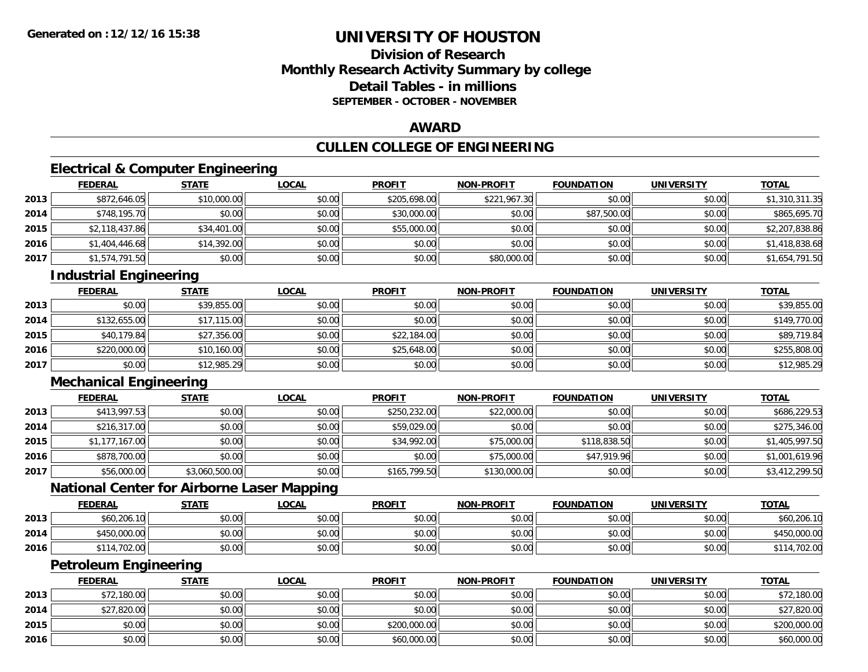## **Division of ResearchMonthly Research Activity Summary by college Detail Tables - in millionsSEPTEMBER - OCTOBER - NOVEMBER**

#### **AWARD**

## **CULLEN COLLEGE OF ENGINEERING**

## **Electrical & Computer Engineering**

|      | <u>FEDERAL</u> | <b>STATE</b> | <u>LOCAL</u> | <b>PROFIT</b> | <b>NON-PROFIT</b> | <b>FOUNDATION</b> | <b>UNIVERSITY</b> | <b>TOTAL</b>   |
|------|----------------|--------------|--------------|---------------|-------------------|-------------------|-------------------|----------------|
| 2013 | \$872,646.05   | \$10,000.00  | \$0.00       | \$205,698.00  | \$221,967.30      | \$0.00            | \$0.00            | \$1,310,311.35 |
| 2014 | \$748,195.70   | \$0.00       | \$0.00       | \$30,000.00   | \$0.00            | \$87,500.00       | \$0.00            | \$865,695.70   |
| 2015 | \$2,118,437.86 | \$34,401.00  | \$0.00       | \$55,000.00   | \$0.00            | \$0.00            | \$0.00            | \$2,207,838.86 |
| 2016 | \$1,404,446.68 | \$14,392.00  | \$0.00       | \$0.00        | \$0.00            | \$0.00            | \$0.00            | \$1,418,838.68 |
| 2017 | \$1,574,791.50 | \$0.00       | \$0.00       | \$0.00        | \$80,000.00       | \$0.00            | \$0.00            | \$1,654,791.50 |

## **Industrial Engineering**

|      | <b>FEDERAL</b> | <b>STATE</b> | <b>LOCAL</b> | <b>PROFIT</b> | <b>NON-PROFIT</b> | <b>FOUNDATION</b> | <b>UNIVERSITY</b> | <b>TOTAL</b> |
|------|----------------|--------------|--------------|---------------|-------------------|-------------------|-------------------|--------------|
| 2013 | \$0.00         | \$39,855.00  | \$0.00       | \$0.00        | \$0.00            | \$0.00            | \$0.00            | \$39,855.00  |
| 2014 | \$132,655.00   | \$17,115.00  | \$0.00       | \$0.00        | \$0.00            | \$0.00            | \$0.00            | \$149,770.00 |
| 2015 | \$40,179.84    | \$27,356.00  | \$0.00       | \$22,184.00   | \$0.00            | \$0.00            | \$0.00            | \$89,719.84  |
| 2016 | \$220,000.00   | \$10,160.00  | \$0.00       | \$25,648.00   | \$0.00            | \$0.00            | \$0.00            | \$255,808.00 |
| 2017 | \$0.00         | \$12,985.29  | \$0.00       | \$0.00        | \$0.00            | \$0.00            | \$0.00            | \$12,985.29  |

## **Mechanical Engineering**

|      | <b>FEDERAL</b> | <b>STATE</b>   | <u>LOCAL</u> | <b>PROFIT</b> | <b>NON-PROFIT</b> | <b>FOUNDATION</b> | <b>UNIVERSITY</b> | <b>TOTAL</b>   |
|------|----------------|----------------|--------------|---------------|-------------------|-------------------|-------------------|----------------|
| 2013 | \$413,997.53   | \$0.00         | \$0.00       | \$250,232.00  | \$22,000.00       | \$0.00            | \$0.00            | \$686,229.53   |
| 2014 | \$216,317.00   | \$0.00         | \$0.00       | \$59,029.00   | \$0.00            | \$0.00            | \$0.00            | \$275,346.00   |
| 2015 | \$1,177,167.00 | \$0.00         | \$0.00       | \$34,992.00   | \$75,000.00       | \$118,838.50      | \$0.00            | \$1,405,997.50 |
| 2016 | \$878,700.00   | \$0.00         | \$0.00       | \$0.00        | \$75,000.00       | \$47,919.96       | \$0.00            | \$1,001,619.96 |
| 2017 | \$56,000.00    | \$3,060,500.00 | \$0.00       | \$165,799.50  | \$130,000.00      | \$0.00            | \$0.00            | \$3,412,299.50 |

### **National Center for Airborne Laser Mapping**

|      | <b>FEDERAL</b>   | STATE  | <u>LOCAL</u> | <b>PROFIT</b> | <b>NON-PROFIT</b> | <b>FOUNDATION</b> | UNIVERSITY | T <u>OTAL</u> |
|------|------------------|--------|--------------|---------------|-------------------|-------------------|------------|---------------|
| 2013 | \$60,206.10      | \$0.00 | \$0.00       | \$0.00        | \$0.00            | \$0.00            | \$0.00     | \$60,206.10   |
| 2014 | \$450,000.00     | \$0.00 | \$0.00       | \$0.00        | \$0.00            | \$0.00            | \$0.00     | 450,000.00    |
| 2016 | .702.00<br>\$114 | \$0.00 | \$0.00       | \$0.00        | \$0.00            | \$0.00            | \$0.00     | .702.00       |

#### **Petroleum Engineering**

|      | <b>FEDERAL</b> | <b>STATE</b> | <b>LOCAL</b> | <b>PROFIT</b> | <b>NON-PROFIT</b> | <b>FOUNDATION</b> | <b>UNIVERSITY</b> | <b>TOTAL</b> |
|------|----------------|--------------|--------------|---------------|-------------------|-------------------|-------------------|--------------|
| 2013 | \$72,180.00    | \$0.00       | \$0.00       | \$0.00        | \$0.00            | \$0.00            | \$0.00            | \$72,180.00  |
| 2014 | \$27,820.00    | \$0.00       | \$0.00       | \$0.00        | \$0.00            | \$0.00            | \$0.00            | \$27,820.00  |
| 2015 | \$0.00         | \$0.00       | \$0.00       | \$200,000.00  | \$0.00            | \$0.00            | \$0.00            | \$200,000.00 |
| 2016 | \$0.00         | \$0.00       | \$0.00       | \$60,000.00   | \$0.00            | \$0.00            | \$0.00            | \$60,000.00  |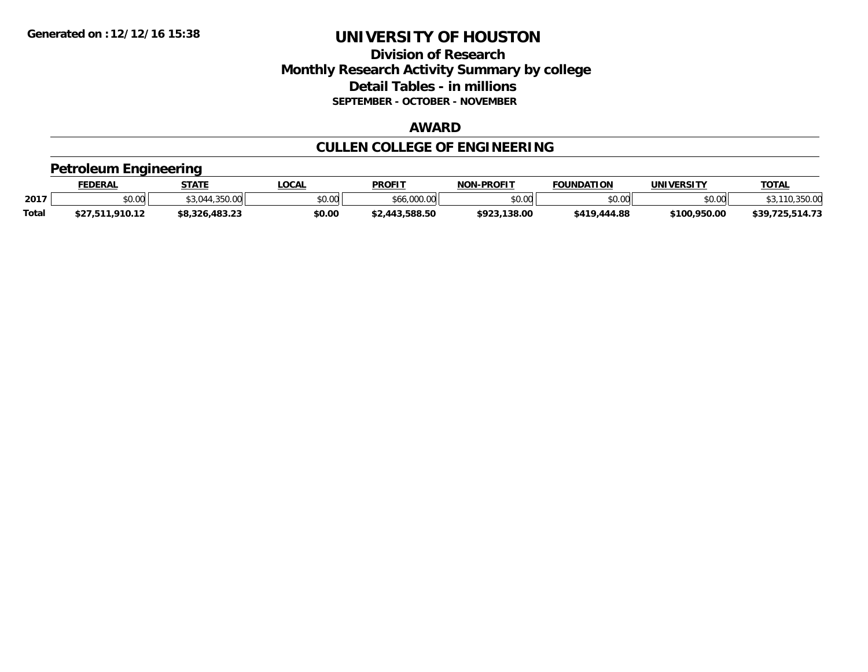### **Division of Research Monthly Research Activity Summary by college Detail Tables - in millions SEPTEMBER - OCTOBER - NOVEMBER**

#### **AWARD**

# **CULLEN COLLEGE OF ENGINEERING**

#### **Petroleum Engineering**

|              | <b>FEDERAL</b>  | <b>STATE</b>   | .OCAL          | <b>PROFIT</b>  | <b>NON-PROFIT</b> | <b>FOUNDATION</b> | UNIVERSITY   | <b>TOTAL</b>    |
|--------------|-----------------|----------------|----------------|----------------|-------------------|-------------------|--------------|-----------------|
| 2017         | \$0.00          | 044,350.00     | en uu<br>JU.UU | \$66,000.00    | \$0.00            | \$0.00            | \$0.00       | 110,350.00      |
| <b>Total</b> | \$27,511,910.12 | \$8,326,483.23 | \$0.00         | \$2,443,588.50 | \$923.138.00      | \$419,444.88      | \$100,950.00 | \$39.725.514.73 |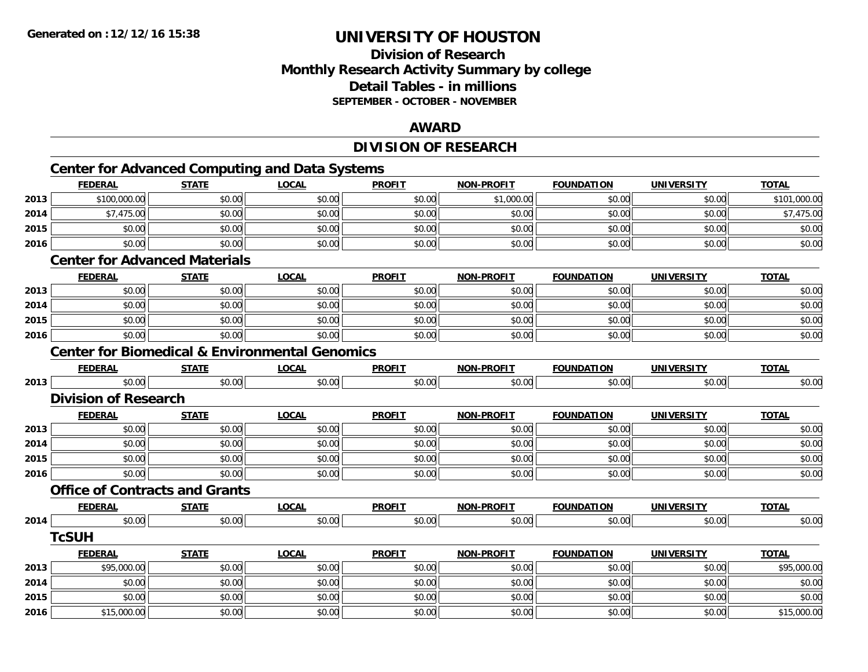## **Division of ResearchMonthly Research Activity Summary by college Detail Tables - in millions SEPTEMBER - OCTOBER - NOVEMBER**

#### **AWARD**

## **DIVISION OF RESEARCH**

# **Center for Advanced Computing and Data Systems**

|      | <b>FEDERAL</b>                                            | <b>STATE</b> | <b>LOCAL</b> | <b>PROFIT</b> | <b>NON-PROFIT</b> | <b>FOUNDATION</b> | <b>UNIVERSITY</b> | <b>TOTAL</b> |
|------|-----------------------------------------------------------|--------------|--------------|---------------|-------------------|-------------------|-------------------|--------------|
| 2013 | \$100,000.00                                              | \$0.00       | \$0.00       | \$0.00        | \$1,000.00        | \$0.00            | \$0.00            | \$101,000.00 |
| 2014 | \$7,475.00                                                | \$0.00       | \$0.00       | \$0.00        | \$0.00            | \$0.00            | \$0.00            | \$7,475.00   |
| 2015 | \$0.00                                                    | \$0.00       | \$0.00       | \$0.00        | \$0.00            | \$0.00            | \$0.00            | \$0.00       |
| 2016 | \$0.00                                                    | \$0.00       | \$0.00       | \$0.00        | \$0.00            | \$0.00            | \$0.00            | \$0.00       |
|      | <b>Center for Advanced Materials</b>                      |              |              |               |                   |                   |                   |              |
|      | <b>FEDERAL</b>                                            | <b>STATE</b> | <b>LOCAL</b> | <b>PROFIT</b> | <b>NON-PROFIT</b> | <b>FOUNDATION</b> | <b>UNIVERSITY</b> | <b>TOTAL</b> |
| 2013 | \$0.00                                                    | \$0.00       | \$0.00       | \$0.00        | \$0.00            | \$0.00            | \$0.00            | \$0.00       |
| 2014 | \$0.00                                                    | \$0.00       | \$0.00       | \$0.00        | \$0.00            | \$0.00            | \$0.00            | \$0.00       |
| 2015 | \$0.00                                                    | \$0.00       | \$0.00       | \$0.00        | \$0.00            | \$0.00            | \$0.00            | \$0.00       |
| 2016 | \$0.00                                                    | \$0.00       | \$0.00       | \$0.00        | \$0.00            | \$0.00            | \$0.00            | \$0.00       |
|      | <b>Center for Biomedical &amp; Environmental Genomics</b> |              |              |               |                   |                   |                   |              |
|      | <b>FEDERAL</b>                                            | <b>STATE</b> | <b>LOCAL</b> | <b>PROFIT</b> | <b>NON-PROFIT</b> | <b>FOUNDATION</b> | <b>UNIVERSITY</b> | <b>TOTAL</b> |
| 2013 | \$0.00                                                    | \$0.00       | \$0.00       | \$0.00        | \$0.00            | \$0.00            | \$0.00            | \$0.00       |
|      | <b>Division of Research</b>                               |              |              |               |                   |                   |                   |              |
|      | <b>FEDERAL</b>                                            | <b>STATE</b> | <b>LOCAL</b> | <b>PROFIT</b> | <b>NON-PROFIT</b> | <b>FOUNDATION</b> | <b>UNIVERSITY</b> | <b>TOTAL</b> |
| 2013 | \$0.00                                                    | \$0.00       | \$0.00       | \$0.00        | \$0.00            | \$0.00            | \$0.00            | \$0.00       |
| 2014 | \$0.00                                                    | \$0.00       | \$0.00       | \$0.00        | \$0.00            | \$0.00            | \$0.00            | \$0.00       |
| 2015 | \$0.00                                                    | \$0.00       | \$0.00       | \$0.00        | \$0.00            | \$0.00            | \$0.00            | \$0.00       |
| 2016 | \$0.00                                                    | \$0.00       | \$0.00       | \$0.00        | \$0.00            | \$0.00            | \$0.00            | \$0.00       |
|      | <b>Office of Contracts and Grants</b>                     |              |              |               |                   |                   |                   |              |
|      | <b>FEDERAL</b>                                            | <b>STATE</b> | <b>LOCAL</b> | <b>PROFIT</b> | <b>NON-PROFIT</b> | <b>FOUNDATION</b> | <b>UNIVERSITY</b> | <b>TOTAL</b> |
| 2014 | \$0.00                                                    | \$0.00       | \$0.00       | \$0.00        | \$0.00            | \$0.00            | \$0.00            | \$0.00       |
|      | <b>TcSUH</b>                                              |              |              |               |                   |                   |                   |              |
|      | <b>FEDERAL</b>                                            | <b>STATE</b> | <b>LOCAL</b> | <b>PROFIT</b> | <b>NON-PROFIT</b> | <b>FOUNDATION</b> | <b>UNIVERSITY</b> | <b>TOTAL</b> |
| 2013 | \$95,000.00                                               | \$0.00       | \$0.00       | \$0.00        | \$0.00            | \$0.00            | \$0.00            | \$95,000.00  |
| 2014 | \$0.00                                                    | \$0.00       | \$0.00       | \$0.00        | \$0.00            | \$0.00            | \$0.00            | \$0.00       |
| 2015 | \$0.00                                                    | \$0.00       | \$0.00       | \$0.00        | \$0.00            | \$0.00            | \$0.00            | \$0.00       |
| 2016 | \$15,000.00                                               | \$0.00       | \$0.00       | \$0.00        | \$0.00            | \$0.00            | \$0.00            | \$15,000.00  |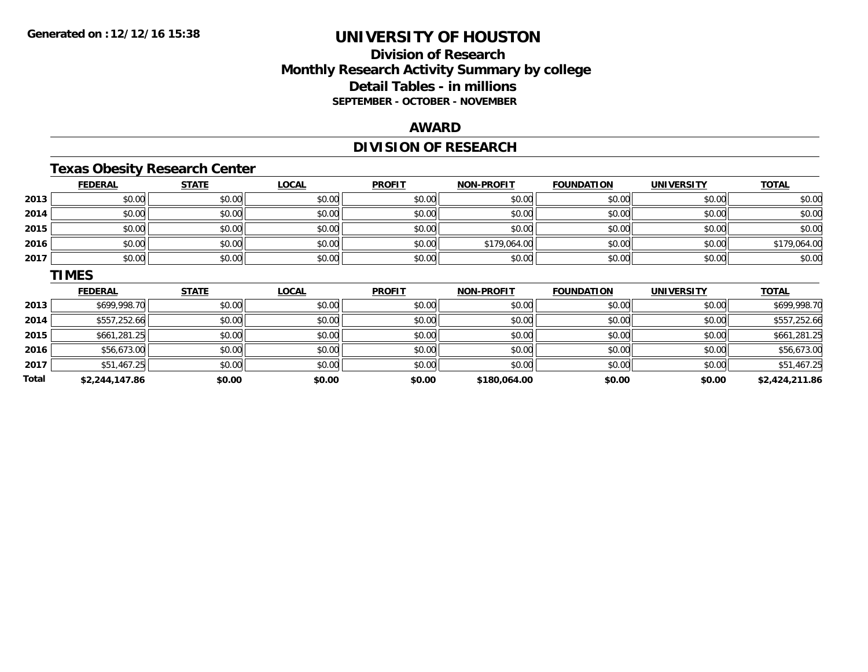## **Division of ResearchMonthly Research Activity Summary by college Detail Tables - in millions SEPTEMBER - OCTOBER - NOVEMBER**

#### **AWARD**

# **DIVISION OF RESEARCH**

## **Texas Obesity Research Center**

|      | <b>FEDERAL</b> | <b>STATE</b> | <b>LOCAL</b> | <b>PROFIT</b> | <b>NON-PROFIT</b> | <b>FOUNDATION</b> | <b>UNIVERSITY</b> | <b>TOTAL</b> |
|------|----------------|--------------|--------------|---------------|-------------------|-------------------|-------------------|--------------|
| 2013 | \$0.00         | \$0.00       | \$0.00       | \$0.00        | \$0.00            | \$0.00            | \$0.00            | \$0.00       |
| 2014 | \$0.00         | \$0.00       | \$0.00       | \$0.00        | \$0.00            | \$0.00            | \$0.00            | \$0.00       |
| 2015 | \$0.00         | \$0.00       | \$0.00       | \$0.00        | \$0.00            | \$0.00            | \$0.00            | \$0.00       |
| 2016 | \$0.00         | \$0.00       | \$0.00       | \$0.00        | \$179,064.00      | \$0.00            | \$0.00            | \$179,064.00 |
| 2017 | \$0.00         | \$0.00       | \$0.00       | \$0.00        | \$0.00            | \$0.00            | \$0.00            | \$0.00       |
|      | <b>TIMES</b>   |              |              |               |                   |                   |                   |              |
|      |                |              |              |               |                   |                   |                   |              |
|      | <b>FEDERAL</b> | <b>STATE</b> | <b>LOCAL</b> | <b>PROFIT</b> | <b>NON-PROFIT</b> | <b>FOUNDATION</b> | <b>UNIVERSITY</b> | <b>TOTAL</b> |
| 2013 | \$699,998.70   | \$0.00       | \$0.00       | \$0.00        | \$0.00            | \$0.00            | \$0.00            | \$699,998.70 |
| 2014 | \$557,252.66   | \$0.00       | \$0.00       | \$0.00        | \$0.00            | \$0.00            | \$0.00            | \$557,252.66 |
| 2015 | \$661,281.25   | \$0.00       | \$0.00       | \$0.00        | \$0.00            | \$0.00            | \$0.00            | \$661,281.25 |
| 2016 | \$56,673.00    | \$0.00       | \$0.00       | \$0.00        | \$0.00            | \$0.00            | \$0.00            | \$56,673.00  |
| 2017 | \$51,467.25    | \$0.00       | \$0.00       | \$0.00        | \$0.00            | \$0.00            | \$0.00            | \$51,467.25  |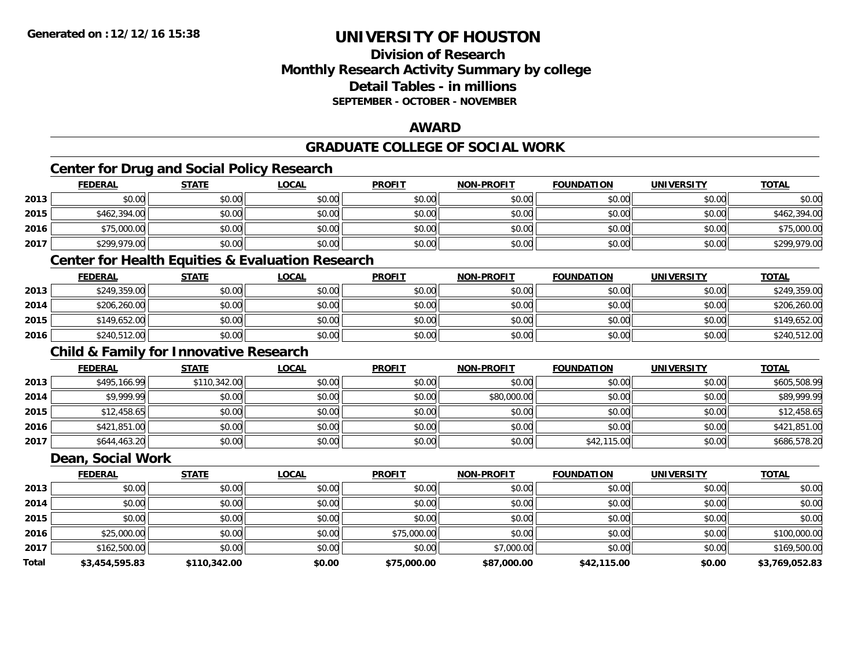## **Division of ResearchMonthly Research Activity Summary by college Detail Tables - in millionsSEPTEMBER - OCTOBER - NOVEMBER**

### **AWARD**

## **GRADUATE COLLEGE OF SOCIAL WORK**

## **Center for Drug and Social Policy Research**

|      | <b>FEDERAL</b> | <b>STATE</b> | <u>LOCAL</u> | <b>PROFIT</b> | <b>NON-PROFIT</b> | <b>FOUNDATION</b> | <b>UNIVERSITY</b> | <b>TOTAL</b> |
|------|----------------|--------------|--------------|---------------|-------------------|-------------------|-------------------|--------------|
| 2013 | \$0.00         | \$0.00       | \$0.00       | \$0.00        | \$0.00            | \$0.00            | \$0.00            | \$0.00       |
| 2015 | \$462,394.00   | \$0.00       | \$0.00       | \$0.00        | \$0.00            | \$0.00            | \$0.00            | \$462,394.00 |
| 2016 | \$75,000.00    | \$0.00       | \$0.00       | \$0.00        | \$0.00            | \$0.00            | \$0.00            | \$75,000.00  |
| 2017 | \$299,979.00   | \$0.00       | \$0.00       | \$0.00        | \$0.00            | \$0.00            | \$0.00            | \$299,979.00 |

### **Center for Health Equities & Evaluation Research**

|      | <b>FEDERAL</b> | <u>STATE</u> | <u>LOCAL</u> | <b>PROFIT</b> | <b>NON-PROFIT</b> | <b>FOUNDATION</b> | <b>UNIVERSITY</b> | <b>TOTAL</b> |
|------|----------------|--------------|--------------|---------------|-------------------|-------------------|-------------------|--------------|
| 2013 | \$249,359.00   | \$0.00       | \$0.00       | \$0.00        | \$0.00            | \$0.00            | \$0.00            | \$249,359.00 |
| 2014 | \$206,260.00   | \$0.00       | \$0.00       | \$0.00        | \$0.00            | \$0.00            | \$0.00            | \$206,260.00 |
| 2015 | \$149,652.00   | \$0.00       | \$0.00       | \$0.00        | \$0.00            | \$0.00            | \$0.00            | \$149,652.00 |
| 2016 | \$240,512.00   | \$0.00       | \$0.00       | \$0.00        | \$0.00            | \$0.00            | \$0.00            | \$240,512.00 |

### **Child & Family for Innovative Research**

|      | <b>FEDERAL</b> | <u>STATE</u> | <u>LOCAL</u> | <b>PROFIT</b> | <b>NON-PROFIT</b> | <b>FOUNDATION</b> | <b>UNIVERSITY</b> | <b>TOTAL</b> |
|------|----------------|--------------|--------------|---------------|-------------------|-------------------|-------------------|--------------|
| 2013 | \$495,166.99   | \$110,342.00 | \$0.00       | \$0.00        | \$0.00            | \$0.00            | \$0.00            | \$605,508.99 |
| 2014 | \$9,999.99     | \$0.00       | \$0.00       | \$0.00        | \$80,000.00       | \$0.00            | \$0.00            | \$89,999.99  |
| 2015 | \$12,458.65    | \$0.00       | \$0.00       | \$0.00        | \$0.00            | \$0.00            | \$0.00            | \$12,458.65  |
| 2016 | \$421,851.00   | \$0.00       | \$0.00       | \$0.00        | \$0.00            | \$0.00            | \$0.00            | \$421,851.00 |
| 2017 | \$644,463.20   | \$0.00       | \$0.00       | \$0.00        | \$0.00            | \$42,115.00       | \$0.00            | \$686,578.20 |

#### **Dean, Social Work**

|       | <b>FEDERAL</b> | <b>STATE</b> | <b>LOCAL</b> | <b>PROFIT</b> | <b>NON-PROFIT</b> | <b>FOUNDATION</b> | <b>UNIVERSITY</b> | <b>TOTAL</b>   |
|-------|----------------|--------------|--------------|---------------|-------------------|-------------------|-------------------|----------------|
| 2013  | \$0.00         | \$0.00       | \$0.00       | \$0.00        | \$0.00            | \$0.00            | \$0.00            | \$0.00         |
| 2014  | \$0.00         | \$0.00       | \$0.00       | \$0.00        | \$0.00            | \$0.00            | \$0.00            | \$0.00         |
| 2015  | \$0.00         | \$0.00       | \$0.00       | \$0.00        | \$0.00            | \$0.00            | \$0.00            | \$0.00         |
| 2016  | \$25,000.00    | \$0.00       | \$0.00       | \$75,000.00   | \$0.00            | \$0.00            | \$0.00            | \$100,000.00   |
| 2017  | \$162,500.00   | \$0.00       | \$0.00       | \$0.00        | \$7,000.00        | \$0.00            | \$0.00            | \$169,500.00   |
| Total | \$3,454,595.83 | \$110,342.00 | \$0.00       | \$75,000.00   | \$87,000.00       | \$42,115.00       | \$0.00            | \$3,769,052.83 |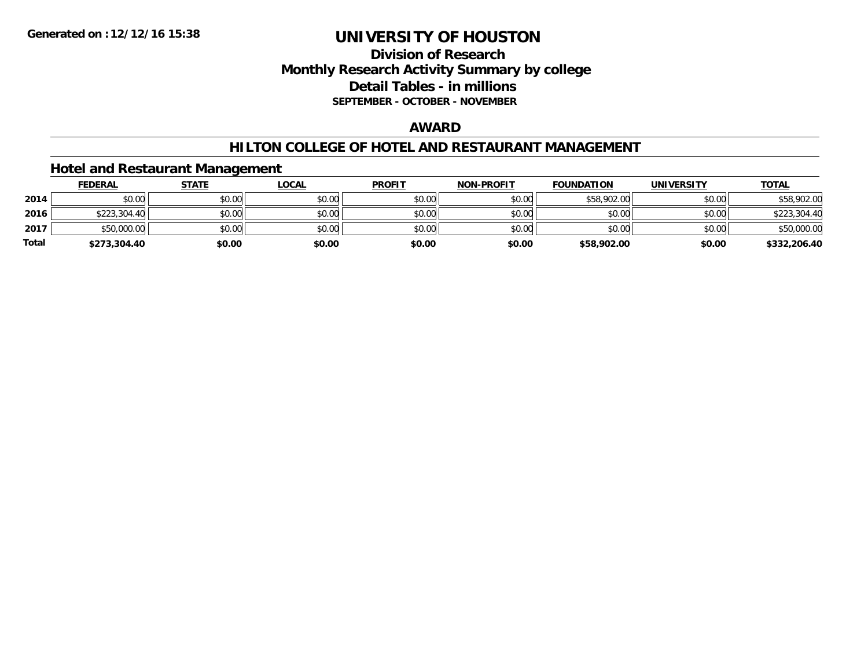### **Division of Research Monthly Research Activity Summary by college Detail Tables - in millions SEPTEMBER - OCTOBER - NOVEMBER**

### **AWARD**

#### **HILTON COLLEGE OF HOTEL AND RESTAURANT MANAGEMENT**

#### **Hotel and Restaurant Management**

|              | <b>FEDERAL</b> | <b>STATE</b> | <u>LOCAL</u> | <b>PROFIT</b> | <b>NON-PROFIT</b> | <b>FOUNDATION</b> | <b>UNIVERSITY</b> | <b>TOTAL</b> |
|--------------|----------------|--------------|--------------|---------------|-------------------|-------------------|-------------------|--------------|
| 2014         | \$0.00         | \$0.00       | \$0.00       | \$0.00        | \$0.00            | \$58,902.00       | \$0.00            | \$58,902.00  |
| 2016         | \$223,304.40   | \$0.00       | \$0.00       | \$0.00        | \$0.00            | \$0.00            | \$0.00            | \$223,304.40 |
| 2017         | \$50,000.00    | \$0.00       | \$0.00       | \$0.00        | \$0.00            | \$0.00            | \$0.00            | \$50,000.00  |
| <b>Total</b> | \$273,304.40   | \$0.00       | \$0.00       | \$0.00        | \$0.00            | \$58,902.00       | \$0.00            | \$332,206.40 |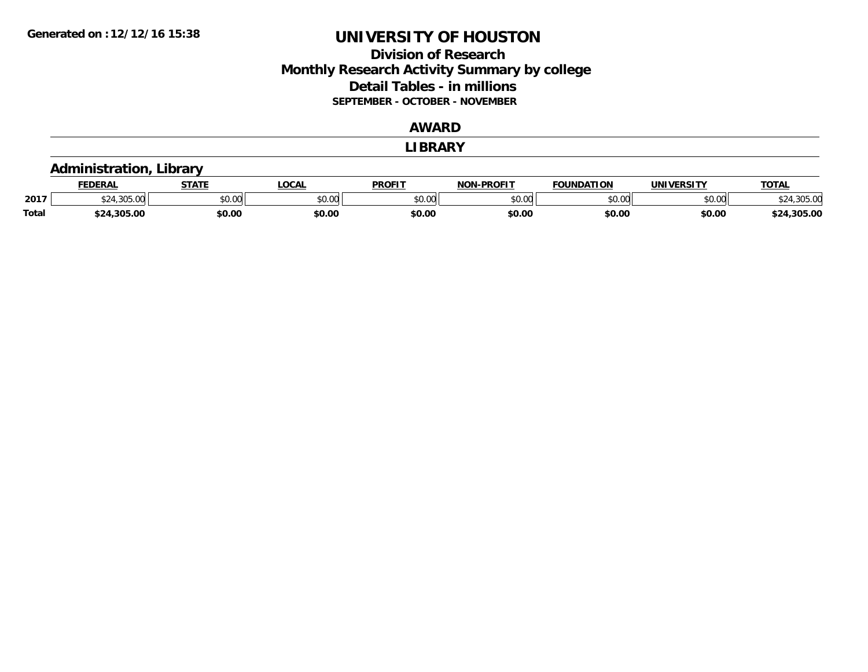### **Division of Research Monthly Research Activity Summary by college Detail Tables - in millions SEPTEMBER - OCTOBER - NOVEMBER**

#### **AWARD**

#### **LIBRARY**

#### **Administration, Library**

|              | <b>FEDERAL</b>   | <b>СТАТЕ</b> | LOCAL                         | <b>PROFIT</b> | <b>NON-PROFIT</b> | <b>FOUNDATION</b> | UNIVERSITY | <b>TOTAL</b>   |
|--------------|------------------|--------------|-------------------------------|---------------|-------------------|-------------------|------------|----------------|
| 2017         | $\sim$<br>JUJ.UU | \$0.00       | $n \cap \neg$<br><b>DU.UU</b> | \$0.00        | 0000<br>PU.UU     | \$0.00            | \$0.00     | $\sim$         |
| <b>Total</b> | \$24,305.00      | \$0.00       | \$0.00                        | \$0.00        | \$0.00            | \$0.00            | \$0.00     | .305.00<br>↑つ∧ |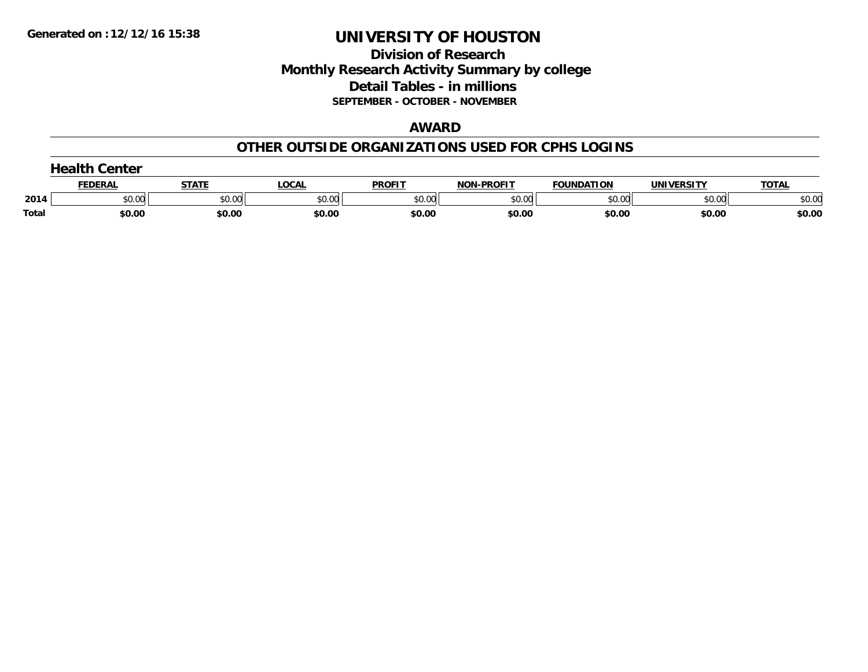### **Division of Research Monthly Research Activity Summary by college Detail Tables - in millions SEPTEMBER - OCTOBER - NOVEMBER**

#### **AWARD**

#### **OTHER OUTSIDE ORGANIZATIONS USED FOR CPHS LOGINS**

|       | $\blacksquare$<br>Center |        |        |               |                   |                   |                   |              |  |  |
|-------|--------------------------|--------|--------|---------------|-------------------|-------------------|-------------------|--------------|--|--|
|       | <b>FEDERAL</b>           | STATI  | LOCAL  | <b>PROFIT</b> | <b>NON-PROFIT</b> | <b>FOUNDATION</b> | <b>UNIVERSITY</b> | <b>TOTAL</b> |  |  |
| 2014  | \$0.00                   | \$0.00 | \$0.00 | \$0.00        | \$0.00            | \$0.00            | \$0.00            | \$0.00       |  |  |
| Total | \$0.00                   | \$0.00 | \$0.00 | \$0.00        | \$0.00            | \$0.00            | \$0.00            | \$0.00       |  |  |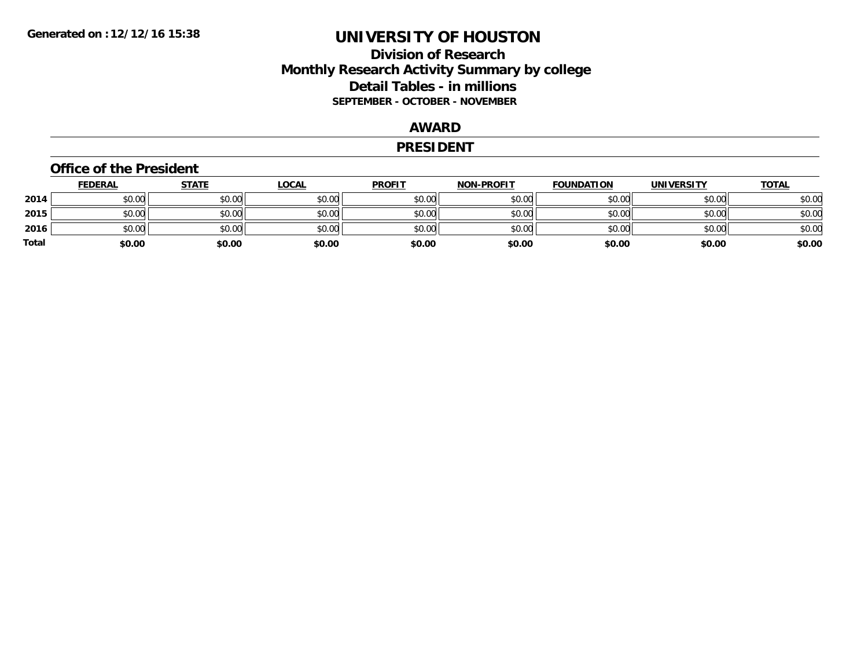### **Division of Research Monthly Research Activity Summary by college Detail Tables - in millions SEPTEMBER - OCTOBER - NOVEMBER**

### **AWARD**

#### **PRESIDENT**

#### **Office of the President**

|       | <b>FEDERAL</b> | <b>STATE</b> | <b>LOCAL</b> | <b>PROFIT</b> | <b>NON-PROFIT</b> | <b>FOUNDATION</b> | <b>UNIVERSITY</b> | <b>TOTAL</b> |
|-------|----------------|--------------|--------------|---------------|-------------------|-------------------|-------------------|--------------|
| 2014  | \$0.00         | \$0.00       | \$0.00       | \$0.00        | \$0.00            | \$0.00            | \$0.00            | \$0.00       |
| 2015  | \$0.00         | \$0.00       | \$0.00       | \$0.00        | \$0.00            | \$0.00            | \$0.00            | \$0.00       |
| 2016  | \$0.00         | \$0.00       | \$0.00       | \$0.00        | \$0.00            | \$0.00            | \$0.00            | \$0.00       |
| Total | \$0.00         | \$0.00       | \$0.00       | \$0.00        | \$0.00            | \$0.00            | \$0.00            | \$0.00       |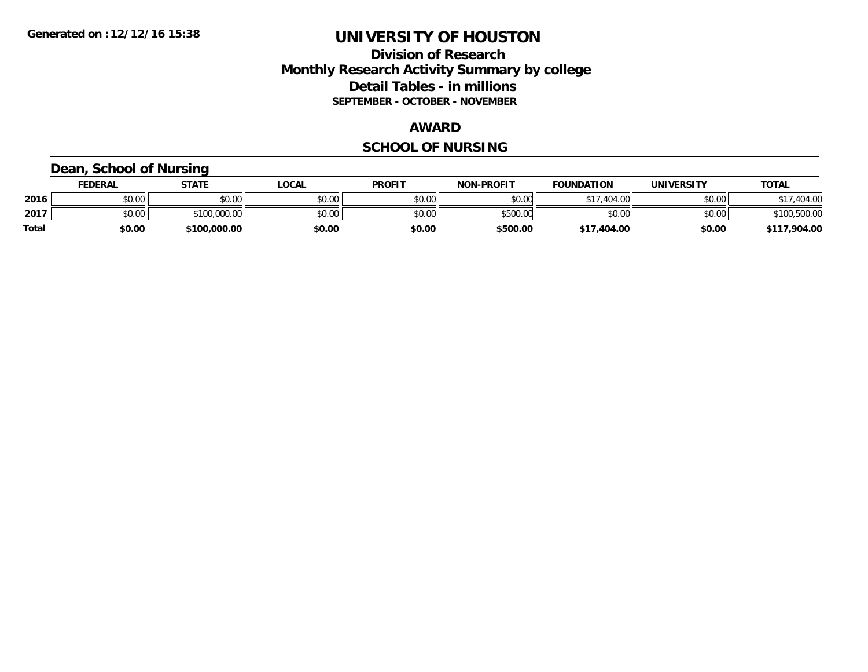### **Division of Research Monthly Research Activity Summary by college Detail Tables - in millions SEPTEMBER - OCTOBER - NOVEMBER**

#### **AWARD**

# **SCHOOL OF NURSING**

#### **Dean, School of Nursing**

|              | <b>FEDERAL</b> | STATE        | <b>LOCAL</b> | <b>PROFIT</b> | <b>NON-PROFIT</b> | <b>FOUNDATION</b> | UNIVERSITY | <u>TOTAL</u> |
|--------------|----------------|--------------|--------------|---------------|-------------------|-------------------|------------|--------------|
| 2016         | \$0.00         | \$0.00       | \$0.00       | \$0.00        | \$0.00            | \$17,404.00       | \$0.00     | ,404.00      |
| 2017         | \$0.00         | \$100,000.00 | \$0.00       | \$0.00        | \$500.00          | \$0.00            | \$0.00     | \$100,500.00 |
| <b>Total</b> | \$0.00         | \$100,000.00 | \$0.00       | \$0.00        | \$500.00          | \$17,404.00       | \$0.00     | \$117,904.00 |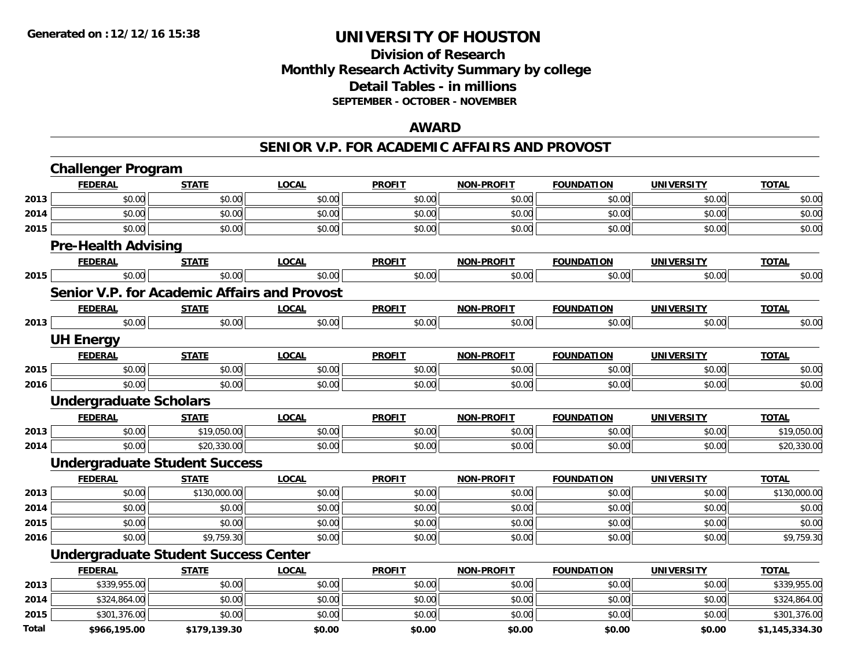## **Division of ResearchMonthly Research Activity Summary by college Detail Tables - in millions SEPTEMBER - OCTOBER - NOVEMBER**

#### **AWARD**

#### **SENIOR V.P. FOR ACADEMIC AFFAIRS AND PROVOST**

|              | <b>Challenger Program</b>     |                                                     |              |               |                   |                   |                   |                |
|--------------|-------------------------------|-----------------------------------------------------|--------------|---------------|-------------------|-------------------|-------------------|----------------|
|              | <b>FEDERAL</b>                | <b>STATE</b>                                        | <b>LOCAL</b> | <b>PROFIT</b> | <b>NON-PROFIT</b> | <b>FOUNDATION</b> | <b>UNIVERSITY</b> | <b>TOTAL</b>   |
| 2013         | \$0.00                        | \$0.00                                              | \$0.00       | \$0.00        | \$0.00            | \$0.00            | \$0.00            | \$0.00         |
| 2014         | \$0.00                        | \$0.00                                              | \$0.00       | \$0.00        | \$0.00            | \$0.00            | \$0.00            | \$0.00         |
| 2015         | \$0.00                        | \$0.00                                              | \$0.00       | \$0.00        | \$0.00            | \$0.00            | \$0.00            | \$0.00         |
|              | <b>Pre-Health Advising</b>    |                                                     |              |               |                   |                   |                   |                |
|              | <b>FEDERAL</b>                | <b>STATE</b>                                        | <b>LOCAL</b> | <b>PROFIT</b> | <b>NON-PROFIT</b> | <b>FOUNDATION</b> | <b>UNIVERSITY</b> | <b>TOTAL</b>   |
| 2015         | \$0.00                        | \$0.00                                              | \$0.00       | \$0.00        | \$0.00            | \$0.00            | \$0.00            | \$0.00         |
|              |                               | <b>Senior V.P. for Academic Affairs and Provost</b> |              |               |                   |                   |                   |                |
|              | <b>FEDERAL</b>                | <b>STATE</b>                                        | <b>LOCAL</b> | <b>PROFIT</b> | <b>NON-PROFIT</b> | <b>FOUNDATION</b> | <b>UNIVERSITY</b> | <b>TOTAL</b>   |
| 2013         | \$0.00                        | \$0.00                                              | \$0.00       | \$0.00        | \$0.00            | \$0.00            | \$0.00            | \$0.00         |
|              | <b>UH Energy</b>              |                                                     |              |               |                   |                   |                   |                |
|              | <b>FEDERAL</b>                | <b>STATE</b>                                        | <b>LOCAL</b> | <b>PROFIT</b> | <b>NON-PROFIT</b> | <b>FOUNDATION</b> | <b>UNIVERSITY</b> | <b>TOTAL</b>   |
| 2015         | \$0.00                        | \$0.00                                              | \$0.00       | \$0.00        | \$0.00            | \$0.00            | \$0.00            | \$0.00         |
| 2016         | \$0.00                        | \$0.00                                              | \$0.00       | \$0.00        | \$0.00            | \$0.00            | \$0.00            | \$0.00         |
|              | <b>Undergraduate Scholars</b> |                                                     |              |               |                   |                   |                   |                |
|              | <b>FEDERAL</b>                | <b>STATE</b>                                        | <b>LOCAL</b> | <b>PROFIT</b> | <b>NON-PROFIT</b> | <b>FOUNDATION</b> | <b>UNIVERSITY</b> | <b>TOTAL</b>   |
| 2013         | \$0.00                        | \$19,050.00                                         | \$0.00       | \$0.00        | \$0.00            | \$0.00            | \$0.00            | \$19,050.00    |
| 2014         | \$0.00                        | \$20,330.00                                         | \$0.00       | \$0.00        | \$0.00            | \$0.00            | \$0.00            | \$20,330.00    |
|              |                               | <b>Undergraduate Student Success</b>                |              |               |                   |                   |                   |                |
|              | <b>FEDERAL</b>                | <b>STATE</b>                                        | <b>LOCAL</b> | <b>PROFIT</b> | <b>NON-PROFIT</b> | <b>FOUNDATION</b> | <b>UNIVERSITY</b> | <b>TOTAL</b>   |
| 2013         | \$0.00                        | \$130,000.00                                        | \$0.00       | \$0.00        | \$0.00            | \$0.00            | \$0.00            | \$130,000.00   |
| 2014         | \$0.00                        | \$0.00                                              | \$0.00       | \$0.00        | \$0.00            | \$0.00            | \$0.00            | \$0.00         |
| 2015         | \$0.00                        | \$0.00                                              | \$0.00       | \$0.00        | \$0.00            | \$0.00            | \$0.00            | \$0.00         |
| 2016         | \$0.00                        | \$9,759.30                                          | \$0.00       | \$0.00        | \$0.00            | \$0.00            | \$0.00            | \$9,759.30     |
|              |                               | <b>Undergraduate Student Success Center</b>         |              |               |                   |                   |                   |                |
|              | <b>FEDERAL</b>                | <b>STATE</b>                                        | <b>LOCAL</b> | <b>PROFIT</b> | <b>NON-PROFIT</b> | <b>FOUNDATION</b> | <b>UNIVERSITY</b> | <b>TOTAL</b>   |
| 2013         | \$339,955.00                  | \$0.00                                              | \$0.00       | \$0.00        | \$0.00            | \$0.00            | \$0.00            | \$339,955.00   |
| 2014         | \$324,864.00                  | \$0.00                                              | \$0.00       | \$0.00        | \$0.00            | \$0.00            | \$0.00            | \$324,864.00   |
| 2015         | \$301,376.00                  | \$0.00                                              | \$0.00       | \$0.00        | \$0.00            | \$0.00            | \$0.00            | \$301,376.00   |
| <b>Total</b> | \$966,195.00                  | \$179,139.30                                        | \$0.00       | \$0.00        | \$0.00            | \$0.00            | \$0.00            | \$1,145,334.30 |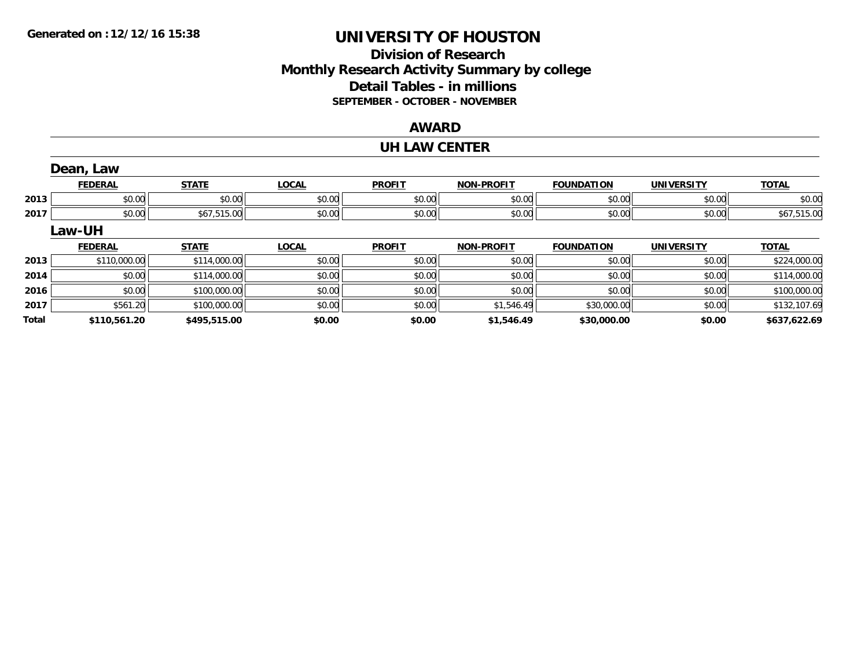## **Division of ResearchMonthly Research Activity Summary by college Detail Tables - in millions SEPTEMBER - OCTOBER - NOVEMBER**

#### **AWARD**

#### **UH LAW CENTER**

|              | Dean, Law      |              |              |               |                   |                   |                   |              |
|--------------|----------------|--------------|--------------|---------------|-------------------|-------------------|-------------------|--------------|
|              | <b>FEDERAL</b> | <b>STATE</b> | <b>LOCAL</b> | <b>PROFIT</b> | <b>NON-PROFIT</b> | <b>FOUNDATION</b> | <b>UNIVERSITY</b> | <b>TOTAL</b> |
| 2013         | \$0.00         | \$0.00       | \$0.00       | \$0.00        | \$0.00            | \$0.00            | \$0.00            | \$0.00       |
| 2017         | \$0.00         | \$67,515.00  | \$0.00       | \$0.00        | \$0.00            | \$0.00            | \$0.00            | \$67,515.00  |
|              | Law-UH         |              |              |               |                   |                   |                   |              |
|              | <b>FEDERAL</b> | <b>STATE</b> | <b>LOCAL</b> | <b>PROFIT</b> | <b>NON-PROFIT</b> | <b>FOUNDATION</b> | <b>UNIVERSITY</b> | <b>TOTAL</b> |
| 2013         | \$110,000.00   | \$114,000.00 | \$0.00       | \$0.00        | \$0.00            | \$0.00            | \$0.00            | \$224,000.00 |
| 2014         | \$0.00         | \$114,000.00 | \$0.00       | \$0.00        | \$0.00            | \$0.00            | \$0.00            | \$114,000.00 |
| 2016         | \$0.00         | \$100,000.00 | \$0.00       | \$0.00        | \$0.00            | \$0.00            | \$0.00            | \$100,000.00 |
| 2017         | \$561.20       | \$100,000.00 | \$0.00       | \$0.00        | \$1,546.49        | \$30,000.00       | \$0.00            | \$132,107.69 |
| <b>Total</b> | \$110,561.20   | \$495,515.00 | \$0.00       | \$0.00        | \$1,546.49        | \$30,000.00       | \$0.00            | \$637,622.69 |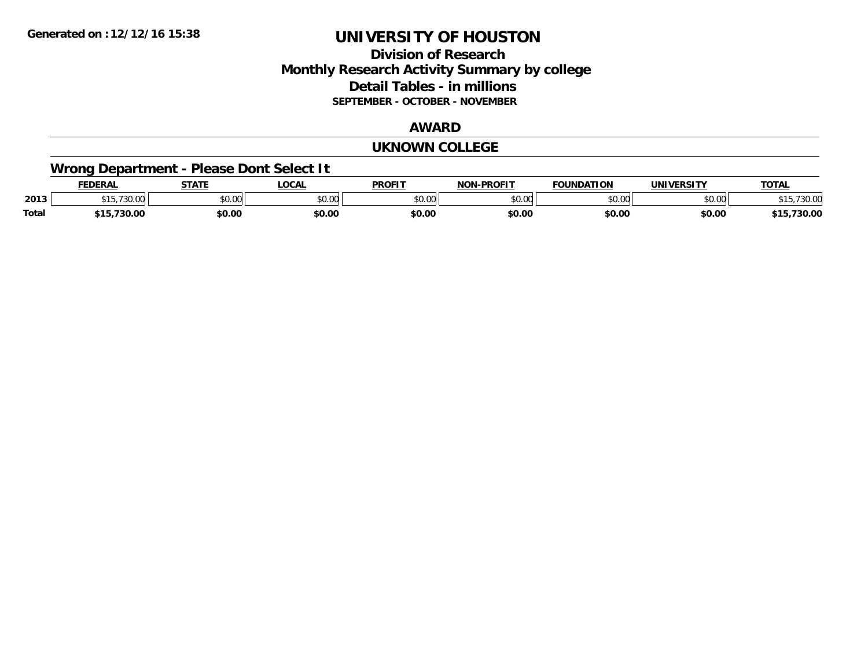### **Division of Research Monthly Research Activity Summary by college Detail Tables - in millions SEPTEMBER - OCTOBER - NOVEMBER**

#### **AWARD**

#### **UKNOWN COLLEGE**

# **Wrong Department - Please Dont Select It**

|              | <b>EDERAL</b>                               | <b>STATE</b> | <b>LOCAL</b>  | <b>PROFIT</b>      | -PROFIT<br>NON | FOUNDATION         | <b>IINIVEDSITV</b> | <b>TOTAL</b>   |
|--------------|---------------------------------------------|--------------|---------------|--------------------|----------------|--------------------|--------------------|----------------|
| 2013         | $\overline{\phantom{a}}$<br>$\sim$<br>10.VV | JU.UU        | 0000<br>DU.UU | $\sim$ 00<br>JU.UU | to oo<br>DU.UU | $\sim$ 00<br>JU.UU | $\sim$ 00<br>DU.UU | 730.OC<br>່ເປ  |
| <b>Total</b> | ,730.00<br>.                                | \$0.00       | \$0.00        | \$0.00             | \$0.00         | \$0.00             | \$0.00             | ,,,,,,<br>30.U |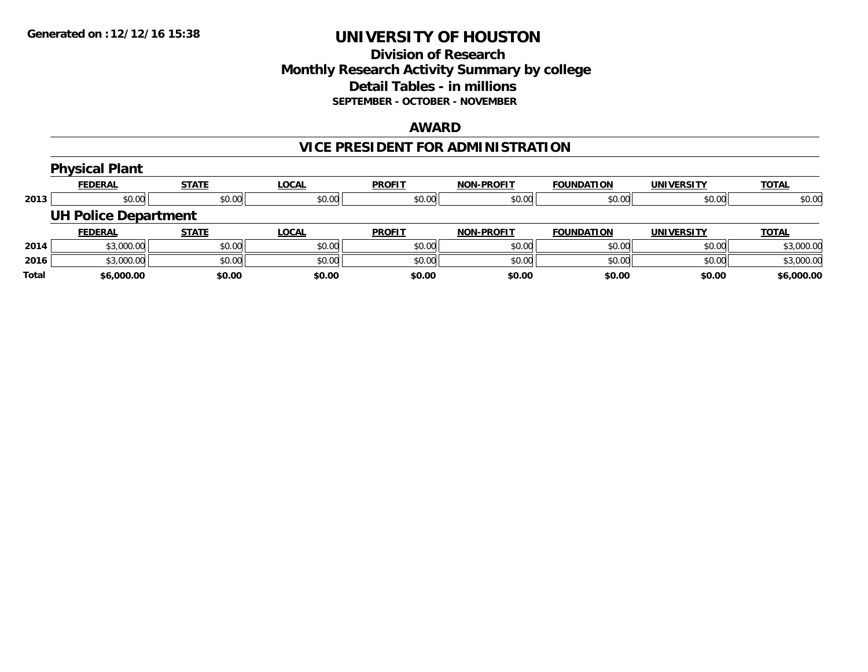### **Division of Research Monthly Research Activity Summary by college Detail Tables - in millions SEPTEMBER - OCTOBER - NOVEMBER**

#### **AWARD**

# **VICE PRESIDENT FOR ADMINISTRATION**

|              | <b>Physical Plant</b>       |              |              |               |                   |                   |                   |              |
|--------------|-----------------------------|--------------|--------------|---------------|-------------------|-------------------|-------------------|--------------|
|              | <b>FEDERAL</b>              | <b>STATE</b> | <b>LOCAL</b> | <b>PROFIT</b> | <b>NON-PROFIT</b> | <b>FOUNDATION</b> | <b>UNIVERSITY</b> | <b>TOTAL</b> |
| 2013         | \$0.00                      | \$0.00       | \$0.00       | \$0.00        | \$0.00            | \$0.00            | \$0.00            | \$0.00       |
|              | <b>UH Police Department</b> |              |              |               |                   |                   |                   |              |
|              | <b>FEDERAL</b>              | <b>STATE</b> | <u>LOCAL</u> | <b>PROFIT</b> | <b>NON-PROFIT</b> | <b>FOUNDATION</b> | <b>UNIVERSITY</b> | <b>TOTAL</b> |
| 2014         | \$3,000.00                  | \$0.00       | \$0.00       | \$0.00        | \$0.00            | \$0.00            | \$0.00            | \$3,000.00   |
| 2016         | \$3,000.00                  | \$0.00       | \$0.00       | \$0.00        | \$0.00            | \$0.00            | \$0.00            | \$3,000.00   |
| <b>Total</b> | \$6,000.00                  | \$0.00       | \$0.00       | \$0.00        | \$0.00            | \$0.00            | \$0.00            | \$6,000.00   |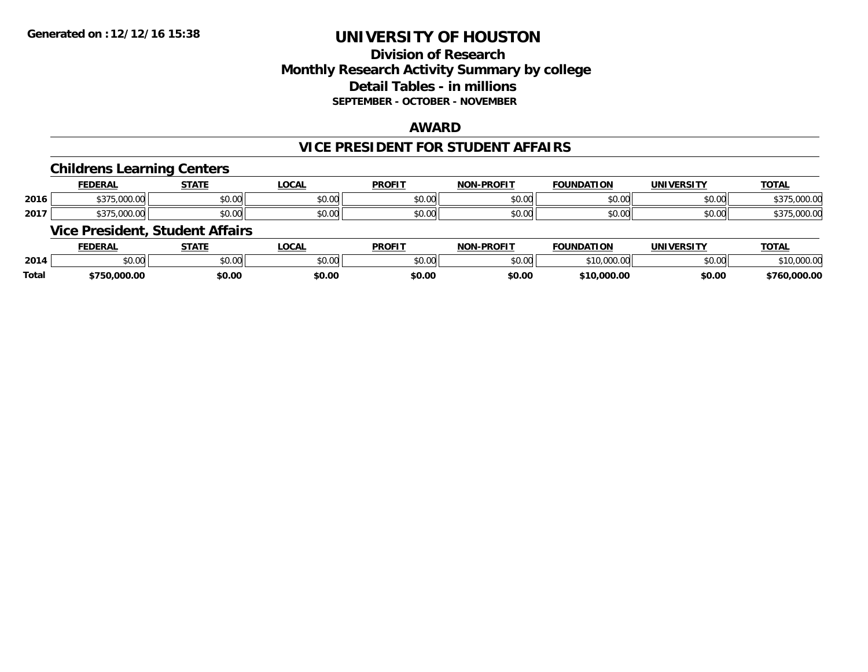## **Division of ResearchMonthly Research Activity Summary by college Detail Tables - in millions SEPTEMBER - OCTOBER - NOVEMBER**

### **AWARD**

#### **VICE PRESIDENT FOR STUDENT AFFAIRS**

#### **Childrens Learning Centers**

|      | <b>FEDERAL</b>                                             | CTATI                                                 | .OCAI              | <b>PROFIT</b>           | <b>DDOFIT</b> .<br><b>NIONI</b> | <b>FOUNDAT</b><br>пом                      | IINIVE<br>ne 1.                           | <b>TOTAL</b>                   |
|------|------------------------------------------------------------|-------------------------------------------------------|--------------------|-------------------------|---------------------------------|--------------------------------------------|-------------------------------------------|--------------------------------|
| 2016 | 0.00<br>. . <del>.</del> .<br>$\sim$<br>.                  | $\mathsf{A} \cap \mathsf{A} \cap \mathsf{A}$<br>JU.UU | $\sim$ 00<br>JU.UL | $\sim$ 00<br>JU.UU      | \$0.00                          | 0 <sup>n</sup><br>י. טע                    | $\uparrow$ $\uparrow$ $\uparrow$<br>vu.vu | 0000<br>.uu.<br>,,,            |
| 2017 | $\wedge$ $\wedge$ $\wedge$<br>$\sim$<br>. .<br>,,,,,,,,,,, | 0.000<br>JU.UU                                        | $\sim$ 00<br>JU.UU | 0 <sub>n</sub><br>JU.UU | \$0.00                          | $\mathsf{A} \cap \mathsf{A} \cap$<br>JU.UU | $\sim$ $\sim$<br><b>DU.UU</b>             | $\sim$ $\sim$<br>,UUU.U<br>,,, |

### **Vice President, Student Affairs**

|              | <b>FEDERAL</b> | <b>STATE</b> | <b>OCAL</b> | <b>PROFIT</b>   | -PROFIT<br><b>NON</b> | <b>FOUNDATION</b>                                                              | UNIVERSITY | <b>TOTAL</b>          |
|--------------|----------------|--------------|-------------|-----------------|-----------------------|--------------------------------------------------------------------------------|------------|-----------------------|
| 2014         | 0000<br>JU.UU  | \$0.00       | JU.UU       | \$0.00<br>JU.UU | mn n¢<br>pu.uu        | $\begin{array}{c} \bullet & \bullet & \bullet & \bullet & \bullet \end{array}$ | \$0.00     | $\sim$<br>, IU.UUU.UU |
| <b>Total</b> | \$750,000.00   | \$0.00       | \$0.00      | \$0.00          | \$0.00                | 000.00,<br><u> ተብጠ</u>                                                         | \$0.00     | ,000.00<br>4760       |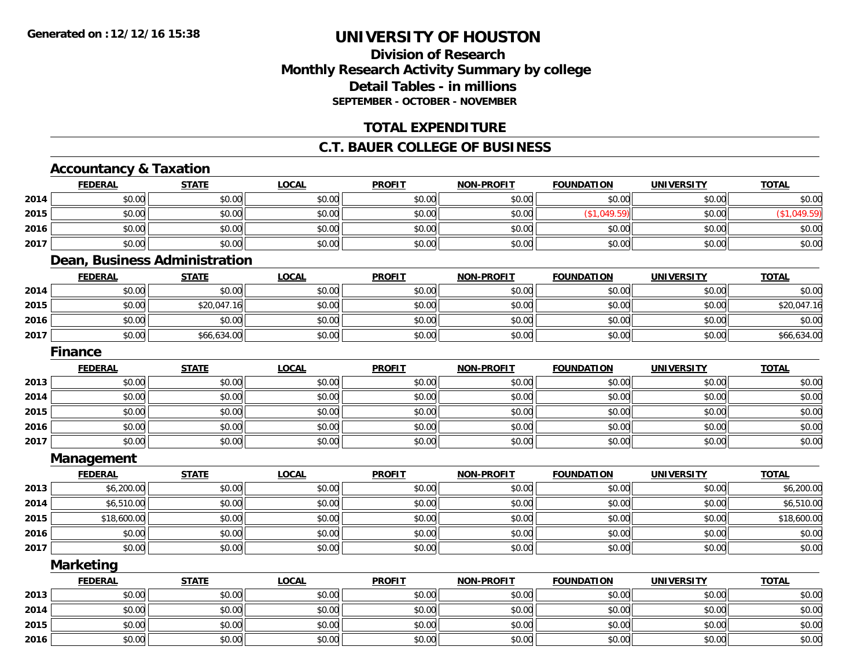## **Division of ResearchMonthly Research Activity Summary by college Detail Tables - in millions SEPTEMBER - OCTOBER - NOVEMBER**

### **TOTAL EXPENDITURE**

#### **C.T. BAUER COLLEGE OF BUSINESS**

## **Accountancy & Taxation**

|      | Accountancy & rayation        |              |              |               |                   |                   |                   |              |
|------|-------------------------------|--------------|--------------|---------------|-------------------|-------------------|-------------------|--------------|
|      | <b>FEDERAL</b>                | <b>STATE</b> | <b>LOCAL</b> | <b>PROFIT</b> | <b>NON-PROFIT</b> | <b>FOUNDATION</b> | <b>UNIVERSITY</b> | <b>TOTAL</b> |
| 2014 | \$0.00                        | \$0.00       | \$0.00       | \$0.00        | \$0.00            | \$0.00            | \$0.00            | \$0.00       |
| 2015 | \$0.00                        | \$0.00       | \$0.00       | \$0.00        | \$0.00            | (\$1,049.59)      | \$0.00            | (\$1,049.59) |
| 2016 | \$0.00                        | \$0.00       | \$0.00       | \$0.00        | \$0.00            | \$0.00            | \$0.00            | \$0.00       |
| 2017 | \$0.00                        | \$0.00       | \$0.00       | \$0.00        | \$0.00            | \$0.00            | \$0.00            | \$0.00       |
|      | Dean, Business Administration |              |              |               |                   |                   |                   |              |
|      | <b>FEDERAL</b>                | <b>STATE</b> | <b>LOCAL</b> | <b>PROFIT</b> | <b>NON-PROFIT</b> | <b>FOUNDATION</b> | <b>UNIVERSITY</b> | <b>TOTAL</b> |
| 2014 | \$0.00                        | \$0.00       | \$0.00       | \$0.00        | \$0.00            | \$0.00            | \$0.00            | \$0.00       |
| 2015 | \$0.00                        | \$20,047.16  | \$0.00       | \$0.00        | \$0.00            | \$0.00            | \$0.00            | \$20,047.16  |
| 2016 | \$0.00                        | \$0.00       | \$0.00       | \$0.00        | \$0.00            | \$0.00            | \$0.00            | \$0.00       |
| 2017 | \$0.00                        | \$66,634.00  | \$0.00       | \$0.00        | \$0.00            | \$0.00            | \$0.00            | \$66,634.00  |
|      | <b>Finance</b>                |              |              |               |                   |                   |                   |              |
|      | <b>FEDERAL</b>                | <b>STATE</b> | <b>LOCAL</b> | <b>PROFIT</b> | <b>NON-PROFIT</b> | <b>FOUNDATION</b> | <b>UNIVERSITY</b> | <b>TOTAL</b> |
| 2013 | \$0.00                        | \$0.00       | \$0.00       | \$0.00        | \$0.00            | \$0.00            | \$0.00            | \$0.00       |
| 2014 | \$0.00                        | \$0.00       | \$0.00       | \$0.00        | \$0.00            | \$0.00            | \$0.00            | \$0.00       |
| 2015 | \$0.00                        | \$0.00       | \$0.00       | \$0.00        | \$0.00            | \$0.00            | \$0.00            | \$0.00       |
| 2016 | \$0.00                        | \$0.00       | \$0.00       | \$0.00        | \$0.00            | \$0.00            | \$0.00            | \$0.00       |
| 2017 | \$0.00                        | \$0.00       | \$0.00       | \$0.00        | \$0.00            | \$0.00            | \$0.00            | \$0.00       |
|      | Management                    |              |              |               |                   |                   |                   |              |
|      | <b>FEDERAL</b>                | <b>STATE</b> | <b>LOCAL</b> | <b>PROFIT</b> | <b>NON-PROFIT</b> | <b>FOUNDATION</b> | <b>UNIVERSITY</b> | <b>TOTAL</b> |
| 2013 | \$6,200.00                    | \$0.00       | \$0.00       | \$0.00        | \$0.00            | \$0.00            | \$0.00            | \$6,200.00   |
| 2014 | \$6,510.00                    | \$0.00       | \$0.00       | \$0.00        | \$0.00            | \$0.00            | \$0.00            | \$6,510.00   |
| 2015 | \$18,600.00                   | \$0.00       | \$0.00       | \$0.00        | \$0.00            | \$0.00            | \$0.00            | \$18,600.00  |

**2017**7 | \$0.00 \$0.00 \$0.00 \$0.00 \$0.00 \$0.00 \$0.00 \$0.00 \$0.00 \$0.00 \$0.00 \$0.00 \$0.00 \$0.00 \$0.00 \$0.00 \$0.00 \$0.0 **Marketing**

**2016**

|      | <b>FEDERAL</b> | <b>STATE</b> | <b>LOCAL</b> | <b>PROFIT</b> | <b>NON-PROFIT</b> | <b>FOUNDATION</b> | <b>UNIVERSITY</b> | <b>TOTAL</b> |
|------|----------------|--------------|--------------|---------------|-------------------|-------------------|-------------------|--------------|
| 2013 | \$0.00         | \$0.00       | \$0.00       | \$0.00        | \$0.00            | \$0.00            | \$0.00            | \$0.00       |
| 2014 | \$0.00         | \$0.00       | \$0.00       | \$0.00        | \$0.00            | \$0.00            | \$0.00            | \$0.00       |
| 2015 | \$0.00         | \$0.00       | \$0.00       | \$0.00        | \$0.00            | \$0.00            | \$0.00            | \$0.00       |
| 2016 | \$0.00         | \$0.00       | \$0.00       | \$0.00        | \$0.00            | \$0.00            | \$0.00            | \$0.00       |

6 \$0.00 \$0.00 \$0.00 \$0.00 \$0.00 \$0.00 \$0.00 \$0.00 \$0.00 \$0.00 \$0.00 \$0.00 \$0.00 \$0.00 \$0.00 \$0.00 \$0.00 \$0.00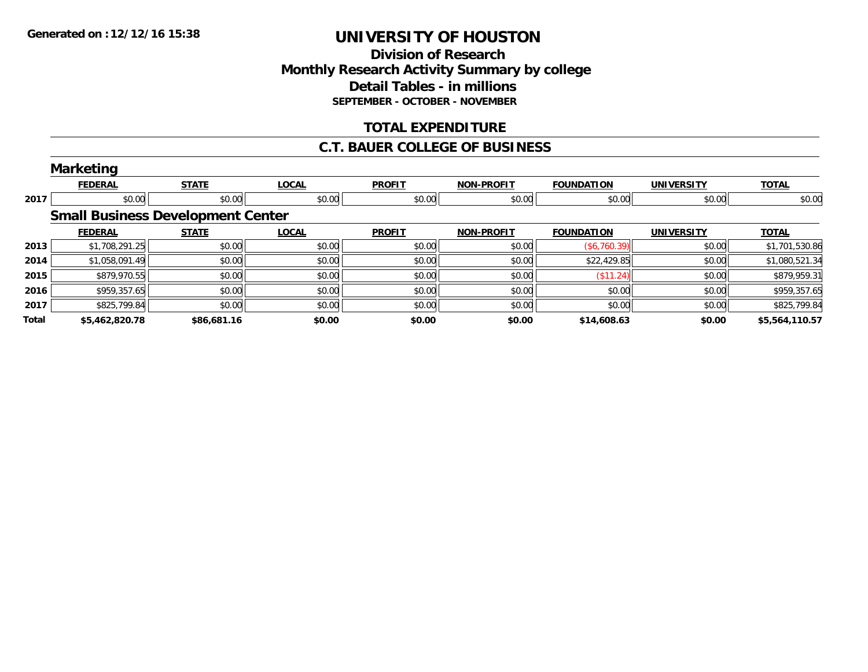### **Division of Research Monthly Research Activity Summary by college Detail Tables - in millions SEPTEMBER - OCTOBER - NOVEMBER**

### **TOTAL EXPENDITURE**

#### **C.T. BAUER COLLEGE OF BUSINESS**

|       | <b>Marketing</b> |                                          |              |               |                   |                   |                   |                |
|-------|------------------|------------------------------------------|--------------|---------------|-------------------|-------------------|-------------------|----------------|
|       | <b>FEDERAL</b>   | <b>STATE</b>                             | <b>LOCAL</b> | <b>PROFIT</b> | <b>NON-PROFIT</b> | <b>FOUNDATION</b> | <b>UNIVERSITY</b> | <b>TOTAL</b>   |
| 2017  | \$0.00           | \$0.00                                   | \$0.00       | \$0.00        | \$0.00            | \$0.00            | \$0.00            | \$0.00         |
|       |                  | <b>Small Business Development Center</b> |              |               |                   |                   |                   |                |
|       | <b>FEDERAL</b>   | <b>STATE</b>                             | <b>LOCAL</b> | <b>PROFIT</b> | <b>NON-PROFIT</b> | <b>FOUNDATION</b> | <b>UNIVERSITY</b> | <b>TOTAL</b>   |
| 2013  | \$1,708,291.25   | \$0.00                                   | \$0.00       | \$0.00        | \$0.00            | (\$6,760.39)      | \$0.00            | \$1,701,530.86 |
| 2014  | \$1,058,091.49   | \$0.00                                   | \$0.00       | \$0.00        | \$0.00            | \$22,429.85       | \$0.00            | \$1,080,521.34 |
| 2015  | \$879,970.55     | \$0.00                                   | \$0.00       | \$0.00        | \$0.00            | $($ \$11.24) $ $  | \$0.00            | \$879,959.31   |
| 2016  | \$959,357.65     | \$0.00                                   | \$0.00       | \$0.00        | \$0.00            | \$0.00            | \$0.00            | \$959,357.65   |
| 2017  | \$825,799.84     | \$0.00                                   | \$0.00       | \$0.00        | \$0.00            | \$0.00            | \$0.00            | \$825,799.84   |
| Total | \$5,462,820.78   | \$86,681.16                              | \$0.00       | \$0.00        | \$0.00            | \$14,608.63       | \$0.00            | \$5,564,110.57 |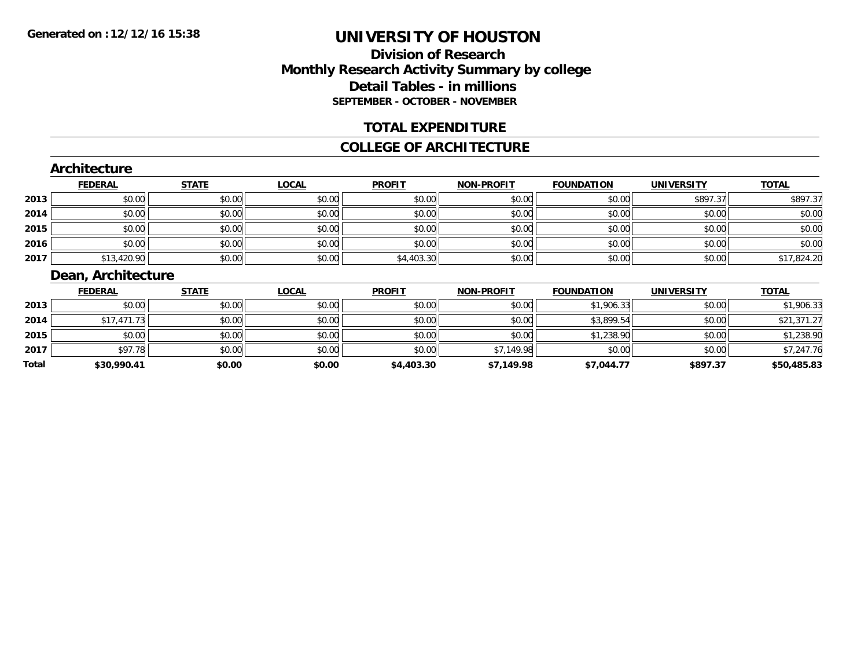### **Division of Research Monthly Research Activity Summary by college Detail Tables - in millions SEPTEMBER - OCTOBER - NOVEMBER**

### **TOTAL EXPENDITURE**

#### **COLLEGE OF ARCHITECTURE**

#### **Architecture**

|      | <b>FEDERAL</b> | <b>STATE</b> | <u>LOCAL</u> | <b>PROFIT</b> | <b>NON-PROFIT</b> | <b>FOUNDATION</b> | <b>UNIVERSITY</b> | <b>TOTAL</b> |
|------|----------------|--------------|--------------|---------------|-------------------|-------------------|-------------------|--------------|
| 2013 | \$0.00         | \$0.00       | \$0.00       | \$0.00        | \$0.00            | \$0.00            | \$897.37          | \$897.37     |
| 2014 | \$0.00         | \$0.00       | \$0.00       | \$0.00        | \$0.00            | \$0.00            | \$0.00            | \$0.00       |
| 2015 | \$0.00         | \$0.00       | \$0.00       | \$0.00        | \$0.00            | \$0.00            | \$0.00            | \$0.00       |
| 2016 | \$0.00         | \$0.00       | \$0.00       | \$0.00        | \$0.00            | \$0.00            | \$0.00            | \$0.00       |
| 2017 | \$13,420.90    | \$0.00       | \$0.00       | \$4,403.30    | \$0.00            | \$0.00            | \$0.00            | \$17,824.20  |

## **Dean, Architecture**

|       | <b>FEDERAL</b> | <b>STATE</b> | <b>LOCAL</b> | <b>PROFIT</b> | <b>NON-PROFIT</b> | <b>FOUNDATION</b> | <b>UNIVERSITY</b> | <b>TOTAL</b> |
|-------|----------------|--------------|--------------|---------------|-------------------|-------------------|-------------------|--------------|
| 2013  | \$0.00         | \$0.00       | \$0.00       | \$0.00        | \$0.00            | \$1,906.33        | \$0.00            | \$1,906.33   |
| 2014  | \$17,471.73    | \$0.00       | \$0.00       | \$0.00        | \$0.00            | \$3,899.54        | \$0.00            | \$21,371.27  |
| 2015  | \$0.00         | \$0.00       | \$0.00       | \$0.00        | \$0.00            | \$1,238.90        | \$0.00            | \$1,238.90   |
| 2017  | \$97.78        | \$0.00       | \$0.00       | \$0.00        | \$7,149.98        | \$0.00            | \$0.00            | \$7,247.76   |
| Total | \$30,990.41    | \$0.00       | \$0.00       | \$4,403.30    | \$7.149.98        | \$7.044.77        | \$897.37          | \$50,485.83  |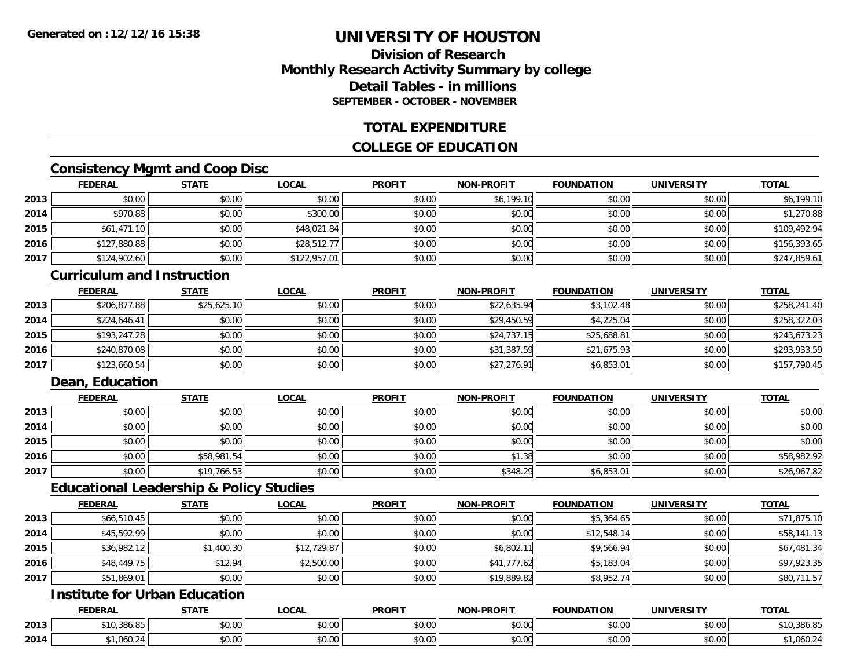## **Division of ResearchMonthly Research Activity Summary by college Detail Tables - in millionsSEPTEMBER - OCTOBER - NOVEMBER**

### **TOTAL EXPENDITURE**

### **COLLEGE OF EDUCATION**

## **Consistency Mgmt and Coop Disc**

|      | <b>FEDERAL</b> | <b>STATE</b> | <b>LOCAL</b> | <b>PROFIT</b> | <b>NON-PROFIT</b> | <b>FOUNDATION</b> | <b>UNIVERSITY</b> | <b>TOTAL</b> |
|------|----------------|--------------|--------------|---------------|-------------------|-------------------|-------------------|--------------|
| 2013 | \$0.00         | \$0.00       | \$0.00       | \$0.00        | \$6,199.10        | \$0.00            | \$0.00            | \$6,199.10   |
| 2014 | \$970.88       | \$0.00       | \$300.00     | \$0.00        | \$0.00            | \$0.00            | \$0.00            | \$1,270.88   |
| 2015 | \$61,471.10    | \$0.00       | \$48,021.84  | \$0.00        | \$0.00            | \$0.00            | \$0.00            | \$109,492.94 |
| 2016 | \$127,880.88   | \$0.00       | \$28,512.77  | \$0.00        | \$0.00            | \$0.00            | \$0.00            | \$156,393.65 |
| 2017 | \$124,902.60   | \$0.00       | \$122,957.01 | \$0.00        | \$0.00            | \$0.00            | \$0.00            | \$247,859.61 |

#### **Curriculum and Instruction**

|      | <b>FEDERAL</b> | <b>STATE</b> | <b>LOCAL</b> | <b>PROFIT</b> | <b>NON-PROFIT</b> | <b>FOUNDATION</b> | <b>UNIVERSITY</b> | <b>TOTAL</b> |
|------|----------------|--------------|--------------|---------------|-------------------|-------------------|-------------------|--------------|
| 2013 | \$206,877.88   | \$25,625.10  | \$0.00       | \$0.00        | \$22,635.94       | \$3,102.48        | \$0.00            | \$258,241.40 |
| 2014 | \$224.646.41   | \$0.00       | \$0.00       | \$0.00        | \$29,450.59       | \$4,225.04        | \$0.00            | \$258,322.03 |
| 2015 | \$193,247.28   | \$0.00       | \$0.00       | \$0.00        | \$24,737.15       | \$25,688.81       | \$0.00            | \$243,673.23 |
| 2016 | \$240,870.08   | \$0.00       | \$0.00       | \$0.00        | \$31,387.59       | \$21,675.93       | \$0.00            | \$293,933.59 |
| 2017 | \$123,660.54   | \$0.00       | \$0.00       | \$0.00        | \$27,276.91       | \$6,853.01        | \$0.00            | \$157,790.45 |

## **Dean, Education**

|      | <b>FEDERAL</b> | <b>STATE</b> | <u>LOCAL</u> | <b>PROFIT</b> | <b>NON-PROFIT</b> | <b>FOUNDATION</b> | <b>UNIVERSITY</b> | <b>TOTAL</b> |
|------|----------------|--------------|--------------|---------------|-------------------|-------------------|-------------------|--------------|
| 2013 | \$0.00         | \$0.00       | \$0.00       | \$0.00        | \$0.00            | \$0.00            | \$0.00            | \$0.00       |
| 2014 | \$0.00         | \$0.00       | \$0.00       | \$0.00        | \$0.00            | \$0.00            | \$0.00            | \$0.00       |
| 2015 | \$0.00         | \$0.00       | \$0.00       | \$0.00        | \$0.00            | \$0.00            | \$0.00            | \$0.00       |
| 2016 | \$0.00         | \$58,981.54  | \$0.00       | \$0.00        | \$1.38            | \$0.00            | \$0.00            | \$58,982.92  |
| 2017 | \$0.00         | \$19,766.53  | \$0.00       | \$0.00        | \$348.29          | \$6,853.01        | \$0.00            | \$26,967.82  |

#### **Educational Leadership & Policy Studies**

|      | <b>FEDERAL</b> | <b>STATE</b> | <u>LOCAL</u> | <b>PROFIT</b> | <b>NON-PROFIT</b> | <b>FOUNDATION</b> | <b>UNIVERSITY</b> | <b>TOTAL</b> |
|------|----------------|--------------|--------------|---------------|-------------------|-------------------|-------------------|--------------|
| 2013 | \$66,510.45    | \$0.00       | \$0.00       | \$0.00        | \$0.00            | \$5,364.65        | \$0.00            | \$71,875.10  |
| 2014 | \$45,592.99    | \$0.00       | \$0.00       | \$0.00        | \$0.00            | \$12,548.14       | \$0.00            | \$58,141.13  |
| 2015 | \$36,982.12    | \$1,400.30   | \$12,729.87  | \$0.00        | \$6,802.11        | \$9,566.94        | \$0.00            | \$67,481.34  |
| 2016 | \$48,449.75    | \$12.94      | \$2,500.00   | \$0.00        | \$41,777.62       | \$5,183.04        | \$0.00            | \$97,923.35  |
| 2017 | \$51,869.01    | \$0.00       | \$0.00       | \$0.00        | \$19,889.82       | \$8,952.74        | \$0.00            | \$80,711.57  |

# **Institute for Urban Education**

|      | <b>FEDERAL</b>  | <b>CTATE</b>  | <b>_OCAL</b>          | <b>PROFIT</b>      | <b>J-PROFIT</b><br><b>BIABI</b> | <b>FOUNDATION</b> | <b>UNIVERSITY</b>    | <b>TOTAL</b> |
|------|-----------------|---------------|-----------------------|--------------------|---------------------------------|-------------------|----------------------|--------------|
| 2013 | \$10,386.85     | 0000<br>DU.UU | $\sim$<br>0 t<br>וטט. | $\sim$ 00<br>DU.UU | 0.00<br>JU.UU                   | \$0.00            | 0000<br><b>DU.UU</b> | 10.386.85    |
| 2014 | 0.60<br>…∪0∪.∠≝ | 0000<br>,u.uu | $\sim$ 00<br>vv.vv    | $\sim$ 00<br>DU.UU | 0.00<br>JU.UU                   | \$0.00            | $\sim$ 00<br>JU.UU   | ا3.060, ا ؍  |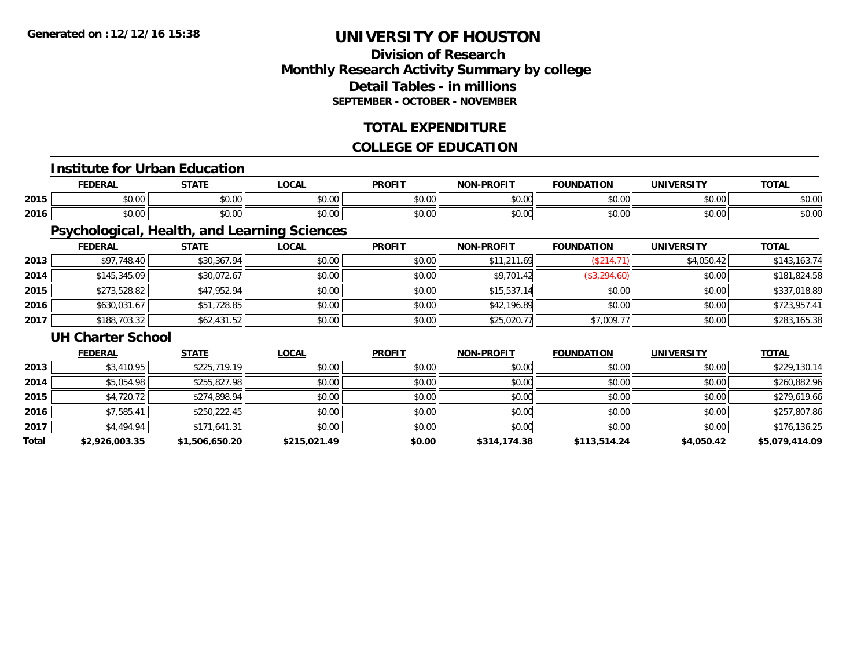## **Division of ResearchMonthly Research Activity Summary by college Detail Tables - in millions SEPTEMBER - OCTOBER - NOVEMBER**

### **TOTAL EXPENDITURE**

### **COLLEGE OF EDUCATION**

## **Institute for Urban Education**

|      |      | $- - - - -$ | $\sim$<br>UUM | <b>DDOEI</b>   | וחו       | ת ו<br>. . r  | .         | ---           |
|------|------|-------------|---------------|----------------|-----------|---------------|-----------|---------------|
| 2015 | 0000 | $\sim$ 00   | $\sim$ $\sim$ | 0 <sub>n</sub> | $\sim$ 00 | $\sim$ $\sim$ | nn nnl    | $\sim$        |
|      | ט.טי | JU.UU       | vv.vv         | JU.U           | ₽U.UU     | טט.טע         | JU.UU     | งบ.บบ         |
|      | 0000 | ሐሴ ሰሰ       | $\sim$ $\sim$ | 0000           | $\sim$ 00 | $\sim$ $\sim$ | $\sim$ 00 | $\sim$ $\sim$ |
| 2016 | ט.טע | DU.UU       | vu.vu         | vv.v           | pu.uu     | טט.טע         | vv.vv     | DU.UG         |

## **Psychological, Health, and Learning Sciences**

|      | <b>FEDERAL</b> | <u>STATE</u> | <u>LOCAL</u> | <b>PROFIT</b> | <b>NON-PROFIT</b> | <b>FOUNDATION</b> | <b>UNIVERSITY</b> | <b>TOTAL</b> |
|------|----------------|--------------|--------------|---------------|-------------------|-------------------|-------------------|--------------|
| 2013 | \$97,748.40    | \$30,367.94  | \$0.00       | \$0.00        | \$11,211.69       | (\$214.71)        | \$4,050.42        | \$143,163.74 |
| 2014 | \$145,345.09   | \$30,072.67  | \$0.00       | \$0.00        | \$9,701.42        | (\$3,294.60)      | \$0.00            | \$181,824.58 |
| 2015 | \$273,528.82   | \$47,952.94  | \$0.00       | \$0.00        | \$15,537.14       | \$0.00            | \$0.00            | \$337,018.89 |
| 2016 | \$630,031.67   | \$51,728.85  | \$0.00       | \$0.00        | \$42,196.89       | \$0.00            | \$0.00            | \$723,957.41 |
| 2017 | \$188,703.32   | \$62,431.52  | \$0.00       | \$0.00        | \$25,020.77       | \$7,009.77        | \$0.00            | \$283,165.38 |

#### **UH Charter School**

|       | <b>FEDERAL</b> | <b>STATE</b>   | <b>LOCAL</b> | <b>PROFIT</b> | <b>NON-PROFIT</b> | <b>FOUNDATION</b> | <b>UNIVERSITY</b> | <b>TOTAL</b>   |
|-------|----------------|----------------|--------------|---------------|-------------------|-------------------|-------------------|----------------|
| 2013  | \$3.410.95     | \$225,719.19   | \$0.00       | \$0.00        | \$0.00            | \$0.00            | \$0.00            | \$229,130.14   |
| 2014  | \$5,054.98     | \$255,827.98   | \$0.00       | \$0.00        | \$0.00            | \$0.00            | \$0.00            | \$260,882.96   |
| 2015  | \$4,720.72     | \$274,898.94   | \$0.00       | \$0.00        | \$0.00            | \$0.00            | \$0.00            | \$279,619.66   |
| 2016  | \$7,585.41     | \$250,222.45   | \$0.00       | \$0.00        | \$0.00            | \$0.00            | \$0.00            | \$257,807.86   |
| 2017  | \$4,494.94     | \$171,641.31   | \$0.00       | \$0.00        | \$0.00            | \$0.00            | \$0.00            | \$176,136.25   |
| Total | \$2,926,003.35 | \$1,506,650.20 | \$215,021.49 | \$0.00        | \$314,174.38      | \$113,514.24      | \$4,050.42        | \$5,079,414.09 |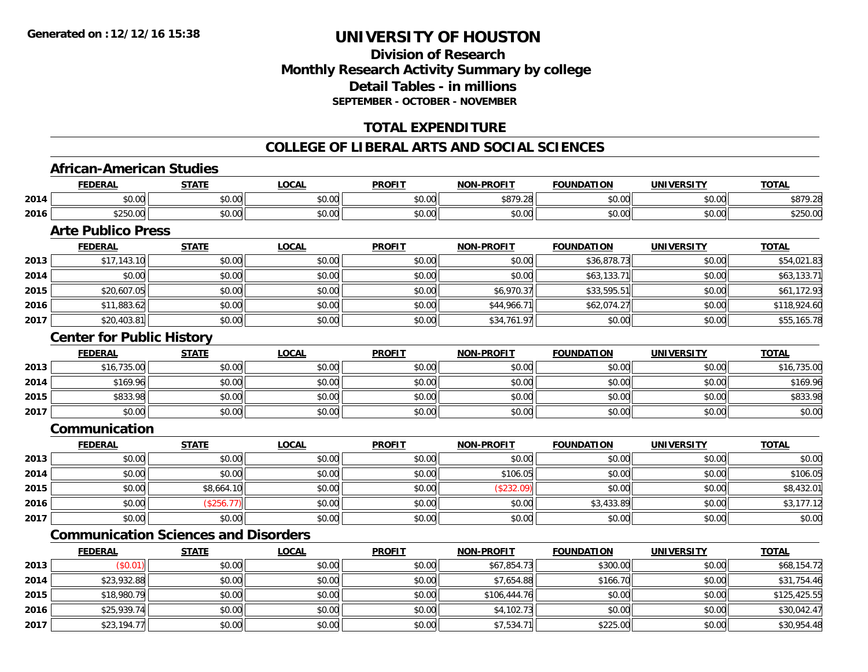## **Division of ResearchMonthly Research Activity Summary by college Detail Tables - in millionsSEPTEMBER - OCTOBER - NOVEMBER**

## **TOTAL EXPENDITURE**

### **COLLEGE OF LIBERAL ARTS AND SOCIAL SCIENCES**

#### **African-American Studies**

|      | <b>FEDERAL</b>  | <b>STATE</b>  | LOCAL                                                    | <b>PROFIT</b>        | <b>NOM</b><br><b>J-PROFIT</b> | <b>FOUNDATION</b>    | <b>UNIVERSITY</b> | <b>TOTAL</b> |
|------|-----------------|---------------|----------------------------------------------------------|----------------------|-------------------------------|----------------------|-------------------|--------------|
| 2014 | ልስ ስስ<br>vu.uu  | 0.00<br>JU.UU | $\mathsf{A}\cap\mathsf{A}\cap\mathsf{A}$<br><b>JU.UU</b> | 0000<br><b>JU.UU</b> | \$879.28                      | 0000<br><b>JU.UU</b> | \$0.00            | \$879.28     |
| 2016 | \$250.00        | \$0.00        | $\sim$ $\sim$<br>JU.UU                                   | \$0.00               | \$0.00                        | 0000<br>JU.UU        | \$0.00            | \$250.00     |
|      | ---<br>. .<br>- |               |                                                          |                      |                               |                      |                   |              |

#### **Arte Publico Press**

|      | <b>FEDERAL</b> | <u>STATE</u> | <u>LOCAL</u> | <b>PROFIT</b> | <b>NON-PROFIT</b> | <b>FOUNDATION</b> | <b>UNIVERSITY</b> | <b>TOTAL</b> |
|------|----------------|--------------|--------------|---------------|-------------------|-------------------|-------------------|--------------|
| 2013 | \$17,143.10    | \$0.00       | \$0.00       | \$0.00        | \$0.00            | \$36,878.73       | \$0.00            | \$54,021.83  |
| 2014 | \$0.00         | \$0.00       | \$0.00       | \$0.00        | \$0.00            | \$63,133.71       | \$0.00            | \$63,133.71  |
| 2015 | \$20,607.05    | \$0.00       | \$0.00       | \$0.00        | \$6,970.37        | \$33,595.51       | \$0.00            | \$61,172.93  |
| 2016 | \$11,883.62    | \$0.00       | \$0.00       | \$0.00        | \$44,966.71       | \$62,074.27       | \$0.00            | \$118,924.60 |
| 2017 | \$20,403.81    | \$0.00       | \$0.00       | \$0.00        | \$34,761.97       | \$0.00            | \$0.00            | \$55,165.78  |

#### **Center for Public History**

|      | <b>FEDERAL</b> | STATE  | <u>LOCAL</u> | <b>PROFIT</b> | <b>NON-PROFIT</b> | <b>FOUNDATION</b> | <b>UNIVERSITY</b> | <b>TOTAL</b> |
|------|----------------|--------|--------------|---------------|-------------------|-------------------|-------------------|--------------|
| 2013 | \$16,735.00    | \$0.00 | \$0.00       | \$0.00        | \$0.00            | \$0.00            | \$0.00            | \$16,735.00  |
| 2014 | \$169.96       | \$0.00 | \$0.00       | \$0.00        | \$0.00            | \$0.00            | \$0.00            | \$169.96     |
| 2015 | \$833.98       | \$0.00 | \$0.00       | \$0.00        | \$0.00            | \$0.00            | \$0.00            | \$833.98     |
| 2017 | \$0.00         | \$0.00 | \$0.00       | \$0.00        | \$0.00            | \$0.00            | \$0.00            | \$0.00       |

#### **Communication**

|      | <b>FEDERAL</b> | <b>STATE</b> | <b>LOCAL</b> | <b>PROFIT</b> | <b>NON-PROFIT</b> | <b>FOUNDATION</b> | <b>UNIVERSITY</b> | <b>TOTAL</b> |
|------|----------------|--------------|--------------|---------------|-------------------|-------------------|-------------------|--------------|
| 2013 | \$0.00         | \$0.00       | \$0.00       | \$0.00        | \$0.00            | \$0.00            | \$0.00            | \$0.00       |
| 2014 | \$0.00         | \$0.00       | \$0.00       | \$0.00        | \$106.05          | \$0.00            | \$0.00            | \$106.05     |
| 2015 | \$0.00         | \$8,664.10   | \$0.00       | \$0.00        | (\$232.09)        | \$0.00            | \$0.00            | \$8,432.01   |
| 2016 | \$0.00         | \$256.7      | \$0.00       | \$0.00        | \$0.00            | \$3,433.89        | \$0.00            | \$3,177.12   |
| 2017 | \$0.00         | \$0.00       | \$0.00       | \$0.00        | \$0.00            | \$0.00            | \$0.00            | \$0.00       |

# **Communication Sciences and Disorders**

|      | <b>FEDERAL</b> | <b>STATE</b> | <u>LOCAL</u> | <b>PROFIT</b> | <b>NON-PROFIT</b> | <b>FOUNDATION</b> | <b>UNIVERSITY</b> | <b>TOTAL</b> |
|------|----------------|--------------|--------------|---------------|-------------------|-------------------|-------------------|--------------|
| 2013 | (S0.01)        | \$0.00       | \$0.00       | \$0.00        | \$67,854.73       | \$300.00          | \$0.00            | \$68,154.72  |
| 2014 | \$23,932.88    | \$0.00       | \$0.00       | \$0.00        | \$7,654.88        | \$166.70          | \$0.00            | \$31,754.46  |
| 2015 | \$18,980.79    | \$0.00       | \$0.00       | \$0.00        | \$106,444.76      | \$0.00            | \$0.00            | \$125,425.55 |
| 2016 | \$25,939.74    | \$0.00       | \$0.00       | \$0.00        | \$4,102.73        | \$0.00            | \$0.00            | \$30,042.47  |
| 2017 | \$23,194.77    | \$0.00       | \$0.00       | \$0.00        | \$7,534.71        | \$225.00          | \$0.00            | \$30,954.48  |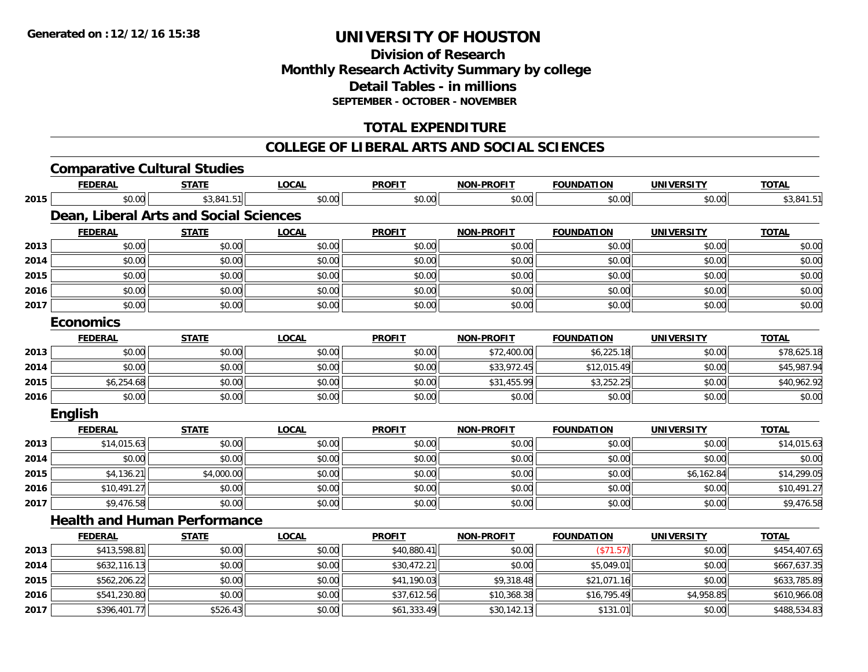**2017**

# **UNIVERSITY OF HOUSTON**

## **Division of ResearchMonthly Research Activity Summary by college Detail Tables - in millions SEPTEMBER - OCTOBER - NOVEMBER**

## **TOTAL EXPENDITURE**

#### **COLLEGE OF LIBERAL ARTS AND SOCIAL SCIENCES**

|      | <b>Comparative Cultural Studies</b>    |              |              |               |                   |                   |                   |              |
|------|----------------------------------------|--------------|--------------|---------------|-------------------|-------------------|-------------------|--------------|
|      | <b>FEDERAL</b>                         | <b>STATE</b> | <b>LOCAL</b> | <b>PROFIT</b> | <b>NON-PROFIT</b> | <b>FOUNDATION</b> | <b>UNIVERSITY</b> | <b>TOTAL</b> |
| 2015 | \$0.00                                 | \$3,841.51   | \$0.00       | \$0.00        | \$0.00            | \$0.00            | \$0.00            | \$3,841.51   |
|      | Dean, Liberal Arts and Social Sciences |              |              |               |                   |                   |                   |              |
|      | <b>FEDERAL</b>                         | <b>STATE</b> | <b>LOCAL</b> | <b>PROFIT</b> | <b>NON-PROFIT</b> | <b>FOUNDATION</b> | <b>UNIVERSITY</b> | <b>TOTAL</b> |
| 2013 | \$0.00                                 | \$0.00       | \$0.00       | \$0.00        | \$0.00            | \$0.00            | \$0.00            | \$0.00       |
| 2014 | \$0.00                                 | \$0.00       | \$0.00       | \$0.00        | \$0.00            | \$0.00            | \$0.00            | \$0.00       |
| 2015 | \$0.00                                 | \$0.00       | \$0.00       | \$0.00        | \$0.00            | \$0.00            | \$0.00            | \$0.00       |
| 2016 | \$0.00                                 | \$0.00       | \$0.00       | \$0.00        | \$0.00            | \$0.00            | \$0.00            | \$0.00       |
| 2017 | \$0.00                                 | \$0.00       | \$0.00       | \$0.00        | \$0.00            | \$0.00            | \$0.00            | \$0.00       |
|      | <b>Economics</b>                       |              |              |               |                   |                   |                   |              |
|      | <b>FEDERAL</b>                         | <b>STATE</b> | <b>LOCAL</b> | <b>PROFIT</b> | <b>NON-PROFIT</b> | <b>FOUNDATION</b> | <b>UNIVERSITY</b> | <b>TOTAL</b> |
| 2013 | \$0.00                                 | \$0.00       | \$0.00       | \$0.00        | \$72,400.00       | \$6,225.18        | \$0.00            | \$78,625.18  |
| 2014 | \$0.00                                 | \$0.00       | \$0.00       | \$0.00        | \$33,972.45       | \$12,015.49       | \$0.00            | \$45,987.94  |
| 2015 | \$6,254.68                             | \$0.00       | \$0.00       | \$0.00        | \$31,455.99       | \$3,252.25        | \$0.00            | \$40,962.92  |
| 2016 | \$0.00                                 | \$0.00       | \$0.00       | \$0.00        | \$0.00            | \$0.00            | \$0.00            | \$0.00       |
|      | <b>English</b>                         |              |              |               |                   |                   |                   |              |
|      | <b>FEDERAL</b>                         | <b>STATE</b> | <b>LOCAL</b> | <b>PROFIT</b> | NON-PROFIT        | <b>FOUNDATION</b> | <b>UNIVERSITY</b> | <b>TOTAL</b> |
| 2013 | \$14,015.63                            | \$0.00       | \$0.00       | \$0.00        | \$0.00            | \$0.00            | \$0.00            | \$14,015.63  |
| 2014 | \$0.00                                 | \$0.00       | \$0.00       | \$0.00        | \$0.00            | \$0.00            | \$0.00            | \$0.00       |
| 2015 | \$4,136.21                             | \$4,000.00   | \$0.00       | \$0.00        | \$0.00            | \$0.00            | \$6,162.84        | \$14,299.05  |
| 2016 | \$10,491.27                            | \$0.00       | \$0.00       | \$0.00        | \$0.00            | \$0.00            | \$0.00            | \$10,491.27  |
| 2017 | \$9,476.58                             | \$0.00       | \$0.00       | \$0.00        | \$0.00            | \$0.00            | \$0.00            | \$9,476.58   |
|      | <b>Health and Human Performance</b>    |              |              |               |                   |                   |                   |              |
|      | <b>FEDERAL</b>                         | <b>STATE</b> | <b>LOCAL</b> | <b>PROFIT</b> | <b>NON-PROFIT</b> | <b>FOUNDATION</b> | <b>UNIVERSITY</b> | <b>TOTAL</b> |
| 2013 | \$413,598.81                           | \$0.00       | \$0.00       | \$40,880.41   | \$0.00            | (\$71.57)         | \$0.00            | \$454,407.65 |
| 2014 | \$632,116.13                           | \$0.00       | \$0.00       | \$30,472.21   | \$0.00            | \$5,049.01        | \$0.00            | \$667,637.35 |
| 2015 | \$562,206.22                           | \$0.00       | \$0.00       | \$41,190.03   | \$9,318.48        | \$21,071.16       | \$0.00            | \$633,785.89 |
| 2016 | \$541,230.80                           | \$0.00       | \$0.00       | \$37,612.56   | \$10,368.38       | \$16,795.49       | \$4,958.85        | \$610,966.08 |

7 | \$396,401.77|| \$526.43|| \$0.00|| \$61,333.49|| \$30,142.13|| \$131.01|| \$0.00|| \$488,534.83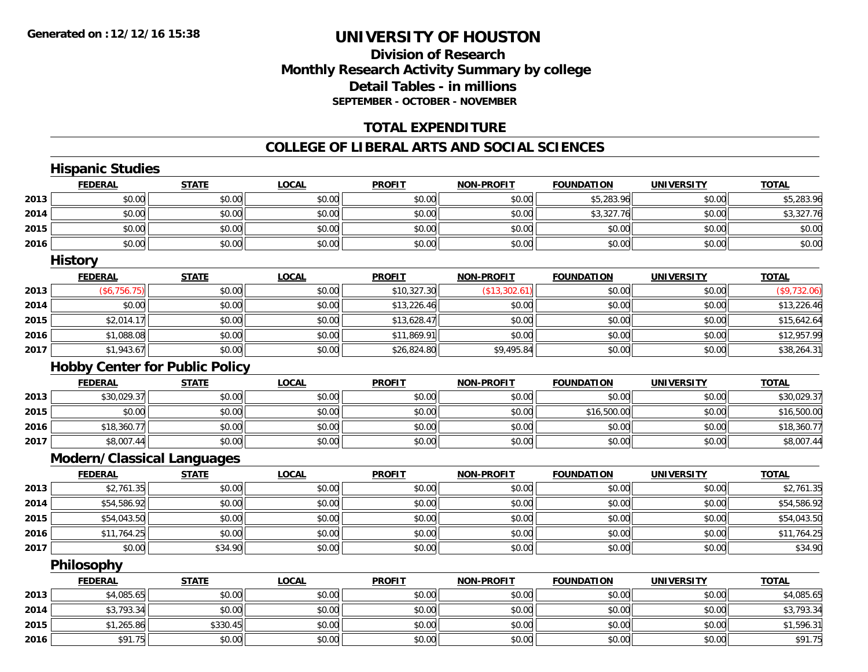## **Division of ResearchMonthly Research Activity Summary by college Detail Tables - in millions SEPTEMBER - OCTOBER - NOVEMBER**

### **TOTAL EXPENDITURE**

#### **COLLEGE OF LIBERAL ARTS AND SOCIAL SCIENCES**

|      | <b>Hispanic Studies</b>               |              |              |               |                   |                   |                   |              |
|------|---------------------------------------|--------------|--------------|---------------|-------------------|-------------------|-------------------|--------------|
|      | <b>FEDERAL</b>                        | <b>STATE</b> | <b>LOCAL</b> | <b>PROFIT</b> | <b>NON-PROFIT</b> | <b>FOUNDATION</b> | <b>UNIVERSITY</b> | <b>TOTAL</b> |
| 2013 | \$0.00                                | \$0.00       | \$0.00       | \$0.00        | \$0.00            | \$5,283.96        | \$0.00            | \$5,283.96   |
| 2014 | \$0.00                                | \$0.00       | \$0.00       | \$0.00        | \$0.00            | \$3,327.76        | \$0.00            | \$3,327.76   |
| 2015 | \$0.00                                | \$0.00       | \$0.00       | \$0.00        | \$0.00            | \$0.00            | \$0.00            | \$0.00       |
| 2016 | \$0.00                                | \$0.00       | \$0.00       | \$0.00        | \$0.00            | \$0.00            | \$0.00            | \$0.00       |
|      | <b>History</b>                        |              |              |               |                   |                   |                   |              |
|      | <b>FEDERAL</b>                        | <b>STATE</b> | <b>LOCAL</b> | <b>PROFIT</b> | NON-PROFIT        | <b>FOUNDATION</b> | <b>UNIVERSITY</b> | <b>TOTAL</b> |
| 2013 | (\$6,756.75)                          | \$0.00       | \$0.00       | \$10,327.30   | (\$13,302.61)     | \$0.00            | \$0.00            | (\$9,732.06) |
| 2014 | \$0.00                                | \$0.00       | \$0.00       | \$13,226.46   | \$0.00            | \$0.00            | \$0.00            | \$13,226.46  |
| 2015 | \$2,014.17                            | \$0.00       | \$0.00       | \$13,628.47   | \$0.00            | \$0.00            | \$0.00            | \$15,642.64  |
| 2016 | \$1,088.08                            | \$0.00       | \$0.00       | \$11,869.91   | \$0.00            | \$0.00            | \$0.00            | \$12,957.99  |
| 2017 | \$1,943.67                            | \$0.00       | \$0.00       | \$26,824.80   | \$9,495.84        | \$0.00            | \$0.00            | \$38,264.31  |
|      | <b>Hobby Center for Public Policy</b> |              |              |               |                   |                   |                   |              |
|      | <b>FEDERAL</b>                        | <b>STATE</b> | <b>LOCAL</b> | <b>PROFIT</b> | <b>NON-PROFIT</b> | <b>FOUNDATION</b> | <b>UNIVERSITY</b> | <b>TOTAL</b> |
| 2013 | \$30,029.37                           | \$0.00       | \$0.00       | \$0.00        | \$0.00            | \$0.00            | \$0.00            | \$30,029.37  |
| 2015 | \$0.00                                | \$0.00       | \$0.00       | \$0.00        | \$0.00            | \$16,500.00       | \$0.00            | \$16,500.00  |
| 2016 | \$18,360.77                           | \$0.00       | \$0.00       | \$0.00        | \$0.00            | \$0.00            | \$0.00            | \$18,360.77  |
| 2017 | \$8,007.44                            | \$0.00       | \$0.00       | \$0.00        | \$0.00            | \$0.00            | \$0.00            | \$8,007.44   |
|      | <b>Modern/Classical Languages</b>     |              |              |               |                   |                   |                   |              |
|      | <b>FEDERAL</b>                        | <b>STATE</b> | <b>LOCAL</b> | <b>PROFIT</b> | <b>NON-PROFIT</b> | <b>FOUNDATION</b> | <b>UNIVERSITY</b> | <b>TOTAL</b> |
| 2013 | \$2,761.35                            | \$0.00       | \$0.00       | \$0.00        | \$0.00            | \$0.00            | \$0.00            | \$2,761.35   |
| 2014 | \$54,586.92                           | \$0.00       | \$0.00       | \$0.00        | \$0.00            | \$0.00            | \$0.00            | \$54,586.92  |
| 2015 | \$54,043.50                           | \$0.00       | \$0.00       | \$0.00        | \$0.00            | \$0.00            | \$0.00            | \$54,043.50  |
| 2016 | \$11,764.25                           | \$0.00       | \$0.00       | \$0.00        | \$0.00            | \$0.00            | \$0.00            | \$11,764.25  |
| 2017 | \$0.00                                | \$34.90      | \$0.00       | \$0.00        | \$0.00            | \$0.00            | \$0.00            | \$34.90      |
|      | Philosophy                            |              |              |               |                   |                   |                   |              |
|      | <b>FEDERAL</b>                        | <b>STATE</b> | <b>LOCAL</b> | <b>PROFIT</b> | NON-PROFIT        | <b>FOUNDATION</b> | <b>UNIVERSITY</b> | <b>TOTAL</b> |
| 2013 | \$4,085.65                            | \$0.00       | \$0.00       | \$0.00        | \$0.00            | \$0.00            | \$0.00            | \$4,085.65   |
| 2014 | \$3,793.34                            | \$0.00       | \$0.00       | \$0.00        | \$0.00            | \$0.00            | \$0.00            | \$3,793.34   |
| 2015 | \$1,265.86                            | \$330.45     | \$0.00       | \$0.00        | \$0.00            | \$0.00            | \$0.00            | \$1,596.31   |
| 2016 | \$91.75                               | \$0.00       | \$0.00       | \$0.00        | \$0.00            | \$0.00            | \$0.00            | \$91.75      |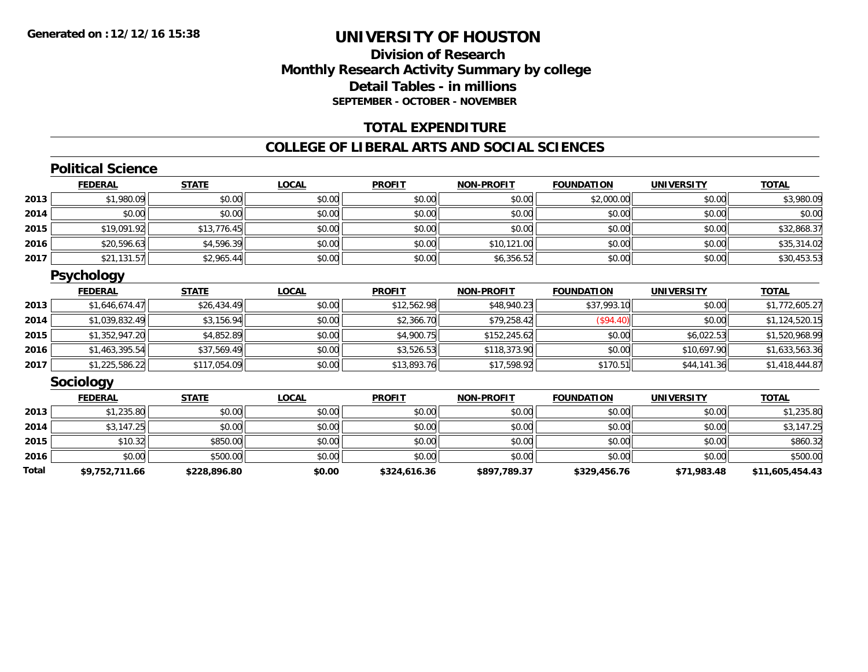## **Division of ResearchMonthly Research Activity Summary by college Detail Tables - in millions SEPTEMBER - OCTOBER - NOVEMBER**

### **TOTAL EXPENDITURE**

#### **COLLEGE OF LIBERAL ARTS AND SOCIAL SCIENCES**

### **Political Science**

|      | <b>FEDERAL</b> | <b>STATE</b> | <b>LOCAL</b> | <b>PROFIT</b> | <b>NON-PROFIT</b> | <b>FOUNDATION</b> | <b>UNIVERSITY</b> | <b>TOTAL</b> |
|------|----------------|--------------|--------------|---------------|-------------------|-------------------|-------------------|--------------|
| 2013 | \$1,980.09     | \$0.00       | \$0.00       | \$0.00        | \$0.00            | \$2,000.00        | \$0.00            | \$3,980.09   |
| 2014 | \$0.00         | \$0.00       | \$0.00       | \$0.00        | \$0.00            | \$0.00            | \$0.00            | \$0.00       |
| 2015 | \$19,091.92    | \$13,776.45  | \$0.00       | \$0.00        | \$0.00            | \$0.00            | \$0.00            | \$32,868.37  |
| 2016 | \$20,596.63    | \$4,596.39   | \$0.00       | \$0.00        | \$10,121.00       | \$0.00            | \$0.00            | \$35,314.02  |
| 2017 | \$21,131.57    | \$2,965.44   | \$0.00       | \$0.00        | \$6,356.52        | \$0.00            | \$0.00            | \$30,453.53  |

### **Psychology**

|      | <b>FEDERAL</b> | <u>STATE</u> | <b>LOCAL</b> | <b>PROFIT</b> | <b>NON-PROFIT</b> | <b>FOUNDATION</b> | <b>UNIVERSITY</b> | <b>TOTAL</b>   |
|------|----------------|--------------|--------------|---------------|-------------------|-------------------|-------------------|----------------|
| 2013 | \$1,646,674.47 | \$26,434.49  | \$0.00       | \$12,562.98   | \$48,940.23       | \$37,993.10       | \$0.00            | \$1,772,605.27 |
| 2014 | \$1,039,832.49 | \$3,156.94   | \$0.00       | \$2,366.70    | \$79,258.42       | (\$94.40)         | \$0.00            | \$1,124,520.15 |
| 2015 | \$1,352,947.20 | \$4,852.89   | \$0.00       | \$4,900.75    | \$152.245.62      | \$0.00            | \$6,022.53        | \$1,520,968.99 |
| 2016 | \$1,463,395.54 | \$37,569.49  | \$0.00       | \$3,526.53    | \$118,373.90      | \$0.00            | \$10,697.90       | \$1,633,563.36 |
| 2017 | \$1,225,586.22 | \$117,054.09 | \$0.00       | \$13,893.76   | \$17,598.92       | \$170.51          | \$44,141.36       | \$1,418,444.87 |

#### **Sociology**

|       | <b>FEDERAL</b> | <b>STATE</b> | <b>LOCAL</b> | <b>PROFIT</b> | <b>NON-PROFIT</b> | <b>FOUNDATION</b> | <b>UNIVERSITY</b> | <b>TOTAL</b>    |
|-------|----------------|--------------|--------------|---------------|-------------------|-------------------|-------------------|-----------------|
| 2013  | \$1,235.80     | \$0.00       | \$0.00       | \$0.00        | \$0.00            | \$0.00            | \$0.00            | \$1,235.80      |
| 2014  | \$3,147.25     | \$0.00       | \$0.00       | \$0.00        | \$0.00            | \$0.00            | \$0.00            | \$3,147.25      |
| 2015  | \$10.32        | \$850.00     | \$0.00       | \$0.00        | \$0.00            | \$0.00            | \$0.00            | \$860.32        |
| 2016  | \$0.00         | \$500.00     | \$0.00       | \$0.00        | \$0.00            | \$0.00            | \$0.00            | \$500.00        |
| Total | \$9,752,711.66 | \$228,896.80 | \$0.00       | \$324,616.36  | \$897,789.37      | \$329,456.76      | \$71,983.48       | \$11,605,454.43 |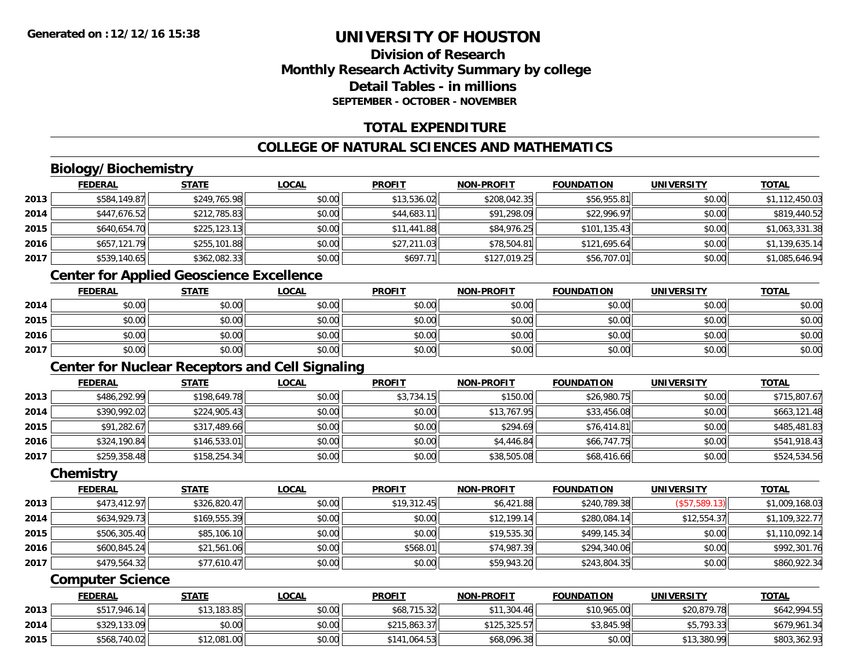## **Division of ResearchMonthly Research Activity Summary by college Detail Tables - in millionsSEPTEMBER - OCTOBER - NOVEMBER**

## **TOTAL EXPENDITURE**

## **COLLEGE OF NATURAL SCIENCES AND MATHEMATICS**

## **Biology/Biochemistry**

| \$1,112,450.03 |
|----------------|
|                |
| \$819,440.52   |
| \$1,063,331.38 |
| \$1,139,635.14 |
| \$1,085,646.94 |
|                |

## **Center for Applied Geoscience Excellence**

|      | <b>FEDERAL</b> | <b>STATE</b> | <b>LOCAL</b> | <b>PROFIT</b> | <b>NON-PROFIT</b> | <b>FOUNDATION</b> | UNIVERSITY | <b>TOTAL</b> |
|------|----------------|--------------|--------------|---------------|-------------------|-------------------|------------|--------------|
| 2014 | \$0.00         | \$0.00       | \$0.00       | \$0.00        | \$0.00            | \$0.00            | \$0.00     | \$0.00       |
| 2015 | \$0.00         | \$0.00       | \$0.00       | \$0.00        | \$0.00            | \$0.00            | \$0.00     | \$0.00       |
| 2016 | \$0.00         | \$0.00       | \$0.00       | \$0.00        | \$0.00            | \$0.00            | \$0.00     | \$0.00       |
| 2017 | \$0.00         | \$0.00       | \$0.00       | \$0.00        | \$0.00            | \$0.00            | \$0.00     | \$0.00       |

# **Center for Nuclear Receptors and Cell Signaling**

|      | <b>FEDERAL</b> | <u>STATE</u> | <b>LOCAL</b> | <b>PROFIT</b> | <b>NON-PROFIT</b> | <b>FOUNDATION</b> | <b>UNIVERSITY</b> | <b>TOTAL</b> |
|------|----------------|--------------|--------------|---------------|-------------------|-------------------|-------------------|--------------|
| 2013 | \$486,292.99   | \$198,649.78 | \$0.00       | \$3,734.15    | \$150.00          | \$26,980.75       | \$0.00            | \$715,807.67 |
| 2014 | \$390,992.02   | \$224,905.43 | \$0.00       | \$0.00        | \$13,767.95       | \$33,456.08       | \$0.00            | \$663,121.48 |
| 2015 | \$91,282.67    | \$317,489.66 | \$0.00       | \$0.00        | \$294.69          | \$76,414.81       | \$0.00            | \$485,481.83 |
| 2016 | \$324,190.84   | \$146,533.01 | \$0.00       | \$0.00        | \$4,446.84        | \$66,747.75       | \$0.00            | \$541,918.43 |
| 2017 | \$259,358.48   | \$158,254.34 | \$0.00       | \$0.00        | \$38,505.08       | \$68,416.66       | \$0.00            | \$524,534.56 |

#### **Chemistry**

|      | <b>FEDERAL</b> | <b>STATE</b> | <b>LOCAL</b> | <b>PROFIT</b> | <b>NON-PROFIT</b> | <b>FOUNDATION</b> | <b>UNIVERSITY</b> | <b>TOTAL</b>   |
|------|----------------|--------------|--------------|---------------|-------------------|-------------------|-------------------|----------------|
| 2013 | \$473,412.97   | \$326,820.47 | \$0.00       | \$19,312.45   | \$6,421.88        | \$240,789.38      | (\$57,589.13)     | \$1,009,168.03 |
| 2014 | \$634,929.73   | \$169,555.39 | \$0.00       | \$0.00        | \$12,199.14       | \$280,084.14      | \$12,554.37       | \$1,109,322.77 |
| 2015 | \$506,305.40   | \$85,106.10  | \$0.00       | \$0.00        | \$19,535.30       | \$499,145.34      | \$0.00            | \$1,110,092.14 |
| 2016 | \$600.845.24   | \$21,561.06  | \$0.00       | \$568.01      | \$74,987.39       | \$294,340.06      | \$0.00            | \$992,301.76   |
| 2017 | \$479,564.32   | \$77,610.47  | \$0.00       | \$0.00        | \$59,943.20       | \$243,804.35      | \$0.00            | \$860,922.34   |

#### **Computer Science**

|      | <b>FEDERAL</b> | <b>STATE</b> | <u>LOCAL</u> | <b>PROFIT</b> | <b>NON-PROFIT</b> | <b>FOUNDATION</b> | UNIVERSITY  | <b>TOTAL</b> |
|------|----------------|--------------|--------------|---------------|-------------------|-------------------|-------------|--------------|
| 2013 | \$517,946.14   | \$13,183.85  | \$0.00       | \$68,715.32   | \$11,304.46       | \$10,965.00       | \$20,879.78 | \$642,994.55 |
| 2014 | \$329,133.09   | \$0.00       | \$0.00       | \$215,863.37  | \$125,325.57      | \$3,845.98        | \$5,793.33  | \$679,961.34 |
| 2015 | \$568,740.02   | 12,081.00    | \$0.00       | \$141.064.53  | \$68,096.38       | \$0.00            | \$13,380.99 | \$803,362.93 |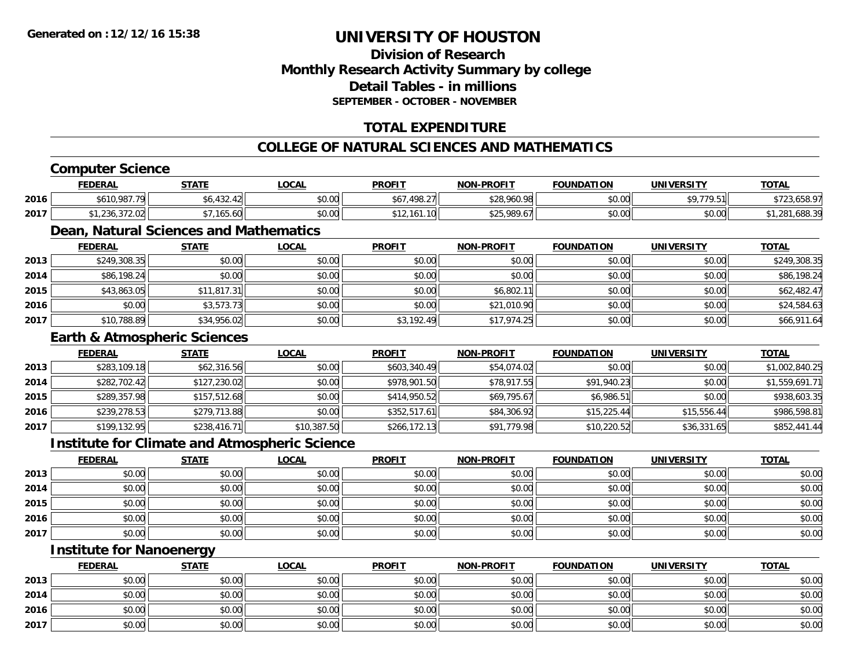## **Division of ResearchMonthly Research Activity Summary by college Detail Tables - in millions SEPTEMBER - OCTOBER - NOVEMBER**

## **TOTAL EXPENDITURE**

### **COLLEGE OF NATURAL SCIENCES AND MATHEMATICS**

## **Computer Science**

|      | <b>FEDERAL</b>           | STATE                           | .OCAL                                                 | <b>PROFIT</b>           | <b>NON-PROFIT</b>                              | <b>FOUNDATION</b>      | <b>UNIVERSITY</b>   | <b>TOTAL</b>             |
|------|--------------------------|---------------------------------|-------------------------------------------------------|-------------------------|------------------------------------------------|------------------------|---------------------|--------------------------|
| 2016 | \$610,987.79             | $\sqrt{2}$<br>$\sim$<br>132.4ZI | 0.00<br>DU.UU                                         | .498.27<br>$\leftarrow$ | \$28,960.98                                    | $\sim$ $\sim$<br>JU.UU | ודם מדד ו<br>''' ال | 2 O.<br>5. ق ق ق م ع ا   |
| 2017 | 0.70.01<br>: JU.J / Z.UZ | $\sim$ $\sim$<br>,165.60        | $\mathsf{A} \cap \mathsf{A} \cap \mathsf{A}$<br>DU.UU | 12.161.10               | $A$ $A$ $B$ $C$ $D$ $D$ $A$ $T$ $T$<br>7.O / I | 0.000<br>JU.UU         | \$0.00              | $\sim$<br>zõ<br>, 000. 0 |

## **Dean, Natural Sciences and Mathematics**

|      | <b>FEDERAL</b> | <b>STATE</b> | <b>LOCAL</b> | <b>PROFIT</b> | <b>NON-PROFIT</b> | <b>FOUNDATION</b> | <b>UNIVERSITY</b> | <b>TOTAL</b> |
|------|----------------|--------------|--------------|---------------|-------------------|-------------------|-------------------|--------------|
| 2013 | \$249,308.35   | \$0.00       | \$0.00       | \$0.00        | \$0.00            | \$0.00            | \$0.00            | \$249,308.35 |
| 2014 | \$86,198.24    | \$0.00       | \$0.00       | \$0.00        | \$0.00            | \$0.00            | \$0.00            | \$86,198.24  |
| 2015 | \$43,863.05    | \$11,817.31  | \$0.00       | \$0.00        | \$6,802.11        | \$0.00            | \$0.00            | \$62,482.47  |
| 2016 | \$0.00         | \$3,573.73   | \$0.00       | \$0.00        | \$21,010.90       | \$0.00            | \$0.00            | \$24,584.63  |
| 2017 | \$10,788.89    | \$34,956.02  | \$0.00       | \$3,192.49    | \$17,974.25       | \$0.00            | \$0.00            | \$66,911.64  |

#### **Earth & Atmospheric Sciences**

|      | <b>FEDERAL</b> | <b>STATE</b> | <b>LOCAL</b> | <b>PROFIT</b> | <b>NON-PROFIT</b> | <b>FOUNDATION</b> | <b>UNIVERSITY</b> | <b>TOTAL</b>   |
|------|----------------|--------------|--------------|---------------|-------------------|-------------------|-------------------|----------------|
| 2013 | \$283,109.18   | \$62,316.56  | \$0.00       | \$603,340.49  | \$54,074.02       | \$0.00            | \$0.00            | \$1,002,840.25 |
| 2014 | \$282,702.42   | \$127,230.02 | \$0.00       | \$978,901.50  | \$78,917.55       | \$91,940.23       | \$0.00            | \$1,559,691.71 |
| 2015 | \$289,357.98   | \$157,512.68 | \$0.00       | \$414,950.52  | \$69,795.67       | \$6,986.51        | \$0.00            | \$938,603.35   |
| 2016 | \$239,278.53   | \$279,713.88 | \$0.00       | \$352,517.61  | \$84,306.92       | \$15,225.44       | \$15,556.44       | \$986,598.81   |
| 2017 | \$199,132.95   | \$238,416.71 | \$10,387.50  | \$266,172.13  | \$91,779.98       | \$10,220.52       | \$36,331.65       | \$852,441.44   |

#### **Institute for Climate and Atmospheric Science**

|      | <u>FEDERAL</u> | <u>STATE</u> | <u>LOCAL</u> | <b>PROFIT</b> | <b>NON-PROFIT</b> | <b>FOUNDATION</b> | <b>UNIVERSITY</b> | <b>TOTAL</b> |
|------|----------------|--------------|--------------|---------------|-------------------|-------------------|-------------------|--------------|
| 2013 | \$0.00         | \$0.00       | \$0.00       | \$0.00        | \$0.00            | \$0.00            | \$0.00            | \$0.00       |
| 2014 | \$0.00         | \$0.00       | \$0.00       | \$0.00        | \$0.00            | \$0.00            | \$0.00            | \$0.00       |
| 2015 | \$0.00         | \$0.00       | \$0.00       | \$0.00        | \$0.00            | \$0.00            | \$0.00            | \$0.00       |
| 2016 | \$0.00         | \$0.00       | \$0.00       | \$0.00        | \$0.00            | \$0.00            | \$0.00            | \$0.00       |
| 2017 | \$0.00         | \$0.00       | \$0.00       | \$0.00        | \$0.00            | \$0.00            | \$0.00            | \$0.00       |

## **Institute for Nanoenergy**

|      | <b>FEDERAL</b> | <b>STATE</b> | <u>LOCAL</u> | <b>PROFIT</b> | <b>NON-PROFIT</b> | <b>FOUNDATION</b> | <b>UNIVERSITY</b> | <b>TOTAL</b> |
|------|----------------|--------------|--------------|---------------|-------------------|-------------------|-------------------|--------------|
| 2013 | \$0.00         | \$0.00       | \$0.00       | \$0.00        | \$0.00            | \$0.00            | \$0.00            | \$0.00       |
| 2014 | \$0.00         | \$0.00       | \$0.00       | \$0.00        | \$0.00            | \$0.00            | \$0.00            | \$0.00       |
| 2016 | \$0.00         | \$0.00       | \$0.00       | \$0.00        | \$0.00            | \$0.00            | \$0.00            | \$0.00       |
| 2017 | \$0.00         | \$0.00       | \$0.00       | \$0.00        | \$0.00            | \$0.00            | \$0.00            | \$0.00       |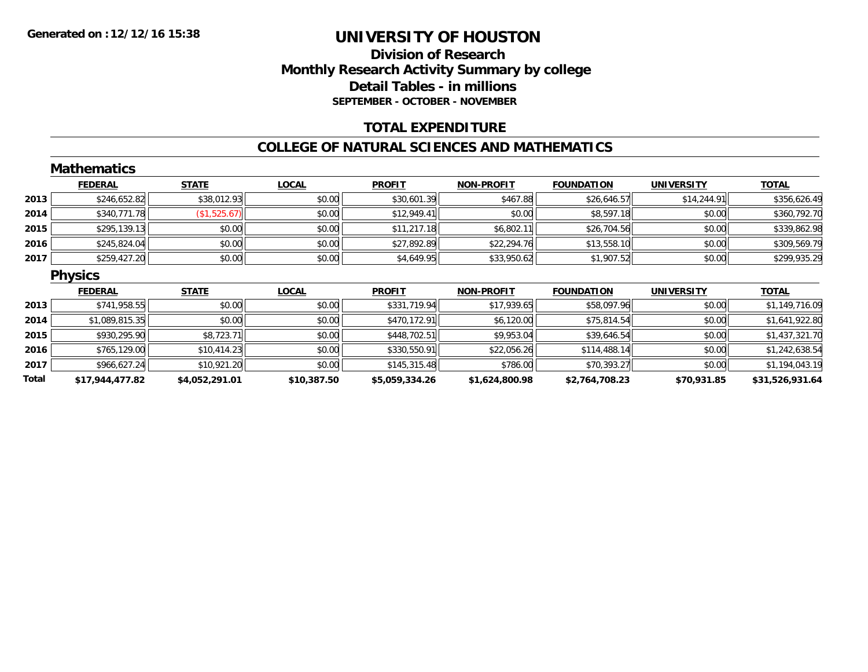## **Division of ResearchMonthly Research Activity Summary by college Detail Tables - in millions SEPTEMBER - OCTOBER - NOVEMBER**

### **TOTAL EXPENDITURE**

#### **COLLEGE OF NATURAL SCIENCES AND MATHEMATICS**

|       | <b>Mathematics</b> |                |              |                |                   |                   |                   |                 |
|-------|--------------------|----------------|--------------|----------------|-------------------|-------------------|-------------------|-----------------|
|       | <b>FEDERAL</b>     | <b>STATE</b>   | <b>LOCAL</b> | <b>PROFIT</b>  | <b>NON-PROFIT</b> | <b>FOUNDATION</b> | <b>UNIVERSITY</b> | <b>TOTAL</b>    |
| 2013  | \$246,652.82       | \$38,012.93    | \$0.00       | \$30,601.39    | \$467.88          | \$26,646.57       | \$14,244.91       | \$356,626.49    |
| 2014  | \$340,771.78       | (\$1,525.67)   | \$0.00       | \$12,949.41    | \$0.00            | \$8,597.18        | \$0.00            | \$360,792.70    |
| 2015  | \$295,139.13       | \$0.00         | \$0.00       | \$11,217.18    | \$6,802.11        | \$26,704.56       | \$0.00            | \$339,862.98    |
| 2016  | \$245,824.04       | \$0.00         | \$0.00       | \$27,892.89    | \$22,294.76       | \$13,558.10       | \$0.00            | \$309,569.79    |
| 2017  | \$259,427.20       | \$0.00         | \$0.00       | \$4,649.95     | \$33,950.62       | \$1,907.52        | \$0.00            | \$299,935.29    |
|       | <b>Physics</b>     |                |              |                |                   |                   |                   |                 |
|       | <b>FEDERAL</b>     | <b>STATE</b>   | <b>LOCAL</b> | <b>PROFIT</b>  | <b>NON-PROFIT</b> | <b>FOUNDATION</b> | <b>UNIVERSITY</b> | <b>TOTAL</b>    |
| 2013  | \$741,958.55       | \$0.00         | \$0.00       | \$331,719.94   | \$17,939.65       | \$58,097.96       | \$0.00            | \$1,149,716.09  |
| 2014  | \$1,089,815.35     | \$0.00         | \$0.00       | \$470,172.91   | \$6,120.00        | \$75,814.54       | \$0.00            | \$1,641,922.80  |
| 2015  | \$930,295.90       | \$8,723.71     | \$0.00       | \$448,702.51   | \$9,953.04        | \$39,646.54       | \$0.00            | \$1,437,321.70  |
| 2016  | \$765,129.00       | \$10,414.23    | \$0.00       | \$330,550.91   | \$22,056.26       | \$114,488.14      | \$0.00            | \$1,242,638.54  |
| 2017  | \$966,627.24       | \$10,921.20    | \$0.00       | \$145,315.48   | \$786.00          | \$70,393.27       | \$0.00            | \$1,194,043.19  |
| Total | \$17,944,477.82    | \$4,052,291.01 | \$10,387.50  | \$5,059,334.26 | \$1,624,800.98    | \$2,764,708.23    | \$70,931.85       | \$31,526,931.64 |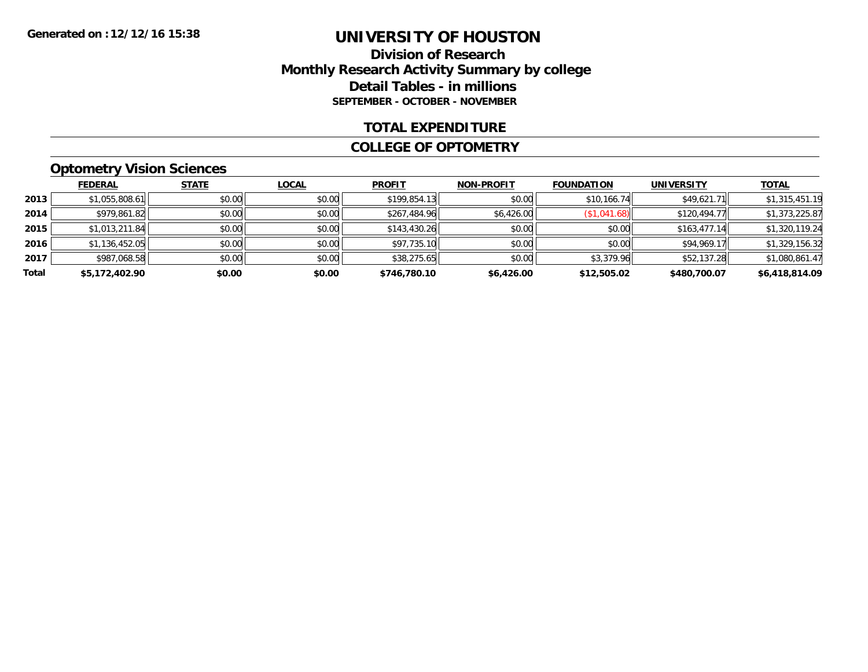### **Division of Research Monthly Research Activity Summary by college Detail Tables - in millions SEPTEMBER - OCTOBER - NOVEMBER**

#### **TOTAL EXPENDITURE**

#### **COLLEGE OF OPTOMETRY**

## **Optometry Vision Sciences**

|       | <b>FEDERAL</b> | <b>STATE</b> | <b>LOCAL</b> | <b>PROFIT</b> | <b>NON-PROFIT</b> | <b>FOUNDATION</b> | <b>UNIVERSITY</b> | <u>TOTAL</u>   |
|-------|----------------|--------------|--------------|---------------|-------------------|-------------------|-------------------|----------------|
| 2013  | \$1,055,808.61 | \$0.00       | \$0.00       | \$199,854.13  | \$0.00            | \$10,166.74       | \$49,621.71       | \$1,315,451.19 |
| 2014  | \$979,861.82   | \$0.00       | \$0.00       | \$267,484.96  | \$6,426.00        | (\$1,041.68)      | \$120,494.77      | \$1,373,225.87 |
| 2015  | \$1,013,211.84 | \$0.00       | \$0.00       | \$143,430.26  | \$0.00            | \$0.00            | \$163.477.14      | \$1,320,119.24 |
| 2016  | \$1,136,452.05 | \$0.00       | \$0.00       | \$97,735.10   | \$0.00            | \$0.00            | \$94,969.17       | \$1,329,156.32 |
| 2017  | \$987,068.58   | \$0.00       | \$0.00       | \$38,275.65   | \$0.00            | \$3,379.96        | \$52,137.28       | \$1,080,861.47 |
| Total | \$5,172,402.90 | \$0.00       | \$0.00       | \$746,780.10  | \$6,426.00        | \$12,505.02       | \$480,700.07      | \$6,418,814.09 |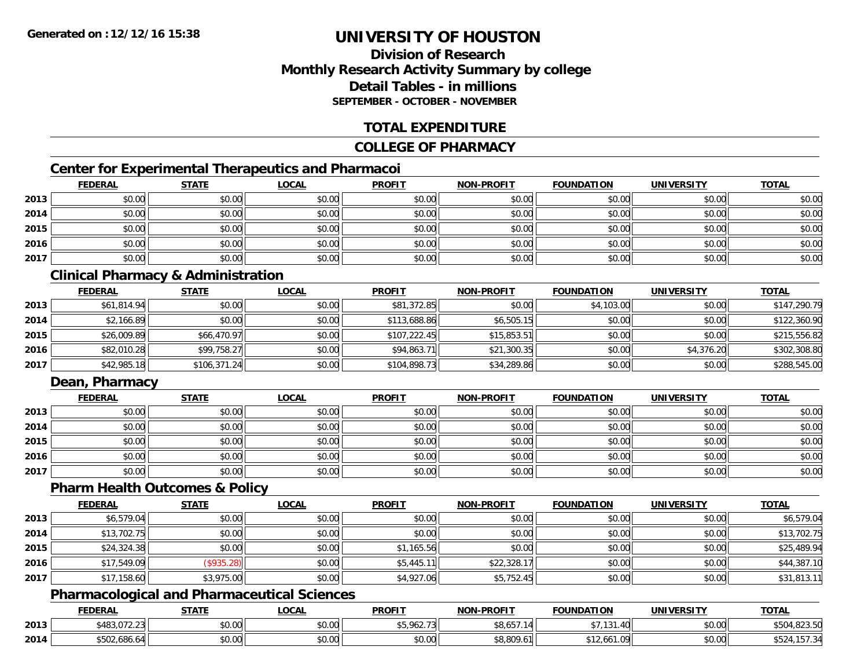## **Division of ResearchMonthly Research Activity Summary by college Detail Tables - in millionsSEPTEMBER - OCTOBER - NOVEMBER**

### **TOTAL EXPENDITURE**

#### **COLLEGE OF PHARMACY**

## **Center for Experimental Therapeutics and Pharmacoi**

|      | <b>FEDERAL</b> | <b>STATE</b> | <b>LOCAL</b> | <b>PROFIT</b> | <b>NON-PROFIT</b> | <b>FOUNDATION</b> | <b>UNIVERSITY</b> | <b>TOTAL</b> |
|------|----------------|--------------|--------------|---------------|-------------------|-------------------|-------------------|--------------|
| 2013 | \$0.00         | \$0.00       | \$0.00       | \$0.00        | \$0.00            | \$0.00            | \$0.00            | \$0.00       |
| 2014 | \$0.00         | \$0.00       | \$0.00       | \$0.00        | \$0.00            | \$0.00            | \$0.00            | \$0.00       |
| 2015 | \$0.00         | \$0.00       | \$0.00       | \$0.00        | \$0.00            | \$0.00            | \$0.00            | \$0.00       |
| 2016 | \$0.00         | \$0.00       | \$0.00       | \$0.00        | \$0.00            | \$0.00            | \$0.00            | \$0.00       |
| 2017 | \$0.00         | \$0.00       | \$0.00       | \$0.00        | \$0.00            | \$0.00            | \$0.00            | \$0.00       |

## **Clinical Pharmacy & Administration**

|      | <u>FEDERAL</u> | <b>STATE</b> | <u>LOCAL</u> | <b>PROFIT</b> | <b>NON-PROFIT</b> | <b>FOUNDATION</b> | <b>UNIVERSITY</b> | <b>TOTAL</b> |
|------|----------------|--------------|--------------|---------------|-------------------|-------------------|-------------------|--------------|
| 2013 | \$61,814.94    | \$0.00       | \$0.00       | \$81,372.85   | \$0.00            | \$4,103.00        | \$0.00            | \$147,290.79 |
| 2014 | \$2,166.89     | \$0.00       | \$0.00       | \$113,688.86  | \$6,505.15        | \$0.00            | \$0.00            | \$122,360.90 |
| 2015 | \$26,009.89    | \$66,470.97  | \$0.00       | \$107,222.45  | \$15,853.51       | \$0.00            | \$0.00            | \$215,556.82 |
| 2016 | \$82,010.28    | \$99,758.27  | \$0.00       | \$94,863.71   | \$21,300.35       | \$0.00            | \$4,376.20        | \$302,308.80 |
| 2017 | \$42,985.18    | \$106,371.24 | \$0.00       | \$104,898.73  | \$34,289.86       | \$0.00            | \$0.00            | \$288,545.00 |

### **Dean, Pharmacy**

|      | <b>FEDERAL</b> | <b>STATE</b> | <u>LOCAL</u> | <b>PROFIT</b> | <b>NON-PROFIT</b> | <b>FOUNDATION</b> | <b>UNIVERSITY</b> | <b>TOTAL</b> |
|------|----------------|--------------|--------------|---------------|-------------------|-------------------|-------------------|--------------|
| 2013 | \$0.00         | \$0.00       | \$0.00       | \$0.00        | \$0.00            | \$0.00            | \$0.00            | \$0.00       |
| 2014 | \$0.00         | \$0.00       | \$0.00       | \$0.00        | \$0.00            | \$0.00            | \$0.00            | \$0.00       |
| 2015 | \$0.00         | \$0.00       | \$0.00       | \$0.00        | \$0.00            | \$0.00            | \$0.00            | \$0.00       |
| 2016 | \$0.00         | \$0.00       | \$0.00       | \$0.00        | \$0.00            | \$0.00            | \$0.00            | \$0.00       |
| 2017 | \$0.00         | \$0.00       | \$0.00       | \$0.00        | \$0.00            | \$0.00            | \$0.00            | \$0.00       |

#### **Pharm Health Outcomes & Policy**

|      | <b>FEDERAL</b> | <b>STATE</b> | <b>LOCAL</b> | <b>PROFIT</b> | <b>NON-PROFIT</b> | <b>FOUNDATION</b> | <b>UNIVERSITY</b> | <b>TOTAL</b> |
|------|----------------|--------------|--------------|---------------|-------------------|-------------------|-------------------|--------------|
| 2013 | \$6,579.04     | \$0.00       | \$0.00       | \$0.00        | \$0.00            | \$0.00            | \$0.00            | \$6,579.04   |
| 2014 | \$13,702.75    | \$0.00       | \$0.00       | \$0.00        | \$0.00            | \$0.00            | \$0.00            | \$13,702.75  |
| 2015 | \$24,324.38    | \$0.00       | \$0.00       | \$1,165.56    | \$0.00            | \$0.00            | \$0.00            | \$25,489.94  |
| 2016 | \$17,549.09    | (\$935.28)   | \$0.00       | \$5,445.11    | \$22,328.17       | \$0.00            | \$0.00            | \$44,387.10  |
| 2017 | \$17,158.60    | \$3,975.00   | \$0.00       | \$4,927.06    | \$5,752.45        | \$0.00            | \$0.00            | \$31,813.11  |

## **Pharmacological and Pharmaceutical Sciences**

|      | <b>FEDERAL</b>            | <b>STATE</b>  | LOCAL  | <b>PROFIT</b>            | <b>NON-PROFIT</b> | <b>FOUNDATION</b> | <b>UNIVERSITY</b> | <b>TOTAL</b>           |
|------|---------------------------|---------------|--------|--------------------------|-------------------|-------------------|-------------------|------------------------|
| 2013 | $*402.07$<br>5483.U/Z.Z31 | 0000<br>DU.UU | \$0.00 | \$5 962 73<br>\$3.70Z.75 | \$8.657.<br>11    | $+ -$<br>1.40     | \$0.00            | 0.00E<br>1023.JU       |
| 2014 | \$502,686.64              | 0000<br>JU.UU | \$0.00 | \$0.00                   | \$8,809.61        | AA<br>\$12,661.09 | \$0.00            | 1.157.3<br>2Л<br>DJ 24 |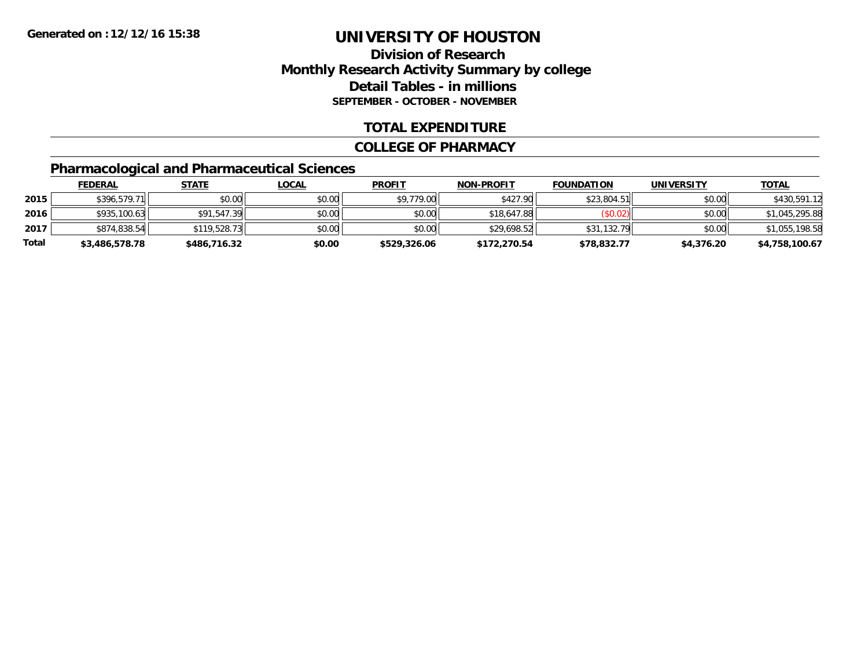### **Division of Research Monthly Research Activity Summary by college Detail Tables - in millions SEPTEMBER - OCTOBER - NOVEMBER**

### **TOTAL EXPENDITURE**

#### **COLLEGE OF PHARMACY**

# **Pharmacological and Pharmaceutical Sciences**

|       | <b>FEDERAL</b> | <u>STATE</u> | <u>LOCAL</u> | <b>PROFIT</b> | <b>NON-PROFIT</b> | <b>FOUNDATION</b> | UNIVERSITY | <b>TOTAL</b>   |
|-------|----------------|--------------|--------------|---------------|-------------------|-------------------|------------|----------------|
| 2015  | \$396,579.71   | \$0.00       | \$0.00       | \$9,779.00    | \$427.90          | \$23,804.51       | \$0.00     | \$430,591.12   |
| 2016  | \$935,100.63   | \$91,547.39  | \$0.00       | \$0.00        | \$18,647.88       | (\$0.02)          | \$0.00     | \$1,045,295.88 |
| 2017  | \$874,838.54   | \$119,528.73 | \$0.00       | \$0.00        | \$29,698.52       | \$31,132.79       | \$0.00     | \$1,055,198.58 |
| Total | \$3,486,578.78 | \$486,716.32 | \$0.00       | \$529,326.06  | \$172,270.54      | \$78,832.77       | \$4,376.20 | \$4,758,100.67 |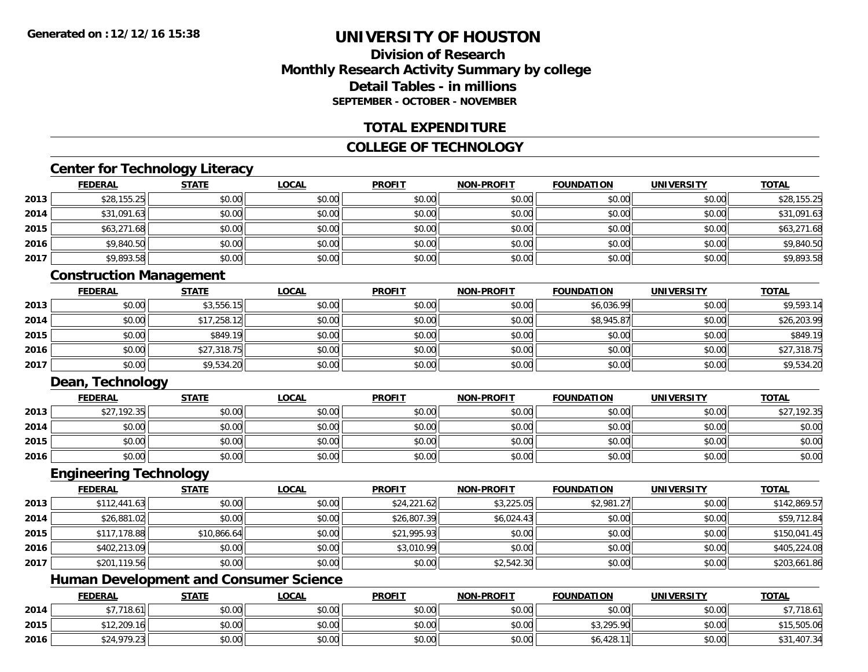### **Division of ResearchMonthly Research Activity Summary by college Detail Tables - in millionsSEPTEMBER - OCTOBER - NOVEMBER**

### **TOTAL EXPENDITURE**

### **COLLEGE OF TECHNOLOGY**

### **Center for Technology Literacy**

|      | <b>FEDERAL</b> | <b>STATE</b> | <b>LOCAL</b> | <b>PROFIT</b> | <b>NON-PROFIT</b> | <b>FOUNDATION</b> | <b>UNIVERSITY</b> | <b>TOTAL</b> |
|------|----------------|--------------|--------------|---------------|-------------------|-------------------|-------------------|--------------|
| 2013 | \$28,155.25    | \$0.00       | \$0.00       | \$0.00        | \$0.00            | \$0.00            | \$0.00            | \$28,155.25  |
| 2014 | \$31,091.63    | \$0.00       | \$0.00       | \$0.00        | \$0.00            | \$0.00            | \$0.00            | \$31,091.63  |
| 2015 | \$63,271.68    | \$0.00       | \$0.00       | \$0.00        | \$0.00            | \$0.00            | \$0.00            | \$63,271.68  |
| 2016 | \$9,840.50     | \$0.00       | \$0.00       | \$0.00        | \$0.00            | \$0.00            | \$0.00            | \$9,840.50   |
| 2017 | \$9,893.58     | \$0.00       | \$0.00       | \$0.00        | \$0.00            | \$0.00            | \$0.00            | \$9,893.58   |

### **Construction Management**

|      | <b>FEDERAL</b> | <b>STATE</b> | <u>LOCAL</u> | <b>PROFIT</b> | <b>NON-PROFIT</b> | <b>FOUNDATION</b> | <b>UNIVERSITY</b> | <b>TOTAL</b> |
|------|----------------|--------------|--------------|---------------|-------------------|-------------------|-------------------|--------------|
| 2013 | \$0.00         | \$3,556.15   | \$0.00       | \$0.00        | \$0.00            | \$6,036.99        | \$0.00            | \$9,593.14   |
| 2014 | \$0.00         | \$17,258.12  | \$0.00       | \$0.00        | \$0.00            | \$8,945.87        | \$0.00            | \$26,203.99  |
| 2015 | \$0.00         | \$849.19     | \$0.00       | \$0.00        | \$0.00            | \$0.00            | \$0.00            | \$849.19     |
| 2016 | \$0.00         | \$27,318.75  | \$0.00       | \$0.00        | \$0.00            | \$0.00            | \$0.00            | \$27,318.75  |
| 2017 | \$0.00         | \$9,534.20   | \$0.00       | \$0.00        | \$0.00            | \$0.00            | \$0.00            | \$9,534.20   |

### **Dean, Technology**

|      | <b>FEDERAL</b> | <b>STATE</b> | <u>LOCAL</u> | <b>PROFIT</b> | <b>NON-PROFIT</b> | <b>FOUNDATION</b> | <b>UNIVERSITY</b> | <b>TOTAL</b> |
|------|----------------|--------------|--------------|---------------|-------------------|-------------------|-------------------|--------------|
| 2013 | \$27,192.35    | \$0.00       | \$0.00       | \$0.00        | \$0.00            | \$0.00            | \$0.00            | \$27,192.35  |
| 2014 | \$0.00         | \$0.00       | \$0.00       | \$0.00        | \$0.00            | \$0.00            | \$0.00            | \$0.00       |
| 2015 | \$0.00         | \$0.00       | \$0.00       | \$0.00        | \$0.00            | \$0.00            | \$0.00            | \$0.00       |
| 2016 | \$0.00         | \$0.00       | \$0.00       | \$0.00        | \$0.00            | \$0.00            | \$0.00            | \$0.00       |

### **Engineering Technology**

|      | <b>FEDERAL</b> | <b>STATE</b> | <u>LOCAL</u> | <b>PROFIT</b> | <b>NON-PROFIT</b> | <b>FOUNDATION</b> | <b>UNIVERSITY</b> | <b>TOTAL</b> |
|------|----------------|--------------|--------------|---------------|-------------------|-------------------|-------------------|--------------|
| 2013 | \$112,441.63   | \$0.00       | \$0.00       | \$24,221.62   | \$3,225.05        | \$2,981.27        | \$0.00            | \$142,869.57 |
| 2014 | \$26,881.02    | \$0.00       | \$0.00       | \$26,807.39   | \$6,024.43        | \$0.00            | \$0.00            | \$59,712.84  |
| 2015 | \$117,178.88   | \$10,866.64  | \$0.00       | \$21,995.93   | \$0.00            | \$0.00            | \$0.00            | \$150,041.45 |
| 2016 | \$402,213.09   | \$0.00       | \$0.00       | \$3,010.99    | \$0.00            | \$0.00            | \$0.00            | \$405,224.08 |
| 2017 | \$201,119.56   | \$0.00       | \$0.00       | \$0.00        | \$2,542.30        | \$0.00            | \$0.00            | \$203,661.86 |

### **Human Development and Consumer Science**

|      | <b>FEDERAL</b> | <b>STATE</b> | <u>LOCAL</u> | <b>PROFIT</b> | <b>NON-PROFIT</b> | <b>FOUNDATION</b> | <b>UNIVERSITY</b> | <b>TOTAL</b> |
|------|----------------|--------------|--------------|---------------|-------------------|-------------------|-------------------|--------------|
| 2014 | \$7,718.61     | \$0.00       | \$0.00       | \$0.00        | \$0.00            | \$0.00            | \$0.00            | \$7,718.61   |
| 2015 | \$12,209.16    | \$0.00       | \$0.00       | \$0.00        | \$0.00            | \$3,295.90        | \$0.00            | \$15,505.06  |
| 2016 | ,979.23        | \$0.00       | \$0.00       | \$0.00        | \$0.00            | 0.428.17          | \$0.00            | \$31,407.34  |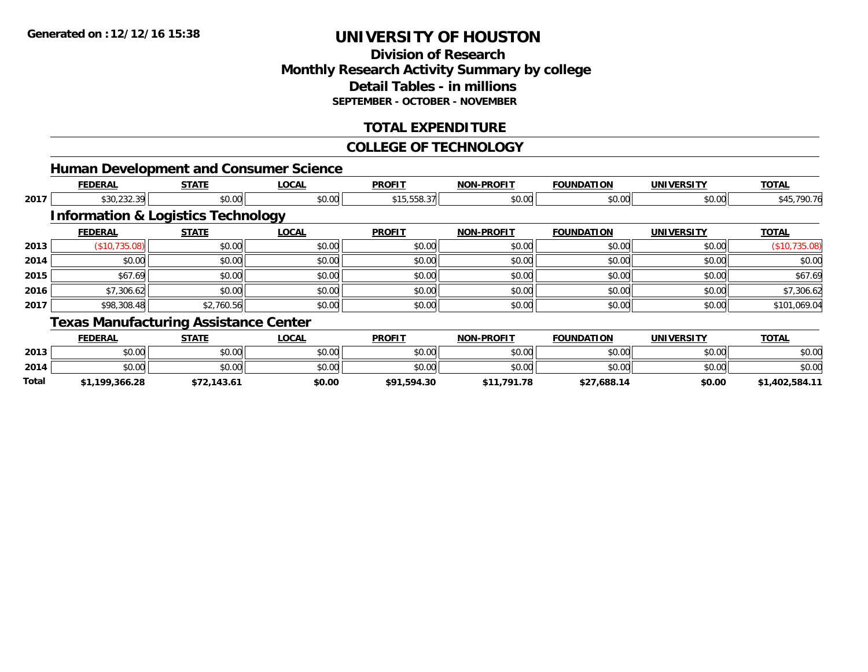**2014**

**Total**

# **UNIVERSITY OF HOUSTON**

### **Division of ResearchMonthly Research Activity Summary by college Detail Tables - in millions SEPTEMBER - OCTOBER - NOVEMBER**

### **TOTAL EXPENDITURE**

### **COLLEGE OF TECHNOLOGY**

4 \$0.00 \$0.00 \$0.00 \$0.00 \$0.00 \$0.00 \$0.00 \$0.00 \$0.00 \$0.00 \$0.00 \$0.00 \$0.00 \$0.00 \$0.00 \$0.00 \$0.00 \$0.00

**\$1,199,366.28 \$72,143.61 \$0.00 \$91,594.30 \$11,791.78 \$27,688.14 \$0.00 \$1,402,584.11**

|      | <b>Human Development and Consumer Science</b> |              |              |               |                   |                   |                   |               |
|------|-----------------------------------------------|--------------|--------------|---------------|-------------------|-------------------|-------------------|---------------|
|      | <b>FEDERAL</b>                                | <b>STATE</b> | <b>LOCAL</b> | <b>PROFIT</b> | <b>NON-PROFIT</b> | <b>FOUNDATION</b> | <b>UNIVERSITY</b> | <b>TOTAL</b>  |
| 2017 | \$30,232.39                                   | \$0.00       | \$0.00       | \$15,558.37   | \$0.00            | \$0.00            | \$0.00            | \$45,790.76   |
|      | <b>Information &amp; Logistics Technology</b> |              |              |               |                   |                   |                   |               |
|      | <b>FEDERAL</b>                                | <b>STATE</b> | <b>LOCAL</b> | <b>PROFIT</b> | <b>NON-PROFIT</b> | <b>FOUNDATION</b> | <b>UNIVERSITY</b> | <b>TOTAL</b>  |
| 2013 | (\$10,735.08)                                 | \$0.00       | \$0.00       | \$0.00        | \$0.00            | \$0.00            | \$0.00            | (\$10,735.08) |
| 2014 | \$0.00                                        | \$0.00       | \$0.00       | \$0.00        | \$0.00            | \$0.00            | \$0.00            | \$0.00        |
| 2015 | \$67.69                                       | \$0.00       | \$0.00       | \$0.00        | \$0.00            | \$0.00            | \$0.00            | \$67.69       |
| 2016 | \$7,306.62                                    | \$0.00       | \$0.00       | \$0.00        | \$0.00            | \$0.00            | \$0.00            | \$7,306.62    |
| 2017 | \$98,308.48                                   | \$2,760.56   | \$0.00       | \$0.00        | \$0.00            | \$0.00            | \$0.00            | \$101,069.04  |
|      | <b>Texas Manufacturing Assistance Center</b>  |              |              |               |                   |                   |                   |               |
|      | <b>FEDERAL</b>                                | <b>STATE</b> | <b>LOCAL</b> | <b>PROFIT</b> | <b>NON-PROFIT</b> | <b>FOUNDATION</b> | <b>UNIVERSITY</b> | <b>TOTAL</b>  |
| 2013 | \$0.00                                        | \$0.00       | \$0.00       | \$0.00        | \$0.00            | \$0.00            | \$0.00            | \$0.00        |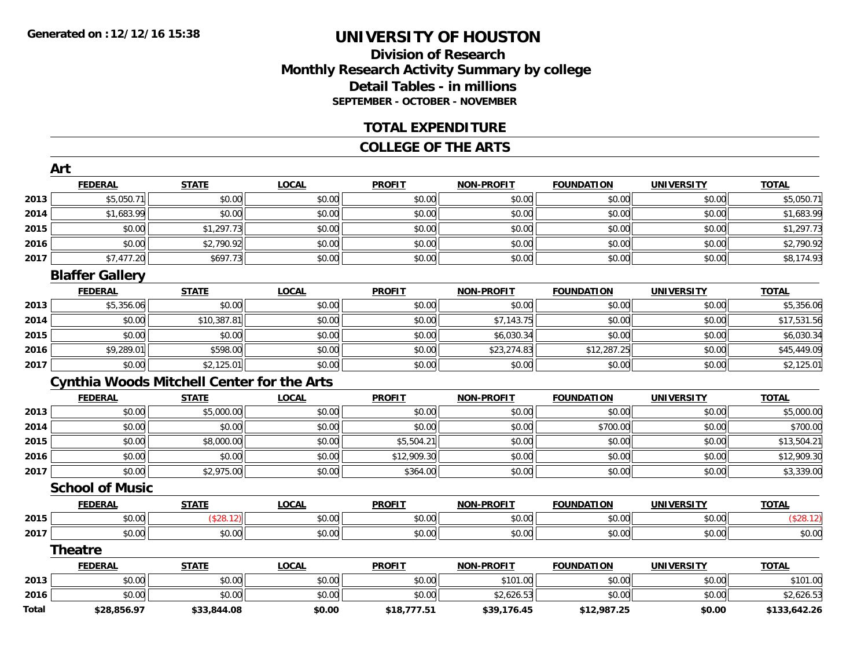**Total**

# **UNIVERSITY OF HOUSTON**

### **Division of ResearchMonthly Research Activity Summary by college Detail Tables - in millions SEPTEMBER - OCTOBER - NOVEMBER**

#### **TOTAL EXPENDITURE**

#### **COLLEGE OF THE ARTS**

|      | Art                                               |              |              |               |                   |                   |                   |              |
|------|---------------------------------------------------|--------------|--------------|---------------|-------------------|-------------------|-------------------|--------------|
|      | <b>FEDERAL</b>                                    | <b>STATE</b> | <b>LOCAL</b> | <b>PROFIT</b> | <b>NON-PROFIT</b> | <b>FOUNDATION</b> | <b>UNIVERSITY</b> | <b>TOTAL</b> |
| 2013 | \$5,050.71                                        | \$0.00       | \$0.00       | \$0.00        | \$0.00            | \$0.00            | \$0.00            | \$5,050.71   |
| 2014 | \$1,683.99                                        | \$0.00       | \$0.00       | \$0.00        | \$0.00            | \$0.00            | \$0.00            | \$1,683.99   |
| 2015 | \$0.00                                            | \$1,297.73   | \$0.00       | \$0.00        | \$0.00            | \$0.00            | \$0.00            | \$1,297.73   |
| 2016 | \$0.00                                            | \$2,790.92   | \$0.00       | \$0.00        | \$0.00            | \$0.00            | \$0.00            | \$2,790.92   |
| 2017 | \$7,477.20                                        | \$697.73     | \$0.00       | \$0.00        | \$0.00            | \$0.00            | \$0.00            | \$8,174.93   |
|      | <b>Blaffer Gallery</b>                            |              |              |               |                   |                   |                   |              |
|      | <b>FEDERAL</b>                                    | <b>STATE</b> | <b>LOCAL</b> | <b>PROFIT</b> | <b>NON-PROFIT</b> | <b>FOUNDATION</b> | <b>UNIVERSITY</b> | <b>TOTAL</b> |
| 2013 | \$5,356.06                                        | \$0.00       | \$0.00       | \$0.00        | \$0.00            | \$0.00            | \$0.00            | \$5,356.06   |
| 2014 | \$0.00                                            | \$10,387.81  | \$0.00       | \$0.00        | \$7,143.75        | \$0.00            | \$0.00            | \$17,531.56  |
| 2015 | \$0.00                                            | \$0.00       | \$0.00       | \$0.00        | \$6,030.34        | \$0.00            | \$0.00            | \$6,030.34   |
| 2016 | \$9,289.01                                        | \$598.00     | \$0.00       | \$0.00        | \$23,274.83       | \$12,287.25       | \$0.00            | \$45,449.09  |
| 2017 | \$0.00                                            | \$2,125.01   | \$0.00       | \$0.00        | \$0.00            | \$0.00            | \$0.00            | \$2,125.01   |
|      | <b>Cynthia Woods Mitchell Center for the Arts</b> |              |              |               |                   |                   |                   |              |
|      | <b>FEDERAL</b>                                    | <b>STATE</b> | <b>LOCAL</b> | <b>PROFIT</b> | <b>NON-PROFIT</b> | <b>FOUNDATION</b> | <b>UNIVERSITY</b> | <b>TOTAL</b> |
| 2013 | \$0.00                                            | \$5,000.00   | \$0.00       | \$0.00        | \$0.00            | \$0.00            | \$0.00            | \$5,000.00   |
| 2014 | \$0.00                                            | \$0.00       | \$0.00       | \$0.00        | \$0.00            | \$700.00          | \$0.00            | \$700.00     |
| 2015 | \$0.00                                            | \$8,000.00   | \$0.00       | \$5,504.21    | \$0.00            | \$0.00            | \$0.00            | \$13,504.21  |
| 2016 | \$0.00                                            | \$0.00       | \$0.00       | \$12,909.30   | \$0.00            | \$0.00            | \$0.00            | \$12,909.30  |
| 2017 | \$0.00                                            | \$2,975.00   | \$0.00       | \$364.00      | \$0.00            | \$0.00            | \$0.00            | \$3,339.00   |
|      | <b>School of Music</b>                            |              |              |               |                   |                   |                   |              |
|      | <b>FEDERAL</b>                                    | <b>STATE</b> | <b>LOCAL</b> | <b>PROFIT</b> | <b>NON-PROFIT</b> | <b>FOUNDATION</b> | <b>UNIVERSITY</b> | <b>TOTAL</b> |
| 2015 | \$0.00                                            | (\$28.12)    | \$0.00       | \$0.00        | \$0.00            | \$0.00            | \$0.00            | (\$28.12)    |
| 2017 | \$0.00                                            | \$0.00       | \$0.00       | \$0.00        | \$0.00            | \$0.00            | \$0.00            | \$0.00       |
|      | <b>Theatre</b>                                    |              |              |               |                   |                   |                   |              |
|      | <b>FEDERAL</b>                                    | <b>STATE</b> | <b>LOCAL</b> | <b>PROFIT</b> | <b>NON-PROFIT</b> | <b>FOUNDATION</b> | <b>UNIVERSITY</b> | <b>TOTAL</b> |
| 2013 | \$0.00                                            | \$0.00       | \$0.00       | \$0.00        | \$101.00          | \$0.00            | \$0.00            | \$101.00     |
| 2016 | \$0.00                                            | \$0.00       | \$0.00       | \$0.00        | \$2,626.53        | \$0.00            | \$0.00            | \$2,626.53   |

**\$28,856.97 \$33,844.08 \$0.00 \$18,777.51 \$39,176.45 \$12,987.25 \$0.00 \$133,642.26**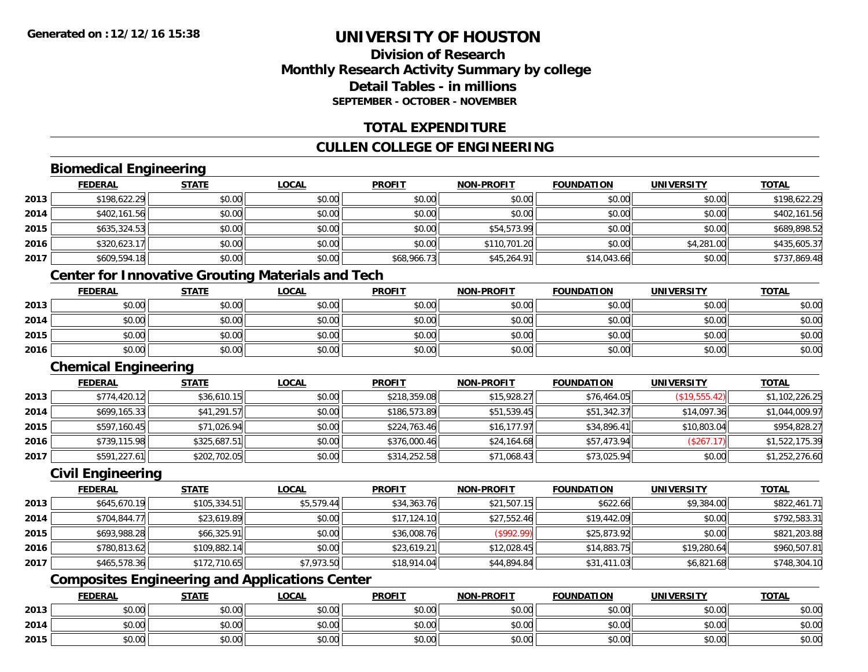### **Division of ResearchMonthly Research Activity Summary by college Detail Tables - in millionsSEPTEMBER - OCTOBER - NOVEMBER**

### **TOTAL EXPENDITURE**

### **CULLEN COLLEGE OF ENGINEERING**

### **Biomedical Engineering**

|      | <b>FEDERAL</b> | <b>STATE</b> | <b>LOCAL</b> | <b>PROFIT</b> | <b>NON-PROFIT</b> | <b>FOUNDATION</b> | <b>UNIVERSITY</b> | <b>TOTAL</b> |
|------|----------------|--------------|--------------|---------------|-------------------|-------------------|-------------------|--------------|
| 2013 | \$198,622.29   | \$0.00       | \$0.00       | \$0.00        | \$0.00            | \$0.00            | \$0.00            | \$198,622.29 |
| 2014 | \$402,161.56   | \$0.00       | \$0.00       | \$0.00        | \$0.00            | \$0.00            | \$0.00            | \$402,161.56 |
| 2015 | \$635,324.53   | \$0.00       | \$0.00       | \$0.00        | \$54,573.99       | \$0.00            | \$0.00            | \$689,898.52 |
| 2016 | \$320,623.17   | \$0.00       | \$0.00       | \$0.00        | \$110,701.20      | \$0.00            | \$4,281.00        | \$435,605.37 |
| 2017 | \$609,594.18   | \$0.00       | \$0.00       | \$68,966.73   | \$45,264.91       | \$14,043.66       | \$0.00            | \$737,869.48 |

### **Center for Innovative Grouting Materials and Tech**

|      | <b>FEDERAL</b> | <b>STATE</b> | <u>LOCAL</u> | <b>PROFIT</b> | <b>NON-PROFIT</b> | <b>FOUNDATION</b> | <b>UNIVERSITY</b> | <u>TOTAL</u> |
|------|----------------|--------------|--------------|---------------|-------------------|-------------------|-------------------|--------------|
| 2013 | \$0.00         | \$0.00       | \$0.00       | \$0.00        | \$0.00            | \$0.00            | \$0.00            | \$0.00       |
| 2014 | \$0.00         | \$0.00       | \$0.00       | \$0.00        | \$0.00            | \$0.00            | \$0.00            | \$0.00       |
| 2015 | \$0.00         | \$0.00       | \$0.00       | \$0.00        | \$0.00            | \$0.00            | \$0.00            | \$0.00       |
| 2016 | \$0.00         | \$0.00       | \$0.00       | \$0.00        | \$0.00            | \$0.00            | \$0.00            | \$0.00       |

#### **Chemical Engineering**

|      | <b>FEDERAL</b> | <b>STATE</b> | <b>LOCAL</b> | <b>PROFIT</b> | <b>NON-PROFIT</b> | <b>FOUNDATION</b> | <b>UNIVERSITY</b> | <b>TOTAL</b>   |
|------|----------------|--------------|--------------|---------------|-------------------|-------------------|-------------------|----------------|
| 2013 | \$774,420.12   | \$36,610.15  | \$0.00       | \$218,359.08  | \$15,928.27       | \$76,464.05       | (\$19,555.42)     | \$1,102,226.25 |
| 2014 | \$699,165.33   | \$41,291.57  | \$0.00       | \$186,573.89  | \$51,539.45       | \$51,342.37       | \$14,097.36       | \$1,044,009.97 |
| 2015 | \$597,160.45   | \$71,026.94  | \$0.00       | \$224,763.46  | \$16, 177.97      | \$34,896.41       | \$10,803.04       | \$954,828.27   |
| 2016 | \$739,115.98   | \$325,687.51 | \$0.00       | \$376,000.46  | \$24,164.68       | \$57,473.94       | (\$267.17)        | \$1,522,175.39 |
| 2017 | \$591,227.61   | \$202,702.05 | \$0.00       | \$314,252.58  | \$71,068.43       | \$73,025.94       | \$0.00            | \$1,252,276.60 |

#### **Civil Engineering**

|      | <b>FEDERAL</b> | <b>STATE</b> | <b>LOCAL</b> | <b>PROFIT</b> | <b>NON-PROFIT</b> | <b>FOUNDATION</b> | <b>UNIVERSITY</b> | <b>TOTAL</b> |
|------|----------------|--------------|--------------|---------------|-------------------|-------------------|-------------------|--------------|
| 2013 | \$645,670.19   | \$105,334.51 | \$5,579.44   | \$34,363.76   | \$21,507.15       | \$622.66          | \$9,384.00        | \$822,461.71 |
| 2014 | \$704,844.77   | \$23,619.89  | \$0.00       | \$17,124.10   | \$27,552.46       | \$19,442.09       | \$0.00            | \$792,583.31 |
| 2015 | \$693,988.28   | \$66.325.91  | \$0.00       | \$36,008.76   | (S992.99)         | \$25,873.92       | \$0.00            | \$821,203.88 |
| 2016 | \$780,813.62   | \$109,882.14 | \$0.00       | \$23,619.21   | \$12,028.45       | \$14,883.75       | \$19,280.64       | \$960,507.81 |
| 2017 | \$465,578.36   | \$172,710.65 | \$7,973.50   | \$18,914.04   | \$44,894.84       | \$31,411.03       | \$6,821.68        | \$748,304.10 |

### **Composites Engineering and Applications Center**

|      | <b>FEDERAL</b> | <b>STATE</b> | <b>_OCAL</b>  | <b>PROFIT</b> | <b>NON-PROFIT</b>                           | <b>FOUNDATION</b> | <b>UNIVERSITY</b> | <b>TOTAL</b> |
|------|----------------|--------------|---------------|---------------|---------------------------------------------|-------------------|-------------------|--------------|
| 2013 | 0000<br>vu.uu  | \$0.00       | 0000<br>JU.UU | \$0.00        | \$0.00                                      | \$0.00            | \$0.00            | \$0.00       |
| 2014 | PU.UU          | \$0.00       | 0000<br>DU.U¢ | \$0.00        | 40.00<br><b>SU.UU</b>                       | \$0.00            | \$0.00            | \$0.00       |
| 2015 | ልስ ለሰ<br>pu.uu | \$0.00       | 0000<br>ง∪.∪บ | \$0.00        | $\mathsf{A} \cap \mathsf{A} \cap$<br>\$0.00 | \$0.00            | \$0.00            | \$0.00       |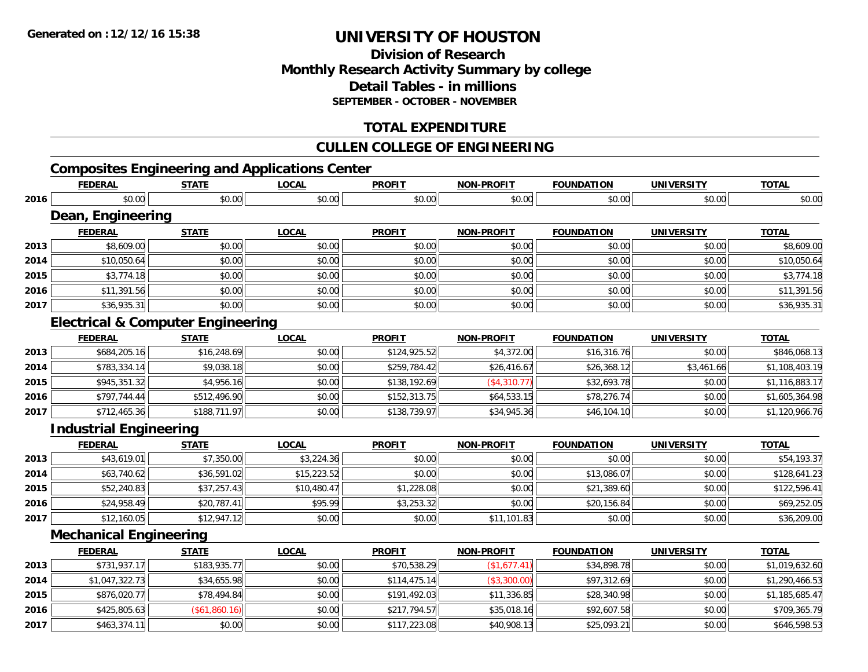### **Division of Research Monthly Research Activity Summary by college Detail Tables - in millions SEPTEMBER - OCTOBER - NOVEMBER**

### **TOTAL EXPENDITURE**

### **CULLEN COLLEGE OF ENGINEERING**

### **Composites Engineering and Applications Center**

|      | <b>FEDERAL</b>                               | <b>STATE</b>  | <b>LOCAL</b> | <b>PROFIT</b> | <b>NON-PROFIT</b> | <b>FOUNDATION</b> | <b>UNIVERSITY</b> | <b>TOTAL</b>   |
|------|----------------------------------------------|---------------|--------------|---------------|-------------------|-------------------|-------------------|----------------|
| 2016 | \$0.00                                       | \$0.00        | \$0.00       | \$0.00        | \$0.00            | \$0.00            | \$0.00            | \$0.00         |
|      | Dean, Engineering                            |               |              |               |                   |                   |                   |                |
|      | <b>FEDERAL</b>                               | <b>STATE</b>  | <b>LOCAL</b> | <b>PROFIT</b> | <b>NON-PROFIT</b> | <b>FOUNDATION</b> | <b>UNIVERSITY</b> | <b>TOTAL</b>   |
| 2013 | \$8,609.00                                   | \$0.00        | \$0.00       | \$0.00        | \$0.00            | \$0.00            | \$0.00            | \$8,609.00     |
| 2014 | \$10,050.64                                  | \$0.00        | \$0.00       | \$0.00        | \$0.00            | \$0.00            | \$0.00            | \$10,050.64    |
| 2015 | \$3,774.18                                   | \$0.00        | \$0.00       | \$0.00        | \$0.00            | \$0.00            | \$0.00            | \$3,774.18     |
| 2016 | \$11,391.56                                  | \$0.00        | \$0.00       | \$0.00        | \$0.00            | \$0.00            | \$0.00            | \$11,391.56    |
| 2017 | \$36,935.31                                  | \$0.00        | \$0.00       | \$0.00        | \$0.00            | \$0.00            | \$0.00            | \$36,935.31    |
|      | <b>Electrical &amp; Computer Engineering</b> |               |              |               |                   |                   |                   |                |
|      | <b>FEDERAL</b>                               | <b>STATE</b>  | <b>LOCAL</b> | <b>PROFIT</b> | <b>NON-PROFIT</b> | <b>FOUNDATION</b> | <b>UNIVERSITY</b> | <b>TOTAL</b>   |
| 2013 | \$684,205.16                                 | \$16,248.69   | \$0.00       | \$124,925.52  | \$4,372.00        | \$16,316.76       | \$0.00            | \$846,068.13   |
| 2014 | \$783,334.14                                 | \$9,038.18    | \$0.00       | \$259,784.42  | \$26,416.67       | \$26,368.12       | \$3,461.66        | \$1,108,403.19 |
| 2015 | \$945,351.32                                 | \$4,956.16    | \$0.00       | \$138,192.69  | (\$4,310.77)      | \$32,693.78       | \$0.00            | \$1,116,883.17 |
| 2016 | \$797,744.44                                 | \$512,496.90  | \$0.00       | \$152,313.75  | \$64,533.15       | \$78,276.74       | \$0.00            | \$1,605,364.98 |
| 2017 | \$712,465.36                                 | \$188,711.97  | \$0.00       | \$138,739.97  | \$34,945.36       | \$46,104.10       | \$0.00            | \$1,120,966.76 |
|      | <b>Industrial Engineering</b>                |               |              |               |                   |                   |                   |                |
|      | <b>FEDERAL</b>                               | <b>STATE</b>  | <b>LOCAL</b> | <b>PROFIT</b> | <b>NON-PROFIT</b> | <b>FOUNDATION</b> | <b>UNIVERSITY</b> | <b>TOTAL</b>   |
| 2013 | \$43,619.01                                  | \$7,350.00    | \$3,224.36   | \$0.00        | \$0.00            | \$0.00            | \$0.00            | \$54,193.37    |
| 2014 | \$63,740.62                                  | \$36,591.02   | \$15,223.52  | \$0.00        | \$0.00            | \$13,086.07       | \$0.00            | \$128,641.23   |
| 2015 | \$52,240.83                                  | \$37,257.43   | \$10,480.47  | \$1,228.08    | \$0.00            | \$21,389.60       | \$0.00            | \$122,596.41   |
| 2016 | \$24,958.49                                  | \$20,787.41   | \$95.99      | \$3,253.32    | \$0.00            | \$20,156.84       | \$0.00            | \$69,252.05    |
| 2017 | \$12,160.05                                  | \$12,947.12   | \$0.00       | \$0.00        | \$11,101.83       | \$0.00            | \$0.00            | \$36,209.00    |
|      | <b>Mechanical Engineering</b>                |               |              |               |                   |                   |                   |                |
|      | <b>FEDERAL</b>                               | <b>STATE</b>  | <b>LOCAL</b> | <b>PROFIT</b> | <b>NON-PROFIT</b> | <b>FOUNDATION</b> | <b>UNIVERSITY</b> | <b>TOTAL</b>   |
| 2013 | \$731,937.17                                 | \$183,935.77  | \$0.00       | \$70,538.29   | (\$1,677.41)      | \$34,898.78       | \$0.00            | \$1,019,632.60 |
| 2014 | \$1,047,322.73                               | \$34,655.98   | \$0.00       | \$114,475.14  | (\$3,300.00)      | \$97,312.69       | \$0.00            | \$1,290,466.53 |
| 2015 | \$876,020.77                                 | \$78,494.84   | \$0.00       | \$191,492.03  | \$11,336.85       | \$28,340.98       | \$0.00            | \$1,185,685.47 |
| 2016 | \$425,805.63                                 | (\$61,860.16) | \$0.00       | \$217,794.57  | \$35,018.16       | \$92,607.58       | \$0.00            | \$709,365.79   |
| 2017 | \$463,374.11                                 | \$0.00        | \$0.00       | \$117,223.08  | \$40,908.13       | \$25,093.21       | \$0.00            | \$646,598.53   |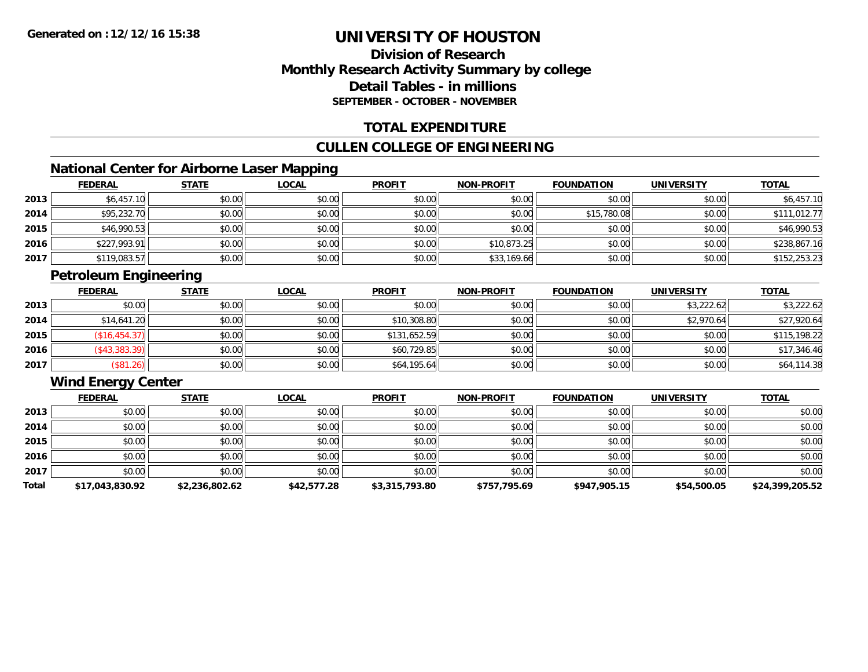### **Division of ResearchMonthly Research Activity Summary by college Detail Tables - in millionsSEPTEMBER - OCTOBER - NOVEMBER**

### **TOTAL EXPENDITURE**

### **CULLEN COLLEGE OF ENGINEERING**

### **National Center for Airborne Laser Mapping**

|      | <b>FEDERAL</b> | <b>STATE</b> | <u>LOCAL</u> | <b>PROFIT</b> | <b>NON-PROFIT</b> | <b>FOUNDATION</b> | <b>UNIVERSITY</b> | <b>TOTAL</b> |
|------|----------------|--------------|--------------|---------------|-------------------|-------------------|-------------------|--------------|
| 2013 | \$6,457.10     | \$0.00       | \$0.00       | \$0.00        | \$0.00            | \$0.00            | \$0.00            | \$6,457.10   |
| 2014 | \$95,232.70    | \$0.00       | \$0.00       | \$0.00        | \$0.00            | \$15,780.08       | \$0.00            | \$111,012.77 |
| 2015 | \$46,990.53    | \$0.00       | \$0.00       | \$0.00        | \$0.00            | \$0.00            | \$0.00            | \$46,990.53  |
| 2016 | \$227,993.91   | \$0.00       | \$0.00       | \$0.00        | \$10,873.25       | \$0.00            | \$0.00            | \$238,867.16 |
| 2017 | \$119,083.57   | \$0.00       | \$0.00       | \$0.00        | \$33,169.66       | \$0.00            | \$0.00            | \$152,253.23 |

### **Petroleum Engineering**

|      | <b>FEDERAL</b> | <b>STATE</b> | <b>LOCAL</b> | <b>PROFIT</b> | <b>NON-PROFIT</b> | <b>FOUNDATION</b> | <b>UNIVERSITY</b> | <b>TOTAL</b> |
|------|----------------|--------------|--------------|---------------|-------------------|-------------------|-------------------|--------------|
| 2013 | \$0.00         | \$0.00       | \$0.00       | \$0.00        | \$0.00            | \$0.00            | \$3,222.62        | \$3,222.62   |
| 2014 | \$14,641.20    | \$0.00       | \$0.00       | \$10,308.80   | \$0.00            | \$0.00            | \$2,970.64        | \$27,920.64  |
| 2015 | (\$16,454.37)  | \$0.00       | \$0.00       | \$131,652.59  | \$0.00            | \$0.00            | \$0.00            | \$115,198.22 |
| 2016 | (\$43,383.39)  | \$0.00       | \$0.00       | \$60,729.85   | \$0.00            | \$0.00            | \$0.00            | \$17,346.46  |
| 2017 | (\$81.26)      | \$0.00       | \$0.00       | \$64,195.64   | \$0.00            | \$0.00            | \$0.00            | \$64,114.38  |

### **Wind Energy Center**

|       | <b>FEDERAL</b>  | <b>STATE</b>   | <u>LOCAL</u> | <b>PROFIT</b>  | <b>NON-PROFIT</b> | <b>FOUNDATION</b> | <b>UNIVERSITY</b> | <b>TOTAL</b>    |
|-------|-----------------|----------------|--------------|----------------|-------------------|-------------------|-------------------|-----------------|
| 2013  | \$0.00          | \$0.00         | \$0.00       | \$0.00         | \$0.00            | \$0.00            | \$0.00            | \$0.00          |
| 2014  | \$0.00          | \$0.00         | \$0.00       | \$0.00         | \$0.00            | \$0.00            | \$0.00            | \$0.00          |
| 2015  | \$0.00          | \$0.00         | \$0.00       | \$0.00         | \$0.00            | \$0.00            | \$0.00            | \$0.00          |
| 2016  | \$0.00          | \$0.00         | \$0.00       | \$0.00         | \$0.00            | \$0.00            | \$0.00            | \$0.00          |
| 2017  | \$0.00          | \$0.00         | \$0.00       | \$0.00         | \$0.00            | \$0.00            | \$0.00            | \$0.00          |
| Total | \$17,043,830.92 | \$2,236,802.62 | \$42,577.28  | \$3,315,793.80 | \$757,795.69      | \$947,905.15      | \$54,500.05       | \$24,399,205.52 |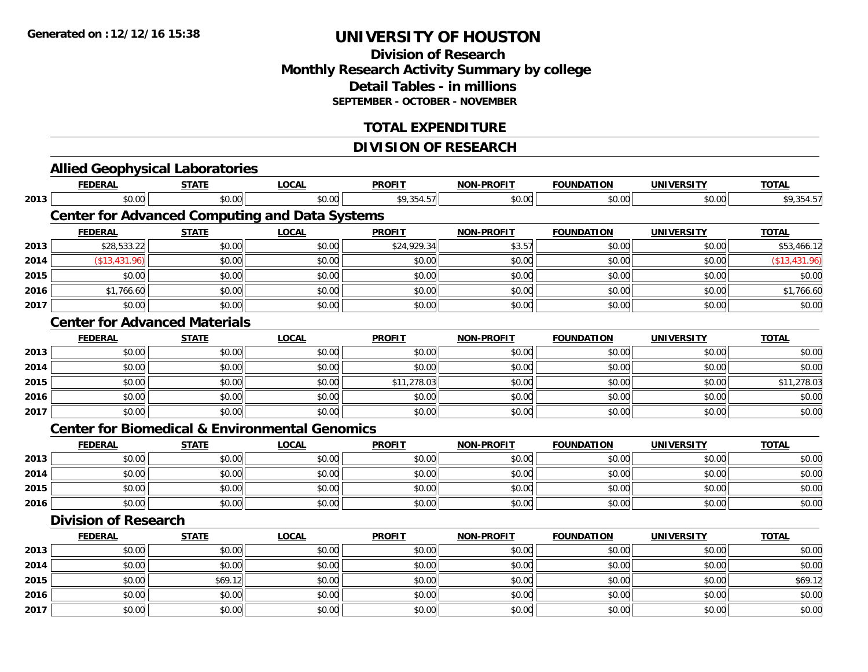### **Division of Research Monthly Research Activity Summary by college Detail Tables - in millions SEPTEMBER - OCTOBER - NOVEMBER**

### **TOTAL EXPENDITURE**

### **DIVISION OF RESEARCH**

|      |                             |                                      | <b>Allied Geophysical Laboratories</b>                    |               |                   |                   |                   |               |
|------|-----------------------------|--------------------------------------|-----------------------------------------------------------|---------------|-------------------|-------------------|-------------------|---------------|
|      | <b>FEDERAL</b>              | <b>STATE</b>                         | <b>LOCAL</b>                                              | <b>PROFIT</b> | <b>NON-PROFIT</b> | <b>FOUNDATION</b> | <b>UNIVERSITY</b> | <b>TOTAL</b>  |
| 2013 | \$0.00                      | \$0.00                               | \$0.00                                                    | \$9,354.57    | \$0.00            | \$0.00            | \$0.00            | \$9,354.57    |
|      |                             |                                      | <b>Center for Advanced Computing and Data Systems</b>     |               |                   |                   |                   |               |
|      | <b>FEDERAL</b>              | <b>STATE</b>                         | <b>LOCAL</b>                                              | <b>PROFIT</b> | <b>NON-PROFIT</b> | <b>FOUNDATION</b> | <b>UNIVERSITY</b> | <b>TOTAL</b>  |
| 2013 | \$28,533.22                 | \$0.00                               | \$0.00                                                    | \$24,929.34   | \$3.57            | \$0.00            | \$0.00            | \$53,466.12   |
| 2014 | (\$13,431.96)               | \$0.00                               | \$0.00                                                    | \$0.00        | \$0.00            | \$0.00            | \$0.00            | (\$13,431.96) |
| 2015 | \$0.00                      | \$0.00                               | \$0.00                                                    | \$0.00        | \$0.00            | \$0.00            | \$0.00            | \$0.00        |
| 2016 | \$1,766.60                  | \$0.00                               | \$0.00                                                    | \$0.00        | \$0.00            | \$0.00            | \$0.00            | \$1,766.60    |
| 2017 | \$0.00                      | \$0.00                               | \$0.00                                                    | \$0.00        | \$0.00            | \$0.00            | \$0.00            | \$0.00        |
|      |                             | <b>Center for Advanced Materials</b> |                                                           |               |                   |                   |                   |               |
|      | <b>FEDERAL</b>              | <b>STATE</b>                         | <b>LOCAL</b>                                              | <b>PROFIT</b> | <b>NON-PROFIT</b> | <b>FOUNDATION</b> | <b>UNIVERSITY</b> | <b>TOTAL</b>  |
| 2013 | \$0.00                      | \$0.00                               | \$0.00                                                    | \$0.00        | \$0.00            | \$0.00            | \$0.00            | \$0.00        |
| 2014 | \$0.00                      | \$0.00                               | \$0.00                                                    | \$0.00        | \$0.00            | \$0.00            | \$0.00            | \$0.00        |
| 2015 | \$0.00                      | \$0.00                               | \$0.00                                                    | \$11,278.03   | \$0.00            | \$0.00            | \$0.00            | \$11,278.03   |
| 2016 | \$0.00                      | \$0.00                               | \$0.00                                                    | \$0.00        | \$0.00            | \$0.00            | \$0.00            | \$0.00        |
| 2017 | \$0.00                      | \$0.00                               | \$0.00                                                    | \$0.00        | \$0.00            | \$0.00            | \$0.00            | \$0.00        |
|      |                             |                                      | <b>Center for Biomedical &amp; Environmental Genomics</b> |               |                   |                   |                   |               |
|      | <b>FEDERAL</b>              | <b>STATE</b>                         | <b>LOCAL</b>                                              | <b>PROFIT</b> | <b>NON-PROFIT</b> | <b>FOUNDATION</b> | <b>UNIVERSITY</b> | <b>TOTAL</b>  |
| 2013 | \$0.00                      | \$0.00                               | \$0.00                                                    | \$0.00        | \$0.00            | \$0.00            | \$0.00            | \$0.00        |
| 2014 | \$0.00                      | \$0.00                               | \$0.00                                                    | \$0.00        | \$0.00            | \$0.00            | \$0.00            | \$0.00        |
| 2015 | \$0.00                      | \$0.00                               | \$0.00                                                    | \$0.00        | \$0.00            | \$0.00            | \$0.00            | \$0.00        |
| 2016 | \$0.00                      | \$0.00                               | \$0.00                                                    | \$0.00        | \$0.00            | \$0.00            | \$0.00            | \$0.00        |
|      | <b>Division of Research</b> |                                      |                                                           |               |                   |                   |                   |               |
|      | <b>FEDERAL</b>              | <b>STATE</b>                         | <b>LOCAL</b>                                              | <b>PROFIT</b> | <b>NON-PROFIT</b> | <b>FOUNDATION</b> | <b>UNIVERSITY</b> | <b>TOTAL</b>  |
| 2013 | \$0.00                      | \$0.00                               | \$0.00                                                    | \$0.00        | \$0.00            | \$0.00            | \$0.00            | \$0.00        |
| 2014 | \$0.00                      | \$0.00                               | \$0.00                                                    | \$0.00        | \$0.00            | \$0.00            | \$0.00            | \$0.00        |
| 2015 | \$0.00                      | \$69.12                              | \$0.00                                                    | \$0.00        | \$0.00            | \$0.00            | \$0.00            | \$69.12       |
| 2016 | \$0.00                      | \$0.00                               | \$0.00                                                    | \$0.00        | \$0.00            | \$0.00            | \$0.00            | \$0.00        |
| 2017 | \$0.00                      | \$0.00                               | \$0.00                                                    | \$0.00        | \$0.00            | \$0.00            | \$0.00            | \$0.00        |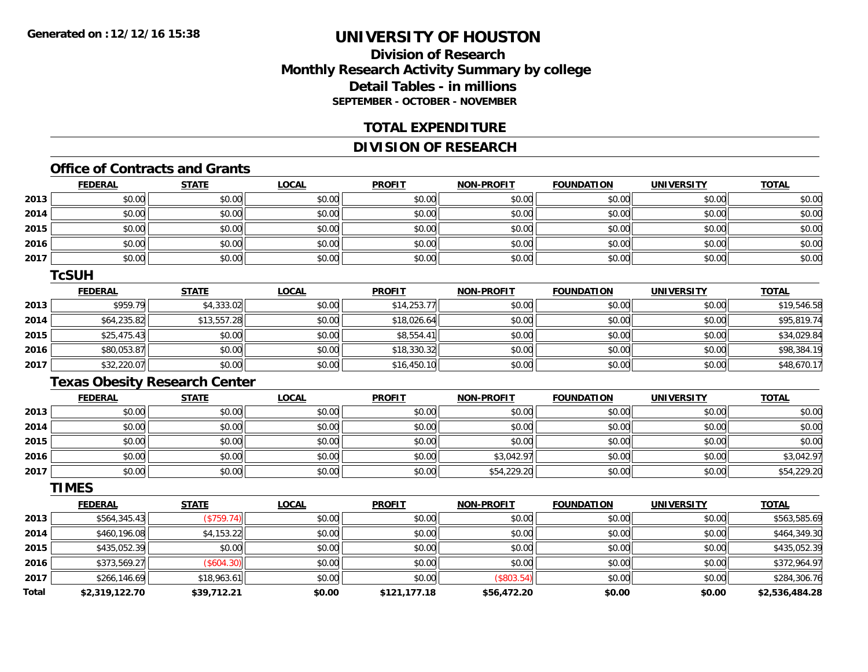### **Division of ResearchMonthly Research Activity Summary by college Detail Tables - in millions SEPTEMBER - OCTOBER - NOVEMBER**

### **TOTAL EXPENDITURE**

### **DIVISION OF RESEARCH**

### **Office of Contracts and Grants**

|      | <u>FEDERAL</u> | <b>STATE</b> | <b>LOCAL</b> | <b>PROFIT</b> | <b>NON-PROFIT</b> | <b>FOUNDATION</b> | <b>UNIVERSITY</b> | <b>TOTAL</b> |
|------|----------------|--------------|--------------|---------------|-------------------|-------------------|-------------------|--------------|
| 2013 | \$0.00         | \$0.00       | \$0.00       | \$0.00        | \$0.00            | \$0.00            | \$0.00            | \$0.00       |
| 2014 | \$0.00         | \$0.00       | \$0.00       | \$0.00        | \$0.00            | \$0.00            | \$0.00            | \$0.00       |
| 2015 | \$0.00         | \$0.00       | \$0.00       | \$0.00        | \$0.00            | \$0.00            | \$0.00            | \$0.00       |
| 2016 | \$0.00         | \$0.00       | \$0.00       | \$0.00        | \$0.00            | \$0.00            | \$0.00            | \$0.00       |
| 2017 | \$0.00         | \$0.00       | \$0.00       | \$0.00        | \$0.00            | \$0.00            | \$0.00            | \$0.00       |

#### **TcSUH**

|      | <u>FEDERAL</u> | <b>STATE</b> | <b>LOCAL</b> | <b>PROFIT</b> | <b>NON-PROFIT</b> | <b>FOUNDATION</b> | <b>UNIVERSITY</b> | <b>TOTAL</b> |
|------|----------------|--------------|--------------|---------------|-------------------|-------------------|-------------------|--------------|
| 2013 | \$959.79       | \$4,333.02   | \$0.00       | \$14,253.77   | \$0.00            | \$0.00            | \$0.00            | \$19,546.58  |
| 2014 | \$64,235.82    | \$13,557.28  | \$0.00       | \$18,026.64   | \$0.00            | \$0.00            | \$0.00            | \$95,819.74  |
| 2015 | \$25,475.43    | \$0.00       | \$0.00       | \$8,554.41    | \$0.00            | \$0.00            | \$0.00            | \$34,029.84  |
| 2016 | \$80,053.87    | \$0.00       | \$0.00       | \$18,330.32   | \$0.00            | \$0.00            | \$0.00            | \$98,384.19  |
| 2017 | \$32,220.07    | \$0.00       | \$0.00       | \$16,450.10   | \$0.00            | \$0.00            | \$0.00            | \$48,670.17  |

### **Texas Obesity Research Center**

|      | <u>FEDERAL</u> | <b>STATE</b> | <u>LOCAL</u> | <b>PROFIT</b> | <b>NON-PROFIT</b> | <b>FOUNDATION</b> | <b>UNIVERSITY</b> | <b>TOTAL</b> |
|------|----------------|--------------|--------------|---------------|-------------------|-------------------|-------------------|--------------|
| 2013 | \$0.00         | \$0.00       | \$0.00       | \$0.00        | \$0.00            | \$0.00            | \$0.00            | \$0.00       |
| 2014 | \$0.00         | \$0.00       | \$0.00       | \$0.00        | \$0.00            | \$0.00            | \$0.00            | \$0.00       |
| 2015 | \$0.00         | \$0.00       | \$0.00       | \$0.00        | \$0.00            | \$0.00            | \$0.00            | \$0.00       |
| 2016 | \$0.00         | \$0.00       | \$0.00       | \$0.00        | \$3,042.97        | \$0.00            | \$0.00            | \$3,042.97   |
| 2017 | \$0.00         | \$0.00       | \$0.00       | \$0.00        | \$54,229.20       | \$0.00            | \$0.00            | \$54,229.20  |

#### **TIMES**

|              | <b>FEDERAL</b> | <b>STATE</b> | <b>LOCAL</b> | <b>PROFIT</b> | <b>NON-PROFIT</b> | <b>FOUNDATION</b> | <b>UNIVERSITY</b> | <b>TOTAL</b>   |
|--------------|----------------|--------------|--------------|---------------|-------------------|-------------------|-------------------|----------------|
| 2013         | \$564,345.43   | (S759.74)    | \$0.00       | \$0.00        | \$0.00            | \$0.00            | \$0.00            | \$563,585.69   |
| 2014         | \$460,196.08   | \$4,153.22   | \$0.00       | \$0.00        | \$0.00            | \$0.00            | \$0.00            | \$464,349.30   |
| 2015         | \$435,052.39   | \$0.00       | \$0.00       | \$0.00        | \$0.00            | \$0.00            | \$0.00            | \$435,052.39   |
| 2016         | \$373,569.27   | (\$604.30)   | \$0.00       | \$0.00        | \$0.00            | \$0.00            | \$0.00            | \$372,964.97   |
| 2017         | \$266,146.69   | \$18,963.61  | \$0.00       | \$0.00        | (\$803.54)        | \$0.00            | \$0.00            | \$284,306.76   |
| <b>Total</b> | \$2,319,122.70 | \$39,712.21  | \$0.00       | \$121,177.18  | \$56,472.20       | \$0.00            | \$0.00            | \$2,536,484.28 |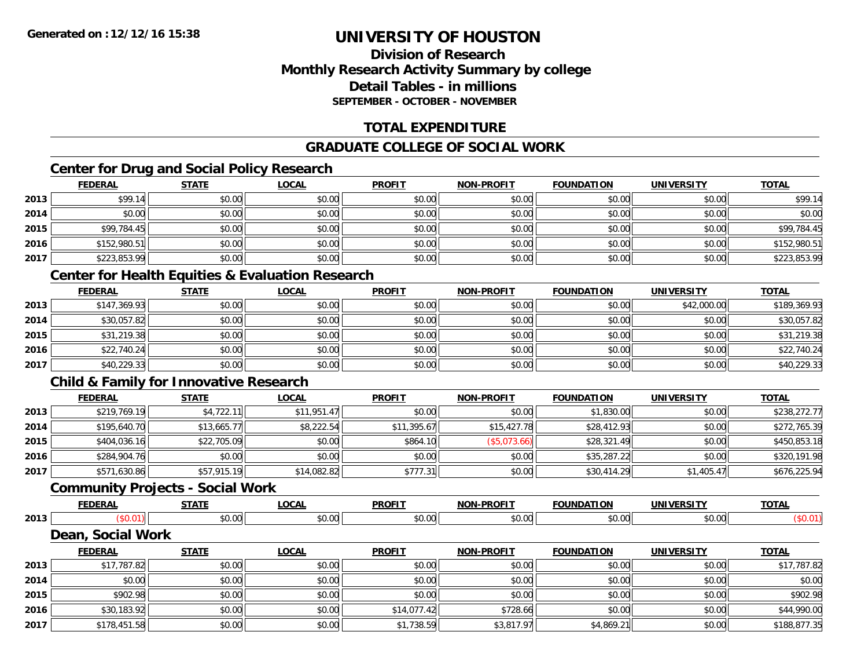### **Division of ResearchMonthly Research Activity Summary by college Detail Tables - in millionsSEPTEMBER - OCTOBER - NOVEMBER**

### **TOTAL EXPENDITURE**

### **GRADUATE COLLEGE OF SOCIAL WORK**

### **Center for Drug and Social Policy Research**

|      | <b>FEDERAL</b> | <b>STATE</b> | <u>LOCAL</u> | <b>PROFIT</b> | <b>NON-PROFIT</b> | <b>FOUNDATION</b> | <b>UNIVERSITY</b> | <b>TOTAL</b> |
|------|----------------|--------------|--------------|---------------|-------------------|-------------------|-------------------|--------------|
| 2013 | \$99.14        | \$0.00       | \$0.00       | \$0.00        | \$0.00            | \$0.00            | \$0.00            | \$99.14      |
| 2014 | \$0.00         | \$0.00       | \$0.00       | \$0.00        | \$0.00            | \$0.00            | \$0.00            | \$0.00       |
| 2015 | \$99,784.45    | \$0.00       | \$0.00       | \$0.00        | \$0.00            | \$0.00            | \$0.00            | \$99,784.45  |
| 2016 | \$152,980.51   | \$0.00       | \$0.00       | \$0.00        | \$0.00            | \$0.00            | \$0.00            | \$152,980.51 |
| 2017 | \$223,853.99   | \$0.00       | \$0.00       | \$0.00        | \$0.00            | \$0.00            | \$0.00            | \$223,853.99 |

### **Center for Health Equities & Evaluation Research**

|      | <b>FEDERAL</b> | <b>STATE</b> | <b>LOCAL</b> | <b>PROFIT</b> | <b>NON-PROFIT</b> | <b>FOUNDATION</b> | <b>UNIVERSITY</b> | <b>TOTAL</b> |
|------|----------------|--------------|--------------|---------------|-------------------|-------------------|-------------------|--------------|
| 2013 | \$147,369.93   | \$0.00       | \$0.00       | \$0.00        | \$0.00            | \$0.00            | \$42,000.00       | \$189,369.93 |
| 2014 | \$30,057.82    | \$0.00       | \$0.00       | \$0.00        | \$0.00            | \$0.00            | \$0.00            | \$30,057.82  |
| 2015 | \$31,219.38    | \$0.00       | \$0.00       | \$0.00        | \$0.00            | \$0.00            | \$0.00            | \$31,219.38  |
| 2016 | \$22,740.24    | \$0.00       | \$0.00       | \$0.00        | \$0.00            | \$0.00            | \$0.00            | \$22,740.24  |
| 2017 | \$40,229.33    | \$0.00       | \$0.00       | \$0.00        | \$0.00            | \$0.00            | \$0.00            | \$40,229.33  |

### **Child & Family for Innovative Research**

|      | <b>FEDERAL</b> | <b>STATE</b> | <u>LOCAL</u> | <b>PROFIT</b> | <b>NON-PROFIT</b> | <b>FOUNDATION</b> | <b>UNIVERSITY</b> | <b>TOTAL</b> |
|------|----------------|--------------|--------------|---------------|-------------------|-------------------|-------------------|--------------|
| 2013 | \$219,769.19   | \$4,722.11   | \$11.951.47  | \$0.00        | \$0.00            | \$1,830.00        | \$0.00            | \$238,272.77 |
| 2014 | \$195,640.70   | \$13,665.77  | \$8,222.54   | \$11,395.67   | \$15,427.78       | \$28,412.93       | \$0.00            | \$272,765.39 |
| 2015 | \$404,036.16   | \$22,705.09  | \$0.00       | \$864.10      | (\$5,073.66)      | \$28,321.49       | \$0.00            | \$450,853.18 |
| 2016 | \$284,904.76   | \$0.00       | \$0.00       | \$0.00        | \$0.00            | \$35,287.22       | \$0.00            | \$320,191.98 |
| 2017 | \$571,630.86   | \$57,915.19  | \$14,082.82  | \$777.31      | \$0.00            | \$30,414.29       | \$1,405.47        | \$676,225.94 |

#### **Community Projects - Social Work**

|      | <b>FEDERAL</b>                    | <b>STATE</b> | LOCAL        | <b>PROFIT</b> | <b>NON-PROFIT</b> | <b>FOUNDATION</b> | UNIVERSITY | <b>TOTAL</b> |
|------|-----------------------------------|--------------|--------------|---------------|-------------------|-------------------|------------|--------------|
| 2013 |                                   | \$0.00       | \$0.00       | \$0.00        | \$0.00            | \$0.00            | \$0.00     | \$0.01       |
|      | <b>Social Work</b><br><b>Dear</b> |              |              |               |                   |                   |            |              |
|      | <b>FEDERAL</b>                    | <b>STATE</b> | <u>LOCAL</u> | <b>PROFIT</b> | <b>NON-PROFIT</b> | <b>FOUNDATION</b> | UNIVERSITY | <b>TOTAL</b> |

|      | . LVLIVAL    | <u><math>101</math></u> | L      | <u>.</u>    | <u></u>    | , <b>,,,,,,,,,,,,</b> | <b>UNIVERSITI</b> | 1017         |
|------|--------------|-------------------------|--------|-------------|------------|-----------------------|-------------------|--------------|
| 2013 | \$17,787.82  | \$0.00                  | \$0.00 | \$0.00      | \$0.00     | \$0.00                | \$0.00            | \$17,787.82  |
| 2014 | \$0.00       | \$0.00                  | \$0.00 | \$0.00      | \$0.00     | \$0.00                | \$0.00            | \$0.00       |
| 2015 | \$902.98     | \$0.00                  | \$0.00 | \$0.00      | \$0.00     | \$0.00                | \$0.00            | \$902.98     |
| 2016 | \$30,183.92  | \$0.00                  | \$0.00 | \$14,077.42 | \$728.66   | \$0.00                | \$0.00            | \$44,990.00  |
| 2017 | \$178,451.58 | \$0.00                  | \$0.00 | \$1,738.59  | \$3,817.97 | \$4,869.21            | \$0.00            | \$188,877.35 |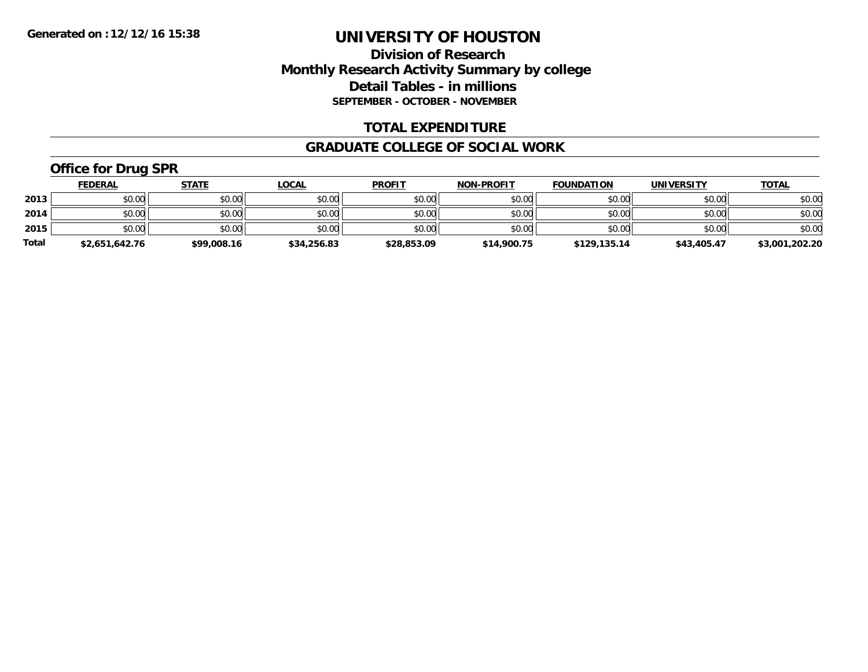### **Division of Research Monthly Research Activity Summary by college Detail Tables - in millions SEPTEMBER - OCTOBER - NOVEMBER**

### **TOTAL EXPENDITURE**

#### **GRADUATE COLLEGE OF SOCIAL WORK**

### **Office for Drug SPR**

|              | <b>FEDERAL</b> | <u>STATE</u> | <u>LOCAL</u> | <b>PROFIT</b> | <b>NON-PROFIT</b> | <b>FOUNDATION</b> | <b>UNIVERSITY</b> | <b>TOTAL</b>   |
|--------------|----------------|--------------|--------------|---------------|-------------------|-------------------|-------------------|----------------|
| 2013         | \$0.00         | \$0.00       | \$0.00       | \$0.00        | \$0.00            | \$0.00            | \$0.00            | \$0.00         |
| 2014         | \$0.00         | \$0.00       | \$0.00       | \$0.00        | \$0.00            | \$0.00            | \$0.00            | \$0.00         |
| 2015         | \$0.00         | \$0.00       | \$0.00       | \$0.00        | \$0.00            | \$0.00            | \$0.00            | \$0.00         |
| <b>Total</b> | \$2,651,642.76 | \$99,008.16  | \$34,256.83  | \$28,853.09   | \$14,900.75       | \$129,135.14      | \$43,405.47       | \$3,001,202.20 |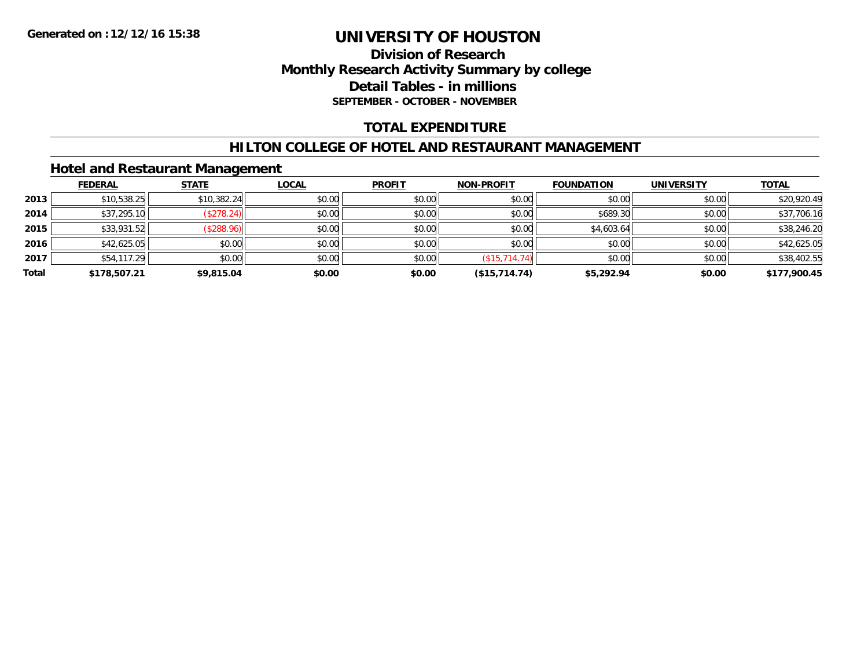### **Division of Research Monthly Research Activity Summary by college Detail Tables - in millions SEPTEMBER - OCTOBER - NOVEMBER**

### **TOTAL EXPENDITURE**

### **HILTON COLLEGE OF HOTEL AND RESTAURANT MANAGEMENT**

### **Hotel and Restaurant Management**

|       | <b>FEDERAL</b> | <b>STATE</b> | <u>LOCAL</u> | <b>PROFIT</b> | <b>NON-PROFIT</b> | <b>FOUNDATION</b> | <b>UNIVERSITY</b> | <b>TOTAL</b> |
|-------|----------------|--------------|--------------|---------------|-------------------|-------------------|-------------------|--------------|
| 2013  | \$10,538.25    | \$10,382.24  | \$0.00       | \$0.00        | \$0.00            | \$0.00            | \$0.00            | \$20,920.49  |
| 2014  | \$37,295.10    | (\$278.24)   | \$0.00       | \$0.00        | \$0.00            | \$689.30          | \$0.00            | \$37,706.16  |
| 2015  | \$33,931.52    | (\$288.96)   | \$0.00       | \$0.00        | \$0.00            | \$4,603.64        | \$0.00            | \$38,246.20  |
| 2016  | \$42,625.05    | \$0.00       | \$0.00       | \$0.00        | \$0.00            | \$0.00            | \$0.00            | \$42,625.05  |
| 2017  | \$54,117.29    | \$0.00       | \$0.00       | \$0.00        | (\$15,714.74)     | \$0.00            | \$0.00            | \$38,402.55  |
| Total | \$178,507.21   | \$9,815.04   | \$0.00       | \$0.00        | (\$15,714.74)     | \$5,292.94        | \$0.00            | \$177,900.45 |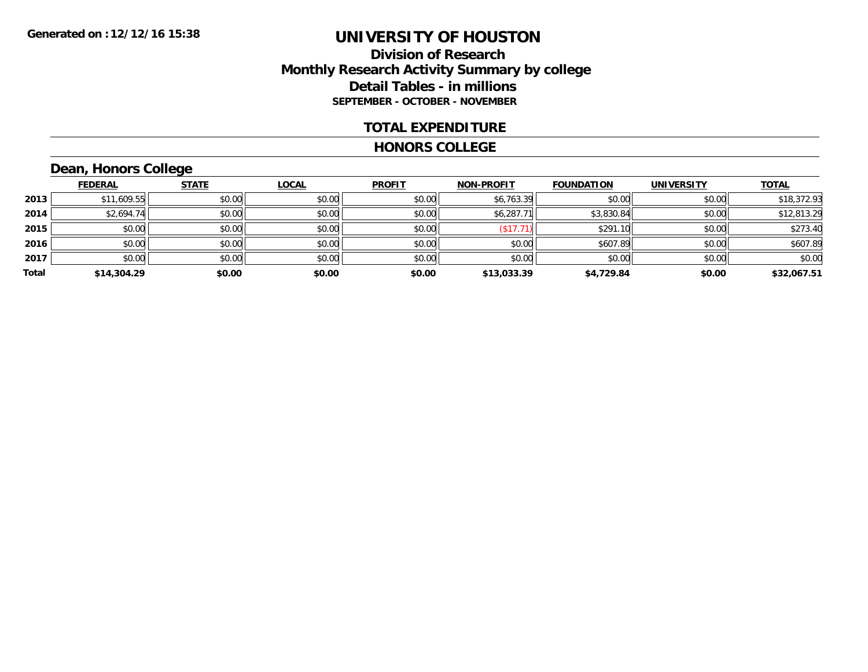### **Division of Research Monthly Research Activity Summary by college Detail Tables - in millions SEPTEMBER - OCTOBER - NOVEMBER**

#### **TOTAL EXPENDITURE**

#### **HONORS COLLEGE**

### **Dean, Honors College**

|       |                | $\sim$       |              |               |                   |                   |                   |              |
|-------|----------------|--------------|--------------|---------------|-------------------|-------------------|-------------------|--------------|
|       | <b>FEDERAL</b> | <b>STATE</b> | <b>LOCAL</b> | <b>PROFIT</b> | <b>NON-PROFIT</b> | <b>FOUNDATION</b> | <b>UNIVERSITY</b> | <b>TOTAL</b> |
| 2013  | \$11,609.55    | \$0.00       | \$0.00       | \$0.00        | \$6,763.39        | \$0.00            | \$0.00            | \$18,372.93  |
| 2014  | \$2,694.74     | \$0.00       | \$0.00       | \$0.00        | \$6,287.71        | \$3,830.84        | \$0.00            | \$12,813.29  |
| 2015  | \$0.00         | \$0.00       | \$0.00       | \$0.00        | \$17.71           | \$291.10          | \$0.00            | \$273.40     |
| 2016  | \$0.00         | \$0.00       | \$0.00       | \$0.00        | \$0.00            | \$607.89          | \$0.00            | \$607.89     |
| 2017  | \$0.00         | \$0.00       | \$0.00       | \$0.00        | \$0.00            | \$0.00            | \$0.00            | \$0.00       |
| Total | \$14,304.29    | \$0.00       | \$0.00       | \$0.00        | \$13,033.39       | \$4,729.84        | \$0.00            | \$32,067.51  |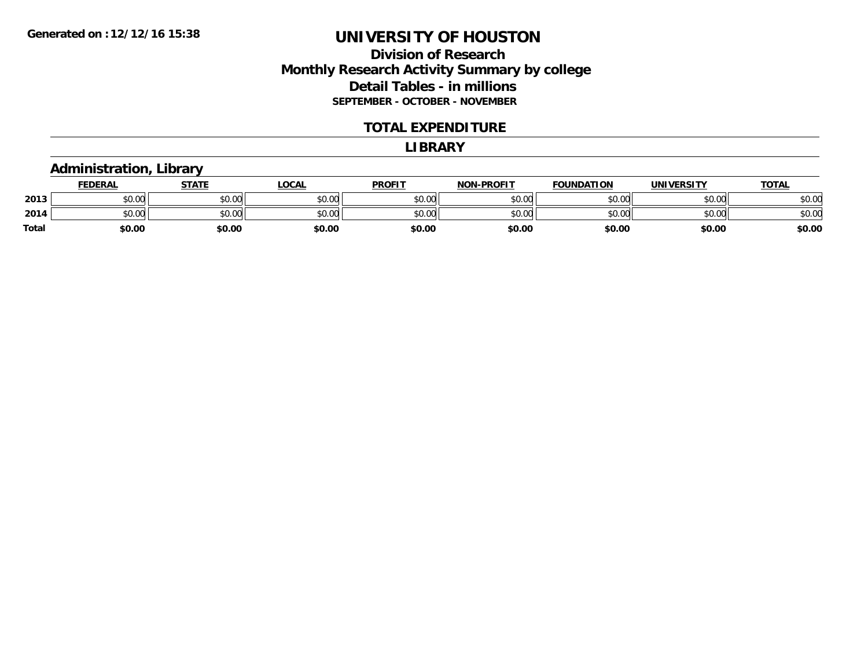### **Division of Research Monthly Research Activity Summary by college Detail Tables - in millions SEPTEMBER - OCTOBER - NOVEMBER**

#### **TOTAL EXPENDITURE**

#### **LIBRARY**

### **Administration, Library**

|       | <b>FEDERAL</b> | <b>STATE</b> | LOCAL  | <b>PROFIT</b> | <b>NON-PROFIT</b> | <b>FOUNDATION</b> | <b>UNIVERSITY</b> | <u>TOTAL</u> |
|-------|----------------|--------------|--------|---------------|-------------------|-------------------|-------------------|--------------|
| 2013  | en uu<br>DU.UU | \$0.00       | \$0.00 | \$0.00        | \$0.00            | \$0.00            | \$0.00            | \$0.00       |
| 2014  | \$0.00         | \$0.00       | \$0.00 | \$0.00        | \$0.00            | \$0.00            | \$0.00            | \$0.00       |
| Total | \$0.00         | \$0.00       | \$0.00 | \$0.00        | \$0.00            | \$0.00            | \$0.00            | \$0.00       |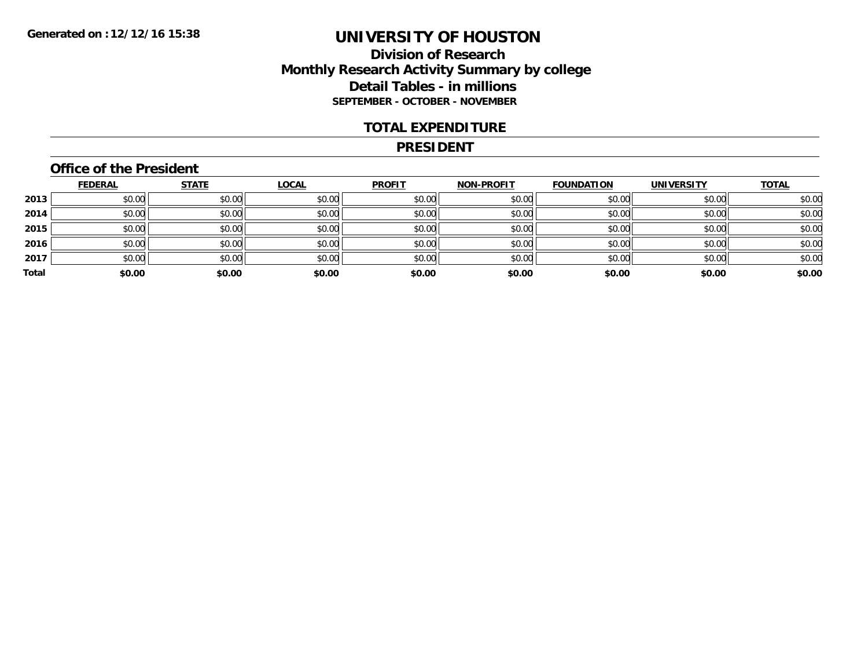### **Division of Research Monthly Research Activity Summary by college Detail Tables - in millions SEPTEMBER - OCTOBER - NOVEMBER**

#### **TOTAL EXPENDITURE**

#### **PRESIDENT**

### **Office of the President**

|       | <b>FEDERAL</b> | <b>STATE</b> | <u>LOCAL</u> | <b>PROFIT</b> | <b>NON-PROFIT</b> | <b>FOUNDATION</b> | <b>UNIVERSITY</b> | <b>TOTAL</b> |
|-------|----------------|--------------|--------------|---------------|-------------------|-------------------|-------------------|--------------|
| 2013  | \$0.00         | \$0.00       | \$0.00       | \$0.00        | \$0.00            | \$0.00            | \$0.00            | \$0.00       |
| 2014  | \$0.00         | \$0.00       | \$0.00       | \$0.00        | \$0.00            | \$0.00            | \$0.00            | \$0.00       |
| 2015  | \$0.00         | \$0.00       | \$0.00       | \$0.00        | \$0.00            | \$0.00            | \$0.00            | \$0.00       |
| 2016  | \$0.00         | \$0.00       | \$0.00       | \$0.00        | \$0.00            | \$0.00            | \$0.00            | \$0.00       |
| 2017  | \$0.00         | \$0.00       | \$0.00       | \$0.00        | \$0.00            | \$0.00            | \$0.00            | \$0.00       |
| Total | \$0.00         | \$0.00       | \$0.00       | \$0.00        | \$0.00            | \$0.00            | \$0.00            | \$0.00       |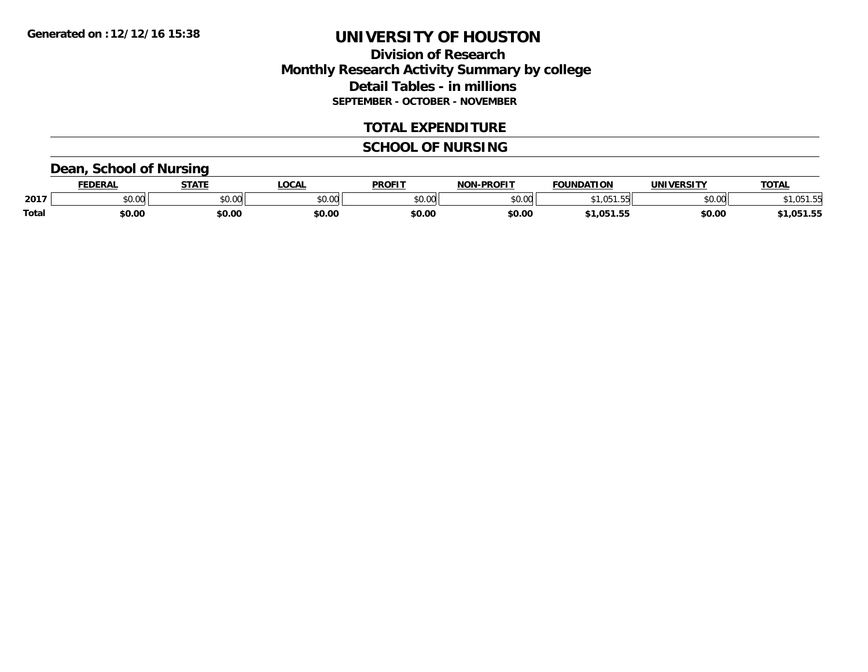### **Division of Research Monthly Research Activity Summary by college Detail Tables - in millions SEPTEMBER - OCTOBER - NOVEMBER**

### **TOTAL EXPENDITURE**

#### **SCHOOL OF NURSING**

### **Dean, School of Nursing**

|              | ceneda | <b>STATE</b>  | LOCAI         | <b>PROFIT</b> | <b>DDOFIT</b><br>ימות | .<br>EOLINDAT | IINIIVEI           | <b>TOTA</b><br>OIAL |
|--------------|--------|---------------|---------------|---------------|-----------------------|---------------|--------------------|---------------------|
| 2017         | JU.UU  | 0000<br>งบ.บเ | 0000<br>vu.uu | 0000<br>u.uu  | \$0.00                |               | $\sim$ 00<br>ง∪.∪⊌ |                     |
| <b>Total</b> | \$0.00 | \$0.00        | \$0.00        | \$0.00        | \$0.00                | n5°<br>.      | \$0.00             | ΛF<br>.             |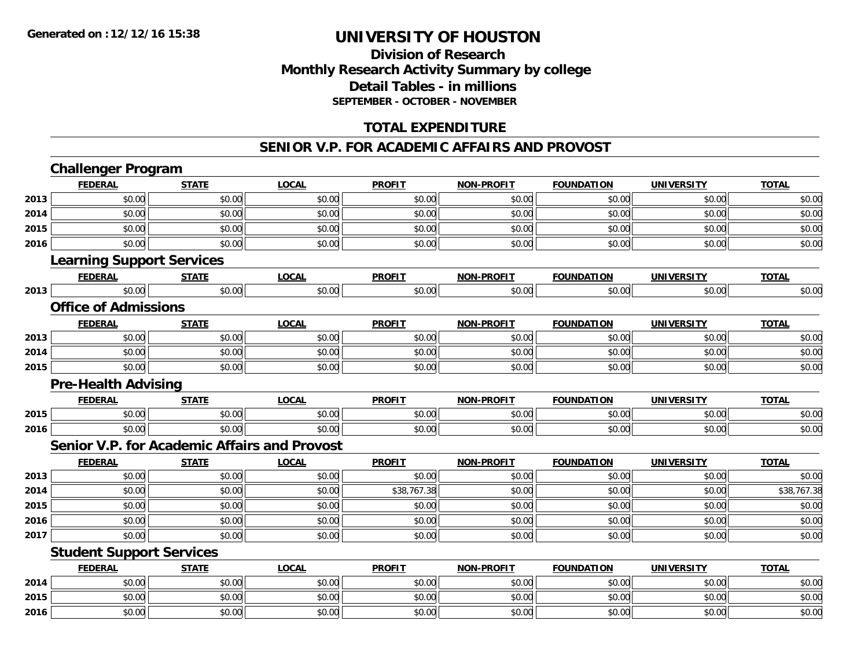**2016**

# **UNIVERSITY OF HOUSTON**

### **Division of ResearchMonthly Research Activity Summary by college Detail Tables - in millions SEPTEMBER - OCTOBER - NOVEMBER**

### **TOTAL EXPENDITURE**

#### **SENIOR V.P. FOR ACADEMIC AFFAIRS AND PROVOST**

|      | <b>Challenger Program</b>        |              |                                              |               |                   |                   |                   |              |
|------|----------------------------------|--------------|----------------------------------------------|---------------|-------------------|-------------------|-------------------|--------------|
|      | <b>FEDERAL</b>                   | <b>STATE</b> | <b>LOCAL</b>                                 | <b>PROFIT</b> | <b>NON-PROFIT</b> | <b>FOUNDATION</b> | <b>UNIVERSITY</b> | <b>TOTAL</b> |
| 2013 | \$0.00                           | \$0.00       | \$0.00                                       | \$0.00        | \$0.00            | \$0.00            | \$0.00            | \$0.00       |
| 2014 | \$0.00                           | \$0.00       | \$0.00                                       | \$0.00        | \$0.00            | \$0.00            | \$0.00            | \$0.00       |
| 2015 | \$0.00                           | \$0.00       | \$0.00                                       | \$0.00        | \$0.00            | \$0.00            | \$0.00            | \$0.00       |
| 2016 | \$0.00                           | \$0.00       | \$0.00                                       | \$0.00        | \$0.00            | \$0.00            | \$0.00            | \$0.00       |
|      | <b>Learning Support Services</b> |              |                                              |               |                   |                   |                   |              |
|      | <b>FEDERAL</b>                   | <b>STATE</b> | <b>LOCAL</b>                                 | <b>PROFIT</b> | <b>NON-PROFIT</b> | <b>FOUNDATION</b> | <b>UNIVERSITY</b> | <b>TOTAL</b> |
| 2013 | \$0.00                           | \$0.00       | \$0.00                                       | \$0.00        | \$0.00            | \$0.00            | \$0.00            | \$0.00       |
|      | <b>Office of Admissions</b>      |              |                                              |               |                   |                   |                   |              |
|      | <b>FEDERAL</b>                   | <b>STATE</b> | <b>LOCAL</b>                                 | <b>PROFIT</b> | <b>NON-PROFIT</b> | <b>FOUNDATION</b> | <b>UNIVERSITY</b> | <b>TOTAL</b> |
| 2013 | \$0.00                           | \$0.00       | \$0.00                                       | \$0.00        | \$0.00            | \$0.00            | \$0.00            | \$0.00       |
| 2014 | \$0.00                           | \$0.00       | \$0.00                                       | \$0.00        | \$0.00            | \$0.00            | \$0.00            | \$0.00       |
| 2015 | \$0.00                           | \$0.00       | \$0.00                                       | \$0.00        | \$0.00            | \$0.00            | \$0.00            | \$0.00       |
|      | <b>Pre-Health Advising</b>       |              |                                              |               |                   |                   |                   |              |
|      | <b>FEDERAL</b>                   | <b>STATE</b> | <b>LOCAL</b>                                 | <b>PROFIT</b> | <b>NON-PROFIT</b> | <b>FOUNDATION</b> | <b>UNIVERSITY</b> | <b>TOTAL</b> |
| 2015 | \$0.00                           | \$0.00       | \$0.00                                       | \$0.00        | \$0.00            | \$0.00            | \$0.00            | \$0.00       |
| 2016 | \$0.00                           | \$0.00       | \$0.00                                       | \$0.00        | \$0.00            | \$0.00            | \$0.00            | \$0.00       |
|      |                                  |              | Senior V.P. for Academic Affairs and Provost |               |                   |                   |                   |              |
|      | <b>FEDERAL</b>                   | <b>STATE</b> | <b>LOCAL</b>                                 | <b>PROFIT</b> | <b>NON-PROFIT</b> | <b>FOUNDATION</b> | <b>UNIVERSITY</b> | <b>TOTAL</b> |
| 2013 | \$0.00                           | \$0.00       | \$0.00                                       | \$0.00        | \$0.00            | \$0.00            | \$0.00            | \$0.00       |
| 2014 | \$0.00                           | \$0.00       | \$0.00                                       | \$38,767.38   | \$0.00            | \$0.00            | \$0.00            | \$38,767.38  |
| 2015 | \$0.00                           | \$0.00       | \$0.00                                       | \$0.00        | \$0.00            | \$0.00            | \$0.00            | \$0.00       |
| 2016 | \$0.00                           | \$0.00       | \$0.00                                       | \$0.00        | \$0.00            | \$0.00            | \$0.00            | \$0.00       |
| 2017 | \$0.00                           | \$0.00       | \$0.00                                       | \$0.00        | \$0.00            | \$0.00            | \$0.00            | \$0.00       |
|      | <b>Student Support Services</b>  |              |                                              |               |                   |                   |                   |              |
|      | <b>FEDERAL</b>                   | <b>STATE</b> | <b>LOCAL</b>                                 | <b>PROFIT</b> | <b>NON-PROFIT</b> | <b>FOUNDATION</b> | <b>UNIVERSITY</b> | <b>TOTAL</b> |
| 2014 | \$0.00                           | \$0.00       | \$0.00                                       | \$0.00        | \$0.00            | \$0.00            | \$0.00            | \$0.00       |
| 2015 | \$0.00                           | \$0.00       | \$0.00                                       | \$0.00        | \$0.00            | \$0.00            | \$0.00            | \$0.00       |

 $\mathbf{6} \mid 50.00 \mid 50.00 \mid 50.00 \mid 50.00 \mid 50.00 \mid 50.00 \mid 50.00 \mid 50.00 \mid 50.00 \mid 50.00 \mid 50.00 \mid 50.00 \mid 50.00 \mid 50.00 \mid 50.00 \mid 50.00 \mid 50.00 \mid 50.00 \mid 50.00 \mid 50.00 \mid 50.00 \mid 50.00 \mid 50.00 \mid 50.00 \mid 50.00 \mid 50.00 \mid 50.$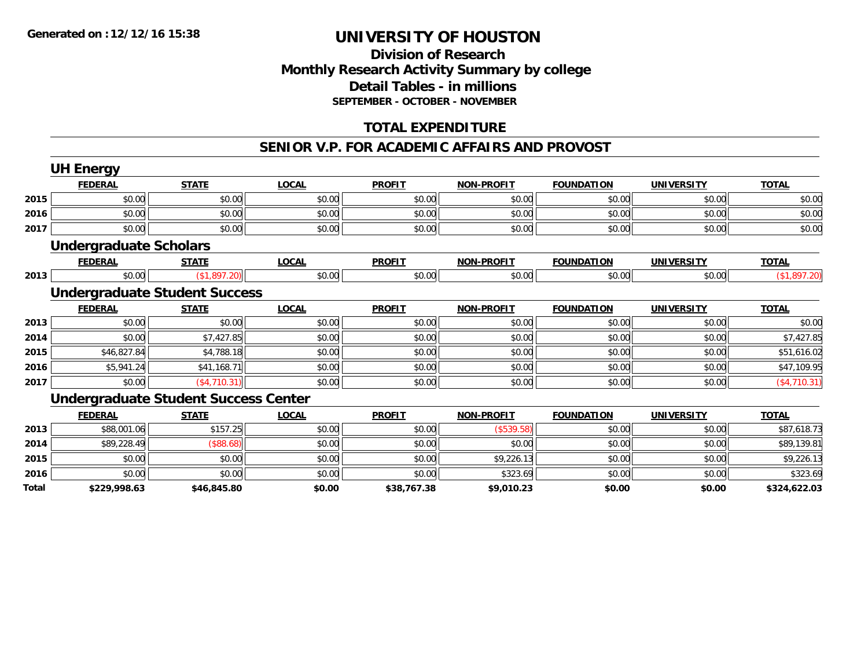### **Division of Research Monthly Research Activity Summary by college Detail Tables - in millions SEPTEMBER - OCTOBER - NOVEMBER**

### **TOTAL EXPENDITURE**

#### **SENIOR V.P. FOR ACADEMIC AFFAIRS AND PROVOST**

|       | <b>UH Energy</b>                            |              |              |               |                   |                   |                   |              |
|-------|---------------------------------------------|--------------|--------------|---------------|-------------------|-------------------|-------------------|--------------|
|       | <b>FEDERAL</b>                              | <b>STATE</b> | <b>LOCAL</b> | <b>PROFIT</b> | <b>NON-PROFIT</b> | <b>FOUNDATION</b> | <b>UNIVERSITY</b> | <b>TOTAL</b> |
| 2015  | \$0.00                                      | \$0.00       | \$0.00       | \$0.00        | \$0.00            | \$0.00            | \$0.00            | \$0.00       |
| 2016  | \$0.00                                      | \$0.00       | \$0.00       | \$0.00        | \$0.00            | \$0.00            | \$0.00            | \$0.00       |
| 2017  | \$0.00                                      | \$0.00       | \$0.00       | \$0.00        | \$0.00            | \$0.00            | \$0.00            | \$0.00       |
|       | <b>Undergraduate Scholars</b>               |              |              |               |                   |                   |                   |              |
|       | <b>FEDERAL</b>                              | <b>STATE</b> | <b>LOCAL</b> | <b>PROFIT</b> | <b>NON-PROFIT</b> | <b>FOUNDATION</b> | <b>UNIVERSITY</b> | <b>TOTAL</b> |
| 2013  | \$0.00                                      | (\$1,897.20) | \$0.00       | \$0.00        | \$0.00            | \$0.00            | \$0.00            | (\$1,897.20) |
|       | <b>Undergraduate Student Success</b>        |              |              |               |                   |                   |                   |              |
|       | <b>FEDERAL</b>                              | <b>STATE</b> | <b>LOCAL</b> | <b>PROFIT</b> | <b>NON-PROFIT</b> | <b>FOUNDATION</b> | <b>UNIVERSITY</b> | <b>TOTAL</b> |
| 2013  | \$0.00                                      | \$0.00       | \$0.00       | \$0.00        | \$0.00            | \$0.00            | \$0.00            | \$0.00       |
| 2014  | \$0.00                                      | \$7,427.85   | \$0.00       | \$0.00        | \$0.00            | \$0.00            | \$0.00            | \$7,427.85   |
| 2015  | \$46,827.84                                 | \$4,788.18   | \$0.00       | \$0.00        | \$0.00            | \$0.00            | \$0.00            | \$51,616.02  |
| 2016  | \$5,941.24                                  | \$41,168.71  | \$0.00       | \$0.00        | \$0.00            | \$0.00            | \$0.00            | \$47,109.95  |
| 2017  | \$0.00                                      | (\$4,710.31) | \$0.00       | \$0.00        | \$0.00            | \$0.00            | \$0.00            | (\$4,710.31) |
|       | <b>Undergraduate Student Success Center</b> |              |              |               |                   |                   |                   |              |
|       | <b>FEDERAL</b>                              | <b>STATE</b> | <b>LOCAL</b> | <b>PROFIT</b> | <b>NON-PROFIT</b> | <b>FOUNDATION</b> | <b>UNIVERSITY</b> | <b>TOTAL</b> |
| 2013  | \$88,001.06                                 | \$157.25     | \$0.00       | \$0.00        | (\$539.58)        | \$0.00            | \$0.00            | \$87,618.73  |
| 2014  | \$89,228.49                                 | (\$88.68)    | \$0.00       | \$0.00        | \$0.00            | \$0.00            | \$0.00            | \$89,139.81  |
| 2015  | \$0.00                                      | \$0.00       | \$0.00       | \$0.00        | \$9,226.13        | \$0.00            | \$0.00            | \$9,226.13   |
| 2016  | \$0.00                                      | \$0.00       | \$0.00       | \$0.00        | \$323.69          | \$0.00            | \$0.00            | \$323.69     |
| Total | \$229,998.63                                | \$46,845.80  | \$0.00       | \$38,767.38   | \$9,010.23        | \$0.00            | \$0.00            | \$324,622.03 |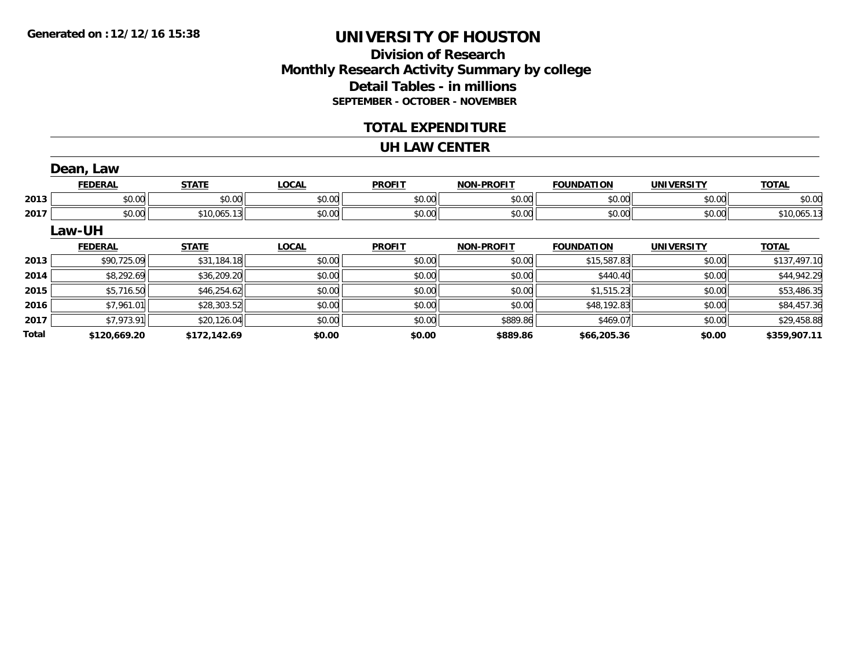### **Division of ResearchMonthly Research Activity Summary by college Detail Tables - in millions SEPTEMBER - OCTOBER - NOVEMBER**

### **TOTAL EXPENDITURE**

#### **UH LAW CENTER**

|              | Dean, Law      |              |              |               |                   |                   |                   |              |
|--------------|----------------|--------------|--------------|---------------|-------------------|-------------------|-------------------|--------------|
|              | <b>FEDERAL</b> | <b>STATE</b> | <b>LOCAL</b> | <b>PROFIT</b> | <b>NON-PROFIT</b> | <b>FOUNDATION</b> | <b>UNIVERSITY</b> | <b>TOTAL</b> |
| 2013         | \$0.00         | \$0.00       | \$0.00       | \$0.00        | \$0.00            | \$0.00            | \$0.00            | \$0.00       |
| 2017         | \$0.00         | \$10,065.13  | \$0.00       | \$0.00        | \$0.00            | \$0.00            | \$0.00            | \$10,065.13  |
|              | Law-UH         |              |              |               |                   |                   |                   |              |
|              | <b>FEDERAL</b> | <b>STATE</b> | <b>LOCAL</b> | <b>PROFIT</b> | <b>NON-PROFIT</b> | <b>FOUNDATION</b> | <b>UNIVERSITY</b> | <b>TOTAL</b> |
| 2013         | \$90,725.09    | \$31,184.18  | \$0.00       | \$0.00        | \$0.00            | \$15,587.83       | \$0.00            | \$137,497.10 |
| 2014         | \$8,292.69     | \$36,209.20  | \$0.00       | \$0.00        | \$0.00            | \$440.40          | \$0.00            | \$44,942.29  |
| 2015         | \$5,716.50     | \$46,254.62  | \$0.00       | \$0.00        | \$0.00            | \$1,515.23        | \$0.00            | \$53,486.35  |
| 2016         | \$7,961.01     | \$28,303.52  | \$0.00       | \$0.00        | \$0.00            | \$48,192.83       | \$0.00            | \$84,457.36  |
| 2017         | \$7,973.91     | \$20,126.04  | \$0.00       | \$0.00        | \$889.86          | \$469.07          | \$0.00            | \$29,458.88  |
| <b>Total</b> | \$120,669.20   | \$172,142.69 | \$0.00       | \$0.00        | \$889.86          | \$66,205.36       | \$0.00            | \$359,907.11 |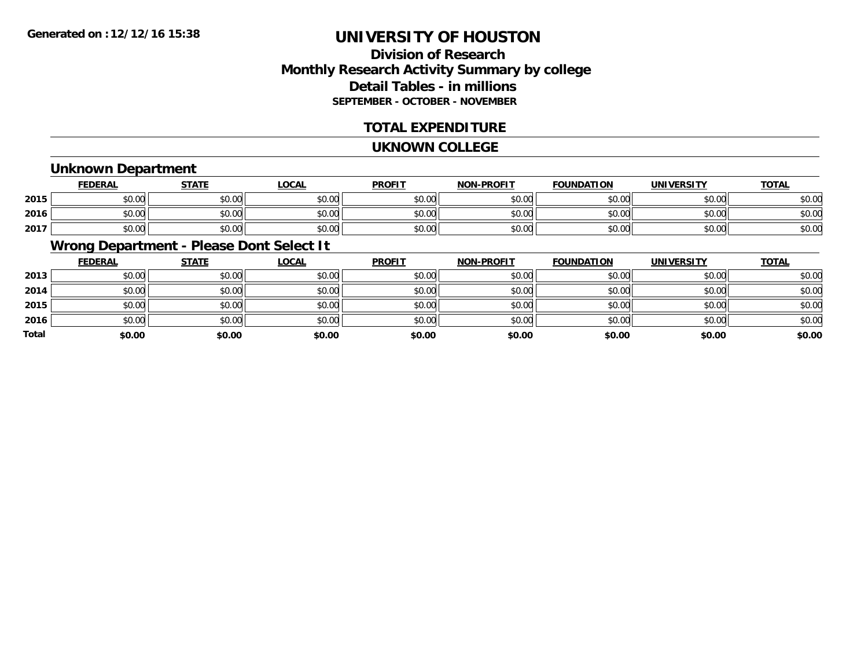### **Division of ResearchMonthly Research Activity Summary by college Detail Tables - in millions SEPTEMBER - OCTOBER - NOVEMBER**

### **TOTAL EXPENDITURE**

#### **UKNOWN COLLEGE**

### **Unknown Department**

|      | <b>FEDERAL</b> | <b>STATE</b> | LOCAL  | <b>PROFIT</b> | <b>NON-PROFIT</b> | <b>FOUNDATION</b> | <b>UNIVERSITY</b> | <u>TOTAL</u> |
|------|----------------|--------------|--------|---------------|-------------------|-------------------|-------------------|--------------|
| 2015 | \$0.00         | \$0.00       | \$0.00 | \$0.00        | \$0.00            | \$0.00            | \$0.00            | \$0.00       |
| 2016 | \$0.00         | \$0.00       | \$0.00 | \$0.00        | \$0.00            | \$0.00            | \$0.00            | \$0.00       |
| 2017 | \$0.00         | \$0.00       | \$0.00 | \$0.00        | \$0.00            | \$0.00            | \$0.00            | \$0.00       |

### **Wrong Department - Please Dont Select It**

|       | <b>FEDERAL</b> | <b>STATE</b> | <b>LOCAL</b> | <b>PROFIT</b> | <b>NON-PROFIT</b> | <b>FOUNDATION</b> | <b>UNIVERSITY</b> | <b>TOTAL</b> |
|-------|----------------|--------------|--------------|---------------|-------------------|-------------------|-------------------|--------------|
| 2013  | \$0.00         | \$0.00       | \$0.00       | \$0.00        | \$0.00            | \$0.00            | \$0.00            | \$0.00       |
| 2014  | \$0.00         | \$0.00       | \$0.00       | \$0.00        | \$0.00            | \$0.00            | \$0.00            | \$0.00       |
| 2015  | \$0.00         | \$0.00       | \$0.00       | \$0.00        | \$0.00            | \$0.00            | \$0.00            | \$0.00       |
| 2016  | \$0.00         | \$0.00       | \$0.00       | \$0.00        | \$0.00            | \$0.00            | \$0.00            | \$0.00       |
| Total | \$0.00         | \$0.00       | \$0.00       | \$0.00        | \$0.00            | \$0.00            | \$0.00            | \$0.00       |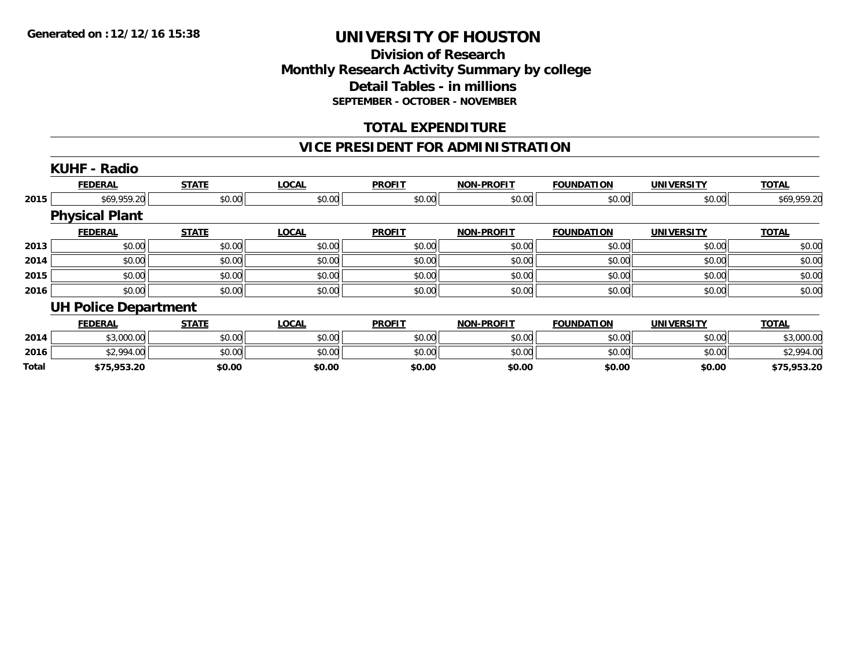### **Division of ResearchMonthly Research Activity Summary by college Detail Tables - in millions SEPTEMBER - OCTOBER - NOVEMBER**

### **TOTAL EXPENDITURE**

### **VICE PRESIDENT FOR ADMINISTRATION**

|              | <b>KUHF - Radio</b>         |              |              |               |                   |                   |                   |              |
|--------------|-----------------------------|--------------|--------------|---------------|-------------------|-------------------|-------------------|--------------|
|              | <b>FEDERAL</b>              | <b>STATE</b> | <b>LOCAL</b> | <b>PROFIT</b> | <b>NON-PROFIT</b> | <b>FOUNDATION</b> | <b>UNIVERSITY</b> | <b>TOTAL</b> |
| 2015         | \$69,959.20                 | \$0.00       | \$0.00       | \$0.00        | \$0.00            | \$0.00            | \$0.00            | \$69,959.20  |
|              | <b>Physical Plant</b>       |              |              |               |                   |                   |                   |              |
|              | <b>FEDERAL</b>              | <b>STATE</b> | <b>LOCAL</b> | <b>PROFIT</b> | <b>NON-PROFIT</b> | <b>FOUNDATION</b> | <b>UNIVERSITY</b> | <b>TOTAL</b> |
| 2013         | \$0.00                      | \$0.00       | \$0.00       | \$0.00        | \$0.00            | \$0.00            | \$0.00            | \$0.00       |
| 2014         | \$0.00                      | \$0.00       | \$0.00       | \$0.00        | \$0.00            | \$0.00            | \$0.00            | \$0.00       |
| 2015         | \$0.00                      | \$0.00       | \$0.00       | \$0.00        | \$0.00            | \$0.00            | \$0.00            | \$0.00       |
| 2016         | \$0.00                      | \$0.00       | \$0.00       | \$0.00        | \$0.00            | \$0.00            | \$0.00            | \$0.00       |
|              | <b>UH Police Department</b> |              |              |               |                   |                   |                   |              |
|              | <b>FEDERAL</b>              | <b>STATE</b> | <b>LOCAL</b> | <b>PROFIT</b> | <b>NON-PROFIT</b> | <b>FOUNDATION</b> | <b>UNIVERSITY</b> | <b>TOTAL</b> |
| 2014         | \$3,000.00                  | \$0.00       | \$0.00       | \$0.00        | \$0.00            | \$0.00            | \$0.00            | \$3,000.00   |
| 2016         | \$2,994.00                  | \$0.00       | \$0.00       | \$0.00        | \$0.00            | \$0.00            | \$0.00            | \$2,994.00   |
| <b>Total</b> | \$75,953.20                 | \$0.00       | \$0.00       | \$0.00        | \$0.00            | \$0.00            | \$0.00            | \$75,953.20  |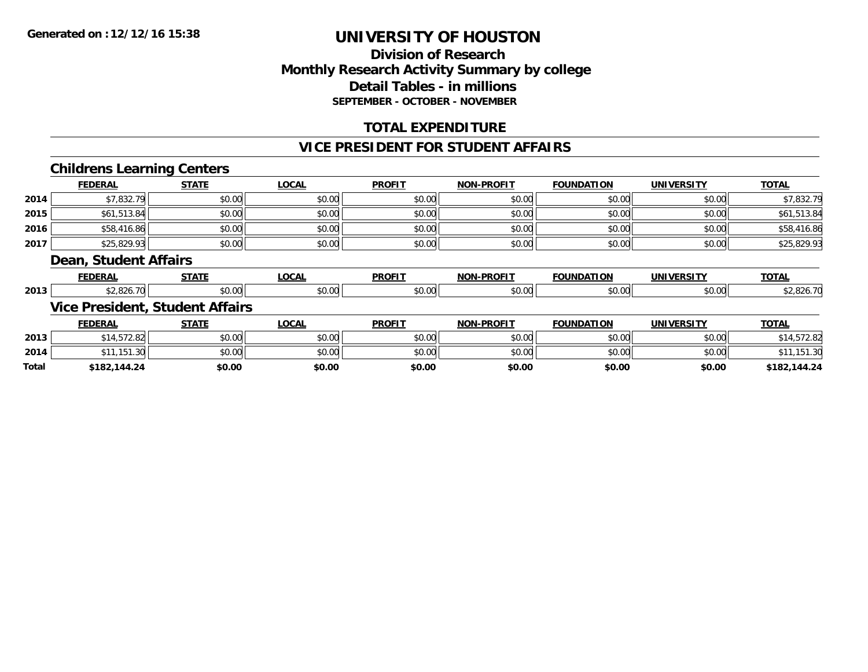### **Division of Research Monthly Research Activity Summary by college Detail Tables - in millions SEPTEMBER - OCTOBER - NOVEMBER**

### **TOTAL EXPENDITURE**

#### **VICE PRESIDENT FOR STUDENT AFFAIRS**

### **Childrens Learning Centers**

|       | <b>FEDERAL</b>        | <b>STATE</b>                           | <b>LOCAL</b> | <b>PROFIT</b> | <b>NON-PROFIT</b> | <b>FOUNDATION</b> | <b>UNIVERSITY</b> | <b>TOTAL</b> |
|-------|-----------------------|----------------------------------------|--------------|---------------|-------------------|-------------------|-------------------|--------------|
| 2014  | \$7,832.79            | \$0.00                                 | \$0.00       | \$0.00        | \$0.00            | \$0.00            | \$0.00            | \$7,832.79   |
| 2015  | \$61,513.84           | \$0.00                                 | \$0.00       | \$0.00        | \$0.00            | \$0.00            | \$0.00            | \$61,513.84  |
| 2016  | \$58,416.86           | \$0.00                                 | \$0.00       | \$0.00        | \$0.00            | \$0.00            | \$0.00            | \$58,416.86  |
| 2017  | \$25,829.93           | \$0.00                                 | \$0.00       | \$0.00        | \$0.00            | \$0.00            | \$0.00            | \$25,829.93  |
|       | Dean, Student Affairs |                                        |              |               |                   |                   |                   |              |
|       | <b>FEDERAL</b>        | <b>STATE</b>                           | <b>LOCAL</b> | <b>PROFIT</b> | <b>NON-PROFIT</b> | <b>FOUNDATION</b> | <b>UNIVERSITY</b> | <b>TOTAL</b> |
| 2013  | \$2,826.70            | \$0.00                                 | \$0.00       | \$0.00        | \$0.00            | \$0.00            | \$0.00            | \$2,826.70   |
|       |                       | <b>Vice President, Student Affairs</b> |              |               |                   |                   |                   |              |
|       | <b>FEDERAL</b>        | <b>STATE</b>                           | <b>LOCAL</b> | <b>PROFIT</b> | <b>NON-PROFIT</b> | <b>FOUNDATION</b> | <b>UNIVERSITY</b> | <b>TOTAL</b> |
| 2013  | \$14,572.82           | \$0.00                                 | \$0.00       | \$0.00        | \$0.00            | \$0.00            | \$0.00            | \$14,572.82  |
| 2014  | \$11.151.30           | \$0.00                                 | \$0.00       | \$0.00        | \$0.00            | \$0.00            | \$0.00            | \$11,151.30  |
| Total | \$182,144.24          | \$0.00                                 | \$0.00       | \$0.00        | \$0.00            | \$0.00            | \$0.00            | \$182,144.24 |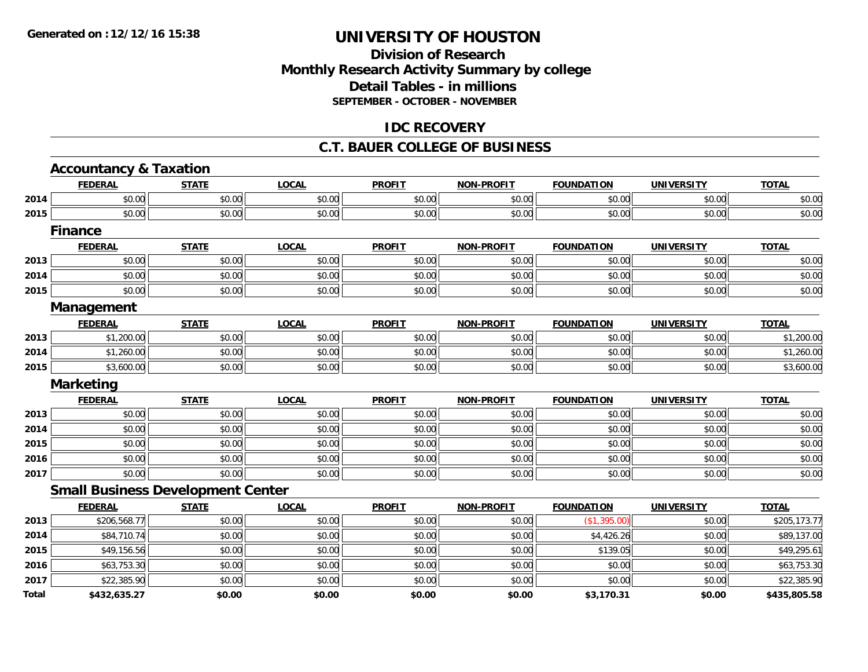### **Division of Research Monthly Research Activity Summary by college Detail Tables - in millions SEPTEMBER - OCTOBER - NOVEMBER**

### **IDC RECOVERY**

#### **C.T. BAUER COLLEGE OF BUSINESS**

|              | <b>Accountancy &amp; Taxation</b> |                                          |              |               |                   |                   |                   |              |
|--------------|-----------------------------------|------------------------------------------|--------------|---------------|-------------------|-------------------|-------------------|--------------|
|              | <b>FEDERAL</b>                    | <b>STATE</b>                             | <b>LOCAL</b> | <b>PROFIT</b> | <b>NON-PROFIT</b> | <b>FOUNDATION</b> | <b>UNIVERSITY</b> | <b>TOTAL</b> |
| 2014         | \$0.00                            | \$0.00                                   | \$0.00       | \$0.00        | \$0.00            | \$0.00            | \$0.00            | \$0.00       |
| 2015         | \$0.00                            | \$0.00                                   | \$0.00       | \$0.00        | \$0.00            | \$0.00            | \$0.00            | \$0.00       |
|              | <b>Finance</b>                    |                                          |              |               |                   |                   |                   |              |
|              | <b>FEDERAL</b>                    | <b>STATE</b>                             | <b>LOCAL</b> | <b>PROFIT</b> | <b>NON-PROFIT</b> | <b>FOUNDATION</b> | <b>UNIVERSITY</b> | <b>TOTAL</b> |
| 2013         | \$0.00                            | \$0.00                                   | \$0.00       | \$0.00        | \$0.00            | \$0.00            | \$0.00            | \$0.00       |
| 2014         | \$0.00                            | \$0.00                                   | \$0.00       | \$0.00        | \$0.00            | \$0.00            | \$0.00            | \$0.00       |
| 2015         | \$0.00                            | \$0.00                                   | \$0.00       | \$0.00        | \$0.00            | \$0.00            | \$0.00            | \$0.00       |
|              | <b>Management</b>                 |                                          |              |               |                   |                   |                   |              |
|              | <b>FEDERAL</b>                    | <b>STATE</b>                             | <b>LOCAL</b> | <b>PROFIT</b> | <b>NON-PROFIT</b> | <b>FOUNDATION</b> | <b>UNIVERSITY</b> | <b>TOTAL</b> |
| 2013         | \$1,200.00                        | \$0.00                                   | \$0.00       | \$0.00        | \$0.00            | \$0.00            | \$0.00            | \$1,200.00   |
| 2014         | \$1,260.00                        | \$0.00                                   | \$0.00       | \$0.00        | \$0.00            | \$0.00            | \$0.00            | \$1,260.00   |
| 2015         | \$3,600.00                        | \$0.00                                   | \$0.00       | \$0.00        | \$0.00            | \$0.00            | \$0.00            | \$3,600.00   |
|              | <b>Marketing</b>                  |                                          |              |               |                   |                   |                   |              |
|              | <b>FEDERAL</b>                    | <b>STATE</b>                             | <b>LOCAL</b> | <b>PROFIT</b> | <b>NON-PROFIT</b> | <b>FOUNDATION</b> | <b>UNIVERSITY</b> | <b>TOTAL</b> |
| 2013         | \$0.00                            | \$0.00                                   | \$0.00       | \$0.00        | \$0.00            | \$0.00            | \$0.00            | \$0.00       |
| 2014         | \$0.00                            | \$0.00                                   | \$0.00       | \$0.00        | \$0.00            | \$0.00            | \$0.00            | \$0.00       |
| 2015         | \$0.00                            | \$0.00                                   | \$0.00       | \$0.00        | \$0.00            | \$0.00            | \$0.00            | \$0.00       |
| 2016         | \$0.00                            | \$0.00                                   | \$0.00       | \$0.00        | \$0.00            | \$0.00            | \$0.00            | \$0.00       |
| 2017         | \$0.00                            | \$0.00                                   | \$0.00       | \$0.00        | \$0.00            | \$0.00            | \$0.00            | \$0.00       |
|              |                                   | <b>Small Business Development Center</b> |              |               |                   |                   |                   |              |
|              | <b>FEDERAL</b>                    | <b>STATE</b>                             | <b>LOCAL</b> | <b>PROFIT</b> | <b>NON-PROFIT</b> | <b>FOUNDATION</b> | <b>UNIVERSITY</b> | <b>TOTAL</b> |
| 2013         | \$206,568.77                      | \$0.00                                   | \$0.00       | \$0.00        | \$0.00            | (\$1,395.00)      | \$0.00            | \$205,173.77 |
| 2014         | \$84,710.74                       | \$0.00                                   | \$0.00       | \$0.00        | \$0.00            | \$4,426.26        | \$0.00            | \$89,137.00  |
| 2015         | \$49,156.56                       | \$0.00                                   | \$0.00       | \$0.00        | \$0.00            | \$139.05          | \$0.00            | \$49,295.61  |
| 2016         | \$63,753.30                       | \$0.00                                   | \$0.00       | \$0.00        | \$0.00            | \$0.00            | \$0.00            | \$63,753.30  |
| 2017         | \$22,385.90                       | \$0.00                                   | \$0.00       | \$0.00        | \$0.00            | \$0.00            | \$0.00            | \$22,385.90  |
| <b>Total</b> | \$432,635.27                      | \$0.00                                   | \$0.00       | \$0.00        | \$0.00            | \$3,170.31        | \$0.00            | \$435,805.58 |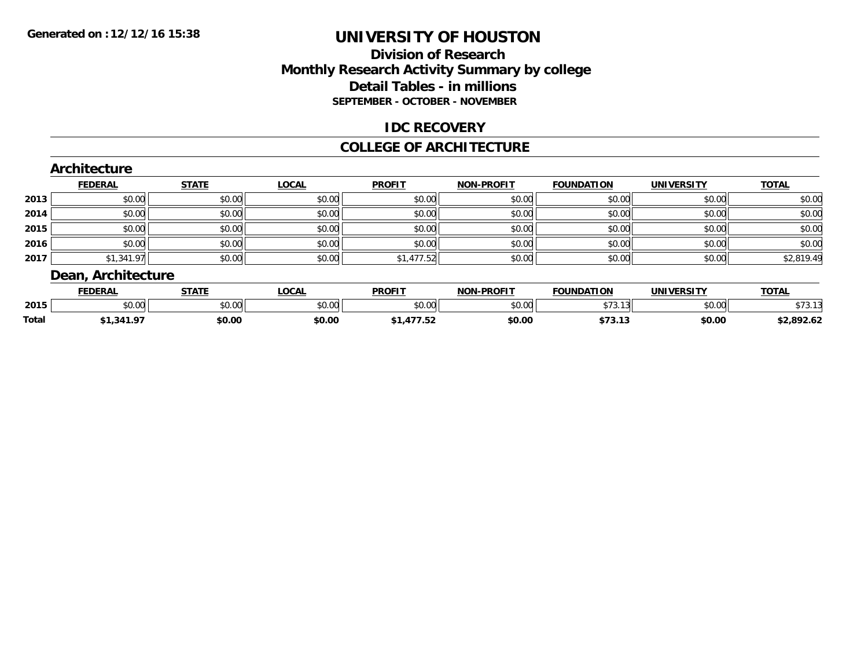### **Division of Research Monthly Research Activity Summary by college Detail Tables - in millions SEPTEMBER - OCTOBER - NOVEMBER**

### **IDC RECOVERY**

#### **COLLEGE OF ARCHITECTURE**

|      | <b>FEDERAL</b> | <b>STATE</b> | <b>LOCAL</b> | <b>PROFIT</b> | <b>NON-PROFIT</b> | <b>FOUNDATION</b> | <b>UNIVERSITY</b> | <b>TOTAL</b> |
|------|----------------|--------------|--------------|---------------|-------------------|-------------------|-------------------|--------------|
| 2013 | \$0.00         | \$0.00       | \$0.00       | \$0.00        | \$0.00            | \$0.00            | \$0.00            | \$0.00       |
| 2014 | \$0.00         | \$0.00       | \$0.00       | \$0.00        | \$0.00            | \$0.00            | \$0.00            | \$0.00       |
| 2015 | \$0.00         | \$0.00       | \$0.00       | \$0.00        | \$0.00            | \$0.00            | \$0.00            | \$0.00       |
| 2016 | \$0.00         | \$0.00       | \$0.00       | \$0.00        | \$0.00            | \$0.00            | \$0.00            | \$0.00       |
| 2017 | \$1,341.97     | \$0.00       | \$0.00       | \$1,477.52    | \$0.00            | \$0.00            | \$0.00            | \$2,819.49   |

|              | <b>FEDERAL</b>     | 27.77<br>" | <b>OCAL</b>            | <b>PROFIT</b>  | -PROFIT<br><b>NON</b> | <b>FOUNDATION</b>   | <b>UNIVERSITY</b> | <b>TOTAL</b>             |
|--------------|--------------------|------------|------------------------|----------------|-----------------------|---------------------|-------------------|--------------------------|
| 2015         | $\sim$ 00<br>JU.UU | \$0.00     | $\sim$ $\sim$<br>JU.UU | ≮N UU<br>JU.UU | nn nn<br>pu.uu        | . –<br>$\sim$<br>.  | 0000<br>⊸∪.∪∪     | $+ - -$<br>J / J.I       |
| <b>Total</b> | , 941.7            | \$0.00     | \$0.00                 | - --- --<br>.  | \$0.00                | ሐ ግጣ<br>۰, ۰, ۰, ۰, | \$0.00            | $+2.002.02$<br>,2,892.02 |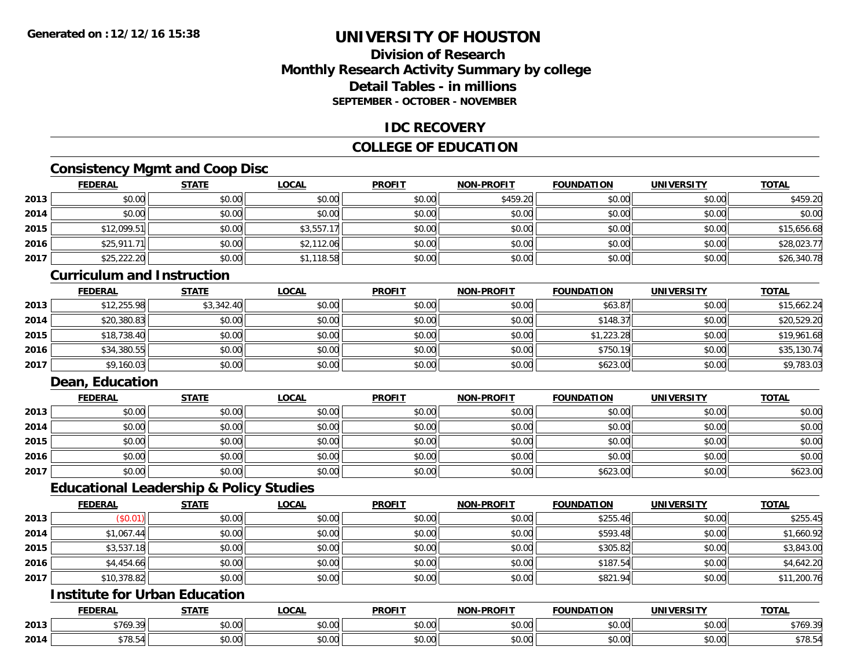### **Division of ResearchMonthly Research Activity Summary by college Detail Tables - in millionsSEPTEMBER - OCTOBER - NOVEMBER**

### **IDC RECOVERY**

### **COLLEGE OF EDUCATION**

### **Consistency Mgmt and Coop Disc**

|      | <b>FEDERAL</b> | <b>STATE</b> | <b>LOCAL</b> | <b>PROFIT</b> | <b>NON-PROFIT</b> | <b>FOUNDATION</b> | <b>UNIVERSITY</b> | <b>TOTAL</b> |
|------|----------------|--------------|--------------|---------------|-------------------|-------------------|-------------------|--------------|
| 2013 | \$0.00         | \$0.00       | \$0.00       | \$0.00        | \$459.20          | \$0.00            | \$0.00            | \$459.20     |
| 2014 | \$0.00         | \$0.00       | \$0.00       | \$0.00        | \$0.00            | \$0.00            | \$0.00            | \$0.00       |
| 2015 | \$12,099.51    | \$0.00       | \$3,557.17   | \$0.00        | \$0.00            | \$0.00            | \$0.00            | \$15,656.68  |
| 2016 | \$25,911.71    | \$0.00       | \$2,112.06   | \$0.00        | \$0.00            | \$0.00            | \$0.00            | \$28,023.77  |
| 2017 | \$25,222.20    | \$0.00       | \$1,118.58   | \$0.00        | \$0.00            | \$0.00            | \$0.00            | \$26,340.78  |

#### **Curriculum and Instruction**

|      | <b>FEDERAL</b> | <b>STATE</b> | <u>LOCAL</u> | <b>PROFIT</b> | <b>NON-PROFIT</b> | <b>FOUNDATION</b> | <b>UNIVERSITY</b> | <b>TOTAL</b> |
|------|----------------|--------------|--------------|---------------|-------------------|-------------------|-------------------|--------------|
| 2013 | \$12,255.98    | \$3,342.40   | \$0.00       | \$0.00        | \$0.00            | \$63.87           | \$0.00            | \$15,662.24  |
| 2014 | \$20,380.83    | \$0.00       | \$0.00       | \$0.00        | \$0.00            | \$148.37          | \$0.00            | \$20,529.20  |
| 2015 | \$18,738.40    | \$0.00       | \$0.00       | \$0.00        | \$0.00            | \$1,223.28        | \$0.00            | \$19,961.68  |
| 2016 | \$34,380.55    | \$0.00       | \$0.00       | \$0.00        | \$0.00            | \$750.19          | \$0.00            | \$35,130.74  |
| 2017 | \$9,160.03     | \$0.00       | \$0.00       | \$0.00        | \$0.00            | \$623.00          | \$0.00            | \$9,783.03   |

### **Dean, Education**

|      | <b>FEDERAL</b> | <b>STATE</b> | <u>LOCAL</u> | <b>PROFIT</b> | <b>NON-PROFIT</b> | <b>FOUNDATION</b> | <b>UNIVERSITY</b> | <b>TOTAL</b> |
|------|----------------|--------------|--------------|---------------|-------------------|-------------------|-------------------|--------------|
| 2013 | \$0.00         | \$0.00       | \$0.00       | \$0.00        | \$0.00            | \$0.00            | \$0.00            | \$0.00       |
| 2014 | \$0.00         | \$0.00       | \$0.00       | \$0.00        | \$0.00            | \$0.00            | \$0.00            | \$0.00       |
| 2015 | \$0.00         | \$0.00       | \$0.00       | \$0.00        | \$0.00            | \$0.00            | \$0.00            | \$0.00       |
| 2016 | \$0.00         | \$0.00       | \$0.00       | \$0.00        | \$0.00            | \$0.00            | \$0.00            | \$0.00       |
| 2017 | \$0.00         | \$0.00       | \$0.00       | \$0.00        | \$0.00            | \$623.00          | \$0.00            | \$623.00     |

### **Educational Leadership & Policy Studies**

|      | <b>FEDERAL</b> | <b>STATE</b> | <u>LOCAL</u> | <b>PROFIT</b> | <b>NON-PROFIT</b> | <b>FOUNDATION</b> | <b>UNIVERSITY</b> | <b>TOTAL</b> |
|------|----------------|--------------|--------------|---------------|-------------------|-------------------|-------------------|--------------|
| 2013 | (\$0.01)       | \$0.00       | \$0.00       | \$0.00        | \$0.00            | \$255.46          | \$0.00            | \$255.45     |
| 2014 | \$1,067.44     | \$0.00       | \$0.00       | \$0.00        | \$0.00            | \$593.48          | \$0.00            | \$1,660.92   |
| 2015 | \$3,537.18     | \$0.00       | \$0.00       | \$0.00        | \$0.00            | \$305.82          | \$0.00            | \$3,843.00   |
| 2016 | \$4,454.66     | \$0.00       | \$0.00       | \$0.00        | \$0.00            | \$187.54          | \$0.00            | \$4,642.20   |
| 2017 | \$10,378.82    | \$0.00       | \$0.00       | \$0.00        | \$0.00            | \$821.94          | \$0.00            | \$11,200.76  |

### **Institute for Urban Education**

|      | <b>FEDERAL</b>              | <b>STATE</b>   | <b>_OCAL</b>       | <b>PROFIT</b> | <b>-PROFIT</b><br><b>NIONI</b> | <b>FOUNDATION</b> | <b>UNIVERSITY</b> | <b>TOTAL</b>      |
|------|-----------------------------|----------------|--------------------|---------------|--------------------------------|-------------------|-------------------|-------------------|
| 2013 | $+7/0$<br>$\sim$<br>5.107 ا | ሖጣ<br>טט.      | $\sim$ 00<br>DU.UU | 0000<br>JU.UU | 0000<br><b>JU.UU</b>           | JU.UU             | 0.001<br>ww.uu.   | \$769.39          |
| 2014 | $\rightarrow -$<br>07.O V   | $\sim$<br>JU.U | $\sim$ 00<br>JU.UU | 0000<br>JU.UU | 0000<br><b>JU.UU</b>           | JU.UU             | 0.00<br>PO.OO     | $+ - -$<br>১/୪.১4 |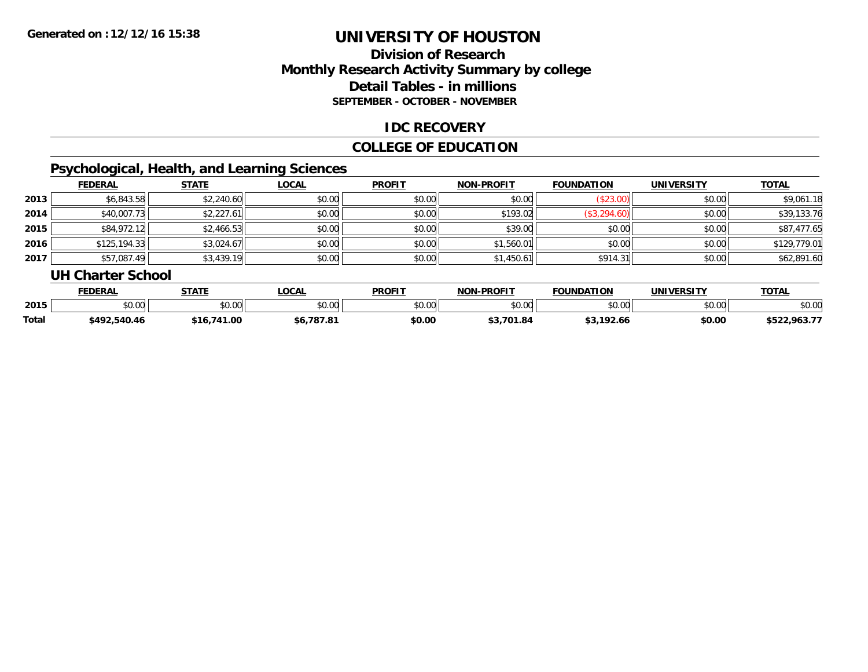### **Division of ResearchMonthly Research Activity Summary by college Detail Tables - in millions SEPTEMBER - OCTOBER - NOVEMBER**

### **IDC RECOVERY**

### **COLLEGE OF EDUCATION**

### **Psychological, Health, and Learning Sciences**

|      | <b>FEDERAL</b> | <b>STATE</b> | <b>LOCAL</b> | <b>PROFIT</b> | <b>NON-PROFIT</b> | <b>FOUNDATION</b> | <b>UNIVERSITY</b> | <b>TOTAL</b> |
|------|----------------|--------------|--------------|---------------|-------------------|-------------------|-------------------|--------------|
| 2013 | \$6,843.58     | \$2,240.60   | \$0.00       | \$0.00        | \$0.00            | (\$23.00)         | \$0.00            | \$9,061.18   |
| 2014 | \$40,007.73    | \$2,227.61   | \$0.00       | \$0.00        | \$193.02          | (\$3,294.60)      | \$0.00            | \$39,133.76  |
| 2015 | \$84,972.12    | \$2,466.53   | \$0.00       | \$0.00        | \$39.00           | \$0.00            | \$0.00            | \$87,477.65  |
| 2016 | \$125,194.33   | \$3,024.67   | \$0.00       | \$0.00        | \$1,560.01        | \$0.00            | \$0.00            | \$129,779.01 |
| 2017 | \$57,087.49    | \$3,439.19   | \$0.00       | \$0.00        | \$1,450.61        | \$914.31          | \$0.00            | \$62,891.60  |

#### **UH Charter School**

|       | <b>FEDERAL</b>               | <b>STATE</b>  | <b>OCAL</b>                  | <b>PROFIT</b> | <b>NON-PROFIT</b> | <b>FOUNDATION</b> | UNIVERSITY | <b>TOTAL</b>      |
|-------|------------------------------|---------------|------------------------------|---------------|-------------------|-------------------|------------|-------------------|
| 2015  | $\cap$<br><b>00</b><br>טט.טע | 0000<br>JU.UU | \$0.00                       | 0000<br>JU.UU | 0000<br>\$U.UU    | \$0.00            | \$0.00     | \$0.00            |
| Total | \$492.540.46                 | 41.00<br>`16  | .787.81<br>$\overline{I}$ .0 | \$0.00        | .701.84<br>. .    | 102L<br>92.66     | \$0.00     | .963.77<br>\$522, |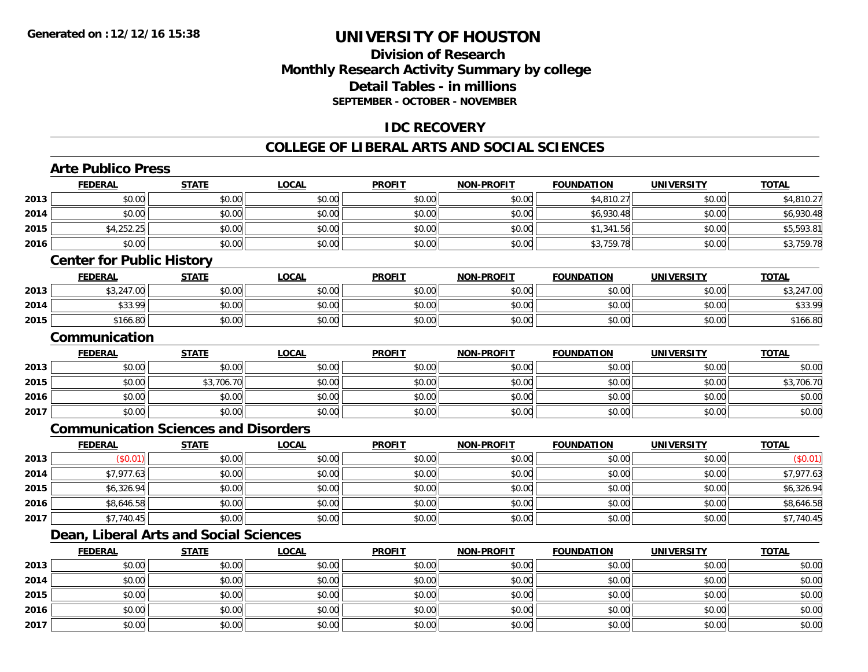### **Division of ResearchMonthly Research Activity Summary by college Detail Tables - in millions SEPTEMBER - OCTOBER - NOVEMBER**

### **IDC RECOVERY**

#### **COLLEGE OF LIBERAL ARTS AND SOCIAL SCIENCES**

## **Arte Publico Press**

**2015**

**2016**

**2017**

|      | <b>FEDERAL</b>                   | <b>STATE</b>                                | <b>LOCAL</b> | <b>PROFIT</b> | <b>NON-PROFIT</b> | <b>FOUNDATION</b> | <b>UNIVERSITY</b> | <b>TOTAL</b> |  |  |  |
|------|----------------------------------|---------------------------------------------|--------------|---------------|-------------------|-------------------|-------------------|--------------|--|--|--|
| 2013 | \$0.00                           | \$0.00                                      | \$0.00       | \$0.00        | \$0.00            | \$4,810.27        | \$0.00            | \$4,810.27   |  |  |  |
| 2014 | \$0.00                           | \$0.00                                      | \$0.00       | \$0.00        | \$0.00            | \$6,930.48        | \$0.00            | \$6,930.48   |  |  |  |
| 2015 | \$4,252.25                       | \$0.00                                      | \$0.00       | \$0.00        | \$0.00            | \$1,341.56        | \$0.00            | \$5,593.81   |  |  |  |
| 2016 | \$0.00                           | \$0.00                                      | \$0.00       | \$0.00        | \$0.00            | \$3,759.78        | \$0.00            | \$3,759.78   |  |  |  |
|      | <b>Center for Public History</b> |                                             |              |               |                   |                   |                   |              |  |  |  |
|      | <b>FEDERAL</b>                   | <b>STATE</b>                                | <b>LOCAL</b> | <b>PROFIT</b> | NON-PROFIT        | <b>FOUNDATION</b> | <b>UNIVERSITY</b> | <b>TOTAL</b> |  |  |  |
| 2013 | \$3,247.00                       | \$0.00                                      | \$0.00       | \$0.00        | \$0.00            | \$0.00            | \$0.00            | \$3,247.00   |  |  |  |
| 2014 | \$33.99                          | \$0.00                                      | \$0.00       | \$0.00        | \$0.00            | \$0.00            | \$0.00            | \$33.99      |  |  |  |
| 2015 | \$166.80                         | \$0.00                                      | \$0.00       | \$0.00        | \$0.00            | \$0.00            | \$0.00            | \$166.80     |  |  |  |
|      | Communication                    |                                             |              |               |                   |                   |                   |              |  |  |  |
|      | <b>FEDERAL</b>                   | <b>STATE</b>                                | <b>LOCAL</b> | <b>PROFIT</b> | <b>NON-PROFIT</b> | <b>FOUNDATION</b> | <b>UNIVERSITY</b> | <b>TOTAL</b> |  |  |  |
| 2013 | \$0.00                           | \$0.00                                      | \$0.00       | \$0.00        | \$0.00            | \$0.00            | \$0.00            | \$0.00       |  |  |  |
| 2015 | \$0.00                           | \$3,706.70                                  | \$0.00       | \$0.00        | \$0.00            | \$0.00            | \$0.00            | \$3,706.70   |  |  |  |
| 2016 | \$0.00                           | \$0.00                                      | \$0.00       | \$0.00        | \$0.00            | \$0.00            | \$0.00            | \$0.00       |  |  |  |
| 2017 | \$0.00                           | \$0.00                                      | \$0.00       | \$0.00        | \$0.00            | \$0.00            | \$0.00            | \$0.00       |  |  |  |
|      |                                  | <b>Communication Sciences and Disorders</b> |              |               |                   |                   |                   |              |  |  |  |
|      | <b>FEDERAL</b>                   | <b>STATE</b>                                | <b>LOCAL</b> | <b>PROFIT</b> | <b>NON-PROFIT</b> | <b>FOUNDATION</b> | <b>UNIVERSITY</b> | <b>TOTAL</b> |  |  |  |
| 2013 | (\$0.01)                         | \$0.00                                      | \$0.00       | \$0.00        | \$0.00            | \$0.00            | \$0.00            | (\$0.01)     |  |  |  |
| 2014 | \$7,977.63                       | \$0.00                                      | \$0.00       | \$0.00        | \$0.00            | \$0.00            | \$0.00            | \$7,977.63   |  |  |  |
| 2015 | \$6,326.94                       | \$0.00                                      | \$0.00       | \$0.00        | \$0.00            | \$0.00            | \$0.00            | \$6,326.94   |  |  |  |
| 2016 | \$8,646.58                       | \$0.00                                      | \$0.00       | \$0.00        | \$0.00            | \$0.00            | \$0.00            | \$8,646.58   |  |  |  |
| 2017 | \$7,740.45                       | \$0.00                                      | \$0.00       | \$0.00        | \$0.00            | \$0.00            | \$0.00            | \$7,740.45   |  |  |  |
|      |                                  | Dean, Liberal Arts and Social Sciences      |              |               |                   |                   |                   |              |  |  |  |
|      | <b>FEDERAL</b>                   | <b>STATE</b>                                | <b>LOCAL</b> | <b>PROFIT</b> | NON-PROFIT        | <b>FOUNDATION</b> | <b>UNIVERSITY</b> | <b>TOTAL</b> |  |  |  |
| 2013 | \$0.00                           | \$0.00                                      | \$0.00       | \$0.00        | \$0.00            | \$0.00            | \$0.00            | \$0.00       |  |  |  |
| 2014 | \$0.00                           | \$0.00                                      | \$0.00       | \$0.00        | \$0.00            | \$0.00            | \$0.00            | \$0.00       |  |  |  |

\$0.00 \$0.00 \$0.00 \$0.00 \$0.00 \$0.00 \$0.00 \$0.00

\$0.00 \$0.00 \$0.00 \$0.00 \$0.00 \$0.00 \$0.00 \$0.00

7 | \$0.00 \$0.00 \$0.00 \$0.00 \$0.00 \$0.00 \$0.00 \$0.00 \$0.00 \$0.00 \$0.00 \$0.00 \$0.00 \$0.00 \$0.00 \$0.00 \$0.00 \$0.00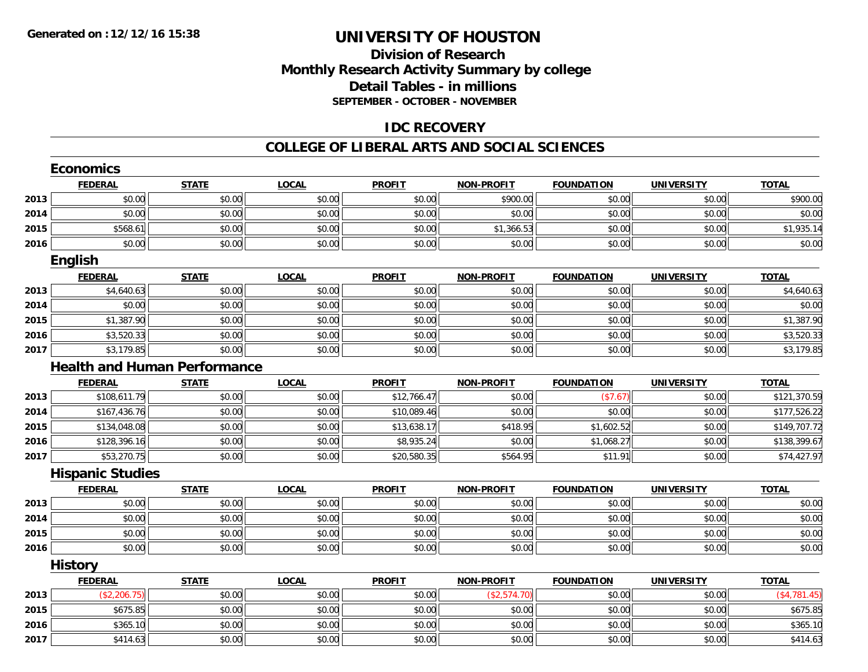### **Division of ResearchMonthly Research Activity Summary by college Detail Tables - in millions SEPTEMBER - OCTOBER - NOVEMBER**

### **IDC RECOVERY**

#### **COLLEGE OF LIBERAL ARTS AND SOCIAL SCIENCES**

|      | <b>Economics</b>        |                                     |              |               |                   |                   |                   |              |
|------|-------------------------|-------------------------------------|--------------|---------------|-------------------|-------------------|-------------------|--------------|
|      | <b>FEDERAL</b>          | <b>STATE</b>                        | <b>LOCAL</b> | <b>PROFIT</b> | <b>NON-PROFIT</b> | <b>FOUNDATION</b> | <b>UNIVERSITY</b> | <b>TOTAL</b> |
| 2013 | \$0.00                  | \$0.00                              | \$0.00       | \$0.00        | \$900.00          | \$0.00            | \$0.00            | \$900.00     |
| 2014 | \$0.00                  | \$0.00                              | \$0.00       | \$0.00        | \$0.00            | \$0.00            | \$0.00            | \$0.00       |
| 2015 | \$568.61                | \$0.00                              | \$0.00       | \$0.00        | \$1,366.53        | \$0.00            | \$0.00            | \$1,935.14   |
| 2016 | \$0.00                  | \$0.00                              | \$0.00       | \$0.00        | \$0.00            | \$0.00            | \$0.00            | \$0.00       |
|      | <b>English</b>          |                                     |              |               |                   |                   |                   |              |
|      | <b>FEDERAL</b>          | <b>STATE</b>                        | <b>LOCAL</b> | <b>PROFIT</b> | <b>NON-PROFIT</b> | <b>FOUNDATION</b> | <b>UNIVERSITY</b> | <b>TOTAL</b> |
| 2013 | \$4,640.63              | \$0.00                              | \$0.00       | \$0.00        | \$0.00            | \$0.00            | \$0.00            | \$4,640.63   |
| 2014 | \$0.00                  | \$0.00                              | \$0.00       | \$0.00        | \$0.00            | \$0.00            | \$0.00            | \$0.00       |
| 2015 | \$1,387.90              | \$0.00                              | \$0.00       | \$0.00        | \$0.00            | \$0.00            | \$0.00            | \$1,387.90   |
| 2016 | \$3,520.33              | \$0.00                              | \$0.00       | \$0.00        | \$0.00            | \$0.00            | \$0.00            | \$3,520.33   |
| 2017 | \$3,179.85              | \$0.00                              | \$0.00       | \$0.00        | \$0.00            | \$0.00            | \$0.00            | \$3,179.85   |
|      |                         | <b>Health and Human Performance</b> |              |               |                   |                   |                   |              |
|      | <b>FEDERAL</b>          | <b>STATE</b>                        | <b>LOCAL</b> | <b>PROFIT</b> | <b>NON-PROFIT</b> | <b>FOUNDATION</b> | <b>UNIVERSITY</b> | <b>TOTAL</b> |
| 2013 | \$108,611.79            | \$0.00                              | \$0.00       | \$12,766.47   | \$0.00            | (\$7.67)          | \$0.00            | \$121,370.59 |
| 2014 | \$167,436.76            | \$0.00                              | \$0.00       | \$10,089.46   | \$0.00            | \$0.00            | \$0.00            | \$177,526.22 |
| 2015 | \$134,048.08            | \$0.00                              | \$0.00       | \$13,638.17   | \$418.95          | \$1,602.52        | \$0.00            | \$149,707.72 |
| 2016 | \$128,396.16            | \$0.00                              | \$0.00       | \$8,935.24    | \$0.00            | \$1,068.27        | \$0.00            | \$138,399.67 |
| 2017 | \$53,270.75             | \$0.00                              | \$0.00       | \$20,580.35   | \$564.95          | \$11.91           | \$0.00            | \$74,427.97  |
|      | <b>Hispanic Studies</b> |                                     |              |               |                   |                   |                   |              |
|      | <b>FEDERAL</b>          | <b>STATE</b>                        | <b>LOCAL</b> | <b>PROFIT</b> | <b>NON-PROFIT</b> | <b>FOUNDATION</b> | <b>UNIVERSITY</b> | <b>TOTAL</b> |
| 2013 | \$0.00                  | \$0.00                              | \$0.00       | \$0.00        | \$0.00            | \$0.00            | \$0.00            | \$0.00       |
| 2014 | \$0.00                  | \$0.00                              | \$0.00       | \$0.00        | \$0.00            | \$0.00            | \$0.00            | \$0.00       |
| 2015 | \$0.00                  | \$0.00                              | \$0.00       | \$0.00        | \$0.00            | \$0.00            | \$0.00            | \$0.00       |
| 2016 | \$0.00                  | \$0.00                              | \$0.00       | \$0.00        | \$0.00            | \$0.00            | \$0.00            | \$0.00       |
|      | <b>History</b>          |                                     |              |               |                   |                   |                   |              |
|      | <b>FEDERAL</b>          | <b>STATE</b>                        | <b>LOCAL</b> | <b>PROFIT</b> | <b>NON-PROFIT</b> | <b>FOUNDATION</b> | <b>UNIVERSITY</b> | <b>TOTAL</b> |
| 2013 | (\$2,206.75)            | \$0.00                              | \$0.00       | \$0.00        | (\$2,574.70)      | \$0.00            | \$0.00            | (\$4,781.45) |
| 2015 | \$675.85                | \$0.00                              | \$0.00       | \$0.00        | \$0.00            | \$0.00            | \$0.00            | \$675.85     |
| 2016 | \$365.10                | \$0.00                              | \$0.00       | \$0.00        | \$0.00            | \$0.00            | \$0.00            | \$365.10     |
| 2017 | \$414.63                | \$0.00                              | \$0.00       | \$0.00        | \$0.00            | \$0.00            | \$0.00            | \$414.63     |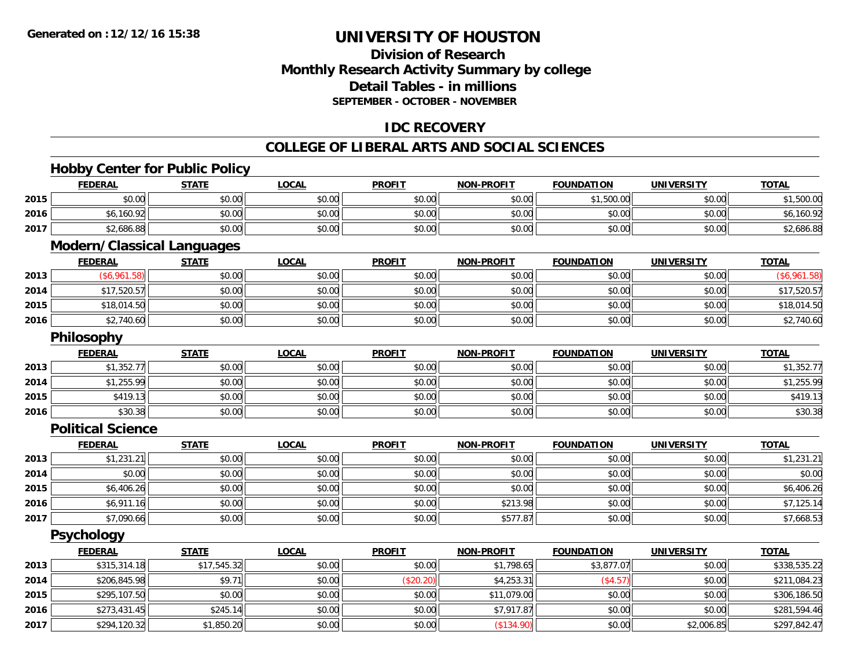### **Division of ResearchMonthly Research Activity Summary by college Detail Tables - in millions SEPTEMBER - OCTOBER - NOVEMBER**

### **IDC RECOVERY**

#### **COLLEGE OF LIBERAL ARTS AND SOCIAL SCIENCES**

### **Hobby Center for Public Policy**

|      | <b>FEDERAL</b>                    | <b>STATE</b> | <b>LOCAL</b> | <b>PROFIT</b> | <b>NON-PROFIT</b> | <b>FOUNDATION</b> | <b>UNIVERSITY</b> | <b>TOTAL</b> |
|------|-----------------------------------|--------------|--------------|---------------|-------------------|-------------------|-------------------|--------------|
| 2015 | \$0.00                            | \$0.00       | \$0.00       | \$0.00        | \$0.00            | \$1,500.00        | \$0.00            | \$1,500.00   |
| 2016 | \$6,160.92                        | \$0.00       | \$0.00       | \$0.00        | \$0.00            | \$0.00            | \$0.00            | \$6,160.92   |
| 2017 | \$2,686.88                        | \$0.00       | \$0.00       | \$0.00        | \$0.00            | \$0.00            | \$0.00            | \$2,686.88   |
|      | <b>Modern/Classical Languages</b> |              |              |               |                   |                   |                   |              |
|      | <b>FEDERAL</b>                    | <b>STATE</b> | <b>LOCAL</b> | <b>PROFIT</b> | <b>NON-PROFIT</b> | <b>FOUNDATION</b> | <b>UNIVERSITY</b> | <b>TOTAL</b> |
| 2013 | (\$6,961.58)                      | \$0.00       | \$0.00       | \$0.00        | \$0.00            | \$0.00            | \$0.00            | (\$6,961.58) |
| 2014 | \$17,520.57                       | \$0.00       | \$0.00       | \$0.00        | \$0.00            | \$0.00            | \$0.00            | \$17,520.57  |
| 2015 | \$18,014.50                       | \$0.00       | \$0.00       | \$0.00        | \$0.00            | \$0.00            | \$0.00            | \$18,014.50  |
| 2016 | \$2,740.60                        | \$0.00       | \$0.00       | \$0.00        | \$0.00            | \$0.00            | \$0.00            | \$2,740.60   |
|      | Philosophy                        |              |              |               |                   |                   |                   |              |
|      | <b>FEDERAL</b>                    | <b>STATE</b> | <b>LOCAL</b> | <b>PROFIT</b> | <b>NON-PROFIT</b> | <b>FOUNDATION</b> | <b>UNIVERSITY</b> | <b>TOTAL</b> |
| 2013 | \$1,352.77                        | \$0.00       | \$0.00       | \$0.00        | \$0.00            | \$0.00            | \$0.00            | \$1,352.77   |
| 2014 | \$1,255.99                        | \$0.00       | \$0.00       | \$0.00        | \$0.00            | \$0.00            | \$0.00            | \$1,255.99   |
| 2015 | \$419.13                          | \$0.00       | \$0.00       | \$0.00        | \$0.00            | \$0.00            | \$0.00            | \$419.13     |
| 2016 | \$30.38                           | \$0.00       | \$0.00       | \$0.00        | \$0.00            | \$0.00            | \$0.00            | \$30.38      |
|      | <b>Political Science</b>          |              |              |               |                   |                   |                   |              |
|      | <b>FEDERAL</b>                    | <b>STATE</b> | <b>LOCAL</b> | <b>PROFIT</b> | <b>NON-PROFIT</b> | <b>FOUNDATION</b> | <b>UNIVERSITY</b> | <b>TOTAL</b> |
| 2013 | \$1,231.21                        | \$0.00       | \$0.00       | \$0.00        | \$0.00            | \$0.00            | \$0.00            | \$1,231.21   |
| 2014 | \$0.00                            | \$0.00       | \$0.00       | \$0.00        | \$0.00            | \$0.00            | \$0.00            | \$0.00       |
| 2015 | \$6,406.26                        | \$0.00       | \$0.00       | \$0.00        | \$0.00            | \$0.00            | \$0.00            | \$6,406.26   |
| 2016 | \$6,911.16                        | \$0.00       | \$0.00       | \$0.00        | \$213.98          | \$0.00            | \$0.00            | \$7,125.14   |
| 2017 | \$7,090.66                        | \$0.00       | \$0.00       | \$0.00        | \$577.87          | \$0.00            | \$0.00            | \$7,668.53   |
|      | <b>Psychology</b>                 |              |              |               |                   |                   |                   |              |
|      | <b>FEDERAL</b>                    | <b>STATE</b> | <b>LOCAL</b> | <b>PROFIT</b> | <b>NON-PROFIT</b> | <b>FOUNDATION</b> | <b>UNIVERSITY</b> | <b>TOTAL</b> |
| 2013 | \$315,314.18                      | \$17,545.32  | \$0.00       | \$0.00        | \$1,798.65        | \$3,877.07        | \$0.00            | \$338,535.22 |
| 2014 | \$206,845.98                      | \$9.71       | \$0.00       | (\$20.20)     | \$4,253.31        | (\$4.57)          | \$0.00            | \$211,084.23 |
| 2015 | \$295,107.50                      | \$0.00       | \$0.00       | \$0.00        | \$11,079.00       | \$0.00            | \$0.00            | \$306,186.50 |
| 2016 | \$273,431.45                      | \$245.14     | \$0.00       | \$0.00        | \$7,917.87        | \$0.00            | \$0.00            | \$281,594.46 |
| 2017 | \$294,120.32                      | \$1,850.20   | \$0.00       | \$0.00        | (\$134.90)        | \$0.00            | \$2,006.85        | \$297,842.47 |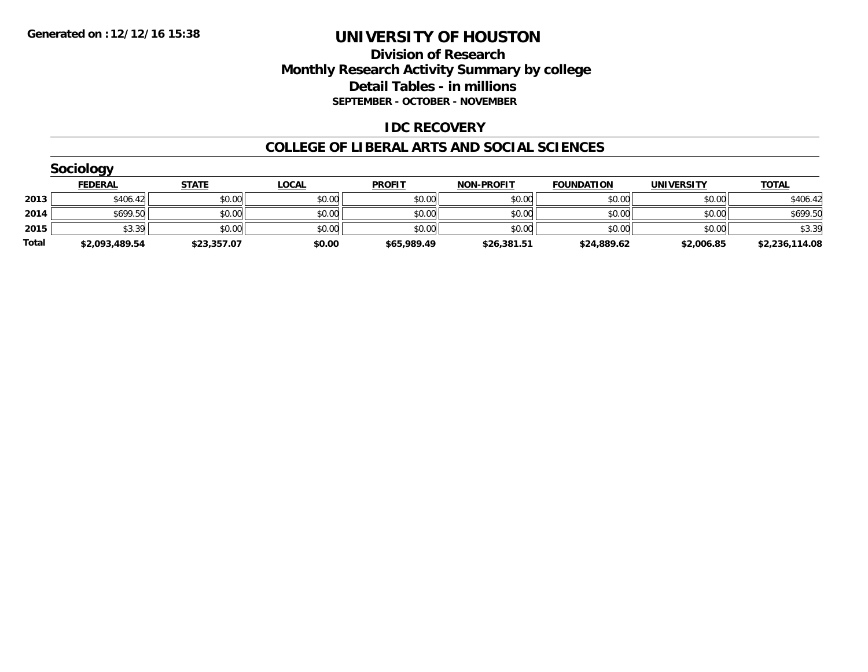### **Division of Research Monthly Research Activity Summary by college Detail Tables - in millions SEPTEMBER - OCTOBER - NOVEMBER**

### **IDC RECOVERY**

#### **COLLEGE OF LIBERAL ARTS AND SOCIAL SCIENCES**

|       | <b>Sociology</b> |              |              |               |                   |                   |                   |                |
|-------|------------------|--------------|--------------|---------------|-------------------|-------------------|-------------------|----------------|
|       | <b>FEDERAL</b>   | <b>STATE</b> | <u>LOCAL</u> | <b>PROFIT</b> | <b>NON-PROFIT</b> | <b>FOUNDATION</b> | <b>UNIVERSITY</b> | <b>TOTAL</b>   |
| 2013  | \$406.42         | \$0.00       | \$0.00       | \$0.00        | \$0.00            | \$0.00            | \$0.00            | \$406.42       |
| 2014  | \$699.50         | \$0.00       | \$0.00       | \$0.00        | \$0.00            | \$0.00            | \$0.00            | \$699.50       |
| 2015  | \$3.39           | \$0.00       | \$0.00       | \$0.00        | \$0.00            | \$0.00            | \$0.00            | \$3.39         |
| Total | \$2,093,489.54   | \$23,357.07  | \$0.00       | \$65,989.49   | \$26,381.51       | \$24,889.62       | \$2,006.85        | \$2,236,114.08 |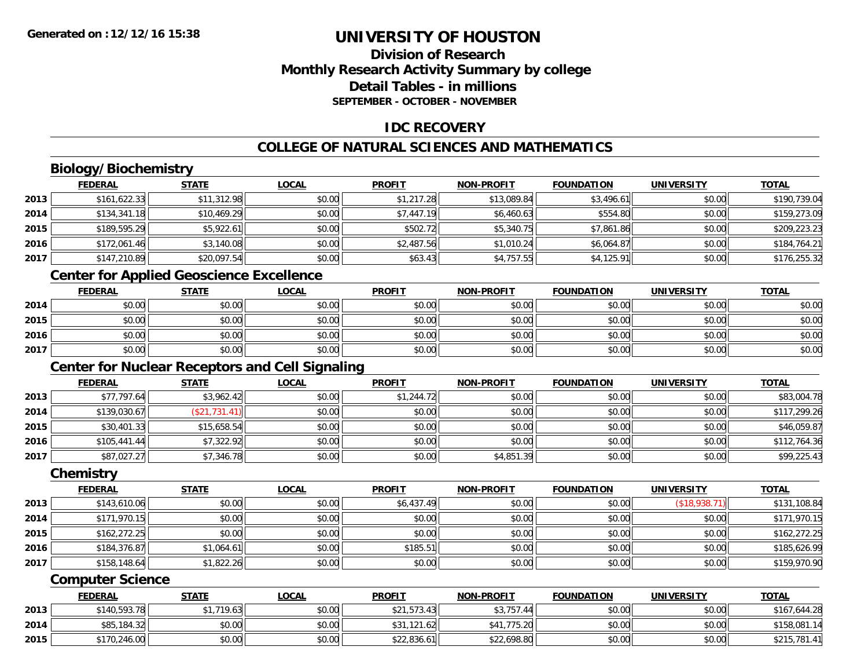### **Division of ResearchMonthly Research Activity Summary by college Detail Tables - in millionsSEPTEMBER - OCTOBER - NOVEMBER**

### **IDC RECOVERY**

### **COLLEGE OF NATURAL SCIENCES AND MATHEMATICS**

# **Biology/Biochemistry**

|      | <b>FEDERAL</b> | <b>STATE</b> | <u>LOCAL</u> | <b>PROFIT</b> | <b>NON-PROFIT</b> | <b>FOUNDATION</b> | <b>UNIVERSITY</b> | <b>TOTAL</b> |
|------|----------------|--------------|--------------|---------------|-------------------|-------------------|-------------------|--------------|
| 2013 | \$161,622.33   | \$11,312.98  | \$0.00       | \$1,217.28    | \$13,089.84       | \$3,496.61        | \$0.00            | \$190,739.04 |
| 2014 | \$134,341.18   | \$10,469.29  | \$0.00       | \$7,447.19    | \$6,460.63        | \$554.80          | \$0.00            | \$159,273.09 |
| 2015 | \$189,595.29   | \$5,922.61   | \$0.00       | \$502.72      | \$5,340.75        | \$7,861.86        | \$0.00            | \$209,223.23 |
| 2016 | \$172,061.46   | \$3,140.08   | \$0.00       | \$2,487.56    | \$1,010.24        | \$6,064.87        | \$0.00            | \$184,764.21 |
| 2017 | \$147,210.89   | \$20,097.54  | \$0.00       | \$63.43       | \$4,757.55        | \$4,125.91        | \$0.00            | \$176,255.32 |

### **Center for Applied Geoscience Excellence**

|      | <b>FEDERAL</b> | <b>STATE</b> | <u>LOCAL</u> | <b>PROFIT</b> | <b>NON-PROFIT</b> | <b>FOUNDATION</b> | <b>UNIVERSITY</b> | <b>TOTAL</b> |
|------|----------------|--------------|--------------|---------------|-------------------|-------------------|-------------------|--------------|
| 2014 | \$0.00         | \$0.00       | \$0.00       | \$0.00        | \$0.00            | \$0.00            | \$0.00            | \$0.00       |
| 2015 | \$0.00         | \$0.00       | \$0.00       | \$0.00        | \$0.00            | \$0.00            | \$0.00            | \$0.00       |
| 2016 | \$0.00         | \$0.00       | \$0.00       | \$0.00        | \$0.00            | \$0.00            | \$0.00            | \$0.00       |
| 2017 | \$0.00         | \$0.00       | \$0.00       | \$0.00        | \$0.00            | \$0.00            | \$0.00            | \$0.00       |

### **Center for Nuclear Receptors and Cell Signaling**

|      | <b>FEDERAL</b> | <u>STATE</u>    | <b>LOCAL</b> | <b>PROFIT</b> | <b>NON-PROFIT</b> | <b>FOUNDATION</b> | <b>UNIVERSITY</b> | <b>TOTAL</b> |
|------|----------------|-----------------|--------------|---------------|-------------------|-------------------|-------------------|--------------|
| 2013 | \$77,797.64    | \$3,962.42      | \$0.00       | \$1,244.72    | \$0.00            | \$0.00            | \$0.00            | \$83,004.78  |
| 2014 | \$139,030.67   | 731.41<br>(\$21 | \$0.00       | \$0.00        | \$0.00            | \$0.00            | \$0.00            | \$117,299.26 |
| 2015 | \$30,401.33    | \$15,658.54     | \$0.00       | \$0.00        | \$0.00            | \$0.00            | \$0.00            | \$46,059.87  |
| 2016 | \$105,441.44   | \$7,322.92      | \$0.00       | \$0.00        | \$0.00            | \$0.00            | \$0.00            | \$112,764.36 |
| 2017 | \$87,027.27    | \$7,346.78      | \$0.00       | \$0.00        | \$4,851.39        | \$0.00            | \$0.00            | \$99,225.43  |

#### **Chemistry**

|      | <b>FEDERAL</b> | <b>STATE</b> | <b>LOCAL</b> | <b>PROFIT</b> | <b>NON-PROFIT</b> | <b>FOUNDATION</b> | <b>UNIVERSITY</b> | <b>TOTAL</b> |
|------|----------------|--------------|--------------|---------------|-------------------|-------------------|-------------------|--------------|
| 2013 | \$143,610.06   | \$0.00       | \$0.00       | \$6,437.49    | \$0.00            | \$0.00            | (\$18,938.71)     | \$131,108.84 |
| 2014 | \$171,970.15   | \$0.00       | \$0.00       | \$0.00        | \$0.00            | \$0.00            | \$0.00            | \$171,970.15 |
| 2015 | \$162,272.25   | \$0.00       | \$0.00       | \$0.00        | \$0.00            | \$0.00            | \$0.00            | \$162,272.25 |
| 2016 | \$184,376.87   | \$1,064.61   | \$0.00       | \$185.51      | \$0.00            | \$0.00            | \$0.00            | \$185,626.99 |
| 2017 | \$158,148.64   | \$1,822.26   | \$0.00       | \$0.00        | \$0.00            | \$0.00            | \$0.00            | \$159,970.90 |

#### **Computer Science**

|      | <b>FEDERAL</b> | <b>STATE</b> | <u>LOCAL</u> | <b>PROFIT</b> | <b>NON-PROFIT</b> | <b>FOUNDATION</b> | <b>UNIVERSITY</b> | <b>TOTAL</b> |
|------|----------------|--------------|--------------|---------------|-------------------|-------------------|-------------------|--------------|
| 2013 | \$140,593.78   | \$1,719.63   | \$0.00       | \$21,573.43   | \$3,757.44        | \$0.00            | \$0.00            | \$167,644.28 |
| 2014 | \$85,184.32    | \$0.00       | \$0.00       | ,121.62       | \$41,775.20       | \$0.00            | \$0.00            | \$158,081.14 |
| 2015 | \$170,246.00   | \$0.00       | \$0.00       | \$22,836.61   | \$22,698.80       | \$0.00            | \$0.00            | \$215,781.41 |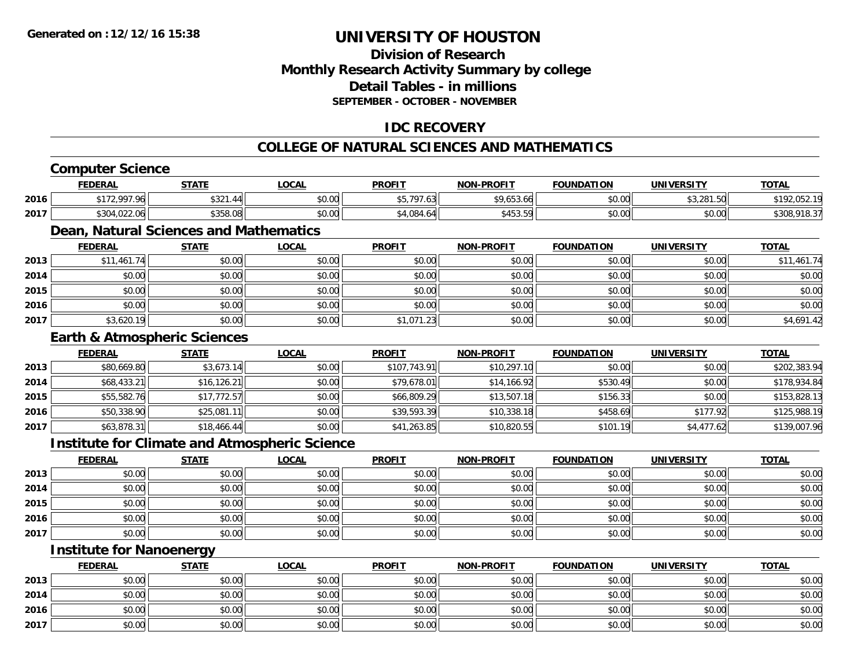**2016**

**2017**

**2013**

**2014**

**2016**

**2017**

**Institute for Nanoenergy**

# **UNIVERSITY OF HOUSTON**

### **Division of ResearchMonthly Research Activity Summary by college Detail Tables - in millionsSEPTEMBER - OCTOBER - NOVEMBER**

### **IDC RECOVERY**

#### **COLLEGE OF NATURAL SCIENCES AND MATHEMATICS**

#### **Computer Science FEDERAL STATE LOCAL PROFIT NON-PROFIT FOUNDATION UNIVERSITY TOTALTOTAL 20166** \$172,997.96 \$321.44 \$321.44 \$0.00 \$5,797.63 \$5,797.63 \$9,653.66 \$9,653.66 \$0.00 \$3,281.50 \$3,281.50 \$192,052.19 **2017** \$304,022.06 \$358.08 \$0.00 \$4,084.64 \$453.59 \$0.00 \$0.00 \$308,918.37 **Dean, Natural Sciences and Mathematics FEDERAL STATE LOCAL PROFIT NON-PROFIT FOUNDATION UNIVERSITY TOTAL2013** \$11,461.74 \$0.00 \$0.00 \$0.00 \$0.00 \$0.00 \$0.00 \$11,461.74 **2014**4 \$0.00 | \$0.00 | \$0.00 | \$0.00 | \$0.00 | \$0.00 | \$0.00 | \$0 **2015** \$0.00 \$0.00 \$0.00 \$0.00 \$0.00 \$0.00 \$0.00 \$0.00 **2016** \$0.00 \$0.00 \$0.00 \$0.00 \$0.00 \$0.00 \$0.00 \$0.00 **2017**7 │ \$3,620.19│ \$0.00│ \$0.00│ \$1,071.23│ \$0.00│ \$0.00│ \$4,691.42│ **Earth & Atmospheric Sciences FEDERAL STATE LOCAL PROFIT NON-PROFIT FOUNDATION UNIVERSITY TOTAL2013** \$80,669.80 \$3,673.14 \$0.00 \$107,743.91 \$10,297.10 \$0.00 \$0.00 \$202,383.94 **2014**4 \$68,433.21| \$16,126.21| \$0.00| \$0.00| \$79,678.01| \$14,166.92| \$530.49| \$0.00| \$178,934.84 **2015** \$55,582.76 \$17,772.57 \$0.00 \$66,809.29 \$13,507.18 \$156.33 \$0.00 \$153,828.13 **2016**<u>6 \$50,338.90 \$25,081.11 \$25,081.11 \$0.00 \$39,593.39 \$39,593.39 \$458.69 \$458.69 \$177.92 \$177.92 \$125,988.19</u> **2017** \$63,878.31 \$18,466.44 \$0.00 \$41,263.85 \$10,820.55 \$101.19 \$4,477.62 \$139,007.96 **Institute for Climate and Atmospheric Science FEDERAL STATE LOCAL PROFIT NON-PROFIT FOUNDATION UNIVERSITY TOTALTOTAL 2013** \$0.00 \$0.00 \$0.00 \$0.00 \$0.00 \$0.00 \$0.00 \$0.00 **2014**4 \$0.00 \$0.00 \$0.00 \$0.00 \$0.00 \$0.00 \$0.00 \$0.00 \$0.00 \$0.00 \$0.00 \$0.00 \$0.00 \$0.00 \$0.00 \$0.00 \$0.00 \$0.00 **2015**

\$0.00 \$0.00 \$0.00 \$0.00 \$0.00 \$0.00 \$0.00 \$0.00

 $\mathbf{6} \mid 50.00 \mid 50.00 \mid 50.00 \mid 50.00 \mid 50.00 \mid 50.00 \mid 50.00 \mid 50.00 \mid 50.00 \mid 50.00 \mid 50.00 \mid 50.00 \mid 50.00 \mid 50.00 \mid 50.00 \mid 50.00 \mid 50.00 \mid 50.00 \mid 50.00 \mid 50.00 \mid 50.00 \mid 50.00 \mid 50.00 \mid 50.00 \mid 50.00 \mid 50.00 \mid 50.$ 

7 | \$0.00 \$0.00 \$0.00 \$0.00 \$0.00 \$0.00 \$0.00 \$0.00 \$0.00 \$0.00 \$0.00 \$0.00 \$0.00 \$0.00 \$0.00 \$0.00 \$0.00 \$0.00

**FEDERAL STATE LOCAL PROFIT NON-PROFIT FOUNDATION UNIVERSITY TOTAL**

 $\textbf{3} \quad \textbf{\textcolor{blue}{\textbf{50.00}}} \quad \textbf{\textcolor{blue}{\textbf{50.00}}} \quad \textbf{\textcolor{blue}{\textbf{50.00}}} \quad \textbf{\textcolor{blue}{\textbf{50.00}}} \quad \textbf{\textcolor{blue}{\textbf{50.00}}} \quad \textbf{\textcolor{blue}{\textbf{50.00}}} \quad \textbf{\textcolor{blue}{\textbf{50.00}}} \quad \textbf{\textcolor{blue}{\textbf{50.00}}} \quad \textbf{\textcolor{blue}{\textbf{50.00}}} \quad \textbf{\textcolor{blue}{\textbf{50.00}}} \quad \text$ 

4 \$0.00| \$0.00| \$0.00| \$0.00| \$0.00| \$0.00| \$0.00| \$0.00|

\$0.00 \$0.00 \$0.00 \$0.00 \$0.00 \$0.00 \$0.00 \$0.00

7 | \$0.00 \$0.00 \$0.00 \$0.00 \$0.00 \$0.00 \$0.00 \$0.00 \$0.00 \$0.00 \$0.00 \$0.00 \$0.00 \$0.00 \$0.00 \$0.00 \$0.00 \$0.00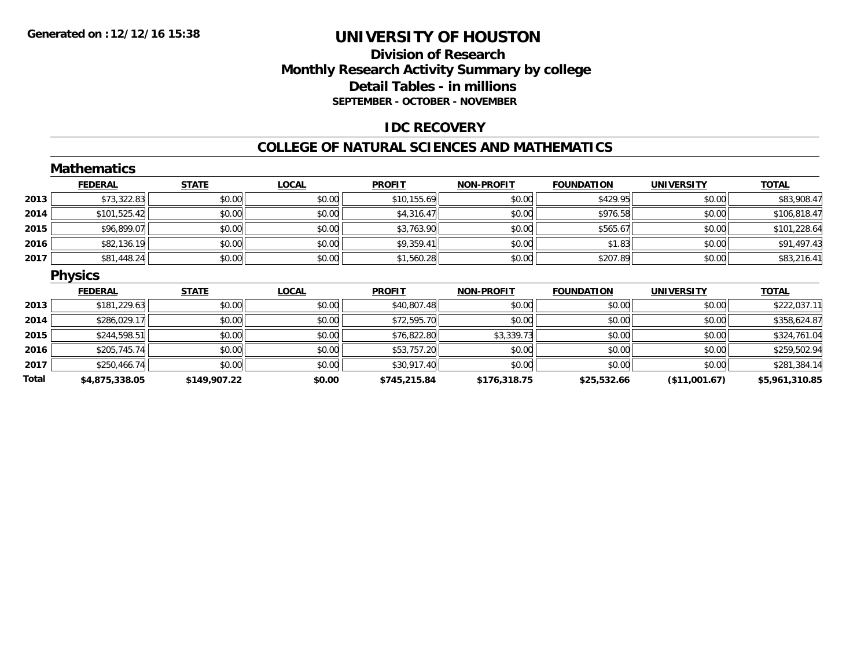### **Division of Research Monthly Research Activity Summary by college Detail Tables - in millions SEPTEMBER - OCTOBER - NOVEMBER**

### **IDC RECOVERY**

#### **COLLEGE OF NATURAL SCIENCES AND MATHEMATICS**

|       | <b>Mathematics</b> |              |              |               |                   |                   |                   |                |
|-------|--------------------|--------------|--------------|---------------|-------------------|-------------------|-------------------|----------------|
|       | <b>FEDERAL</b>     | <b>STATE</b> | <b>LOCAL</b> | <b>PROFIT</b> | <b>NON-PROFIT</b> | <b>FOUNDATION</b> | <b>UNIVERSITY</b> | <b>TOTAL</b>   |
| 2013  | \$73,322.83        | \$0.00       | \$0.00       | \$10,155.69   | \$0.00            | \$429.95          | \$0.00            | \$83,908.47    |
| 2014  | \$101,525.42       | \$0.00       | \$0.00       | \$4,316.47    | \$0.00            | \$976.58          | \$0.00            | \$106,818.47   |
| 2015  | \$96,899.07        | \$0.00       | \$0.00       | \$3,763.90    | \$0.00            | \$565.67          | \$0.00            | \$101,228.64   |
| 2016  | \$82,136.19        | \$0.00       | \$0.00       | \$9,359.41    | \$0.00            | \$1.83            | \$0.00            | \$91,497.43    |
| 2017  | \$81,448.24        | \$0.00       | \$0.00       | \$1,560.28    | \$0.00            | \$207.89          | \$0.00            | \$83,216.41    |
|       | <b>Physics</b>     |              |              |               |                   |                   |                   |                |
|       | <b>FEDERAL</b>     | <b>STATE</b> | <b>LOCAL</b> | <b>PROFIT</b> | <b>NON-PROFIT</b> | <b>FOUNDATION</b> | <b>UNIVERSITY</b> | <b>TOTAL</b>   |
| 2013  | \$181,229.63       | \$0.00       | \$0.00       | \$40,807.48   | \$0.00            | \$0.00            | \$0.00            | \$222,037.11   |
| 2014  | \$286,029.17       | \$0.00       | \$0.00       | \$72,595.70   | \$0.00            | \$0.00            | \$0.00            | \$358,624.87   |
| 2015  | \$244,598.51       | \$0.00       | \$0.00       | \$76,822.80   | \$3,339.73        | \$0.00            | \$0.00            | \$324,761.04   |
| 2016  | \$205,745.74       | \$0.00       | \$0.00       | \$53,757.20   | \$0.00            | \$0.00            | \$0.00            | \$259,502.94   |
| 2017  | \$250,466.74       | \$0.00       | \$0.00       | \$30,917.40   | \$0.00            | \$0.00            | \$0.00            | \$281,384.14   |
| Total | \$4,875,338.05     | \$149,907.22 | \$0.00       | \$745,215.84  | \$176,318.75      | \$25,532.66       | (\$11,001.67)     | \$5,961,310.85 |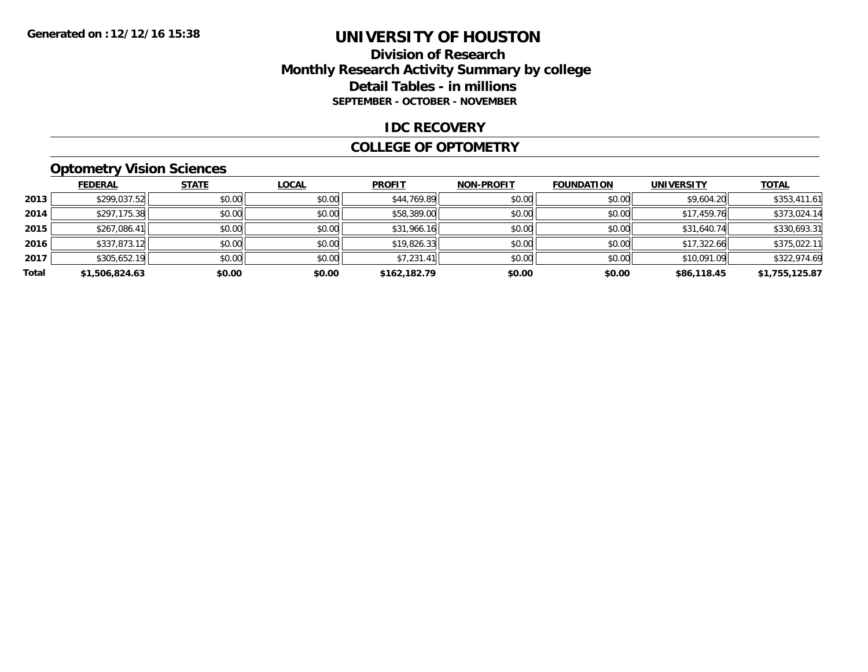### **Division of Research Monthly Research Activity Summary by college Detail Tables - in millions SEPTEMBER - OCTOBER - NOVEMBER**

#### **IDC RECOVERY**

#### **COLLEGE OF OPTOMETRY**

### **Optometry Vision Sciences**

|       | <b>FEDERAL</b> | <b>STATE</b> | <u>LOCAL</u> | <b>PROFIT</b> | <b>NON-PROFIT</b> | <b>FOUNDATION</b> | <b>UNIVERSITY</b> | <b>TOTAL</b>   |
|-------|----------------|--------------|--------------|---------------|-------------------|-------------------|-------------------|----------------|
| 2013  | \$299,037.52   | \$0.00       | \$0.00       | \$44,769.89   | \$0.00            | \$0.00            | \$9,604.20        | \$353,411.61   |
| 2014  | \$297,175.38   | \$0.00       | \$0.00       | \$58,389.00   | \$0.00            | \$0.00            | \$17,459.76       | \$373,024.14   |
| 2015  | \$267,086.41   | \$0.00       | \$0.00       | \$31,966.16   | \$0.00            | \$0.00            | \$31,640.74       | \$330,693.31   |
| 2016  | \$337,873.12   | \$0.00       | \$0.00       | \$19,826.33   | \$0.00            | \$0.00            | \$17,322.66       | \$375,022.11   |
| 2017  | \$305,652.19   | \$0.00       | \$0.00       | \$7,231.41    | \$0.00            | \$0.00            | \$10,091.09       | \$322,974.69   |
| Total | \$1,506,824.63 | \$0.00       | \$0.00       | \$162,182.79  | \$0.00            | \$0.00            | \$86,118.45       | \$1,755,125.87 |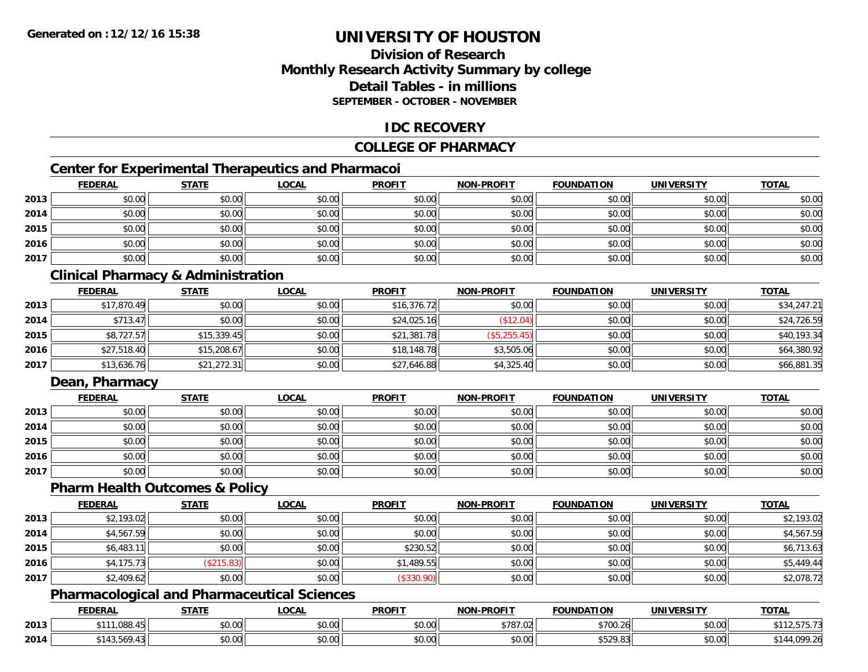### **Division of ResearchMonthly Research Activity Summary by college Detail Tables - in millionsSEPTEMBER - OCTOBER - NOVEMBER**

### **IDC RECOVERY**

### **COLLEGE OF PHARMACY**

### **Center for Experimental Therapeutics and Pharmacoi**

|      | <b>FEDERAL</b> | <b>STATE</b> | <b>LOCAL</b> | <b>PROFIT</b> | <b>NON-PROFIT</b> | <b>FOUNDATION</b> | <b>UNIVERSITY</b> | <b>TOTAL</b> |
|------|----------------|--------------|--------------|---------------|-------------------|-------------------|-------------------|--------------|
| 2013 | \$0.00         | \$0.00       | \$0.00       | \$0.00        | \$0.00            | \$0.00            | \$0.00            | \$0.00       |
| 2014 | \$0.00         | \$0.00       | \$0.00       | \$0.00        | \$0.00            | \$0.00            | \$0.00            | \$0.00       |
| 2015 | \$0.00         | \$0.00       | \$0.00       | \$0.00        | \$0.00            | \$0.00            | \$0.00            | \$0.00       |
| 2016 | \$0.00         | \$0.00       | \$0.00       | \$0.00        | \$0.00            | \$0.00            | \$0.00            | \$0.00       |
| 2017 | \$0.00         | \$0.00       | \$0.00       | \$0.00        | \$0.00            | \$0.00            | \$0.00            | \$0.00       |

### **Clinical Pharmacy & Administration**

|      | <b>FEDERAL</b> | <b>STATE</b> | <b>LOCAL</b> | <b>PROFIT</b> | <b>NON-PROFIT</b> | <b>FOUNDATION</b> | <b>UNIVERSITY</b> | <b>TOTAL</b> |
|------|----------------|--------------|--------------|---------------|-------------------|-------------------|-------------------|--------------|
| 2013 | \$17,870.49    | \$0.00       | \$0.00       | \$16,376.72   | \$0.00            | \$0.00            | \$0.00            | \$34,247.21  |
| 2014 | \$713.47       | \$0.00       | \$0.00       | \$24,025.16   | $$12.04$ )        | \$0.00            | \$0.00            | \$24,726.59  |
| 2015 | \$8,727.57     | \$15,339.45  | \$0.00       | \$21,381.78   | (\$5,255.45)      | \$0.00            | \$0.00            | \$40,193.34  |
| 2016 | \$27,518.40    | \$15,208.67  | \$0.00       | \$18,148.78   | \$3,505.06        | \$0.00            | \$0.00            | \$64,380.92  |
| 2017 | \$13,636.76    | \$21,272.31  | \$0.00       | \$27,646.88   | \$4,325.40        | \$0.00            | \$0.00            | \$66,881.35  |

### **Dean, Pharmacy**

|      | <b>FEDERAL</b> | <b>STATE</b> | <u>LOCAL</u> | <b>PROFIT</b> | <b>NON-PROFIT</b> | <b>FOUNDATION</b> | <b>UNIVERSITY</b> | <b>TOTAL</b> |
|------|----------------|--------------|--------------|---------------|-------------------|-------------------|-------------------|--------------|
| 2013 | \$0.00         | \$0.00       | \$0.00       | \$0.00        | \$0.00            | \$0.00            | \$0.00            | \$0.00       |
| 2014 | \$0.00         | \$0.00       | \$0.00       | \$0.00        | \$0.00            | \$0.00            | \$0.00            | \$0.00       |
| 2015 | \$0.00         | \$0.00       | \$0.00       | \$0.00        | \$0.00            | \$0.00            | \$0.00            | \$0.00       |
| 2016 | \$0.00         | \$0.00       | \$0.00       | \$0.00        | \$0.00            | \$0.00            | \$0.00            | \$0.00       |
| 2017 | \$0.00         | \$0.00       | \$0.00       | \$0.00        | \$0.00            | \$0.00            | \$0.00            | \$0.00       |

#### **Pharm Health Outcomes & Policy**

|      | <b>FEDERAL</b> | <b>STATE</b> | <b>LOCAL</b> | <b>PROFIT</b> | <b>NON-PROFIT</b> | <b>FOUNDATION</b> | <b>UNIVERSITY</b> | <b>TOTAL</b> |
|------|----------------|--------------|--------------|---------------|-------------------|-------------------|-------------------|--------------|
| 2013 | \$2,193.02     | \$0.00       | \$0.00       | \$0.00        | \$0.00            | \$0.00            | \$0.00            | \$2,193.02   |
| 2014 | \$4,567.59     | \$0.00       | \$0.00       | \$0.00        | \$0.00            | \$0.00            | \$0.00            | \$4,567.59   |
| 2015 | \$6,483.11     | \$0.00       | \$0.00       | \$230.52      | \$0.00            | \$0.00            | \$0.00            | \$6,713.63   |
| 2016 | \$4,175.73     | \$215.83     | \$0.00       | \$1,489.55    | \$0.00            | \$0.00            | \$0.00            | \$5,449.44   |
| 2017 | \$2,409.62     | \$0.00       | \$0.00       | (\$330.90)    | \$0.00            | \$0.00            | \$0.00            | \$2,078.72   |

### **Pharmacological and Pharmaceutical Sciences**

|      | <b>FEDERAL</b>    | <b>STATE</b><br>,,,,, | <b>_OCAL</b>       | <b>PROFIT</b> | <b>NON-PROFIT</b>            | <b>FOUNDATION</b> | <b>UNIVERSITY</b>                                            | <b>TOTAL</b> |
|------|-------------------|-----------------------|--------------------|---------------|------------------------------|-------------------|--------------------------------------------------------------|--------------|
| 2013 | .088.45<br>$+444$ | <b>ተገ</b><br>וטטוע    | $\sim$ 00<br>JU.UU | 0000<br>JU.UU | 0.70702<br>157. I õ <i>I</i> | \$700.26          | \$0.00                                                       | .            |
| 2014 | -565<br>` 14.     | ስ ለሰ<br>JU.UU         | nn nn<br>JU.UU     | 0.00<br>JU.UU | 0000<br><b>JU.UU</b>         | ぐにつの<br>9029.00   | $\mathfrak{g}$ $\mathfrak{g}$ $\mathfrak{g}$<br><b>JU.UU</b> | .099.26      |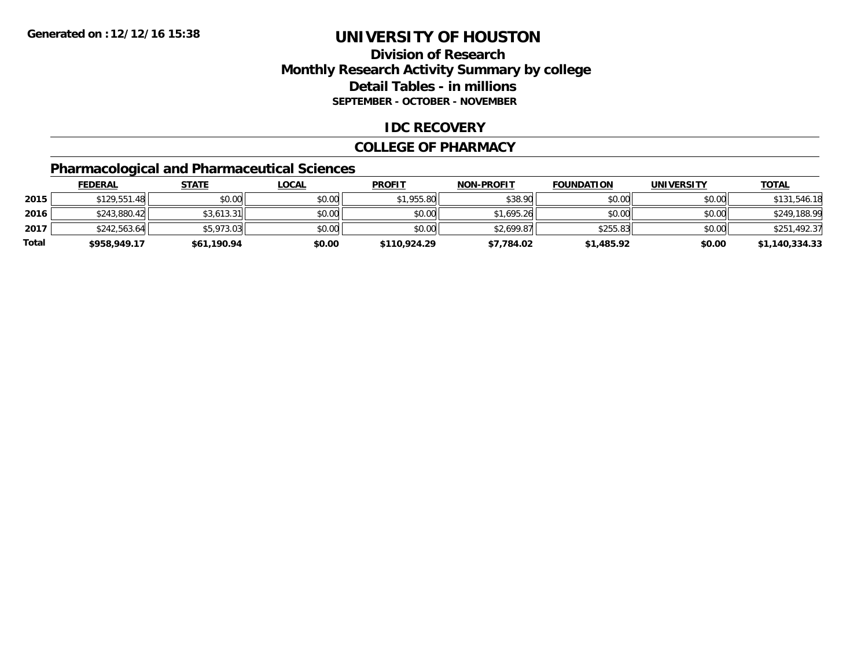### **Division of Research Monthly Research Activity Summary by college Detail Tables - in millions SEPTEMBER - OCTOBER - NOVEMBER**

### **IDC RECOVERY**

#### **COLLEGE OF PHARMACY**

### **Pharmacological and Pharmaceutical Sciences**

|       | <b>FEDERAL</b> | <u>STATE</u> | <u>LOCAL</u> | <b>PROFIT</b> | <b>NON-PROFIT</b> | <b>FOUNDATION</b> | <b>UNIVERSITY</b> | <b>TOTAL</b>   |
|-------|----------------|--------------|--------------|---------------|-------------------|-------------------|-------------------|----------------|
| 2015  | \$129,551.48   | \$0.00       | \$0.00       | \$1,955.80    | \$38.90           | \$0.00            | \$0.00            | \$131,546.18   |
| 2016  | \$243,880.42   | \$3.613.31   | \$0.00       | \$0.00        | \$1,695.26        | \$0.00            | \$0.00            | \$249,188.99   |
| 2017  | \$242,563.64   | \$5,973.03   | \$0.00       | \$0.00        | \$2,699.87        | \$255.83          | \$0.00            | \$251,492.37   |
| Total | \$958,949.17   | \$61,190.94  | \$0.00       | \$110.924.29  | \$7,784.02        | \$1,485.92        | \$0.00            | \$1,140,334.33 |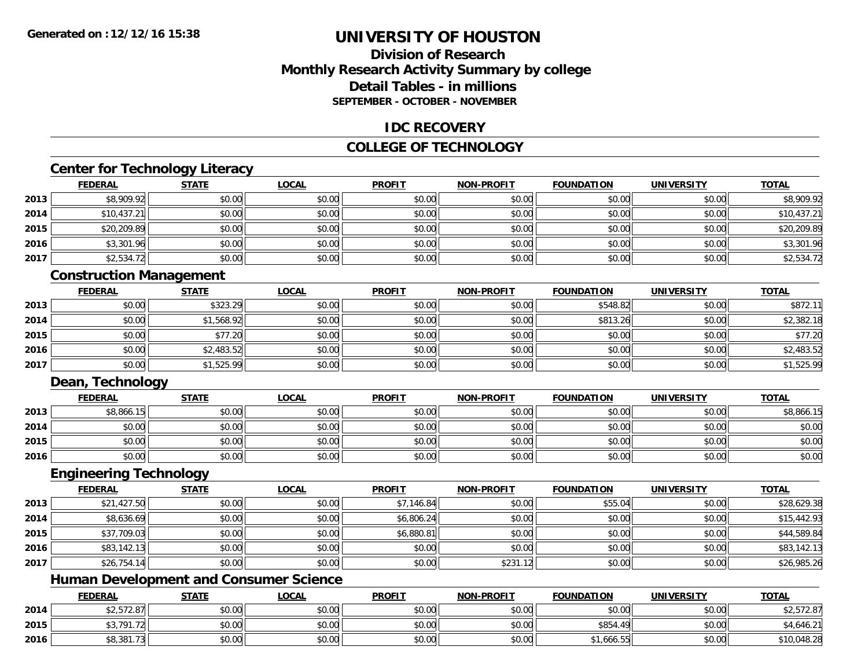### **Division of ResearchMonthly Research Activity Summary by college Detail Tables - in millionsSEPTEMBER - OCTOBER - NOVEMBER**

### **IDC RECOVERY**

### **COLLEGE OF TECHNOLOGY**

### **Center for Technology Literacy**

|      | <b>FEDERAL</b> | <b>STATE</b> | <u>LOCAL</u> | <b>PROFIT</b> | <b>NON-PROFIT</b> | <b>FOUNDATION</b> | <b>UNIVERSITY</b> | <b>TOTAL</b> |
|------|----------------|--------------|--------------|---------------|-------------------|-------------------|-------------------|--------------|
| 2013 | \$8,909.92     | \$0.00       | \$0.00       | \$0.00        | \$0.00            | \$0.00            | \$0.00            | \$8,909.92   |
| 2014 | \$10,437.21    | \$0.00       | \$0.00       | \$0.00        | \$0.00            | \$0.00            | \$0.00            | \$10,437.21  |
| 2015 | \$20,209.89    | \$0.00       | \$0.00       | \$0.00        | \$0.00            | \$0.00            | \$0.00            | \$20,209.89  |
| 2016 | \$3,301.96     | \$0.00       | \$0.00       | \$0.00        | \$0.00            | \$0.00            | \$0.00            | \$3,301.96   |
| 2017 | \$2,534.72     | \$0.00       | \$0.00       | \$0.00        | \$0.00            | \$0.00            | \$0.00            | \$2,534.72   |

### **Construction Management**

|      | <u>FEDERAL</u> | <b>STATE</b> | <u>LOCAL</u> | <b>PROFIT</b> | <b>NON-PROFIT</b> | <b>FOUNDATION</b> | <b>UNIVERSITY</b> | <b>TOTAL</b> |
|------|----------------|--------------|--------------|---------------|-------------------|-------------------|-------------------|--------------|
| 2013 | \$0.00         | \$323.29     | \$0.00       | \$0.00        | \$0.00            | \$548.82          | \$0.00            | \$872.1      |
| 2014 | \$0.00         | \$1,568.92   | \$0.00       | \$0.00        | \$0.00            | \$813.26          | \$0.00            | \$2,382.18   |
| 2015 | \$0.00         | \$77.20      | \$0.00       | \$0.00        | \$0.00            | \$0.00            | \$0.00            | \$77.20      |
| 2016 | \$0.00         | \$2,483.52   | \$0.00       | \$0.00        | \$0.00            | \$0.00            | \$0.00            | \$2,483.52   |
| 2017 | \$0.00         | \$1,525.99   | \$0.00       | \$0.00        | \$0.00            | \$0.00            | \$0.00            | \$1,525.99   |

### **Dean, Technology**

|      | <b>FEDERAL</b> | <b>STATE</b> | <u>LOCAL</u> | <b>PROFIT</b> | <b>NON-PROFIT</b> | <b>FOUNDATION</b> | <b>UNIVERSITY</b> | <b>TOTAL</b> |
|------|----------------|--------------|--------------|---------------|-------------------|-------------------|-------------------|--------------|
| 2013 | \$8,866.15     | \$0.00       | \$0.00       | \$0.00        | \$0.00            | \$0.00            | \$0.00            | \$8,866.15   |
| 2014 | \$0.00         | \$0.00       | \$0.00       | \$0.00        | \$0.00            | \$0.00            | \$0.00            | \$0.00       |
| 2015 | \$0.00         | \$0.00       | \$0.00       | \$0.00        | \$0.00            | \$0.00            | \$0.00            | \$0.00       |
| 2016 | \$0.00         | \$0.00       | \$0.00       | \$0.00        | \$0.00            | \$0.00            | \$0.00            | \$0.00       |

### **Engineering Technology**

|      | <b>FEDERAL</b> | <b>STATE</b> | <b>LOCAL</b> | <b>PROFIT</b> | <b>NON-PROFIT</b> | <b>FOUNDATION</b> | <b>UNIVERSITY</b> | <b>TOTAL</b> |
|------|----------------|--------------|--------------|---------------|-------------------|-------------------|-------------------|--------------|
| 2013 | \$21,427.50    | \$0.00       | \$0.00       | \$7,146.84    | \$0.00            | \$55.04           | \$0.00            | \$28,629.38  |
| 2014 | \$8,636.69     | \$0.00       | \$0.00       | \$6,806.24    | \$0.00            | \$0.00            | \$0.00            | \$15,442.93  |
| 2015 | \$37,709.03    | \$0.00       | \$0.00       | \$6,880.81    | \$0.00            | \$0.00            | \$0.00            | \$44,589.84  |
| 2016 | \$83,142.13    | \$0.00       | \$0.00       | \$0.00        | \$0.00            | \$0.00            | \$0.00            | \$83,142.13  |
| 2017 | \$26,754.14    | \$0.00       | \$0.00       | \$0.00        | \$231.12          | \$0.00            | \$0.00            | \$26,985.26  |

### **Human Development and Consumer Science**

|      | <b>FEDERAL</b> | <b>STATE</b> | <b>LOCAL</b> | <b>PROFIT</b> | <b>NON-PROFIT</b> | <b>FOUNDATION</b> | UNIVERSITY | <b>TOTAL</b>         |
|------|----------------|--------------|--------------|---------------|-------------------|-------------------|------------|----------------------|
| 2014 | \$2,572.87     | \$0.00       | \$0.00       | \$0.00        | \$0.00            | \$0.00            | \$0.00     | 0757007<br>72,572.87 |
| 2015 | \$3,791.72     | \$0.00       | \$0.00       | \$0.00        | \$0.00            | \$854.49          | \$0.00     | \$4,646.21           |
| 2016 | \$8,381.73     | \$0.00       | \$0.00       | \$0.00        | \$0.00            | \$1,666.55        | \$0.00     | \$10,048.28          |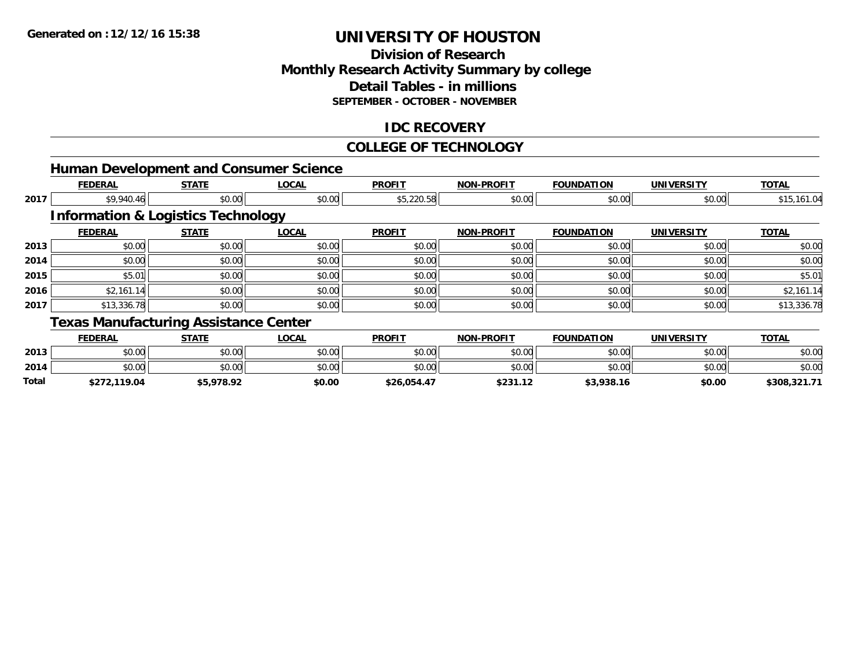**Total**

# **UNIVERSITY OF HOUSTON**

# **Division of Research Monthly Research Activity Summary by college Detail Tables - in millions SEPTEMBER - OCTOBER - NOVEMBER**

# **IDC RECOVERY**

#### **COLLEGE OF TECHNOLOGY**

|      |                                               |              | <b>Human Development and Consumer Science</b> |               |                   |                   |                   |              |
|------|-----------------------------------------------|--------------|-----------------------------------------------|---------------|-------------------|-------------------|-------------------|--------------|
|      | <b>FEDERAL</b>                                | <b>STATE</b> | <b>LOCAL</b>                                  | <b>PROFIT</b> | <b>NON-PROFIT</b> | <b>FOUNDATION</b> | <b>UNIVERSITY</b> | <b>TOTAL</b> |
| 2017 | \$9,940.46                                    | \$0.00       | \$0.00                                        | \$5,220.58    | \$0.00            | \$0.00            | \$0.00            | \$15,161.04  |
|      | <b>Information &amp; Logistics Technology</b> |              |                                               |               |                   |                   |                   |              |
|      | <b>FEDERAL</b>                                | <b>STATE</b> | <b>LOCAL</b>                                  | <b>PROFIT</b> | <b>NON-PROFIT</b> | <b>FOUNDATION</b> | <b>UNIVERSITY</b> | <b>TOTAL</b> |
| 2013 | \$0.00                                        | \$0.00       | \$0.00                                        | \$0.00        | \$0.00            | \$0.00            | \$0.00            | \$0.00       |
| 2014 | \$0.00                                        | \$0.00       | \$0.00                                        | \$0.00        | \$0.00            | \$0.00            | \$0.00            | \$0.00       |
| 2015 | \$5.01                                        | \$0.00       | \$0.00                                        | \$0.00        | \$0.00            | \$0.00            | \$0.00            | \$5.01       |
| 2016 | \$2,161.14                                    | \$0.00       | \$0.00                                        | \$0.00        | \$0.00            | \$0.00            | \$0.00            | \$2,161.14   |
| 2017 | \$13,336.78                                   | \$0.00       | \$0.00                                        | \$0.00        | \$0.00            | \$0.00            | \$0.00            | \$13,336.78  |
|      | <b>Texas Manufacturing Assistance Center</b>  |              |                                               |               |                   |                   |                   |              |
|      | <b>FEDERAL</b>                                | <b>STATE</b> | <b>LOCAL</b>                                  | <b>PROFIT</b> | <b>NON-PROFIT</b> | <b>FOUNDATION</b> | <b>UNIVERSITY</b> | <b>TOTAL</b> |
| 2013 | \$0.00                                        | \$0.00       | \$0.00                                        | \$0.00        | \$0.00            | \$0.00            | \$0.00            | \$0.00       |
| 2014 | \$0.00                                        | \$0.00       | \$0.00                                        | \$0.00        | \$0.00            | \$0.00            | \$0.00            | \$0.00       |

**\$272,119.04 \$5,978.92 \$0.00 \$26,054.47 \$231.12 \$3,938.16 \$0.00 \$308,321.71**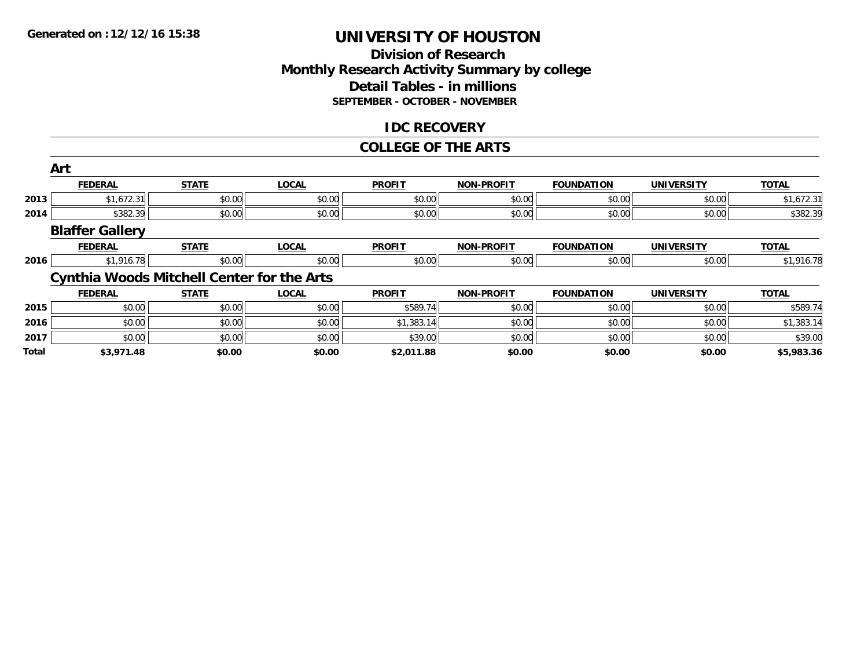# **Division of Research Monthly Research Activity Summary by college Detail Tables - in millions SEPTEMBER - OCTOBER - NOVEMBER**

# **IDC RECOVERY**

#### **COLLEGE OF THE ARTS**

|       | Art                    |                                                   |              |               |                   |                   |                   |              |
|-------|------------------------|---------------------------------------------------|--------------|---------------|-------------------|-------------------|-------------------|--------------|
|       | <b>FEDERAL</b>         | <b>STATE</b>                                      | <b>LOCAL</b> | <b>PROFIT</b> | <b>NON-PROFIT</b> | <b>FOUNDATION</b> | <b>UNIVERSITY</b> | <b>TOTAL</b> |
| 2013  | \$1,672.31             | \$0.00                                            | \$0.00       | \$0.00        | \$0.00            | \$0.00            | \$0.00            | \$1,672.31   |
| 2014  | \$382.39               | \$0.00                                            | \$0.00       | \$0.00        | \$0.00            | \$0.00            | \$0.00            | \$382.39     |
|       | <b>Blaffer Gallery</b> |                                                   |              |               |                   |                   |                   |              |
|       | <b>FEDERAL</b>         | <b>STATE</b>                                      | <b>LOCAL</b> | <b>PROFIT</b> | <b>NON-PROFIT</b> | <b>FOUNDATION</b> | <b>UNIVERSITY</b> | <b>TOTAL</b> |
| 2016  | \$1,916.78             | \$0.00                                            | \$0.00       | \$0.00        | \$0.00            | \$0.00            | \$0.00            | \$1,916.78   |
|       |                        | <b>Cynthia Woods Mitchell Center for the Arts</b> |              |               |                   |                   |                   |              |
|       | <b>FEDERAL</b>         | <b>STATE</b>                                      | <b>LOCAL</b> | <b>PROFIT</b> | <b>NON-PROFIT</b> | <b>FOUNDATION</b> | <b>UNIVERSITY</b> | <b>TOTAL</b> |
| 2015  | \$0.00                 | \$0.00                                            | \$0.00       | \$589.74      | \$0.00            | \$0.00            | \$0.00            | \$589.74     |
| 2016  | \$0.00                 | \$0.00                                            | \$0.00       | \$1,383.14    | \$0.00            | \$0.00            | \$0.00            | \$1,383.14   |
| 2017  | \$0.00                 | \$0.00                                            | \$0.00       | \$39.00       | \$0.00            | \$0.00            | \$0.00            | \$39.00      |
| Total | \$3,971.48             | \$0.00                                            | \$0.00       | \$2,011.88    | \$0.00            | \$0.00            | \$0.00            | \$5,983.36   |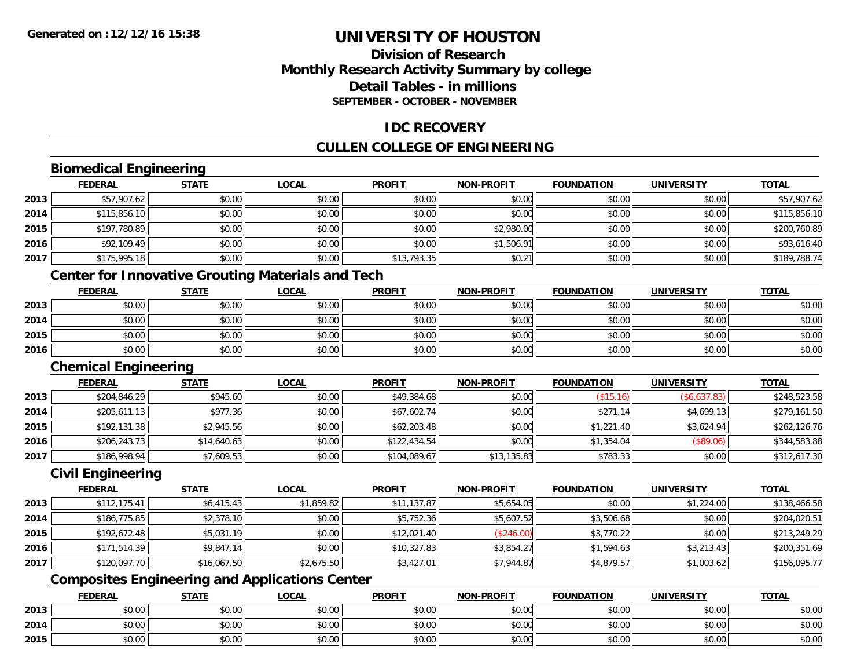# **Division of ResearchMonthly Research Activity Summary by college Detail Tables - in millionsSEPTEMBER - OCTOBER - NOVEMBER**

# **IDC RECOVERY**

# **CULLEN COLLEGE OF ENGINEERING**

# **Biomedical Engineering**

|      | <b>FEDERAL</b> | <b>STATE</b> | <b>LOCAL</b> | <b>PROFIT</b> | <b>NON-PROFIT</b> | <b>FOUNDATION</b> | <b>UNIVERSITY</b> | <b>TOTAL</b> |
|------|----------------|--------------|--------------|---------------|-------------------|-------------------|-------------------|--------------|
| 2013 | \$57,907.62    | \$0.00       | \$0.00       | \$0.00        | \$0.00            | \$0.00            | \$0.00            | \$57,907.62  |
| 2014 | \$115,856.10   | \$0.00       | \$0.00       | \$0.00        | \$0.00            | \$0.00            | \$0.00            | \$115,856.10 |
| 2015 | \$197,780.89   | \$0.00       | \$0.00       | \$0.00        | \$2,980.00        | \$0.00            | \$0.00            | \$200,760.89 |
| 2016 | \$92,109.49    | \$0.00       | \$0.00       | \$0.00        | \$1,506.91        | \$0.00            | \$0.00            | \$93,616.40  |
| 2017 | \$175,995.18   | \$0.00       | \$0.00       | \$13,793.35   | \$0.21            | \$0.00            | \$0.00            | \$189,788.74 |

# **Center for Innovative Grouting Materials and Tech**

|      | <b>FEDERAL</b> | <b>STATE</b> | <u>LOCAL</u> | <b>PROFIT</b> | <b>NON-PROFIT</b> | <b>FOUNDATION</b> | UNIVERSITY | <b>TOTAL</b> |
|------|----------------|--------------|--------------|---------------|-------------------|-------------------|------------|--------------|
| 2013 | \$0.00         | \$0.00       | \$0.00       | \$0.00        | \$0.00            | \$0.00            | \$0.00     | \$0.00       |
| 2014 | \$0.00         | \$0.00       | \$0.00       | \$0.00        | \$0.00            | \$0.00            | \$0.00     | \$0.00       |
| 2015 | \$0.00         | \$0.00       | \$0.00       | \$0.00        | \$0.00            | \$0.00            | \$0.00     | \$0.00       |
| 2016 | \$0.00         | \$0.00       | \$0.00       | \$0.00        | \$0.00            | \$0.00            | \$0.00     | \$0.00       |

### **Chemical Engineering**

|      | <b>FEDERAL</b> | <b>STATE</b> | <b>LOCAL</b> | <b>PROFIT</b> | <b>NON-PROFIT</b> | <b>FOUNDATION</b> | UNIVERSITY   | <b>TOTAL</b> |
|------|----------------|--------------|--------------|---------------|-------------------|-------------------|--------------|--------------|
| 2013 | \$204,846.29   | \$945.60     | \$0.00       | \$49,384.68   | \$0.00            | (\$15.16)         | (\$6,637.83) | \$248,523.58 |
| 2014 | \$205,611.13   | \$977.36     | \$0.00       | \$67,602.74   | \$0.00            | \$271.14          | \$4,699.13   | \$279,161.50 |
| 2015 | \$192,131.38   | \$2,945.56   | \$0.00       | \$62,203.48   | \$0.00            | \$1,221.40        | \$3.624.94   | \$262,126.76 |
| 2016 | \$206,243.73   | \$14,640.63  | \$0.00       | \$122,434.54  | \$0.00            | \$1,354.04        | (S89.06)     | \$344,583.88 |
| 2017 | \$186,998.94   | \$7,609.53   | \$0.00       | \$104,089.67  | \$13,135.83       | \$783.33          | \$0.00       | \$312,617.30 |

### **Civil Engineering**

|      | <b>FEDERAL</b> | <b>STATE</b> | <u>LOCAL</u> | <b>PROFIT</b> | <b>NON-PROFIT</b> | <b>FOUNDATION</b> | <b>UNIVERSITY</b> | <b>TOTAL</b> |
|------|----------------|--------------|--------------|---------------|-------------------|-------------------|-------------------|--------------|
| 2013 | \$112,175.41   | \$6,415.43   | \$1,859.82   | \$11,137.87   | \$5,654.05        | \$0.00            | \$1,224.00        | \$138,466.58 |
| 2014 | \$186,775.85   | \$2,378.10   | \$0.00       | \$5,752.36    | \$5,607.52        | \$3,506.68        | \$0.00            | \$204,020.51 |
| 2015 | \$192,672.48   | \$5,031.19   | \$0.00       | \$12,021.40   | (\$246.00)        | \$3,770.22        | \$0.00            | \$213,249.29 |
| 2016 | \$171,514.39   | \$9,847.14   | \$0.00       | \$10,327.83   | \$3,854.27        | \$1,594.63        | \$3,213.43        | \$200,351.69 |
| 2017 | \$120,097.70   | \$16,067.50  | \$2,675.50   | \$3,427.01    | \$7,944.87        | \$4,879.57        | \$1,003.62        | \$156,095.77 |

# **Composites Engineering and Applications Center**

|      | <b>FEDERAL</b> | <b>STATE</b> | LOCAL          | <b>PROFIT</b> | <b>NON-PROFIT</b> | <b>FOUNDATION</b> | <b>UNIVERSITY</b> | <b>TOTAL</b> |
|------|----------------|--------------|----------------|---------------|-------------------|-------------------|-------------------|--------------|
| 2013 | ቀስ ሰሰ<br>DU.UU | \$0.00       | ስስ ስስ<br>DU.UG | \$0.00        | \$0.00            | \$0.00            | \$0.00            | \$0.00       |
| 2014 | ቀስ ሰስ<br>DU.UU | \$0.00       | ስስ ስስ<br>JU.UU | \$0.00        | \$0.00            | \$0.00            | \$0.00            | \$0.00       |
| 2015 | ልስ ስስ<br>DU.UU | \$0.00       | \$0.00         | \$0.00        | \$0.00            | \$0.00            | \$0.00            | \$0.00       |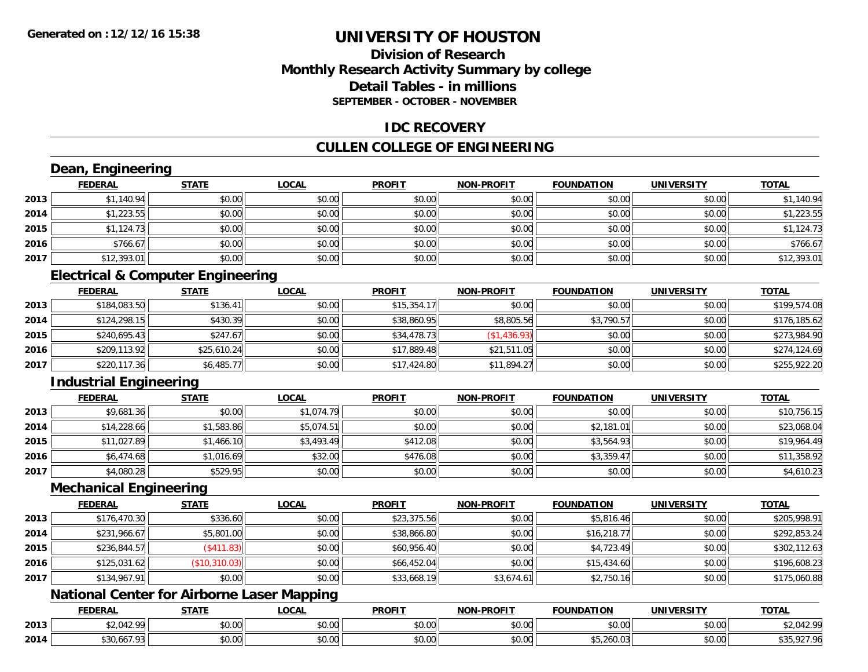# **Division of ResearchMonthly Research Activity Summary by college Detail Tables - in millionsSEPTEMBER - OCTOBER - NOVEMBER**

### **IDC RECOVERY**

# **CULLEN COLLEGE OF ENGINEERING**

# **Dean, Engineering**

|      | <b>FEDERAL</b> | <b>STATE</b> | <b>LOCAL</b> | <b>PROFIT</b> | <b>NON-PROFIT</b> | <b>FOUNDATION</b> | <b>UNIVERSITY</b> | <b>TOTAL</b> |
|------|----------------|--------------|--------------|---------------|-------------------|-------------------|-------------------|--------------|
| 2013 | \$1,140.94     | \$0.00       | \$0.00       | \$0.00        | \$0.00            | \$0.00            | \$0.00            | \$1,140.94   |
| 2014 | \$1,223.55     | \$0.00       | \$0.00       | \$0.00        | \$0.00            | \$0.00            | \$0.00            | \$1,223.55   |
| 2015 | \$1,124.73     | \$0.00       | \$0.00       | \$0.00        | \$0.00            | \$0.00            | \$0.00            | \$1,124.73   |
| 2016 | \$766.67       | \$0.00       | \$0.00       | \$0.00        | \$0.00            | \$0.00            | \$0.00            | \$766.67     |
| 2017 | \$12,393.01    | \$0.00       | \$0.00       | \$0.00        | \$0.00            | \$0.00            | \$0.00            | \$12,393.01  |

# **Electrical & Computer Engineering**

|      | <b>FEDERAL</b> | <b>STATE</b> | <b>LOCAL</b> | <b>PROFIT</b> | <b>NON-PROFIT</b> | <b>FOUNDATION</b> | <b>UNIVERSITY</b> | <b>TOTAL</b> |
|------|----------------|--------------|--------------|---------------|-------------------|-------------------|-------------------|--------------|
| 2013 | \$184,083.50   | \$136.41     | \$0.00       | \$15,354.17   | \$0.00            | \$0.00            | \$0.00            | \$199,574.08 |
| 2014 | \$124,298.15   | \$430.39     | \$0.00       | \$38,860.95   | \$8,805.56        | \$3,790.57        | \$0.00            | \$176,185.62 |
| 2015 | \$240,695.43   | \$247.67     | \$0.00       | \$34,478.73   | (\$1,436.93)      | \$0.00            | \$0.00            | \$273.984.90 |
| 2016 | \$209,113.92   | \$25,610.24  | \$0.00       | \$17,889.48   | \$21,511.05       | \$0.00            | \$0.00            | \$274,124.69 |
| 2017 | \$220,117.36   | \$6,485.77   | \$0.00       | \$17,424.80   | \$11,894.27       | \$0.00            | \$0.00            | \$255,922.20 |

# **Industrial Engineering**

|      | <u>FEDERAL</u> | <b>STATE</b> | <u>LOCAL</u> | <b>PROFIT</b> | <b>NON-PROFIT</b> | <b>FOUNDATION</b> | <b>UNIVERSITY</b> | <b>TOTAL</b> |
|------|----------------|--------------|--------------|---------------|-------------------|-------------------|-------------------|--------------|
| 2013 | \$9,681.36     | \$0.00       | \$1,074.79   | \$0.00        | \$0.00            | \$0.00            | \$0.00            | \$10,756.15  |
| 2014 | \$14,228.66    | \$1,583.86   | \$5,074.51   | \$0.00        | \$0.00            | \$2,181.01        | \$0.00            | \$23,068.04  |
| 2015 | \$11,027.89    | \$1,466.10   | \$3,493.49   | \$412.08      | \$0.00            | \$3,564.93        | \$0.00            | \$19,964.49  |
| 2016 | \$6,474.68     | \$1,016.69   | \$32.00      | \$476.08      | \$0.00            | \$3,359.47        | \$0.00            | \$11,358.92  |
| 2017 | \$4,080.28     | \$529.95     | \$0.00       | \$0.00        | \$0.00            | \$0.00            | \$0.00            | \$4,610.23   |

#### **Mechanical Engineering**

|      | <b>FEDERAL</b> | <b>STATE</b>  | <b>LOCAL</b> | <b>PROFIT</b> | <b>NON-PROFIT</b> | <b>FOUNDATION</b> | <b>UNIVERSITY</b> | <b>TOTAL</b> |
|------|----------------|---------------|--------------|---------------|-------------------|-------------------|-------------------|--------------|
| 2013 | \$176,470.30   | \$336.60      | \$0.00       | \$23,375.56   | \$0.00            | \$5,816.46        | \$0.00            | \$205,998.91 |
| 2014 | \$231,966.67   | \$5,801.00    | \$0.00       | \$38,866.80   | \$0.00            | \$16,218.77       | \$0.00            | \$292,853.24 |
| 2015 | \$236,844.57   | \$411.83      | \$0.00       | \$60,956.40   | \$0.00            | \$4,723.49        | \$0.00            | \$302,112.63 |
| 2016 | \$125,031.62   | (\$10,310.03) | \$0.00       | \$66,452.04   | \$0.00            | \$15,434.60       | \$0.00            | \$196,608.23 |
| 2017 | \$134,967.91   | \$0.00        | \$0.00       | \$33,668.19   | \$3.674.61        | \$2,750.16        | \$0.00            | \$175,060.88 |

# **National Center for Airborne Laser Mapping**

|      | <b>FEDERAL</b>      | <b>STATE</b>    | <b>_OCAL</b>       | <b>PROFIT</b> | <b>DDAEIT</b><br>וחרות | NDATION                   | UNIVERSITY                | <b>TOTAL</b>            |
|------|---------------------|-----------------|--------------------|---------------|------------------------|---------------------------|---------------------------|-------------------------|
| 2013 | . ററ                | $\sim$<br>JU.UU | $\sim$ 00<br>vv.vv | 0000<br>vu.vu | 0.00<br>pu.uu          | \$0.00                    | $\sim$ 00<br>PO.OO        | $*2.012.00$<br>74.U44.7 |
| 2014 | $1 - 0$<br>.3U.OO / | 0000<br>JU.U    | $\sim$ 00<br>vv.vv | 0000<br>PO.OO | 0.00<br>JU.UU          | $- - - - -$<br>ახ.∠60.∪ა. | $\sim$ 00<br><b>DU.UG</b> | ິດລາ ດຝ                 |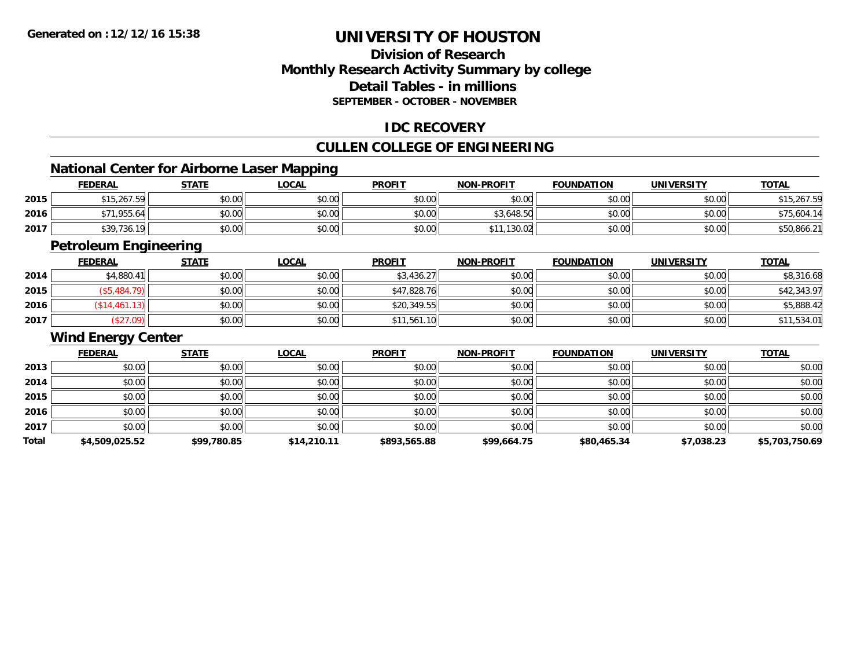# **Division of ResearchMonthly Research Activity Summary by college Detail Tables - in millionsSEPTEMBER - OCTOBER - NOVEMBER**

# **IDC RECOVERY**

# **CULLEN COLLEGE OF ENGINEERING**

<u> 1989 - Johann Stoff, deutscher Stoff, der Stoff, der Stoff, der Stoff, der Stoff, der Stoff, der Stoff, der S</u>

# **National Center for Airborne Laser Mapping**

|      | <b>FEDERAL</b>    | <b>STATE</b> | _OCAL  | <b>PROFIT</b> | <b>NON-PROFIT</b> | <b>FOUNDATION</b> | <b>UNIVERSITY</b> | <b>TOTAL</b> |
|------|-------------------|--------------|--------|---------------|-------------------|-------------------|-------------------|--------------|
| 2015 | \$15,267.59       | \$0.00       | \$0.00 | \$0.00        | \$0.00            | \$0.00            | \$0.00            | \$15,267.59  |
| 2016 | .955.64           | \$0.00       | \$0.00 | \$0.00        | \$3,648.50        | \$0.00            | \$0.00            | \$75,604.14  |
| 2017 | \$39,736.<br>- 19 | \$0.00       | \$0.00 | \$0.00        | ,130.02           | \$0.00            | \$0.00            | \$50,866.21  |

<u> 1989 - Johann Stoff, amerikansk politiker (d. 1989)</u>

# **Petroleum Engineering**

|      | <b>FEDERAL</b> | <b>STATE</b> | <u>LOCAL</u> | <b>PROFIT</b> | <b>NON-PROFIT</b> | <b>FOUNDATION</b> | <b>UNIVERSITY</b> | <b>TOTAL</b> |
|------|----------------|--------------|--------------|---------------|-------------------|-------------------|-------------------|--------------|
| 2014 | \$4,880.41     | \$0.00       | \$0.00       | \$3,436.27    | \$0.00            | \$0.00            | \$0.00            | \$8,316.68   |
| 2015 | \$5,484.79     | \$0.00       | \$0.00       | \$47,828.76   | \$0.00            | \$0.00            | \$0.00            | \$42,343.97  |
| 2016 | \$14,461.13    | \$0.00       | \$0.00       | \$20,349.55   | \$0.00            | \$0.00            | \$0.00            | \$5,888.42   |
| 2017 | \$27.09        | \$0.00       | \$0.00       | \$11,561.10   | \$0.00            | \$0.00            | \$0.00            | \$11,534.01  |

#### **Wind Energy Center**

|       | <b>FEDERAL</b> | <b>STATE</b> | <b>LOCAL</b> | <b>PROFIT</b> | <b>NON-PROFIT</b> | <b>FOUNDATION</b> | <b>UNIVERSITY</b> | <b>TOTAL</b>   |
|-------|----------------|--------------|--------------|---------------|-------------------|-------------------|-------------------|----------------|
| 2013  | \$0.00         | \$0.00       | \$0.00       | \$0.00        | \$0.00            | \$0.00            | \$0.00            | \$0.00         |
| 2014  | \$0.00         | \$0.00       | \$0.00       | \$0.00        | \$0.00            | \$0.00            | \$0.00            | \$0.00         |
| 2015  | \$0.00         | \$0.00       | \$0.00       | \$0.00        | \$0.00            | \$0.00            | \$0.00            | \$0.00         |
| 2016  | \$0.00         | \$0.00       | \$0.00       | \$0.00        | \$0.00            | \$0.00            | \$0.00            | \$0.00         |
| 2017  | \$0.00         | \$0.00       | \$0.00       | \$0.00        | \$0.00            | \$0.00            | \$0.00            | \$0.00         |
| Total | \$4,509,025.52 | \$99,780.85  | \$14,210.11  | \$893,565.88  | \$99,664.75       | \$80,465.34       | \$7,038.23        | \$5,703,750.69 |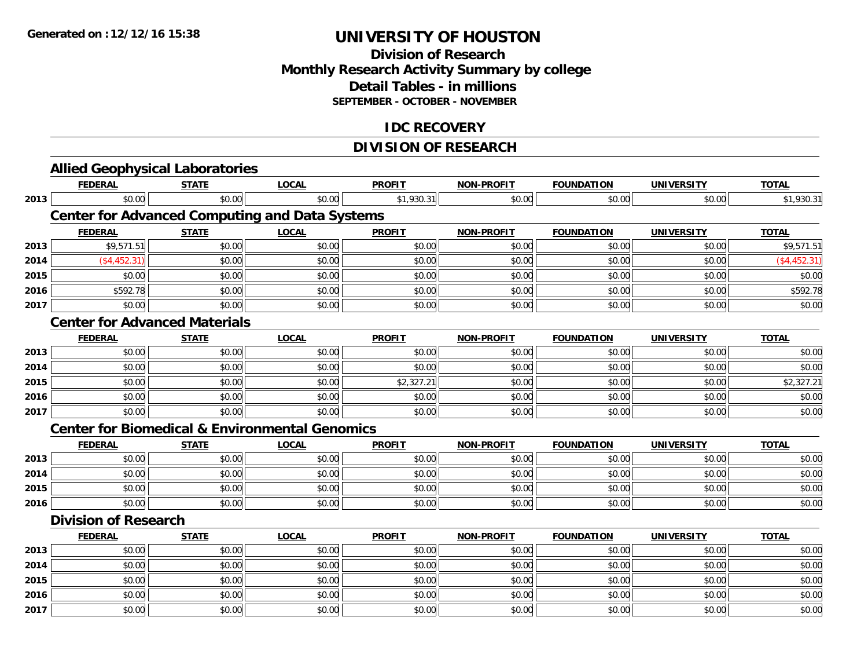# **Division of Research Monthly Research Activity Summary by college Detail Tables - in millions SEPTEMBER - OCTOBER - NOVEMBER**

# **IDC RECOVERY**

# **DIVISION OF RESEARCH**

|      | <b>Allied Geophysical Laboratories</b>                    |              |              |               |                   |                   |                   |              |
|------|-----------------------------------------------------------|--------------|--------------|---------------|-------------------|-------------------|-------------------|--------------|
|      | <b>FEDERAL</b>                                            | <b>STATE</b> | <b>LOCAL</b> | <b>PROFIT</b> | <b>NON-PROFIT</b> | <b>FOUNDATION</b> | <b>UNIVERSITY</b> | <b>TOTAL</b> |
| 2013 | \$0.00                                                    | \$0.00       | \$0.00       | \$1,930.31    | \$0.00            | \$0.00            | \$0.00            | \$1,930.31   |
|      | <b>Center for Advanced Computing and Data Systems</b>     |              |              |               |                   |                   |                   |              |
|      | <b>FEDERAL</b>                                            | <b>STATE</b> | <b>LOCAL</b> | <b>PROFIT</b> | <b>NON-PROFIT</b> | <b>FOUNDATION</b> | <b>UNIVERSITY</b> | <b>TOTAL</b> |
| 2013 | \$9,571.51                                                | \$0.00       | \$0.00       | \$0.00        | \$0.00            | \$0.00            | \$0.00            | \$9,571.51   |
| 2014 | (\$4,452.31)                                              | \$0.00       | \$0.00       | \$0.00        | \$0.00            | \$0.00            | \$0.00            | (\$4,452.31) |
| 2015 | \$0.00                                                    | \$0.00       | \$0.00       | \$0.00        | \$0.00            | \$0.00            | \$0.00            | \$0.00       |
| 2016 | \$592.78                                                  | \$0.00       | \$0.00       | \$0.00        | \$0.00            | \$0.00            | \$0.00            | \$592.78     |
| 2017 | \$0.00                                                    | \$0.00       | \$0.00       | \$0.00        | \$0.00            | \$0.00            | \$0.00            | \$0.00       |
|      | <b>Center for Advanced Materials</b>                      |              |              |               |                   |                   |                   |              |
|      | <b>FEDERAL</b>                                            | <b>STATE</b> | <b>LOCAL</b> | <b>PROFIT</b> | <b>NON-PROFIT</b> | <b>FOUNDATION</b> | <b>UNIVERSITY</b> | <b>TOTAL</b> |
| 2013 | \$0.00                                                    | \$0.00       | \$0.00       | \$0.00        | \$0.00            | \$0.00            | \$0.00            | \$0.00       |
| 2014 | \$0.00                                                    | \$0.00       | \$0.00       | \$0.00        | \$0.00            | \$0.00            | \$0.00            | \$0.00       |
| 2015 | \$0.00                                                    | \$0.00       | \$0.00       | \$2,327.21    | \$0.00            | \$0.00            | \$0.00            | \$2,327.21   |
| 2016 | \$0.00                                                    | \$0.00       | \$0.00       | \$0.00        | \$0.00            | \$0.00            | \$0.00            | \$0.00       |
| 2017 | \$0.00                                                    | \$0.00       | \$0.00       | \$0.00        | \$0.00            | \$0.00            | \$0.00            | \$0.00       |
|      | <b>Center for Biomedical &amp; Environmental Genomics</b> |              |              |               |                   |                   |                   |              |
|      | <b>FEDERAL</b>                                            | <b>STATE</b> | <b>LOCAL</b> | <b>PROFIT</b> | <b>NON-PROFIT</b> | <b>FOUNDATION</b> | <b>UNIVERSITY</b> | <b>TOTAL</b> |
| 2013 | \$0.00                                                    | \$0.00       | \$0.00       | \$0.00        | \$0.00            | \$0.00            | \$0.00            | \$0.00       |
| 2014 | \$0.00                                                    | \$0.00       | \$0.00       | \$0.00        | \$0.00            | \$0.00            | \$0.00            | \$0.00       |
| 2015 | \$0.00                                                    | \$0.00       | \$0.00       | \$0.00        | \$0.00            | \$0.00            | \$0.00            | \$0.00       |
| 2016 | \$0.00                                                    | \$0.00       | \$0.00       | \$0.00        | \$0.00            | \$0.00            | \$0.00            | \$0.00       |
|      | <b>Division of Research</b>                               |              |              |               |                   |                   |                   |              |
|      | <b>FEDERAL</b>                                            | <b>STATE</b> | <b>LOCAL</b> | <b>PROFIT</b> | <b>NON-PROFIT</b> | <b>FOUNDATION</b> | <b>UNIVERSITY</b> | <b>TOTAL</b> |
| 2013 | \$0.00                                                    | \$0.00       | \$0.00       | \$0.00        | \$0.00            | \$0.00            | \$0.00            | \$0.00       |
| 2014 | \$0.00                                                    | \$0.00       | \$0.00       | \$0.00        | \$0.00            | \$0.00            | \$0.00            | \$0.00       |
| 2015 | \$0.00                                                    | \$0.00       | \$0.00       | \$0.00        | \$0.00            | \$0.00            | \$0.00            | \$0.00       |
| 2016 | \$0.00                                                    | \$0.00       | \$0.00       | \$0.00        | \$0.00            | \$0.00            | \$0.00            | \$0.00       |
| 2017 | \$0.00                                                    | \$0.00       | \$0.00       | \$0.00        | \$0.00            | \$0.00            | \$0.00            | \$0.00       |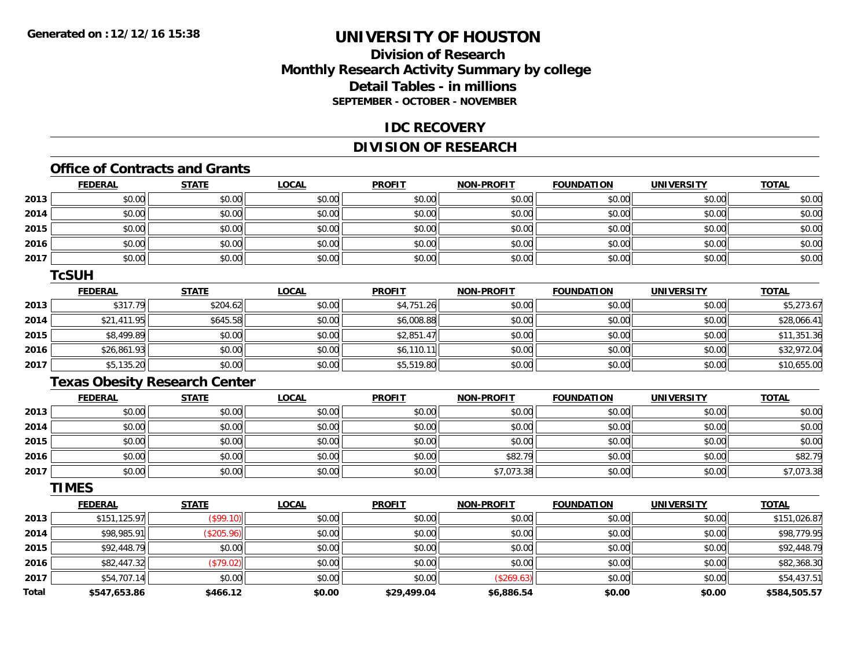# **Division of ResearchMonthly Research Activity Summary by college Detail Tables - in millions SEPTEMBER - OCTOBER - NOVEMBER**

#### **IDC RECOVERY**

# **DIVISION OF RESEARCH**

# **Office of Contracts and Grants**

|      | <b>FEDERAL</b> | <b>STATE</b> | <u>LOCAL</u> | <b>PROFIT</b> | <b>NON-PROFIT</b> | <b>FOUNDATION</b> | <b>UNIVERSITY</b> | <b>TOTAL</b> |
|------|----------------|--------------|--------------|---------------|-------------------|-------------------|-------------------|--------------|
| 2013 | \$0.00         | \$0.00       | \$0.00       | \$0.00        | \$0.00            | \$0.00            | \$0.00            | \$0.00       |
| 2014 | \$0.00         | \$0.00       | \$0.00       | \$0.00        | \$0.00            | \$0.00            | \$0.00            | \$0.00       |
| 2015 | \$0.00         | \$0.00       | \$0.00       | \$0.00        | \$0.00            | \$0.00            | \$0.00            | \$0.00       |
| 2016 | \$0.00         | \$0.00       | \$0.00       | \$0.00        | \$0.00            | \$0.00            | \$0.00            | \$0.00       |
| 2017 | \$0.00         | \$0.00       | \$0.00       | \$0.00        | \$0.00            | \$0.00            | \$0.00            | \$0.00       |

#### **TcSUH**

|      | <b>FEDERAL</b> | <b>STATE</b> | <u>LOCAL</u> | <b>PROFIT</b> | <b>NON-PROFIT</b> | <b>FOUNDATION</b> | <b>UNIVERSITY</b> | <b>TOTAL</b> |
|------|----------------|--------------|--------------|---------------|-------------------|-------------------|-------------------|--------------|
| 2013 | \$317.79       | \$204.62     | \$0.00       | \$4,751.26    | \$0.00            | \$0.00            | \$0.00            | \$5,273.67   |
| 2014 | \$21,411.95    | \$645.58     | \$0.00       | \$6,008.88    | \$0.00            | \$0.00            | \$0.00            | \$28,066.41  |
| 2015 | \$8,499.89     | \$0.00       | \$0.00       | \$2,851.47    | \$0.00            | \$0.00            | \$0.00            | \$11,351.36  |
| 2016 | \$26,861.93    | \$0.00       | \$0.00       | \$6,110.11    | \$0.00            | \$0.00            | \$0.00            | \$32,972.04  |
| 2017 | \$5,135.20     | \$0.00       | \$0.00       | \$5,519.80    | \$0.00            | \$0.00            | \$0.00            | \$10,655.00  |

# **Texas Obesity Research Center**

|      | <u>FEDERAL</u> | <b>STATE</b> | <u>LOCAL</u> | <b>PROFIT</b> | <b>NON-PROFIT</b> | <b>FOUNDATION</b> | <b>UNIVERSITY</b> | <b>TOTAL</b> |
|------|----------------|--------------|--------------|---------------|-------------------|-------------------|-------------------|--------------|
| 2013 | \$0.00         | \$0.00       | \$0.00       | \$0.00        | \$0.00            | \$0.00            | \$0.00            | \$0.00       |
| 2014 | \$0.00         | \$0.00       | \$0.00       | \$0.00        | \$0.00            | \$0.00            | \$0.00            | \$0.00       |
| 2015 | \$0.00         | \$0.00       | \$0.00       | \$0.00        | \$0.00            | \$0.00            | \$0.00            | \$0.00       |
| 2016 | \$0.00         | \$0.00       | \$0.00       | \$0.00        | \$82.<br>79       | \$0.00            | \$0.00            | \$82.79      |
| 2017 | \$0.00         | \$0.00       | \$0.00       | \$0.00        | \$7,073.38        | \$0.00            | \$0.00            | \$7,073.38   |

#### **TIMES**

|              | <b>FEDERAL</b> | <b>STATE</b>             | <b>LOCAL</b> | <b>PROFIT</b> | <b>NON-PROFIT</b> | <b>FOUNDATION</b> | <b>UNIVERSITY</b> | <b>TOTAL</b> |
|--------------|----------------|--------------------------|--------------|---------------|-------------------|-------------------|-------------------|--------------|
| 2013         | \$151,125.97   | $($ \$99.10) $\parallel$ | \$0.00       | \$0.00        | \$0.00            | \$0.00            | \$0.00            | \$151,026.87 |
| 2014         | \$98,985.91    | (\$205.96)               | \$0.00       | \$0.00        | \$0.00            | \$0.00            | \$0.00            | \$98,779.95  |
| 2015         | \$92,448.79    | \$0.00                   | \$0.00       | \$0.00        | \$0.00            | \$0.00            | \$0.00            | \$92,448.79  |
| 2016         | \$82,447.32    | \$79.02]                 | \$0.00       | \$0.00        | \$0.00            | \$0.00            | \$0.00            | \$82,368.30  |
| 2017         | \$54,707.14    | \$0.00                   | \$0.00       | \$0.00        | (\$269.63)        | \$0.00            | \$0.00            | \$54,437.51  |
| <b>Total</b> | \$547,653.86   | \$466.12                 | \$0.00       | \$29,499.04   | \$6,886.54        | \$0.00            | \$0.00            | \$584,505.57 |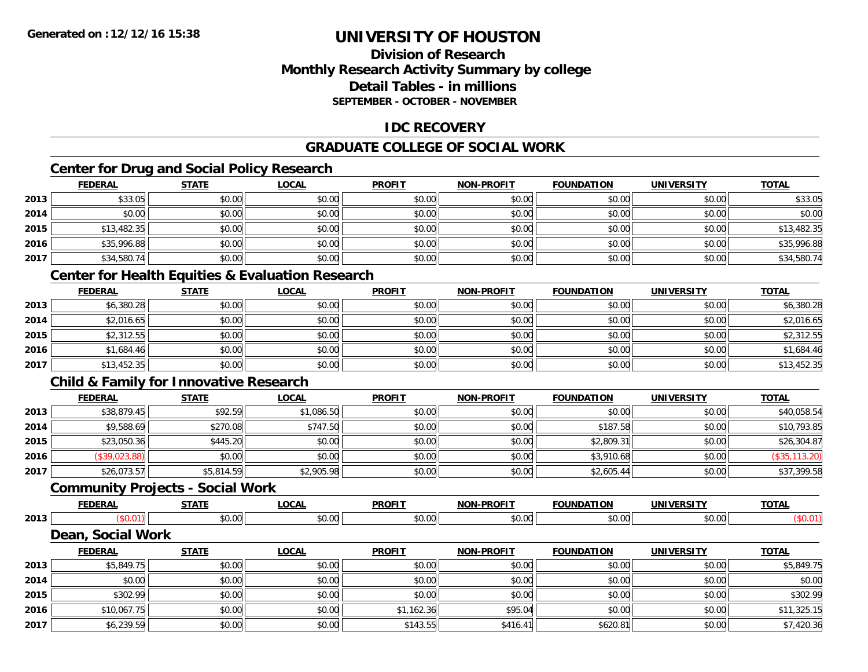# **Division of ResearchMonthly Research Activity Summary by college Detail Tables - in millionsSEPTEMBER - OCTOBER - NOVEMBER**

# **IDC RECOVERY**

# **GRADUATE COLLEGE OF SOCIAL WORK**

# **Center for Drug and Social Policy Research**

|      | <b>FEDERAL</b> | <b>STATE</b> | <b>LOCAL</b> | <b>PROFIT</b> | <b>NON-PROFIT</b> | <b>FOUNDATION</b> | <b>UNIVERSITY</b> | <b>TOTAL</b> |
|------|----------------|--------------|--------------|---------------|-------------------|-------------------|-------------------|--------------|
| 2013 | \$33.05        | \$0.00       | \$0.00       | \$0.00        | \$0.00            | \$0.00            | \$0.00            | \$33.05      |
| 2014 | \$0.00         | \$0.00       | \$0.00       | \$0.00        | \$0.00            | \$0.00            | \$0.00            | \$0.00       |
| 2015 | \$13,482.35    | \$0.00       | \$0.00       | \$0.00        | \$0.00            | \$0.00            | \$0.00            | \$13,482.35  |
| 2016 | \$35,996.88    | \$0.00       | \$0.00       | \$0.00        | \$0.00            | \$0.00            | \$0.00            | \$35,996.88  |
| 2017 | \$34,580.74    | \$0.00       | \$0.00       | \$0.00        | \$0.00            | \$0.00            | \$0.00            | \$34,580.74  |

# **Center for Health Equities & Evaluation Research**

|      | <u>FEDERAL</u> | <b>STATE</b> | <u>LOCAL</u> | <b>PROFIT</b> | <b>NON-PROFIT</b> | <b>FOUNDATION</b> | <b>UNIVERSITY</b> | <b>TOTAL</b> |
|------|----------------|--------------|--------------|---------------|-------------------|-------------------|-------------------|--------------|
| 2013 | \$6,380.28     | \$0.00       | \$0.00       | \$0.00        | \$0.00            | \$0.00            | \$0.00            | \$6,380.28   |
| 2014 | \$2.016.65     | \$0.00       | \$0.00       | \$0.00        | \$0.00            | \$0.00            | \$0.00            | \$2,016.65   |
| 2015 | \$2,312.55     | \$0.00       | \$0.00       | \$0.00        | \$0.00            | \$0.00            | \$0.00            | \$2,312.55   |
| 2016 | \$1,684.46     | \$0.00       | \$0.00       | \$0.00        | \$0.00            | \$0.00            | \$0.00            | \$1,684.46   |
| 2017 | \$13,452.35    | \$0.00       | \$0.00       | \$0.00        | \$0.00            | \$0.00            | \$0.00            | \$13,452.35  |

# **Child & Family for Innovative Research**

|      | <u>FEDERAL</u> | <u>STATE</u> | <u>LOCAL</u> | <b>PROFIT</b> | <b>NON-PROFIT</b> | <b>FOUNDATION</b> | <b>UNIVERSITY</b> | <b>TOTAL</b>  |
|------|----------------|--------------|--------------|---------------|-------------------|-------------------|-------------------|---------------|
| 2013 | \$38,879.45    | \$92.59      | \$1,086.50   | \$0.00        | \$0.00            | \$0.00            | \$0.00            | \$40,058.54   |
| 2014 | \$9,588.69     | \$270.08     | \$747.50     | \$0.00        | \$0.00            | \$187.58          | \$0.00            | \$10,793.85   |
| 2015 | \$23,050.36    | \$445.20     | \$0.00       | \$0.00        | \$0.00            | \$2,809.31        | \$0.00            | \$26,304.87   |
| 2016 | (\$39,023.88)  | \$0.00       | \$0.00       | \$0.00        | \$0.00            | \$3,910.68        | \$0.00            | (\$35,113.20) |
| 2017 | \$26,073.57    | \$5,814.59   | \$2,905.98   | \$0.00        | \$0.00            | \$2,605.44        | \$0.00            | \$37,399.58   |

### **Community Projects - Social Work**

|      | <b>FFBF</b><br>-112 | $- - - -$           | $\sim$             | <b>PROFIT</b>                               | .<br>$\sim$<br>ж | <u>וווחו</u> | w                    | <b>TOTAL</b> |
|------|---------------------|---------------------|--------------------|---------------------------------------------|------------------|--------------|----------------------|--------------|
| 2013 |                     | $\sim$ $\sim$<br>יש | $\sim$ 00<br>JU.UU | $\uparrow$<br>$\sim$ $\sim$<br>ne:<br>JU.UU | 0.00<br>JU.UU    | ູນບ          | 0.00<br><b>PU.UU</b> |              |
| -    | .<br>---            |                     |                    |                                             |                  |              |                      |              |

#### **Dean, Social Work**

|      | <b>FEDERAL</b> | <b>STATE</b> | <b>LOCAL</b> | <b>PROFIT</b> | <b>NON-PROFIT</b> | <b>FOUNDATION</b> | <b>UNIVERSITY</b> | <b>TOTAL</b> |
|------|----------------|--------------|--------------|---------------|-------------------|-------------------|-------------------|--------------|
| 2013 | \$5,849.75     | \$0.00       | \$0.00       | \$0.00        | \$0.00            | \$0.00            | \$0.00            | \$5,849.75   |
| 2014 | \$0.00         | \$0.00       | \$0.00       | \$0.00        | \$0.00            | \$0.00            | \$0.00            | \$0.00       |
| 2015 | \$302.99       | \$0.00       | \$0.00       | \$0.00        | \$0.00            | \$0.00            | \$0.00            | \$302.99     |
| 2016 | \$10,067.75    | \$0.00       | \$0.00       | \$1,162.36    | \$95.04           | \$0.00            | \$0.00            | \$11,325.15  |
| 2017 | \$6,239.59     | \$0.00       | \$0.00       | \$143.55      | \$416.41          | \$620.81          | \$0.00            | \$7,420.36   |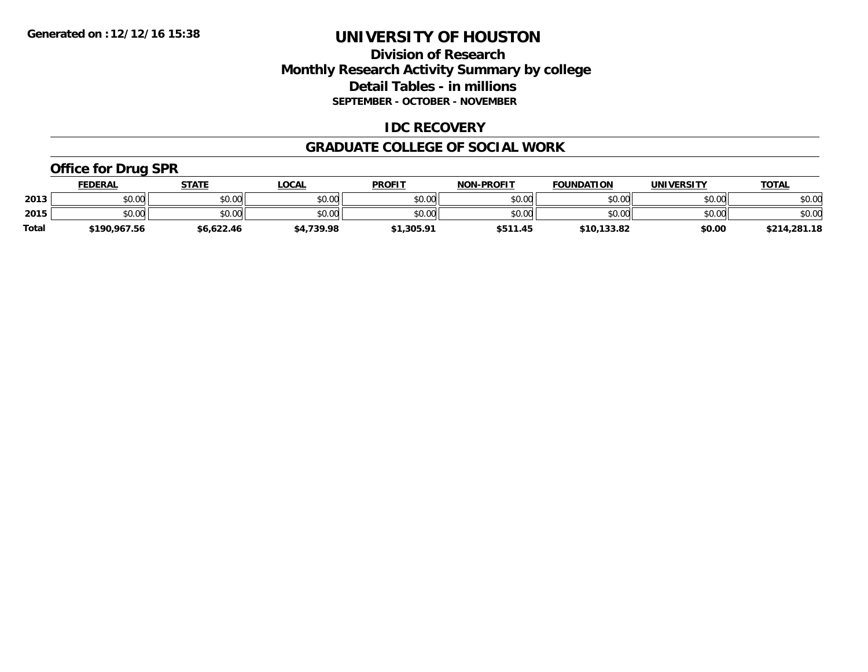# **Division of Research Monthly Research Activity Summary by college Detail Tables - in millions SEPTEMBER - OCTOBER - NOVEMBER**

### **IDC RECOVERY**

#### **GRADUATE COLLEGE OF SOCIAL WORK**

# **Office for Drug SPR**

|              | <u>FEDERAL</u> | <b>STATE</b> | LOCAL      | <b>PROFIT</b> | <b>NON-PROFIT</b> | <b>FOUNDATION</b> | UNIVERSITY | <b>TOTAL</b> |
|--------------|----------------|--------------|------------|---------------|-------------------|-------------------|------------|--------------|
| 2013         | \$0.00         | \$0.00       | \$0.00     | \$0.00        | \$0.00            | \$0.00            | \$0.00     | \$0.00       |
| 2015         | \$0.00         | \$0.00       | \$0.00     | \$0.00        | \$0.00            | \$0.00            | \$0.00     | \$0.00       |
| <b>Total</b> | \$190,967.56   | \$6,622.46   | \$4,739.98 | \$1,305.91    | \$511.45          | \$10,133.82       | \$0.00     | \$214,281.18 |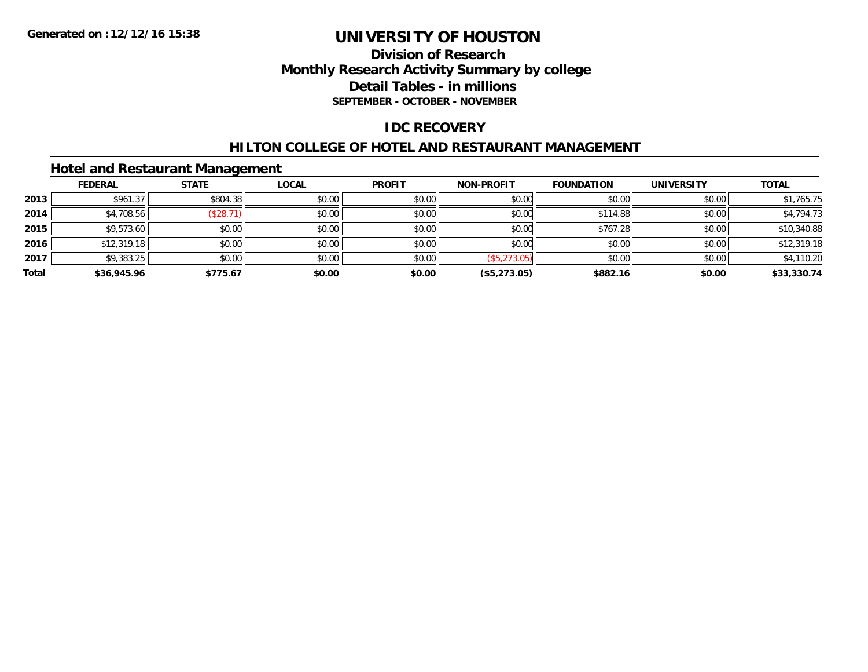# **Division of Research Monthly Research Activity Summary by college Detail Tables - in millions SEPTEMBER - OCTOBER - NOVEMBER**

### **IDC RECOVERY**

### **HILTON COLLEGE OF HOTEL AND RESTAURANT MANAGEMENT**

# **Hotel and Restaurant Management**

|       | <b>FEDERAL</b> | <b>STATE</b> | <u>LOCAL</u> | <b>PROFIT</b> | <b>NON-PROFIT</b> | <b>FOUNDATION</b> | <b>UNIVERSITY</b> | <b>TOTAL</b> |
|-------|----------------|--------------|--------------|---------------|-------------------|-------------------|-------------------|--------------|
| 2013  | \$961.37       | \$804.38     | \$0.00       | \$0.00        | \$0.00            | \$0.00            | \$0.00            | \$1,765.75   |
| 2014  | \$4,708.56     | (\$28.7      | \$0.00       | \$0.00        | \$0.00            | \$114.88          | \$0.00            | \$4,794.73   |
| 2015  | \$9,573.60     | \$0.00       | \$0.00       | \$0.00        | \$0.00            | \$767.28          | \$0.00            | \$10,340.88  |
| 2016  | \$12,319.18    | \$0.00       | \$0.00       | \$0.00        | \$0.00            | \$0.00            | \$0.00            | \$12,319.18  |
| 2017  | \$9,383.25     | \$0.00       | \$0.00       | \$0.00        | (\$5,273.05)      | \$0.00            | \$0.00            | \$4,110.20   |
| Total | \$36,945.96    | \$775.67     | \$0.00       | \$0.00        | (\$5,273.05)      | \$882.16          | \$0.00            | \$33,330.74  |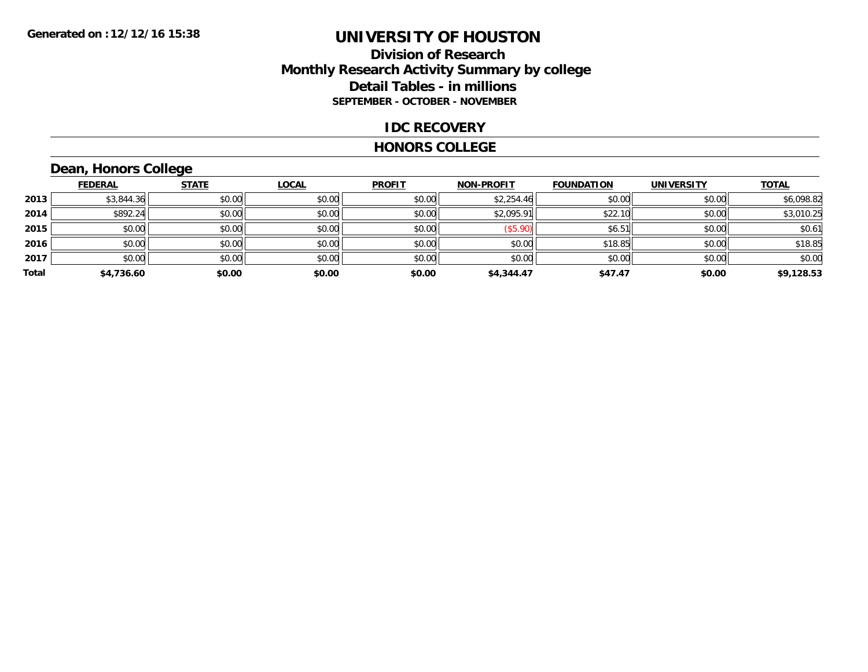# **Division of Research Monthly Research Activity Summary by college Detail Tables - in millions SEPTEMBER - OCTOBER - NOVEMBER**

#### **IDC RECOVERY**

#### **HONORS COLLEGE**

# **Dean, Honors College**

|       | <b>FEDERAL</b> | <b>STATE</b> | <b>LOCAL</b> | <b>PROFIT</b> | <b>NON-PROFIT</b> | <b>FOUNDATION</b> | <b>UNIVERSITY</b> | <b>TOTAL</b> |
|-------|----------------|--------------|--------------|---------------|-------------------|-------------------|-------------------|--------------|
| 2013  | \$3,844.36     | \$0.00       | \$0.00       | \$0.00        | \$2,254.46        | \$0.00            | \$0.00            | \$6,098.82   |
| 2014  | \$892.24       | \$0.00       | \$0.00       | \$0.00        | \$2,095.91        | \$22.10           | \$0.00            | \$3,010.25   |
| 2015  | \$0.00         | \$0.00       | \$0.00       | \$0.00        | (\$5.90)          | \$6.51            | \$0.00            | \$0.61       |
| 2016  | \$0.00         | \$0.00       | \$0.00       | \$0.00        | \$0.00            | \$18.85           | \$0.00            | \$18.85      |
| 2017  | \$0.00         | \$0.00       | \$0.00       | \$0.00        | \$0.00            | \$0.00            | \$0.00            | \$0.00       |
| Total | \$4,736.60     | \$0.00       | \$0.00       | \$0.00        | \$4,344.47        | \$47.47           | \$0.00            | \$9,128.53   |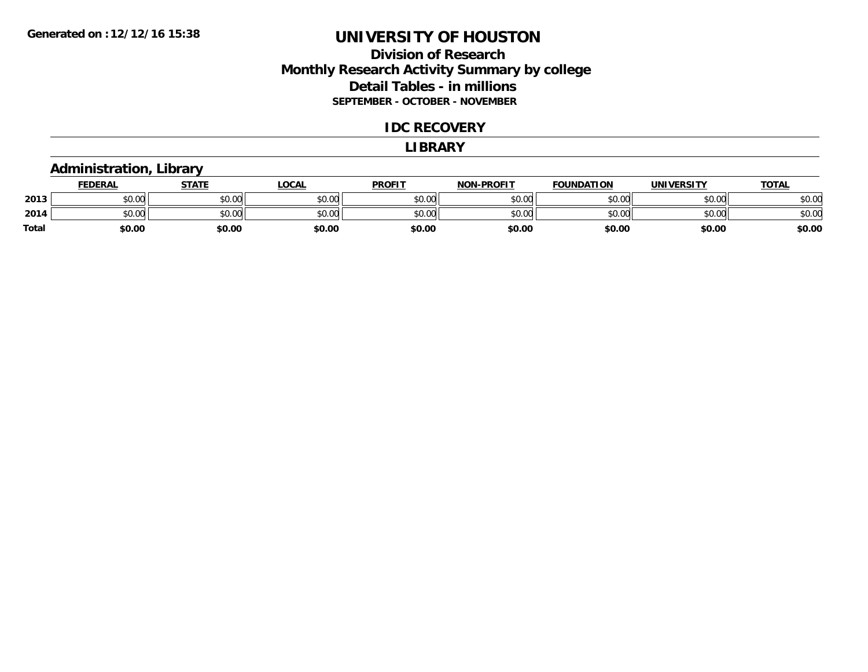# **Division of Research Monthly Research Activity Summary by college Detail Tables - in millions SEPTEMBER - OCTOBER - NOVEMBER**

#### **IDC RECOVERY**

#### **LIBRARY**

### **Administration, Library**

|              | <b>FEDERAL</b> | STATE  | <b>LOCAL</b> | <b>PROFIT</b> | <b>NON-PROFIT</b> | <b>FOUNDATION</b> | <b>UNIVERSITY</b> | <u>TOTAL</u> |
|--------------|----------------|--------|--------------|---------------|-------------------|-------------------|-------------------|--------------|
| 2013         | \$0.00         | \$0.00 | \$0.00       | \$0.00        | \$0.00            | \$0.00            | \$0.00            | \$0.00       |
| 2014         | \$0.00         | \$0.00 | \$0.00       | \$0.00        | \$0.00            | \$0.00            | \$0.00            | \$0.00       |
| <b>Total</b> | \$0.00         | \$0.00 | \$0.00       | \$0.00        | \$0.00            | \$0.00            | \$0.00            | \$0.00       |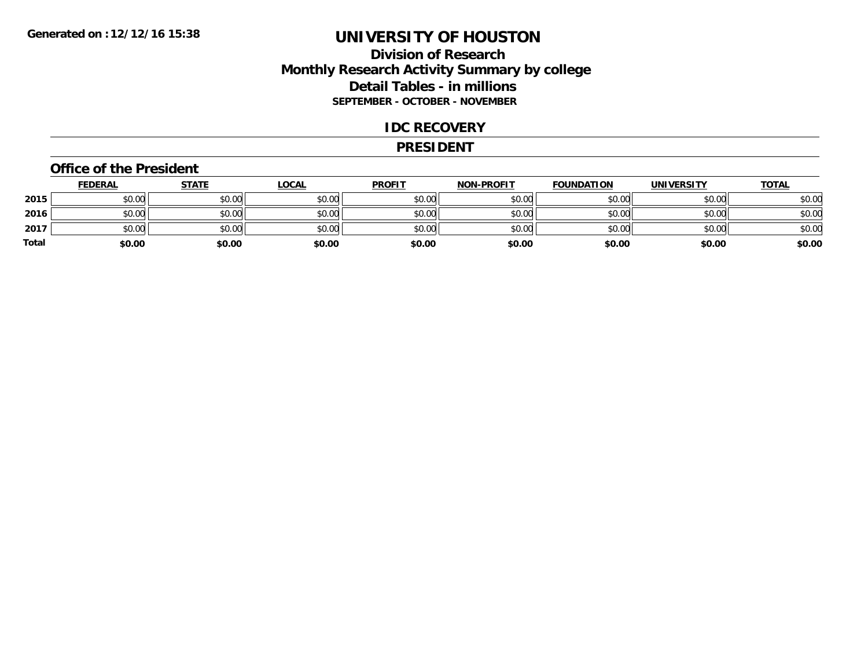# **Division of Research Monthly Research Activity Summary by college Detail Tables - in millions SEPTEMBER - OCTOBER - NOVEMBER**

### **IDC RECOVERY**

#### **PRESIDENT**

#### **Office of the President**

|       | <b>FEDERAL</b> | <b>STATE</b> | <b>LOCAL</b> | <b>PROFIT</b> | <b>NON-PROFIT</b> | <b>FOUNDATION</b> | <b>UNIVERSITY</b> | <u>TOTAL</u> |
|-------|----------------|--------------|--------------|---------------|-------------------|-------------------|-------------------|--------------|
| 2015  | \$0.00         | \$0.00       | \$0.00       | \$0.00        | \$0.00            | \$0.00            | \$0.00            | \$0.00       |
| 2016  | \$0.00         | \$0.00       | \$0.00       | \$0.00        | \$0.00            | \$0.00            | \$0.00            | \$0.00       |
| 2017  | \$0.00         | \$0.00       | \$0.00       | \$0.00        | \$0.00            | \$0.00            | \$0.00            | \$0.00       |
| Total | \$0.00         | \$0.00       | \$0.00       | \$0.00        | \$0.00            | \$0.00            | \$0.00            | \$0.00       |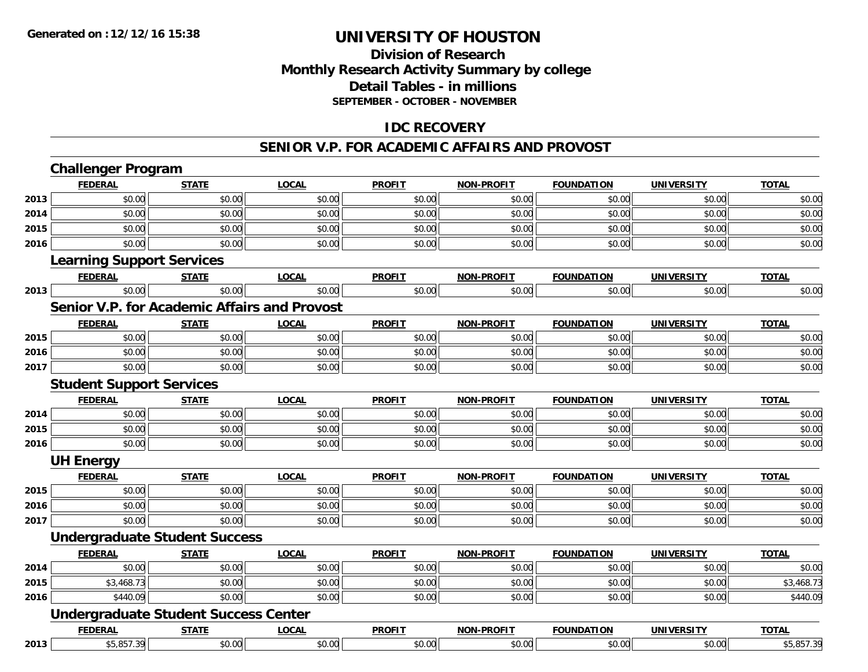# **Division of ResearchMonthly Research Activity Summary by college Detail Tables - in millions SEPTEMBER - OCTOBER - NOVEMBER**

# **IDC RECOVERY**

#### **SENIOR V.P. FOR ACADEMIC AFFAIRS AND PROVOST**

|      | <b>Challenger Program</b>                           |              |              |               |                   |                   |                   |              |
|------|-----------------------------------------------------|--------------|--------------|---------------|-------------------|-------------------|-------------------|--------------|
|      | <b>FEDERAL</b>                                      | <b>STATE</b> | <b>LOCAL</b> | <b>PROFIT</b> | <b>NON-PROFIT</b> | <b>FOUNDATION</b> | <b>UNIVERSITY</b> | <b>TOTAL</b> |
| 2013 | \$0.00                                              | \$0.00       | \$0.00       | \$0.00        | \$0.00            | \$0.00            | \$0.00            | \$0.00       |
| 2014 | \$0.00                                              | \$0.00       | \$0.00       | \$0.00        | \$0.00            | \$0.00            | \$0.00            | \$0.00       |
| 2015 | \$0.00                                              | \$0.00       | \$0.00       | \$0.00        | \$0.00            | \$0.00            | \$0.00            | \$0.00       |
| 2016 | \$0.00                                              | \$0.00       | \$0.00       | \$0.00        | \$0.00            | \$0.00            | \$0.00            | \$0.00       |
|      | <b>Learning Support Services</b>                    |              |              |               |                   |                   |                   |              |
|      | <b>FEDERAL</b>                                      | <b>STATE</b> | <b>LOCAL</b> | <b>PROFIT</b> | <b>NON-PROFIT</b> | <b>FOUNDATION</b> | <b>UNIVERSITY</b> | <b>TOTAL</b> |
| 2013 | \$0.00                                              | \$0.00       | \$0.00       | \$0.00        | \$0.00            | \$0.00            | \$0.00            | \$0.00       |
|      | <b>Senior V.P. for Academic Affairs and Provost</b> |              |              |               |                   |                   |                   |              |
|      | <b>FEDERAL</b>                                      | <b>STATE</b> | <b>LOCAL</b> | <b>PROFIT</b> | <b>NON-PROFIT</b> | <b>FOUNDATION</b> | <b>UNIVERSITY</b> | <b>TOTAL</b> |
| 2015 | \$0.00                                              | \$0.00       | \$0.00       | \$0.00        | \$0.00            | \$0.00            | \$0.00            | \$0.00       |
| 2016 | \$0.00                                              | \$0.00       | \$0.00       | \$0.00        | \$0.00            | \$0.00            | \$0.00            | \$0.00       |
| 2017 | \$0.00                                              | \$0.00       | \$0.00       | \$0.00        | \$0.00            | \$0.00            | \$0.00            | \$0.00       |
|      | <b>Student Support Services</b>                     |              |              |               |                   |                   |                   |              |
|      | <b>FEDERAL</b>                                      | <b>STATE</b> | <b>LOCAL</b> | <b>PROFIT</b> | <b>NON-PROFIT</b> | <b>FOUNDATION</b> | <b>UNIVERSITY</b> | <b>TOTAL</b> |
| 2014 | \$0.00                                              | \$0.00       | \$0.00       | \$0.00        | \$0.00            | \$0.00            | \$0.00            | \$0.00       |
| 2015 | \$0.00                                              | \$0.00       | \$0.00       | \$0.00        | \$0.00            | \$0.00            | \$0.00            | \$0.00       |
| 2016 | \$0.00                                              | \$0.00       | \$0.00       | \$0.00        | \$0.00            | \$0.00            | \$0.00            | \$0.00       |
|      | <b>UH Energy</b>                                    |              |              |               |                   |                   |                   |              |
|      | <b>FEDERAL</b>                                      | <b>STATE</b> | <b>LOCAL</b> | <b>PROFIT</b> | <b>NON-PROFIT</b> | <b>FOUNDATION</b> | <b>UNIVERSITY</b> | <b>TOTAL</b> |
| 2015 | \$0.00                                              | \$0.00       | \$0.00       | \$0.00        | \$0.00            | \$0.00            | \$0.00            | \$0.00       |
| 2016 | \$0.00                                              | \$0.00       | \$0.00       | \$0.00        | \$0.00            | \$0.00            | \$0.00            | \$0.00       |
| 2017 | \$0.00                                              | \$0.00       | \$0.00       | \$0.00        | \$0.00            | \$0.00            | \$0.00            | \$0.00       |
|      | <b>Undergraduate Student Success</b>                |              |              |               |                   |                   |                   |              |
|      | <b>FEDERAL</b>                                      | <b>STATE</b> | <b>LOCAL</b> | <b>PROFIT</b> | <b>NON-PROFIT</b> | <b>FOUNDATION</b> | <b>UNIVERSITY</b> | <b>TOTAL</b> |
| 2014 | \$0.00                                              | \$0.00       | \$0.00       | \$0.00        | \$0.00            | \$0.00            | \$0.00            | \$0.00       |
| 2015 | \$3,468.73                                          | \$0.00       | \$0.00       | \$0.00        | \$0.00            | \$0.00            | \$0.00            | \$3,468.73   |
| 2016 | \$440.09                                            | \$0.00       | \$0.00       | \$0.00        | \$0.00            | \$0.00            | \$0.00            | \$440.09     |
|      | <b>Undergraduate Student Success Center</b>         |              |              |               |                   |                   |                   |              |
|      | <b>FEDERAL</b>                                      | <b>STATE</b> | <b>LOCAL</b> | <b>PROFIT</b> | <b>NON-PROFIT</b> | <b>FOUNDATION</b> | <b>UNIVERSITY</b> | <b>TOTAL</b> |
| 2013 | \$5,857.39                                          | \$0.00       | \$0.00       | \$0.00        | \$0.00            | \$0.00            | \$0.00            | \$5,857.39   |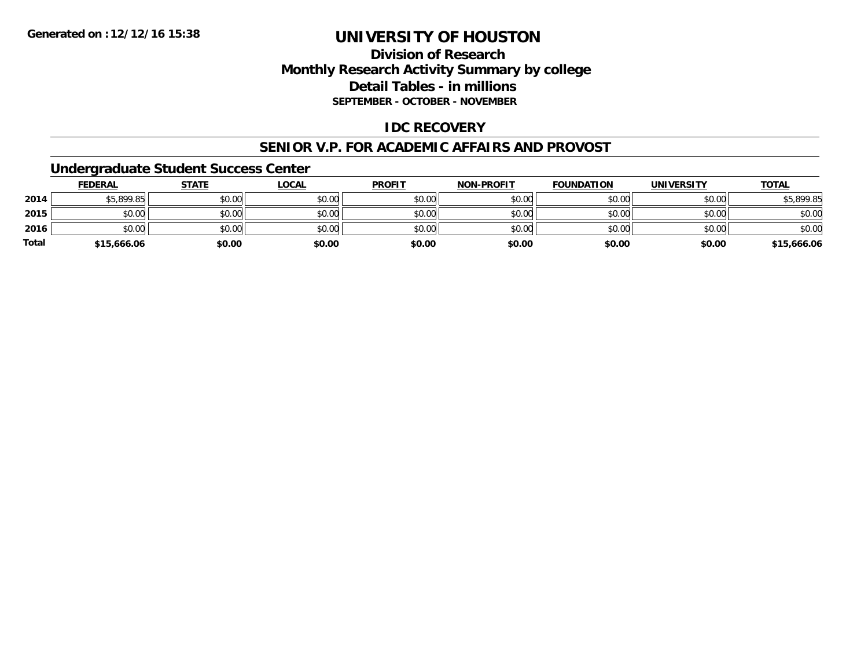# **Division of Research Monthly Research Activity Summary by college Detail Tables - in millions SEPTEMBER - OCTOBER - NOVEMBER**

### **IDC RECOVERY**

#### **SENIOR V.P. FOR ACADEMIC AFFAIRS AND PROVOST**

### **Undergraduate Student Success Center**

|              | <b>FEDERAL</b> | <b>STATE</b> | <u>LOCAL</u> | <b>PROFIT</b> | <b>NON-PROFIT</b> | <b>FOUNDATION</b> | <b>UNIVERSITY</b> | <b>TOTAL</b> |
|--------------|----------------|--------------|--------------|---------------|-------------------|-------------------|-------------------|--------------|
| 2014         | \$5,899.85     | \$0.00       | \$0.00       | \$0.00        | \$0.00            | \$0.00            | \$0.00            | \$5,899.85   |
| 2015         | \$0.00         | \$0.00       | \$0.00       | \$0.00        | \$0.00            | \$0.00            | \$0.00            | \$0.00       |
| 2016         | \$0.00         | \$0.00       | \$0.00       | \$0.00        | \$0.00            | \$0.00            | \$0.00            | \$0.00       |
| <b>Total</b> | \$15,666.06    | \$0.00       | \$0.00       | \$0.00        | \$0.00            | \$0.00            | \$0.00            | \$15,666.06  |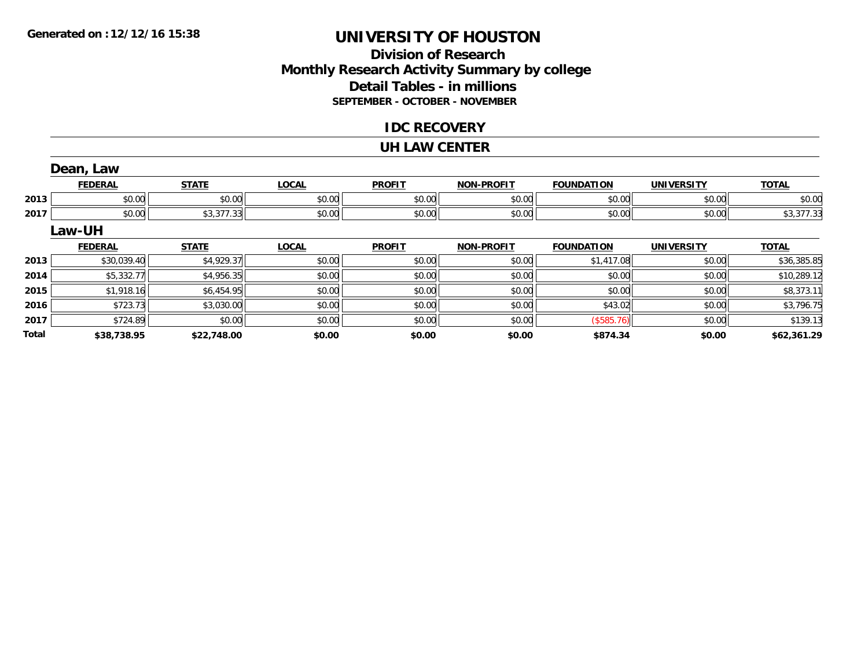# **Division of ResearchMonthly Research Activity Summary by college Detail Tables - in millions SEPTEMBER - OCTOBER - NOVEMBER**

### **IDC RECOVERY**

#### **UH LAW CENTER**

|              | Dean, Law      |              |              |               |                   |                   |                   |              |
|--------------|----------------|--------------|--------------|---------------|-------------------|-------------------|-------------------|--------------|
|              | <b>FEDERAL</b> | <b>STATE</b> | <b>LOCAL</b> | <b>PROFIT</b> | <b>NON-PROFIT</b> | <b>FOUNDATION</b> | <b>UNIVERSITY</b> | <b>TOTAL</b> |
| 2013         | \$0.00         | \$0.00       | \$0.00       | \$0.00        | \$0.00            | \$0.00            | \$0.00            | \$0.00       |
| 2017         | \$0.00         | \$3,377.33   | \$0.00       | \$0.00        | \$0.00            | \$0.00            | \$0.00            | \$3,377.33   |
|              | Law-UH         |              |              |               |                   |                   |                   |              |
|              | <b>FEDERAL</b> | <b>STATE</b> | <b>LOCAL</b> | <b>PROFIT</b> | <b>NON-PROFIT</b> | <b>FOUNDATION</b> | <b>UNIVERSITY</b> | <b>TOTAL</b> |
| 2013         | \$30,039.40    | \$4,929.37   | \$0.00       | \$0.00        | \$0.00            | \$1,417.08        | \$0.00            | \$36,385.85  |
| 2014         | \$5,332.77     | \$4,956.35   | \$0.00       | \$0.00        | \$0.00            | \$0.00            | \$0.00            | \$10,289.12  |
| 2015         | \$1,918.16     | \$6,454.95   | \$0.00       | \$0.00        | \$0.00            | \$0.00            | \$0.00            | \$8,373.11   |
| 2016         | \$723.73       | \$3,030.00   | \$0.00       | \$0.00        | \$0.00            | \$43.02           | \$0.00            | \$3,796.75   |
| 2017         | \$724.89       | \$0.00       | \$0.00       | \$0.00        | \$0.00            | (\$585.76)        | \$0.00            | \$139.13     |
| <b>Total</b> | \$38,738.95    | \$22,748.00  | \$0.00       | \$0.00        | \$0.00            | \$874.34          | \$0.00            | \$62,361.29  |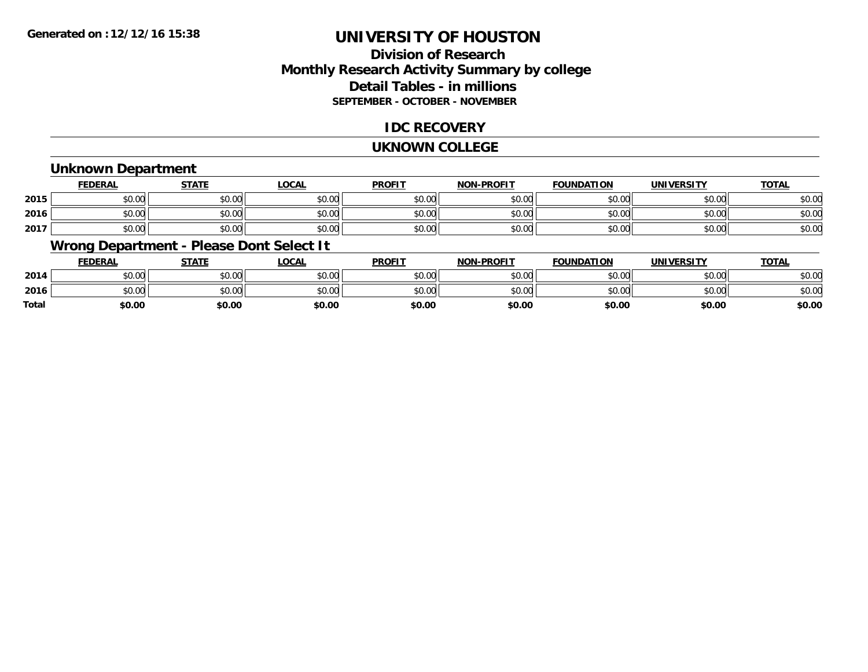# **Division of ResearchMonthly Research Activity Summary by college Detail Tables - in millions SEPTEMBER - OCTOBER - NOVEMBER**

# **IDC RECOVERY**

#### **UKNOWN COLLEGE**

### **Unknown Department**

|      | FEDERAL | <b>STATE</b> | <u>LOCAI</u> | <b>PROFIT</b> | <b>NON-PROFIT</b> | <b>FOUNDATION</b> | <b>UNIVERSITY</b> | <b>TOTAL</b> |
|------|---------|--------------|--------------|---------------|-------------------|-------------------|-------------------|--------------|
| 2015 | \$0.00  | \$0.00       | \$0.00       | \$0.00        | ደሰ ሰሰ<br>JU.UU    | \$0.00            | \$0.00            | \$0.00       |
| 2016 | \$0.00  | \$0.00       | \$0.00       | \$0.00        | ku uy<br>ง∪.∪บ    | \$0.00            | \$0.00            | \$0.00       |
| 2017 | \$0.00  | \$0.00       | \$0.00       | \$0.00        | \$0.00            | \$0.00            | \$0.00            | \$0.00       |

# **Wrong Department - Please Dont Select It**

|              | <b>FEDERAL</b>                               | STATE  | LOCAL  | <b>PROFIT</b> | <b>NON-PROFIT</b> | <b>FOUNDATION</b> | <b>UNIVERSITY</b> | <u>TOTAL</u> |
|--------------|----------------------------------------------|--------|--------|---------------|-------------------|-------------------|-------------------|--------------|
| 2014         | 0000<br>DU.UU                                | \$0.00 | PO.OO  | \$0.00        | \$0.00            | \$0.00            | \$0.00            | \$0.00       |
| 2016         | $\mathfrak{c}\cap\mathfrak{a}\cap$<br>\$U.UU | \$0.00 | \$0.00 | \$0.00        | \$0.00            | \$0.00            | \$0.00            | \$0.00       |
| <b>Total</b> | \$0.00                                       | \$0.00 | \$0.00 | \$0.00        | \$0.00            | \$0.00            | \$0.00            | \$0.00       |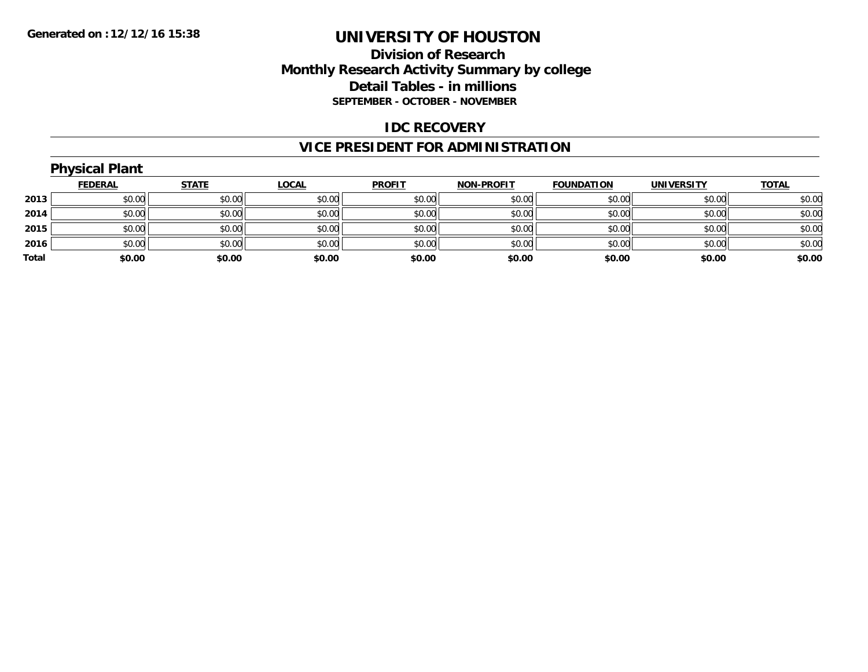# **Division of Research Monthly Research Activity Summary by college Detail Tables - in millions SEPTEMBER - OCTOBER - NOVEMBER**

### **IDC RECOVERY**

# **VICE PRESIDENT FOR ADMINISTRATION**

|       | <b>Physical Plant</b> |              |              |               |                   |                   |                   |              |
|-------|-----------------------|--------------|--------------|---------------|-------------------|-------------------|-------------------|--------------|
|       | <b>FEDERAL</b>        | <b>STATE</b> | <b>LOCAL</b> | <b>PROFIT</b> | <b>NON-PROFIT</b> | <b>FOUNDATION</b> | <b>UNIVERSITY</b> | <b>TOTAL</b> |
| 2013  | \$0.00                | \$0.00       | \$0.00       | \$0.00        | \$0.00            | \$0.00            | \$0.00            | \$0.00       |
| 2014  | \$0.00                | \$0.00       | \$0.00       | \$0.00        | \$0.00            | \$0.00            | \$0.00            | \$0.00       |
| 2015  | \$0.00                | \$0.00       | \$0.00       | \$0.00        | \$0.00            | \$0.00            | \$0.00            | \$0.00       |
| 2016  | \$0.00                | \$0.00       | \$0.00       | \$0.00        | \$0.00            | \$0.00            | \$0.00            | \$0.00       |
| Total | \$0.00                | \$0.00       | \$0.00       | \$0.00        | \$0.00            | \$0.00            | \$0.00            | \$0.00       |
|       |                       |              |              |               |                   |                   |                   |              |

# **Physical Plant**